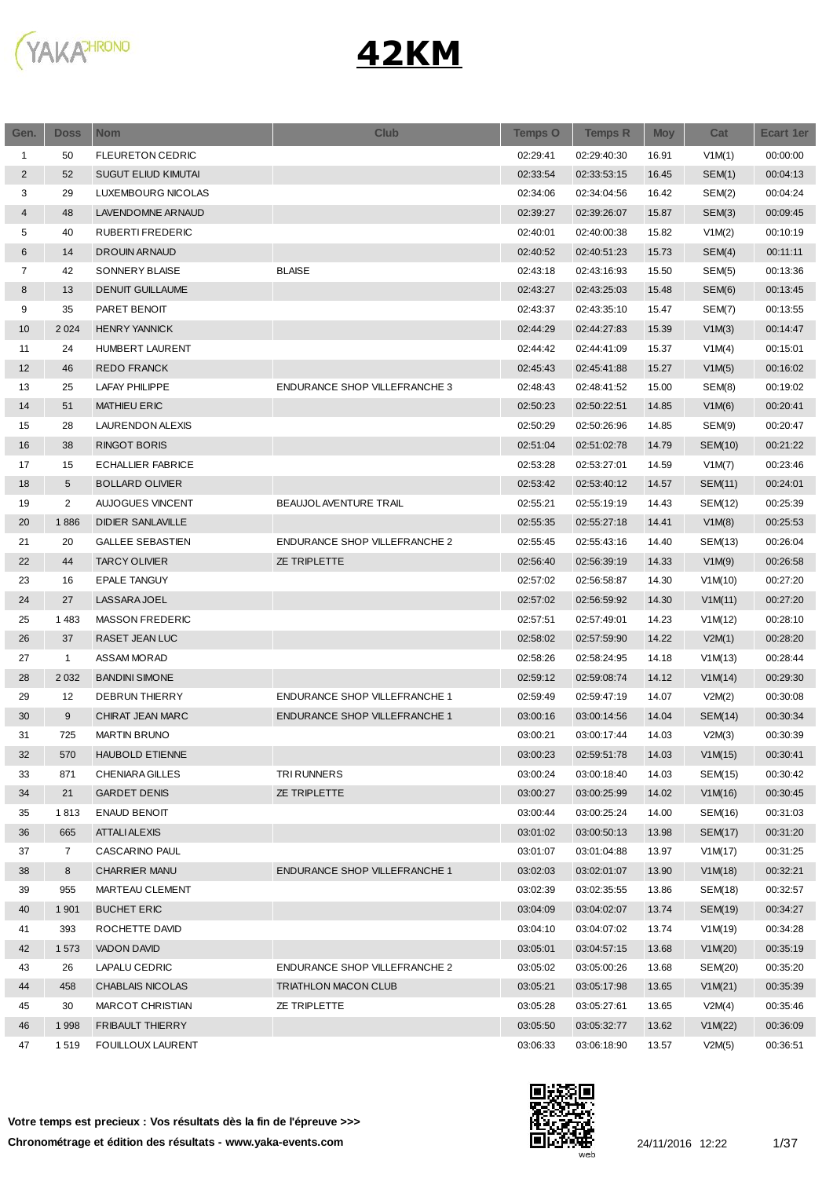

| Gen.           | <b>Doss</b>    | <b>Nom</b>                 | <b>Club</b>                          | <b>Temps O</b> | <b>Temps R</b> | <b>Moy</b> | Cat     | <b>Ecart 1er</b> |
|----------------|----------------|----------------------------|--------------------------------------|----------------|----------------|------------|---------|------------------|
| 1              | 50             | <b>FLEURETON CEDRIC</b>    |                                      | 02:29:41       | 02:29:40:30    | 16.91      | V1M(1)  | 00:00:00         |
| 2              | 52             | <b>SUGUT ELIUD KIMUTAI</b> |                                      | 02:33:54       | 02:33:53:15    | 16.45      | SEM(1)  | 00:04:13         |
| 3              | 29             | LUXEMBOURG NICOLAS         |                                      | 02:34:06       | 02:34:04:56    | 16.42      | SEM(2)  | 00:04:24         |
| 4              | 48             | LAVENDOMNE ARNAUD          |                                      | 02:39:27       | 02:39:26:07    | 15.87      | SEM(3)  | 00:09:45         |
| 5              | 40             | RUBERTI FREDERIC           |                                      | 02:40:01       | 02:40:00:38    | 15.82      | V1M(2)  | 00:10:19         |
| 6              | 14             | <b>DROUIN ARNAUD</b>       |                                      | 02:40:52       | 02:40:51:23    | 15.73      | SEM(4)  | 00:11:11         |
| $\overline{7}$ | 42             | SONNERY BLAISE             | <b>BLAISE</b>                        | 02:43:18       | 02:43:16:93    | 15.50      | SEM(5)  | 00:13:36         |
| 8              | 13             | <b>DENUIT GUILLAUME</b>    |                                      | 02:43:27       | 02:43:25:03    | 15.48      | SEM(6)  | 00:13:45         |
| 9              | 35             | PARET BENOIT               |                                      | 02:43:37       | 02:43:35:10    | 15.47      | SEM(7)  | 00:13:55         |
| 10             | 2 0 2 4        | <b>HENRY YANNICK</b>       |                                      | 02:44:29       | 02:44:27:83    | 15.39      | V1M(3)  | 00:14:47         |
| 11             | 24             | HUMBERT LAURENT            |                                      | 02:44:42       | 02:44:41:09    | 15.37      | V1M(4)  | 00:15:01         |
| 12             | 46             | <b>REDO FRANCK</b>         |                                      | 02:45:43       | 02:45:41:88    | 15.27      | V1M(5)  | 00:16:02         |
| 13             | 25             | <b>LAFAY PHILIPPE</b>      | ENDURANCE SHOP VILLEFRANCHE 3        | 02:48:43       | 02:48:41:52    | 15.00      | SEM(8)  | 00:19:02         |
| 14             | 51             | <b>MATHIEU ERIC</b>        |                                      | 02:50:23       | 02:50:22:51    | 14.85      | V1M(6)  | 00:20:41         |
| 15             | 28             | LAURENDON ALEXIS           |                                      | 02:50:29       | 02:50:26:96    | 14.85      | SEM(9)  | 00:20:47         |
| 16             | 38             | <b>RINGOT BORIS</b>        |                                      | 02:51:04       | 02:51:02:78    | 14.79      | SEM(10) | 00:21:22         |
| 17             | 15             | <b>ECHALLIER FABRICE</b>   |                                      | 02:53:28       | 02:53:27:01    | 14.59      | V1M(7)  | 00:23:46         |
| 18             | 5              | <b>BOLLARD OLIVIER</b>     |                                      | 02:53:42       | 02:53:40:12    | 14.57      | SEM(11) | 00:24:01         |
| 19             | $\overline{c}$ | <b>AUJOGUES VINCENT</b>    | BEAUJOLAVENTURE TRAIL                | 02:55:21       | 02:55:19:19    | 14.43      | SEM(12) | 00:25:39         |
| 20             | 1886           | <b>DIDIER SANLAVILLE</b>   |                                      | 02:55:35       | 02:55:27:18    | 14.41      | V1M(8)  | 00:25:53         |
| 21             | 20             | <b>GALLEE SEBASTIEN</b>    | <b>ENDURANCE SHOP VILLEFRANCHE 2</b> | 02:55:45       | 02:55:43:16    | 14.40      | SEM(13) | 00:26:04         |
| 22             | 44             | <b>TARCY OLIVIER</b>       | <b>ZE TRIPLETTE</b>                  | 02:56:40       | 02:56:39:19    | 14.33      | V1M(9)  | 00:26:58         |
| 23             | 16             | <b>EPALE TANGUY</b>        |                                      | 02:57:02       | 02:56:58:87    | 14.30      | V1M(10) | 00:27:20         |
| 24             | 27             | LASSARA JOEL               |                                      | 02:57:02       | 02:56:59:92    | 14.30      | V1M(11) | 00:27:20         |
| 25             | 1483           | MASSON FREDERIC            |                                      | 02:57:51       | 02:57:49:01    | 14.23      | V1M(12) | 00:28:10         |
| 26             | 37             | RASET JEAN LUC             |                                      | 02:58:02       | 02:57:59:90    | 14.22      | V2M(1)  | 00:28:20         |
| 27             | $\mathbf{1}$   | ASSAM MORAD                |                                      | 02:58:26       | 02:58:24:95    | 14.18      | V1M(13) | 00:28:44         |
| 28             | 2 0 3 2        | <b>BANDINI SIMONE</b>      |                                      | 02:59:12       | 02:59:08:74    | 14.12      | V1M(14) | 00:29:30         |
| 29             | 12             | <b>DEBRUN THIERRY</b>      | <b>ENDURANCE SHOP VILLEFRANCHE 1</b> | 02:59:49       | 02:59:47:19    | 14.07      | V2M(2)  | 00:30:08         |
| 30             | 9              | CHIRAT JEAN MARC           | <b>ENDURANCE SHOP VILLEFRANCHE 1</b> | 03:00:16       | 03:00:14:56    | 14.04      | SEM(14) | 00:30:34         |
| 31             | 725            | <b>MARTIN BRUNO</b>        |                                      | 03:00:21       | 03:00:17:44    | 14.03      | V2M(3)  | 00:30:39         |
| 32             | 570            | <b>HAUBOLD ETIENNE</b>     |                                      | 03:00:23       | 02:59:51:78    | 14.03      | V1M(15) | 00:30:41         |
| 33             | 871            | CHENIARA GILLES            | <b>TRI RUNNERS</b>                   | 03:00:24       | 03:00:18:40    | 14.03      | SEM(15) | 00:30:42         |
| 34             | 21             | <b>GARDET DENIS</b>        | <b>ZE TRIPLETTE</b>                  | 03:00:27       | 03:00:25:99    | 14.02      | V1M(16) | 00:30:45         |
| 35             | 1813           | <b>ENAUD BENOIT</b>        |                                      | 03:00:44       | 03:00:25:24    | 14.00      | SEM(16) | 00:31:03         |
| 36             | 665            | ATTALI ALEXIS              |                                      | 03:01:02       | 03:00:50:13    | 13.98      | SEM(17) | 00:31:20         |
| 37             | 7              | CASCARINO PAUL             |                                      | 03:01:07       | 03:01:04:88    | 13.97      | V1M(17) | 00:31:25         |
| 38             | 8              | <b>CHARRIER MANU</b>       | ENDURANCE SHOP VILLEFRANCHE 1        | 03:02:03       | 03:02:01:07    | 13.90      | V1M(18) | 00:32:21         |
| 39             | 955            | MARTEAU CLEMENT            |                                      | 03:02:39       | 03:02:35:55    | 13.86      | SEM(18) | 00:32:57         |
| 40             | 1 9 0 1        | <b>BUCHET ERIC</b>         |                                      | 03:04:09       | 03:04:02:07    | 13.74      | SEM(19) | 00:34:27         |
| 41             | 393            | ROCHETTE DAVID             |                                      | 03:04:10       | 03:04:07:02    | 13.74      | V1M(19) | 00:34:28         |
| 42             | 1573           | <b>VADON DAVID</b>         |                                      | 03:05:01       | 03:04:57:15    | 13.68      | V1M(20) | 00:35:19         |
| 43             | 26             | LAPALU CEDRIC              | ENDURANCE SHOP VILLEFRANCHE 2        | 03:05:02       | 03:05:00:26    | 13.68      | SEM(20) | 00:35:20         |
| 44             | 458            | CHABLAIS NICOLAS           | <b>TRIATHLON MACON CLUB</b>          | 03:05:21       | 03:05:17:98    | 13.65      | V1M(21) | 00:35:39         |
| 45             | 30             | MARCOT CHRISTIAN           | <b>ZE TRIPLETTE</b>                  | 03:05:28       | 03:05:27:61    | 13.65      | V2M(4)  | 00:35:46         |
| 46             | 1998           | <b>FRIBAULT THIERRY</b>    |                                      | 03:05:50       | 03:05:32:77    | 13.62      |         | 00:36:09         |
|                |                |                            |                                      |                |                |            | V1M(22) |                  |
| 47             | 1519           | <b>FOUILLOUX LAURENT</b>   |                                      | 03:06:33       | 03:06:18:90    | 13.57      | V2M(5)  | 00:36:51         |

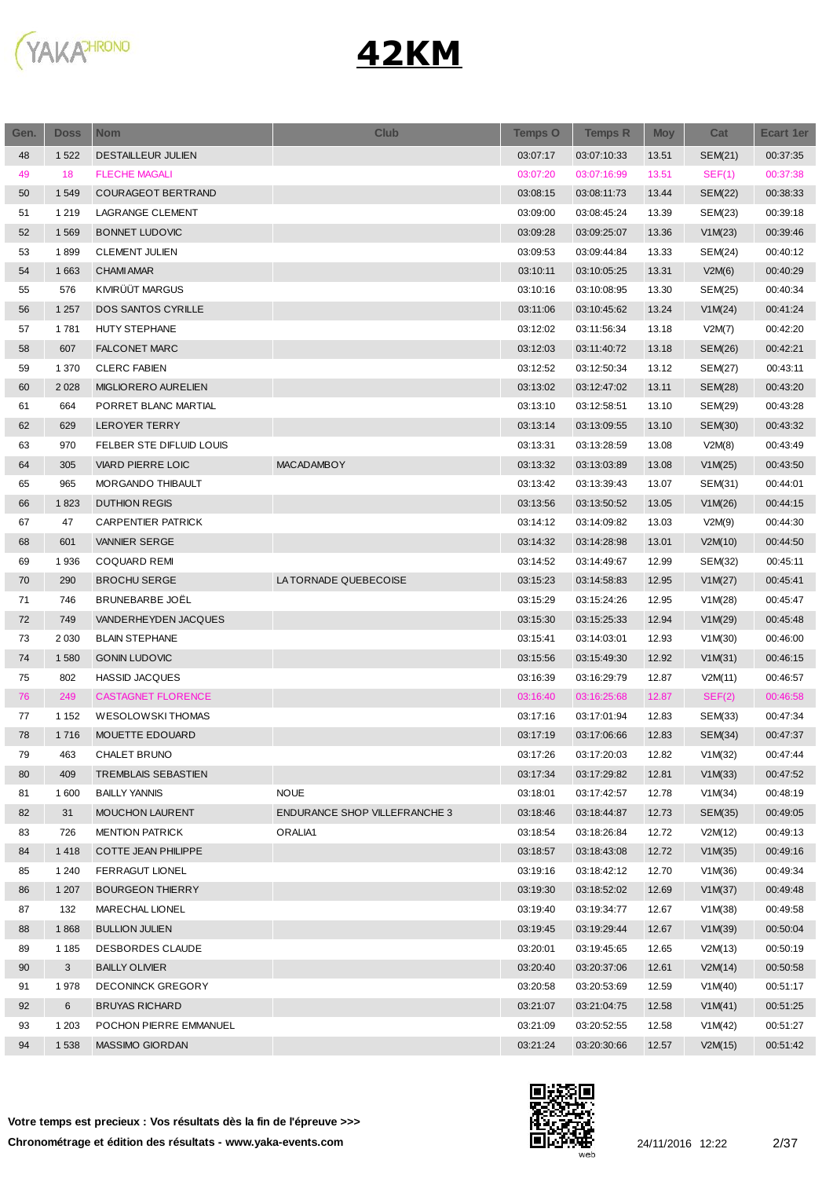

| Gen. | <b>Doss</b> | <b>Nom</b>                | <b>Club</b>                   | <b>Temps O</b> | <b>Temps R</b> | <b>Moy</b> | Cat            | Ecart 1er |
|------|-------------|---------------------------|-------------------------------|----------------|----------------|------------|----------------|-----------|
| 48   | 1522        | <b>DESTAILLEUR JULIEN</b> |                               | 03:07:17       | 03:07:10:33    | 13.51      | SEM(21)        | 00:37:35  |
| 49   | 18          | <b>FLECHE MAGALI</b>      |                               | 03:07:20       | 03:07:16:99    | 13.51      | SEF(1)         | 00:37:38  |
| 50   | 1549        | <b>COURAGEOT BERTRAND</b> |                               | 03:08:15       | 03:08:11:73    | 13.44      | <b>SEM(22)</b> | 00:38:33  |
| 51   | 1 2 1 9     | <b>LAGRANGE CLEMENT</b>   |                               | 03:09:00       | 03:08:45:24    | 13.39      | SEM(23)        | 00:39:18  |
| 52   | 1569        | <b>BONNET LUDOVIC</b>     |                               | 03:09:28       | 03:09:25:07    | 13.36      | V1M(23)        | 00:39:46  |
| 53   | 1899        | <b>CLEMENT JULIEN</b>     |                               | 03:09:53       | 03:09:44:84    | 13.33      | SEM(24)        | 00:40:12  |
| 54   | 1 6 6 3     | <b>CHAMI AMAR</b>         |                               | 03:10:11       | 03:10:05:25    | 13.31      | V2M(6)         | 00:40:29  |
| 55   | 576         | KIVIRÜÜT MARGUS           |                               | 03:10:16       | 03:10:08:95    | 13.30      | SEM(25)        | 00:40:34  |
| 56   | 1 2 5 7     | <b>DOS SANTOS CYRILLE</b> |                               | 03:11:06       | 03:10:45:62    | 13.24      | V1M(24)        | 00:41:24  |
| 57   | 1781        | HUTY STEPHANE             |                               | 03:12:02       | 03:11:56:34    | 13.18      | V2M(7)         | 00:42:20  |
| 58   | 607         | <b>FALCONET MARC</b>      |                               | 03:12:03       | 03:11:40:72    | 13.18      | SEM(26)        | 00:42:21  |
| 59   | 1 3 7 0     | <b>CLERC FABIEN</b>       |                               | 03:12:52       | 03:12:50:34    | 13.12      | SEM(27)        | 00:43:11  |
| 60   | 2 0 2 8     | MIGLIORERO AURELIEN       |                               | 03:13:02       | 03:12:47:02    | 13.11      | SEM(28)        | 00:43:20  |
| 61   | 664         | PORRET BLANC MARTIAL      |                               | 03:13:10       | 03:12:58:51    | 13.10      | SEM(29)        | 00:43:28  |
| 62   | 629         | LEROYER TERRY             |                               | 03:13:14       | 03:13:09:55    | 13.10      | SEM(30)        | 00:43:32  |
| 63   | 970         | FELBER STE DIFLUID LOUIS  |                               | 03:13:31       | 03:13:28:59    | 13.08      | V2M(8)         | 00:43:49  |
| 64   | 305         | <b>VIARD PIERRE LOIC</b>  | <b>MACADAMBOY</b>             | 03:13:32       | 03:13:03:89    | 13.08      | V1M(25)        | 00:43:50  |
| 65   | 965         | <b>MORGANDO THIBAULT</b>  |                               | 03:13:42       | 03:13:39:43    | 13.07      | SEM(31)        | 00:44:01  |
| 66   | 1823        | <b>DUTHION REGIS</b>      |                               | 03:13:56       | 03:13:50:52    | 13.05      | V1M(26)        | 00:44:15  |
| 67   | 47          | CARPENTIER PATRICK        |                               | 03:14:12       | 03:14:09:82    | 13.03      | V2M(9)         | 00:44:30  |
| 68   | 601         | <b>VANNIER SERGE</b>      |                               | 03:14:32       | 03:14:28:98    | 13.01      | V2M(10)        | 00:44:50  |
| 69   | 1936        | <b>COQUARD REMI</b>       |                               | 03:14:52       | 03:14:49:67    | 12.99      | SEM(32)        | 00:45:11  |
| 70   | 290         | <b>BROCHU SERGE</b>       | LA TORNADE QUEBECOISE         | 03:15:23       | 03:14:58:83    | 12.95      | V1M(27)        | 00:45:41  |
| 71   | 746         | BRUNEBARBE JOËL           |                               | 03:15:29       | 03:15:24:26    | 12.95      | V1M(28)        | 00:45:47  |
| 72   | 749         | VANDERHEYDEN JACQUES      |                               | 03:15:30       | 03:15:25:33    | 12.94      | V1M(29)        | 00:45:48  |
| 73   | 2 0 3 0     | <b>BLAIN STEPHANE</b>     |                               | 03:15:41       | 03:14:03:01    | 12.93      | V1M(30)        | 00:46:00  |
| 74   | 1580        | <b>GONIN LUDOVIC</b>      |                               | 03:15:56       | 03:15:49:30    | 12.92      | V1M(31)        | 00:46:15  |
| 75   | 802         | <b>HASSID JACQUES</b>     |                               | 03:16:39       | 03:16:29:79    | 12.87      | V2M(11)        | 00:46:57  |
| 76   | 249         | <b>CASTAGNET FLORENCE</b> |                               | 03:16:40       | 03:16:25:68    | 12.87      | SEF(2)         | 00:46:58  |
| 77   | 1 1 5 2     | WESOLOWSKI THOMAS         |                               | 03:17:16       | 03:17:01:94    | 12.83      | SEM(33)        | 00:47:34  |
| 78   | 1 7 1 6     | MOUETTE EDOUARD           |                               | 03:17:19       | 03:17:06:66    | 12.83      | SEM(34)        | 00:47:37  |
| 79   | 463         | CHALET BRUNO              |                               | 03:17:26       | 03:17:20:03    | 12.82      | V1M(32)        | 00:47:44  |
| 80   | 409         | TREMBLAIS SEBASTIEN       |                               | 03:17:34       | 03:17:29:82    | 12.81      | V1M(33)        | 00:47:52  |
| 81   | 1600        | <b>BAILLY YANNIS</b>      | <b>NOUE</b>                   | 03:18:01       | 03:17:42:57    | 12.78      | V1M(34)        | 00:48:19  |
| 82   | 31          | <b>MOUCHON LAURENT</b>    | ENDURANCE SHOP VILLEFRANCHE 3 | 03:18:46       | 03:18:44:87    | 12.73      | SEM(35)        | 00:49:05  |
| 83   | 726         | <b>MENTION PATRICK</b>    | ORALIA1                       | 03:18:54       | 03:18:26:84    | 12.72      | V2M(12)        | 00:49:13  |
| 84   | 1418        | COTTE JEAN PHILIPPE       |                               | 03:18:57       | 03:18:43:08    | 12.72      | V1M(35)        | 00:49:16  |
| 85   | 1 2 4 0     | <b>FERRAGUT LIONEL</b>    |                               | 03:19:16       | 03:18:42:12    | 12.70      | V1M(36)        | 00:49:34  |
| 86   | 1 207       | <b>BOURGEON THIERRY</b>   |                               | 03:19:30       | 03:18:52:02    | 12.69      | V1M(37)        | 00:49:48  |
| 87   | 132         | MARECHAL LIONEL           |                               | 03:19:40       | 03:19:34:77    | 12.67      | V1M(38)        | 00:49:58  |
| 88   | 1868        | <b>BULLION JULIEN</b>     |                               | 03:19:45       | 03:19:29:44    | 12.67      | V1M(39)        | 00:50:04  |
| 89   | 1 1 8 5     | DESBORDES CLAUDE          |                               | 03:20:01       | 03:19:45:65    | 12.65      | V2M(13)        | 00:50:19  |
| 90   | 3           | <b>BAILLY OLIVIER</b>     |                               | 03:20:40       | 03:20:37:06    | 12.61      | V2M(14)        | 00:50:58  |
| 91   | 1978        | <b>DECONINCK GREGORY</b>  |                               | 03:20:58       | 03:20:53:69    | 12.59      | V1M(40)        | 00:51:17  |
| 92   | 6           | <b>BRUYAS RICHARD</b>     |                               | 03:21:07       | 03:21:04:75    | 12.58      | V1M(41)        | 00:51:25  |
| 93   | 1 2 0 3     | POCHON PIERRE EMMANUEL    |                               | 03:21:09       | 03:20:52:55    | 12.58      | V1M(42)        | 00:51:27  |
| 94   | 1538        | MASSIMO GIORDAN           |                               | 03:21:24       | 03:20:30:66    | 12.57      | V2M(15)        | 00:51:42  |
|      |             |                           |                               |                |                |            |                |           |

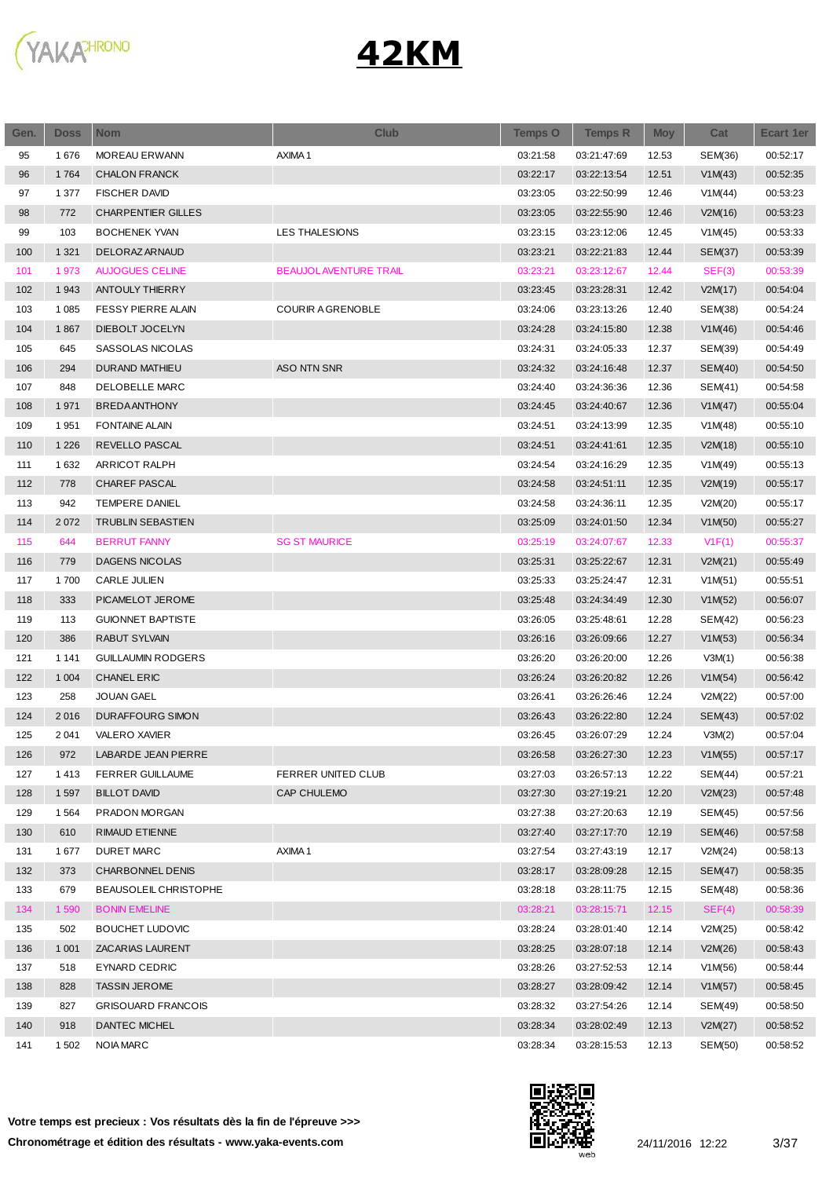

| Gen. | <b>Doss</b> | <b>Nom</b>                | <b>Club</b>                  | <b>Temps O</b> | <b>Temps R</b> | <b>Moy</b> | Cat            | <b>Ecart 1er</b> |
|------|-------------|---------------------------|------------------------------|----------------|----------------|------------|----------------|------------------|
| 95   | 1676        | <b>MOREAU ERWANN</b>      | AXIMA1                       | 03:21:58       | 03:21:47:69    | 12.53      | SEM(36)        | 00:52:17         |
| 96   | 1764        | <b>CHALON FRANCK</b>      |                              | 03:22:17       | 03:22:13:54    | 12.51      | V1M(43)        | 00:52:35         |
| 97   | 1 377       | <b>FISCHER DAVID</b>      |                              | 03:23:05       | 03:22:50:99    | 12.46      | V1M(44)        | 00:53:23         |
| 98   | 772         | <b>CHARPENTIER GILLES</b> |                              | 03:23:05       | 03:22:55:90    | 12.46      | V2M(16)        | 00:53:23         |
| 99   | 103         | <b>BOCHENEK YVAN</b>      | LES THALESIONS               | 03:23:15       | 03:23:12:06    | 12.45      | V1M(45)        | 00:53:33         |
| 100  | 1 3 2 1     | DELORAZ ARNAUD            |                              | 03:23:21       | 03:22:21:83    | 12.44      | SEM(37)        | 00:53:39         |
| 101  | 1973        | <b>AUJOGUES CELINE</b>    | <b>BEAUJOLAVENTURE TRAIL</b> | 03:23:21       | 03:23:12:67    | 12.44      | SEF(3)         | 00:53:39         |
| 102  | 1943        | <b>ANTOULY THIERRY</b>    |                              | 03:23:45       | 03:23:28:31    | 12.42      | V2M(17)        | 00:54:04         |
| 103  | 1 0 8 5     | <b>FESSY PIERRE ALAIN</b> | <b>COURIR A GRENOBLE</b>     | 03:24:06       | 03:23:13:26    | 12.40      | SEM(38)        | 00:54:24         |
| 104  | 1867        | DIEBOLT JOCELYN           |                              | 03:24:28       | 03:24:15:80    | 12.38      | V1M(46)        | 00:54:46         |
| 105  | 645         | SASSOLAS NICOLAS          |                              | 03:24:31       | 03:24:05:33    | 12.37      | SEM(39)        | 00:54:49         |
| 106  | 294         | <b>DURAND MATHIEU</b>     | ASO NTN SNR                  | 03:24:32       | 03:24:16:48    | 12.37      | <b>SEM(40)</b> | 00:54:50         |
| 107  | 848         | DELOBELLE MARC            |                              | 03:24:40       | 03:24:36:36    | 12.36      | SEM(41)        | 00:54:58         |
| 108  | 1971        | <b>BREDAANTHONY</b>       |                              | 03:24:45       | 03:24:40:67    | 12.36      | V1M(47)        | 00:55:04         |
| 109  | 1951        | <b>FONTAINE ALAIN</b>     |                              | 03:24:51       | 03:24:13:99    | 12.35      | V1M(48)        | 00:55:10         |
| 110  | 1 2 2 6     | REVELLO PASCAL            |                              | 03:24:51       | 03:24:41:61    | 12.35      | V2M(18)        | 00:55:10         |
| 111  | 1632        | ARRICOT RALPH             |                              | 03:24:54       | 03:24:16:29    | 12.35      | V1M(49)        | 00:55:13         |
| 112  | 778         | CHAREF PASCAL             |                              | 03:24:58       | 03:24:51:11    | 12.35      | V2M(19)        | 00:55:17         |
| 113  | 942         | <b>TEMPERE DANIEL</b>     |                              | 03:24:58       | 03:24:36:11    | 12.35      | V2M(20)        | 00:55:17         |
| 114  | 2072        | <b>TRUBLIN SEBASTIEN</b>  |                              | 03:25:09       | 03:24:01:50    | 12.34      | V1M(50)        | 00:55:27         |
| 115  | 644         | <b>BERRUT FANNY</b>       | <b>SG ST MAURICE</b>         | 03:25:19       | 03:24:07:67    | 12.33      | V1F(1)         | 00:55:37         |
| 116  | 779         | <b>DAGENS NICOLAS</b>     |                              | 03:25:31       | 03:25:22:67    | 12.31      | V2M(21)        | 00:55:49         |
| 117  | 1700        | <b>CARLE JULIEN</b>       |                              | 03:25:33       | 03:25:24:47    | 12.31      | V1M(51)        | 00:55:51         |
| 118  | 333         | PICAMELOT JEROME          |                              | 03:25:48       | 03:24:34:49    | 12.30      | V1M(52)        | 00:56:07         |
| 119  | 113         | <b>GUIONNET BAPTISTE</b>  |                              | 03:26:05       | 03:25:48:61    | 12.28      | SEM(42)        | 00:56:23         |
| 120  | 386         | <b>RABUT SYLVAIN</b>      |                              | 03:26:16       | 03:26:09:66    | 12.27      | V1M(53)        | 00:56:34         |
| 121  | 1 1 4 1     | <b>GUILLAUMIN RODGERS</b> |                              | 03:26:20       | 03:26:20:00    | 12.26      | V3M(1)         | 00:56:38         |
| 122  | 1 0 0 4     | <b>CHANEL ERIC</b>        |                              | 03:26:24       | 03:26:20:82    | 12.26      | V1M(54)        | 00:56:42         |
| 123  | 258         | <b>JOUAN GAEL</b>         |                              | 03:26:41       | 03:26:26:46    | 12.24      | V2M(22)        | 00:57:00         |
| 124  | 2016        | <b>DURAFFOURG SIMON</b>   |                              | 03:26:43       | 03:26:22:80    | 12.24      | SEM(43)        | 00:57:02         |
| 125  | 2 0 4 1     | <b>VALERO XAVIER</b>      |                              | 03:26:45       | 03:26:07:29    | 12.24      | V3M(2)         | 00:57:04         |
| 126  | 972         | LABARDE JEAN PIERRE       |                              | 03:26:58       | 03:26:27:30    | 12.23      | V1M(55)        | 00:57:17         |
| 127  | 1413        | <b>FERRER GUILLAUME</b>   | FERRER UNITED CLUB           | 03:27:03       | 03:26:57:13    | 12.22      | <b>SEM(44)</b> | 00:57:21         |
| 128  | 1597        | <b>BILLOT DAVID</b>       | <b>CAP CHULEMO</b>           | 03:27:30       | 03:27:19:21    | 12.20      | V2M(23)        | 00:57:48         |
| 129  | 1564        | PRADON MORGAN             |                              | 03:27:38       | 03:27:20:63    | 12.19      | SEM(45)        | 00:57:56         |
| 130  | 610         | RIMAUD ETIENNE            |                              | 03:27:40       | 03:27:17:70    | 12.19      | SEM(46)        | 00:57:58         |
| 131  | 1677        | <b>DURET MARC</b>         | AXIMA1                       | 03:27:54       | 03:27:43:19    | 12.17      | V2M(24)        | 00:58:13         |
| 132  | 373         | CHARBONNEL DENIS          |                              | 03:28:17       | 03:28:09:28    | 12.15      | <b>SEM(47)</b> | 00:58:35         |
| 133  | 679         | BEAUSOLEIL CHRISTOPHE     |                              | 03:28:18       | 03:28:11:75    | 12.15      | SEM(48)        | 00:58:36         |
| 134  | 1590        | <b>BONIN EMELINE</b>      |                              | 03:28:21       | 03:28:15:71    | 12.15      | SEF(4)         | 00:58:39         |
| 135  | 502         | <b>BOUCHET LUDOVIC</b>    |                              | 03:28:24       | 03:28:01:40    | 12.14      | V2M(25)        | 00:58:42         |
| 136  | 1 0 0 1     | ZACARIAS LAURENT          |                              | 03:28:25       | 03:28:07:18    | 12.14      | V2M(26)        | 00:58:43         |
| 137  | 518         | EYNARD CEDRIC             |                              | 03:28:26       | 03:27:52:53    | 12.14      | V1M(56)        | 00:58:44         |
| 138  | 828         | <b>TASSIN JEROME</b>      |                              | 03:28:27       | 03:28:09:42    | 12.14      | V1M(57)        | 00:58:45         |
| 139  | 827         | <b>GRISOUARD FRANCOIS</b> |                              | 03:28:32       | 03:27:54:26    | 12.14      | SEM(49)        | 00:58:50         |
| 140  | 918         | DANTEC MICHEL             |                              | 03:28:34       | 03:28:02:49    | 12.13      | V2M(27)        | 00:58:52         |
| 141  | 1 502       | <b>NOIA MARC</b>          |                              | 03:28:34       | 03:28:15:53    | 12.13      | SEM(50)        | 00:58:52         |
|      |             |                           |                              |                |                |            |                |                  |

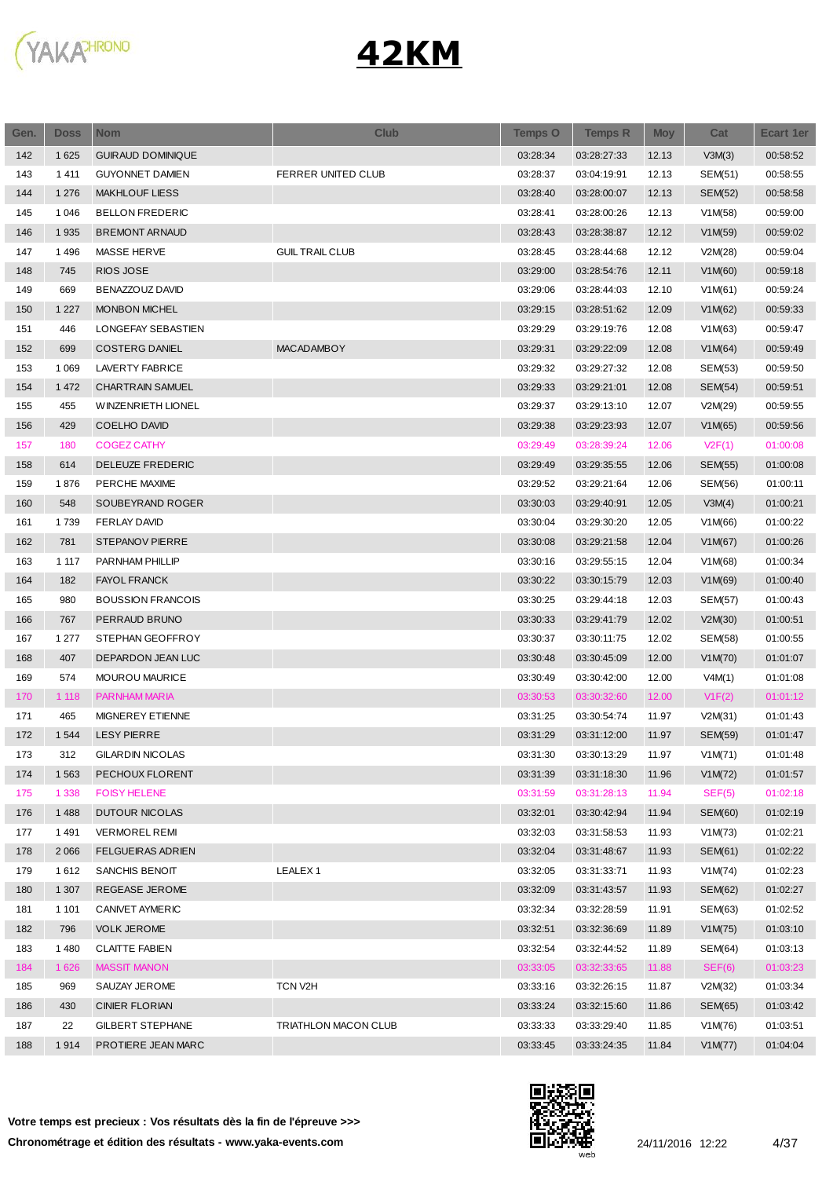

| Gen. | <b>Doss</b> | <b>Nom</b>               | <b>Club</b>            | <b>Temps O</b> | <b>Temps R</b> | <b>Moy</b> | Cat            | <b>Ecart 1er</b> |
|------|-------------|--------------------------|------------------------|----------------|----------------|------------|----------------|------------------|
| 142  | 1 6 2 5     | <b>GUIRAUD DOMINIQUE</b> |                        | 03:28:34       | 03:28:27:33    | 12.13      | V3M(3)         | 00:58:52         |
| 143  | 1411        | <b>GUYONNET DAMIEN</b>   | FERRER UNITED CLUB     | 03:28:37       | 03:04:19:91    | 12.13      | SEM(51)        | 00:58:55         |
| 144  | 1 2 7 6     | <b>MAKHLOUF LIESS</b>    |                        | 03:28:40       | 03:28:00:07    | 12.13      | <b>SEM(52)</b> | 00:58:58         |
| 145  | 1 0 4 6     | <b>BELLON FREDERIC</b>   |                        | 03:28:41       | 03:28:00:26    | 12.13      | V1M(58)        | 00:59:00         |
| 146  | 1935        | <b>BREMONT ARNAUD</b>    |                        | 03:28:43       | 03:28:38:87    | 12.12      | V1M(59)        | 00:59:02         |
| 147  | 1496        | MASSE HERVE              | <b>GUIL TRAIL CLUB</b> | 03:28:45       | 03:28:44:68    | 12.12      | V2M(28)        | 00:59:04         |
| 148  | 745         | RIOS JOSE                |                        | 03:29:00       | 03:28:54:76    | 12.11      | V1M(60)        | 00:59:18         |
| 149  | 669         | BENAZZOUZ DAVID          |                        | 03:29:06       | 03:28:44:03    | 12.10      | V1M(61)        | 00:59:24         |
| 150  | 1 2 2 7     | <b>MONBON MICHEL</b>     |                        | 03:29:15       | 03:28:51:62    | 12.09      | V1M(62)        | 00:59:33         |
| 151  | 446         | LONGEFAY SEBASTIEN       |                        | 03:29:29       | 03:29:19:76    | 12.08      | V1M(63)        | 00:59:47         |
| 152  | 699         | <b>COSTERG DANIEL</b>    | <b>MACADAMBOY</b>      | 03:29:31       | 03:29:22:09    | 12.08      | V1M(64)        | 00:59:49         |
| 153  | 1 0 6 9     | LAVERTY FABRICE          |                        | 03:29:32       | 03:29:27:32    | 12.08      | SEM(53)        | 00:59:50         |
| 154  | 1 4 7 2     | CHARTRAIN SAMUEL         |                        | 03:29:33       | 03:29:21:01    | 12.08      | SEM(54)        | 00:59:51         |
| 155  | 455         | WINZENRIETH LIONEL       |                        | 03:29:37       | 03:29:13:10    | 12.07      | V2M(29)        | 00:59:55         |
| 156  | 429         | <b>COELHO DAVID</b>      |                        | 03:29:38       | 03:29:23:93    | 12.07      | V1M(65)        | 00:59:56         |
| 157  | 180         | <b>COGEZ CATHY</b>       |                        | 03:29:49       | 03:28:39:24    | 12.06      | V2F(1)         | 01:00:08         |
| 158  | 614         | DELEUZE FREDERIC         |                        | 03:29:49       | 03:29:35:55    | 12.06      | <b>SEM(55)</b> | 01:00:08         |
| 159  | 1876        | PERCHE MAXIME            |                        | 03:29:52       | 03:29:21:64    | 12.06      | SEM(56)        | 01:00:11         |
| 160  | 548         | SOUBEYRAND ROGER         |                        | 03:30:03       | 03:29:40:91    | 12.05      | V3M(4)         | 01:00:21         |
| 161  | 1739        | <b>FERLAY DAVID</b>      |                        | 03:30:04       | 03:29:30:20    | 12.05      | V1M(66)        | 01:00:22         |
| 162  | 781         | <b>STEPANOV PIERRE</b>   |                        | 03:30:08       | 03:29:21:58    | 12.04      | V1M(67)        | 01:00:26         |
| 163  | 1 1 1 7     | PARNHAM PHILLIP          |                        | 03:30:16       | 03:29:55:15    | 12.04      | V1M(68)        | 01:00:34         |
| 164  | 182         | <b>FAYOL FRANCK</b>      |                        | 03:30:22       | 03:30:15:79    | 12.03      | V1M(69)        | 01:00:40         |
| 165  | 980         | <b>BOUSSION FRANCOIS</b> |                        | 03:30:25       | 03:29:44:18    | 12.03      | SEM(57)        | 01:00:43         |
| 166  | 767         | PERRAUD BRUNO            |                        | 03:30:33       | 03:29:41:79    | 12.02      | V2M(30)        | 01:00:51         |
|      |             |                          |                        |                |                |            |                |                  |
| 167  | 1 277       | STEPHAN GEOFFROY         |                        | 03:30:37       | 03:30:11:75    | 12.02      | SEM(58)        | 01:00:55         |
| 168  | 407         | DEPARDON JEAN LUC        |                        | 03:30:48       | 03:30:45:09    | 12.00      | V1M(70)        | 01:01:07         |
| 169  | 574         | MOUROU MAURICE           |                        | 03:30:49       | 03:30:42:00    | 12.00      | V4M(1)         | 01:01:08         |
| 170  | 1 1 1 8     | PARNHAM MARIA            |                        | 03:30:53       | 03:30:32:60    | 12.00      | V1F(2)         | 01:01:12         |
| 171  | 465         | MIGNEREY ETIENNE         |                        | 03:31:25       | 03:30:54:74    | 11.97      | V2M(31)        | 01:01:43         |
| 172  | 1 5 4 4     | <b>LESY PIERRE</b>       |                        | 03:31:29       | 03:31:12:00    | 11.97      | <b>SEM(59)</b> | 01:01:47         |
| 173  | 312         | <b>GILARDIN NICOLAS</b>  |                        | 03:31:30       | 03:30:13:29    | 11.97      | V1M(71)        | 01:01:48         |
| 174  | 1 5 6 3     | PECHOUX FLORENT          |                        | 03:31:39       | 03:31:18:30    | 11.96      | V1M(72)        | 01:01:57         |
| 175  | 1 3 3 8     | <b>FOISY HELENE</b>      |                        | 03:31:59       | 03:31:28:13    | 11.94      | SEF(5)         | 01:02:18         |
| 176  | 1488        | <b>DUTOUR NICOLAS</b>    |                        | 03:32:01       | 03:30:42:94    | 11.94      | <b>SEM(60)</b> | 01:02:19         |
| 177  | 1491        | <b>VERMOREL REMI</b>     |                        | 03:32:03       | 03:31:58:53    | 11.93      | V1M(73)        | 01:02:21         |
| 178  | 2 0 6 6     | <b>FELGUEIRAS ADRIEN</b> |                        | 03:32:04       | 03:31:48:67    | 11.93      | SEM(61)        | 01:02:22         |
| 179  | 1612        | SANCHIS BENOIT           | LEALEX <sub>1</sub>    | 03:32:05       | 03:31:33:71    | 11.93      | V1M(74)        | 01:02:23         |
| 180  | 1 307       | REGEASE JEROME           |                        | 03:32:09       | 03:31:43:57    | 11.93      | SEM(62)        | 01:02:27         |
| 181  | 1 1 0 1     | CANIVET AYMERIC          |                        | 03:32:34       | 03:32:28:59    | 11.91      | SEM(63)        | 01:02:52         |
| 182  | 796         | <b>VOLK JEROME</b>       |                        | 03:32:51       | 03:32:36:69    | 11.89      | V1M(75)        | 01:03:10         |
| 183  | 1 4 8 0     | <b>CLAITTE FABIEN</b>    |                        | 03:32:54       | 03:32:44:52    | 11.89      | SEM(64)        | 01:03:13         |
| 184  | 1 6 2 6     | <b>MASSIT MANON</b>      |                        | 03:33:05       | 03:32:33:65    | 11.88      | SEF(6)         | 01:03:23         |
| 185  | 969         | SAUZAY JEROME            | TCN V2H                | 03:33:16       | 03:32:26:15    | 11.87      | V2M(32)        | 01:03:34         |
| 186  | 430         | <b>CINIER FLORIAN</b>    |                        | 03:33:24       | 03:32:15:60    | 11.86      | SEM(65)        | 01:03:42         |
| 187  | 22          | <b>GILBERT STEPHANE</b>  | TRIATHLON MACON CLUB   | 03:33:33       | 03:33:29:40    | 11.85      | V1M(76)        | 01:03:51         |
| 188  | 1914        | PROTIERE JEAN MARC       |                        | 03:33:45       | 03:33:24:35    | 11.84      | V1M(77)        | 01:04:04         |

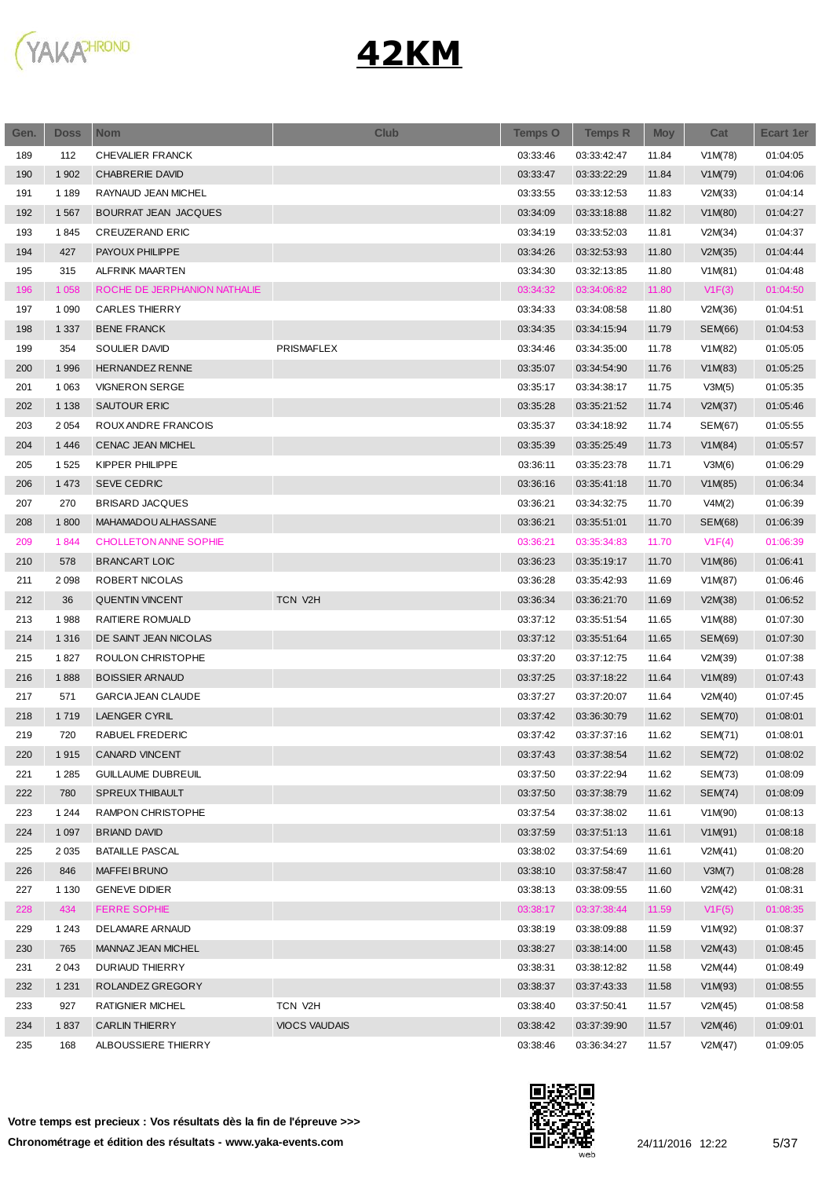

| Gen. | <b>Doss</b> | <b>Nom</b>                   | <b>Club</b>          | <b>Temps O</b> | <b>Temps R</b> | <b>Moy</b> | Cat            | Ecart 1er |
|------|-------------|------------------------------|----------------------|----------------|----------------|------------|----------------|-----------|
| 189  | 112         | CHEVALIER FRANCK             |                      | 03:33:46       | 03:33:42:47    | 11.84      | V1M(78)        | 01:04:05  |
| 190  | 1 902       | <b>CHABRERIE DAVID</b>       |                      | 03:33:47       | 03:33:22:29    | 11.84      | V1M(79)        | 01:04:06  |
| 191  | 1 1 8 9     | RAYNAUD JEAN MICHEL          |                      | 03:33:55       | 03:33:12:53    | 11.83      | V2M(33)        | 01:04:14  |
| 192  | 1567        | BOURRAT JEAN JACQUES         |                      | 03:34:09       | 03:33:18:88    | 11.82      | V1M(80)        | 01:04:27  |
| 193  | 1845        | <b>CREUZERAND ERIC</b>       |                      | 03:34:19       | 03:33:52:03    | 11.81      | V2M(34)        | 01:04:37  |
| 194  | 427         | PAYOUX PHILIPPE              |                      | 03:34:26       | 03:32:53:93    | 11.80      | V2M(35)        | 01:04:44  |
| 195  | 315         | ALFRINK MAARTEN              |                      | 03:34:30       | 03:32:13:85    | 11.80      | V1M(81)        | 01:04:48  |
| 196  | 1 0 5 8     | ROCHE DE JERPHANION NATHALIE |                      | 03:34:32       | 03:34:06:82    | 11.80      | V1F(3)         | 01:04:50  |
| 197  | 1 0 9 0     | CARLES THIERRY               |                      | 03:34:33       | 03:34:08:58    | 11.80      | V2M(36)        | 01:04:51  |
| 198  | 1 3 3 7     | <b>BENE FRANCK</b>           |                      | 03:34:35       | 03:34:15:94    | 11.79      | <b>SEM(66)</b> | 01:04:53  |
| 199  | 354         | SOULIER DAVID                | PRISMAFLEX           | 03:34:46       | 03:34:35:00    | 11.78      | V1M(82)        | 01:05:05  |
| 200  | 1996        | HERNANDEZ RENNE              |                      | 03:35:07       | 03:34:54:90    | 11.76      | V1M(83)        | 01:05:25  |
| 201  | 1 0 6 3     | <b>VIGNERON SERGE</b>        |                      | 03:35:17       | 03:34:38:17    | 11.75      | V3M(5)         | 01:05:35  |
| 202  | 1 1 3 8     | SAUTOUR ERIC                 |                      | 03:35:28       | 03:35:21:52    | 11.74      | V2M(37)        | 01:05:46  |
| 203  | 2 0 5 4     | ROUX ANDRE FRANCOIS          |                      | 03:35:37       | 03:34:18:92    | 11.74      | SEM(67)        | 01:05:55  |
| 204  | 1 4 4 6     | CENAC JEAN MICHEL            |                      | 03:35:39       | 03:35:25:49    | 11.73      | V1M(84)        | 01:05:57  |
| 205  | 1525        | KIPPER PHILIPPE              |                      | 03:36:11       | 03:35:23:78    | 11.71      | V3M(6)         | 01:06:29  |
| 206  | 1 4 7 3     | <b>SEVE CEDRIC</b>           |                      | 03:36:16       | 03:35:41:18    | 11.70      | V1M(85)        | 01:06:34  |
| 207  | 270         | <b>BRISARD JACQUES</b>       |                      | 03:36:21       | 03:34:32:75    | 11.70      | V4M(2)         | 01:06:39  |
| 208  | 1800        | MAHAMADOU ALHASSANE          |                      | 03:36:21       | 03:35:51:01    | 11.70      | <b>SEM(68)</b> | 01:06:39  |
| 209  | 1844        | <b>CHOLLETON ANNE SOPHIE</b> |                      | 03:36:21       | 03:35:34:83    | 11.70      | V1F(4)         | 01:06:39  |
| 210  | 578         | <b>BRANCART LOIC</b>         |                      | 03:36:23       | 03:35:19:17    | 11.70      | V1M(86)        | 01:06:41  |
| 211  | 2098        | ROBERT NICOLAS               |                      | 03:36:28       | 03:35:42:93    | 11.69      | V1M(87)        | 01:06:46  |
| 212  | 36          | <b>QUENTIN VINCENT</b>       | <b>TCN V2H</b>       | 03:36:34       | 03:36:21:70    | 11.69      | V2M(38)        | 01:06:52  |
| 213  | 1988        | RAITIERE ROMUALD             |                      | 03:37:12       | 03:35:51:54    | 11.65      | V1M(88)        | 01:07:30  |
| 214  | 1 3 1 6     | DE SAINT JEAN NICOLAS        |                      | 03:37:12       | 03:35:51:64    | 11.65      | SEM(69)        | 01:07:30  |
| 215  | 1827        | ROULON CHRISTOPHE            |                      | 03:37:20       | 03:37:12:75    | 11.64      | V2M(39)        | 01:07:38  |
| 216  | 1888        | <b>BOISSIER ARNAUD</b>       |                      | 03:37:25       | 03:37:18:22    | 11.64      | V1M(89)        | 01:07:43  |
| 217  | 571         | <b>GARCIA JEAN CLAUDE</b>    |                      | 03:37:27       | 03:37:20:07    | 11.64      | V2M(40)        | 01:07:45  |
| 218  | 1719        | <b>LAENGER CYRIL</b>         |                      | 03:37:42       | 03:36:30:79    | 11.62      | <b>SEM(70)</b> | 01:08:01  |
| 219  | 720         | RABUEL FREDERIC              |                      | 03:37:42       | 03:37:37:16    | 11.62      | SEM(71)        | 01:08:01  |
| 220  | 1915        | CANARD VINCENT               |                      | 03:37:43       | 03:37:38:54    | 11.62      | <b>SEM(72)</b> | 01:08:02  |
| 221  | 1 2 8 5     | <b>GUILLAUME DUBREUIL</b>    |                      | 03:37:50       | 03:37:22:94    | 11.62      | SEM(73)        | 01:08:09  |
| 222  | 780         | <b>SPREUX THIBAULT</b>       |                      | 03:37:50       | 03:37:38:79    | 11.62      | SEM(74)        | 01:08:09  |
| 223  | 1 2 4 4     | RAMPON CHRISTOPHE            |                      | 03:37:54       | 03:37:38:02    | 11.61      | V1M(90)        | 01:08:13  |
| 224  | 1 0 9 7     | <b>BRIAND DAVID</b>          |                      | 03:37:59       | 03:37:51:13    | 11.61      | V1M(91)        | 01:08:18  |
| 225  | 2 0 3 5     | <b>BATAILLE PASCAL</b>       |                      | 03:38:02       | 03:37:54:69    | 11.61      | V2M(41)        | 01:08:20  |
| 226  | 846         | MAFFEI BRUNO                 |                      | 03:38:10       | 03:37:58:47    | 11.60      | V3M(7)         | 01:08:28  |
| 227  | 1 1 3 0     | <b>GENEVE DIDIER</b>         |                      | 03:38:13       | 03:38:09:55    | 11.60      | V2M(42)        | 01:08:31  |
| 228  | 434         | <b>FERRE SOPHIE</b>          |                      | 03:38:17       | 03:37:38:44    | 11.59      | V1F(5)         | 01:08:35  |
| 229  | 1 2 4 3     | DELAMARE ARNAUD              |                      | 03:38:19       | 03:38:09:88    | 11.59      | V1M(92)        | 01:08:37  |
| 230  | 765         | MANNAZ JEAN MICHEL           |                      | 03:38:27       | 03:38:14:00    | 11.58      | V2M(43)        | 01:08:45  |
| 231  | 2 0 4 3     | <b>DURIAUD THIERRY</b>       |                      | 03:38:31       | 03:38:12:82    | 11.58      | V2M(44)        | 01:08:49  |
| 232  | 1 2 3 1     | ROLANDEZ GREGORY             |                      | 03:38:37       | 03:37:43:33    | 11.58      | V1M(93)        | 01:08:55  |
| 233  | 927         | RATIGNIER MICHEL             | TCN V2H              | 03:38:40       | 03:37:50:41    | 11.57      | V2M(45)        | 01:08:58  |
| 234  | 1837        | <b>CARLIN THIERRY</b>        | <b>VIOCS VAUDAIS</b> | 03:38:42       | 03:37:39:90    | 11.57      | V2M(46)        | 01:09:01  |
| 235  | 168         | ALBOUSSIERE THIERRY          |                      | 03:38:46       | 03:36:34:27    | 11.57      | V2M(47)        | 01:09:05  |
|      |             |                              |                      |                |                |            |                |           |

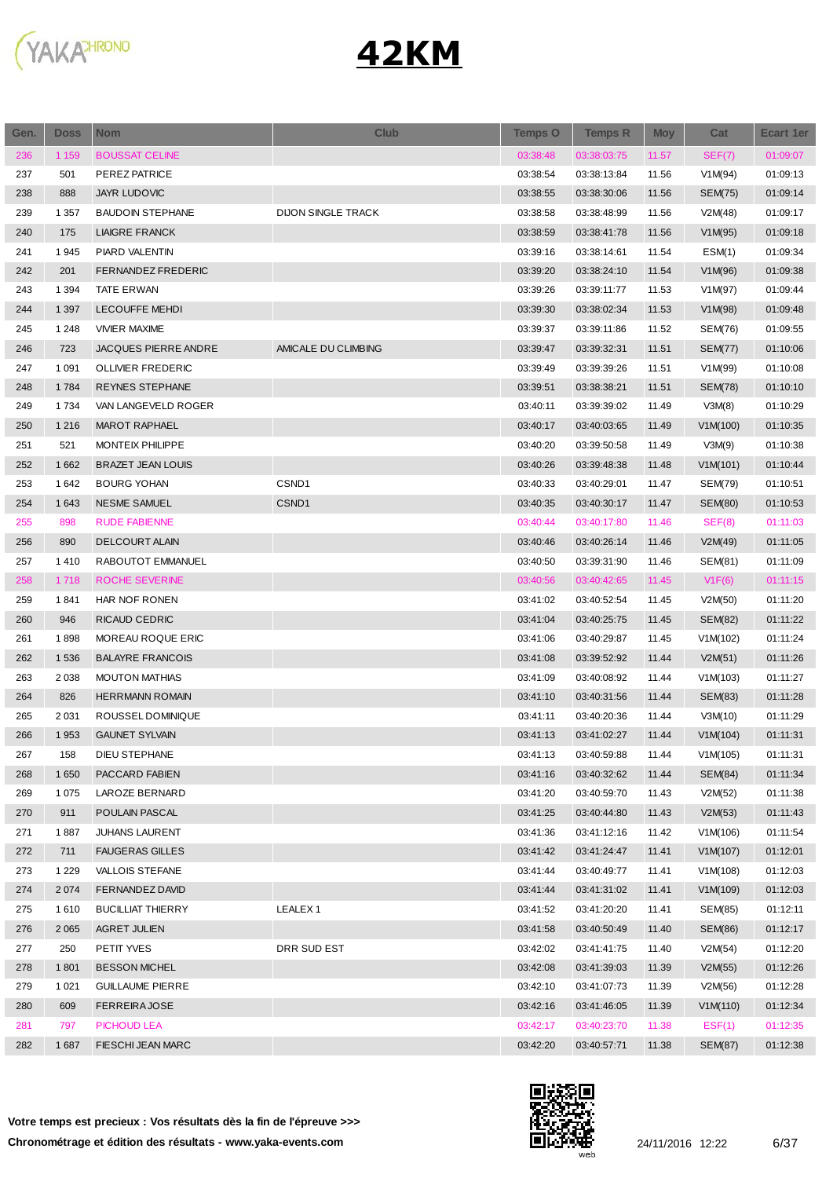

| Gen. | <b>Doss</b> | <b>Nom</b>               | <b>Club</b>               | <b>Temps O</b> | <b>Temps R</b> | <b>Moy</b> | Cat            | <b>Ecart 1er</b> |
|------|-------------|--------------------------|---------------------------|----------------|----------------|------------|----------------|------------------|
| 236  | 1 1 5 9     | <b>BOUSSAT CELINE</b>    |                           | 03:38:48       | 03:38:03:75    | 11.57      | SEF(7)         | 01:09:07         |
| 237  | 501         | PEREZ PATRICE            |                           | 03:38:54       | 03:38:13:84    | 11.56      | V1M(94)        | 01:09:13         |
| 238  | 888         | <b>JAYR LUDOVIC</b>      |                           | 03:38:55       | 03:38:30:06    | 11.56      | <b>SEM(75)</b> | 01:09:14         |
| 239  | 1 3 5 7     | <b>BAUDOIN STEPHANE</b>  | <b>DIJON SINGLE TRACK</b> | 03:38:58       | 03:38:48:99    | 11.56      | V2M(48)        | 01:09:17         |
| 240  | 175         | <b>LIAIGRE FRANCK</b>    |                           | 03:38:59       | 03:38:41:78    | 11.56      | V1M(95)        | 01:09:18         |
| 241  | 1945        | PIARD VALENTIN           |                           | 03:39:16       | 03:38:14:61    | 11.54      | ESM(1)         | 01:09:34         |
| 242  | 201         | FERNANDEZ FREDERIC       |                           | 03:39:20       | 03:38:24:10    | 11.54      | V1M(96)        | 01:09:38         |
| 243  | 1 3 9 4     | <b>TATE ERWAN</b>        |                           | 03:39:26       | 03:39:11:77    | 11.53      | V1M(97)        | 01:09:44         |
| 244  | 1 3 9 7     | <b>LECOUFFE MEHDI</b>    |                           | 03:39:30       | 03:38:02:34    | 11.53      | V1M(98)        | 01:09:48         |
| 245  | 1 2 4 8     | <b>VIVIER MAXIME</b>     |                           | 03:39:37       | 03:39:11:86    | 11.52      | SEM(76)        | 01:09:55         |
| 246  | 723         | JACQUES PIERRE ANDRE     | AMICALE DU CLIMBING       | 03:39:47       | 03:39:32:31    | 11.51      | <b>SEM(77)</b> | 01:10:06         |
| 247  | 1 0 9 1     | <b>OLLIVIER FREDERIC</b> |                           | 03:39:49       | 03:39:39:26    | 11.51      | V1M(99)        | 01:10:08         |
| 248  | 1784        | <b>REYNES STEPHANE</b>   |                           | 03:39:51       | 03:38:38:21    | 11.51      | SEM(78)        | 01:10:10         |
| 249  | 1 7 3 4     | VAN LANGEVELD ROGER      |                           | 03:40:11       | 03:39:39:02    | 11.49      | V3M(8)         | 01:10:29         |
| 250  | 1 2 1 6     | MAROT RAPHAEL            |                           | 03:40:17       | 03:40:03:65    | 11.49      | V1M(100)       | 01:10:35         |
| 251  | 521         | MONTEIX PHILIPPE         |                           | 03:40:20       | 03:39:50:58    | 11.49      | V3M(9)         | 01:10:38         |
| 252  | 1 6 6 2     | <b>BRAZET JEAN LOUIS</b> |                           | 03:40:26       | 03:39:48:38    | 11.48      | V1M(101)       | 01:10:44         |
| 253  | 1642        | <b>BOURG YOHAN</b>       | CSND1                     | 03:40:33       | 03:40:29:01    | 11.47      | SEM(79)        | 01:10:51         |
| 254  | 1 6 4 3     | <b>NESME SAMUEL</b>      | CSND1                     | 03:40:35       | 03:40:30:17    | 11.47      | SEM(80)        | 01:10:53         |
| 255  | 898         | <b>RUDE FABIENNE</b>     |                           | 03:40:44       | 03:40:17:80    | 11.46      | SEF(8)         | 01:11:03         |
| 256  | 890         | DELCOURT ALAIN           |                           | 03:40:46       | 03:40:26:14    | 11.46      | V2M(49)        | 01:11:05         |
| 257  | 1410        | RABOUTOT EMMANUEL        |                           | 03:40:50       | 03:39:31:90    | 11.46      | SEM(81)        | 01:11:09         |
| 258  | 1718        | ROCHE SEVERINE           |                           | 03:40:56       | 03:40:42:65    | 11.45      | V1F(6)         | 01:11:15         |
| 259  | 1841        | HAR NOF RONEN            |                           | 03:41:02       | 03:40:52:54    | 11.45      | V2M(50)        | 01:11:20         |
| 260  | 946         | RICAUD CEDRIC            |                           | 03:41:04       | 03:40:25:75    | 11.45      | SEM(82)        | 01:11:22         |
| 261  | 1898        | MOREAU ROQUE ERIC        |                           | 03:41:06       | 03:40:29:87    | 11.45      | V1M(102)       | 01:11:24         |
| 262  | 1536        | <b>BALAYRE FRANCOIS</b>  |                           | 03:41:08       | 03:39:52:92    | 11.44      | V2M(51)        | 01:11:26         |
| 263  | 2038        | <b>MOUTON MATHIAS</b>    |                           | 03:41:09       | 03:40:08:92    | 11.44      | V1M(103)       | 01:11:27         |
| 264  | 826         | <b>HERRMANN ROMAIN</b>   |                           | 03:41:10       | 03:40:31:56    | 11.44      | SEM(83)        | 01:11:28         |
| 265  | 2 0 3 1     | ROUSSEL DOMINIQUE        |                           | 03:41:11       | 03:40:20:36    | 11.44      | V3M(10)        | 01:11:29         |
| 266  | 1953        | <b>GAUNET SYLVAIN</b>    |                           | 03:41:13       | 03:41:02:27    | 11.44      | V1M(104)       | 01:11:31         |
| 267  | 158         | DIEU STEPHANE            |                           | 03:41:13       | 03:40:59:88    | 11.44      | V1M(105)       | 01:11:31         |
| 268  | 1 6 5 0     | PACCARD FABIEN           |                           | 03:41:16       | 03:40:32:62    | 11.44      | <b>SEM(84)</b> | 01:11:34         |
| 269  | 1 0 7 5     | LAROZE BERNARD           |                           | 03:41:20       | 03:40:59:70    | 11.43      | V2M(52)        | 01:11:38         |
| 270  | 911         | POULAIN PASCAL           |                           | 03:41:25       | 03:40:44:80    | 11.43      | V2M(53)        | 01:11:43         |
| 271  | 1887        | <b>JUHANS LAURENT</b>    |                           | 03:41:36       | 03:41:12:16    | 11.42      | V1M(106)       | 01:11:54         |
| 272  | 711         | <b>FAUGERAS GILLES</b>   |                           | 03:41:42       | 03:41:24:47    | 11.41      | V1M(107)       | 01:12:01         |
| 273  | 1 2 2 9     | <b>VALLOIS STEFANE</b>   |                           | 03:41:44       | 03:40:49:77    | 11.41      | V1M(108)       | 01:12:03         |
| 274  | 2 0 7 4     | FERNANDEZ DAVID          |                           | 03:41:44       | 03:41:31:02    | 11.41      | V1M(109)       | 01:12:03         |
| 275  | 1610        | <b>BUCILLIAT THIERRY</b> | LEALEX <sub>1</sub>       | 03:41:52       | 03:41:20:20    | 11.41      | SEM(85)        | 01:12:11         |
| 276  | 2 0 6 5     | AGRET JULIEN             |                           | 03:41:58       | 03:40:50:49    | 11.40      | <b>SEM(86)</b> | 01:12:17         |
| 277  | 250         | PETIT YVES               | DRR SUD EST               | 03:42:02       | 03:41:41:75    | 11.40      | V2M(54)        | 01:12:20         |
| 278  | 1801        | <b>BESSON MICHEL</b>     |                           | 03:42:08       | 03:41:39:03    | 11.39      | V2M(55)        | 01:12:26         |
| 279  | 1 0 2 1     | <b>GUILLAUME PIERRE</b>  |                           | 03:42:10       | 03:41:07:73    | 11.39      | V2M(56)        | 01:12:28         |
| 280  | 609         | <b>FERREIRAJOSE</b>      |                           | 03:42:16       | 03:41:46:05    | 11.39      | V1M(110)       | 01:12:34         |
| 281  | 797         | PICHOUD LEA              |                           | 03:42:17       | 03:40:23:70    | 11.38      | EST(1)         | 01:12:35         |
| 282  | 1687        | FIESCHI JEAN MARC        |                           | 03:42:20       | 03:40:57:71    | 11.38      | <b>SEM(87)</b> | 01:12:38         |
|      |             |                          |                           |                |                |            |                |                  |

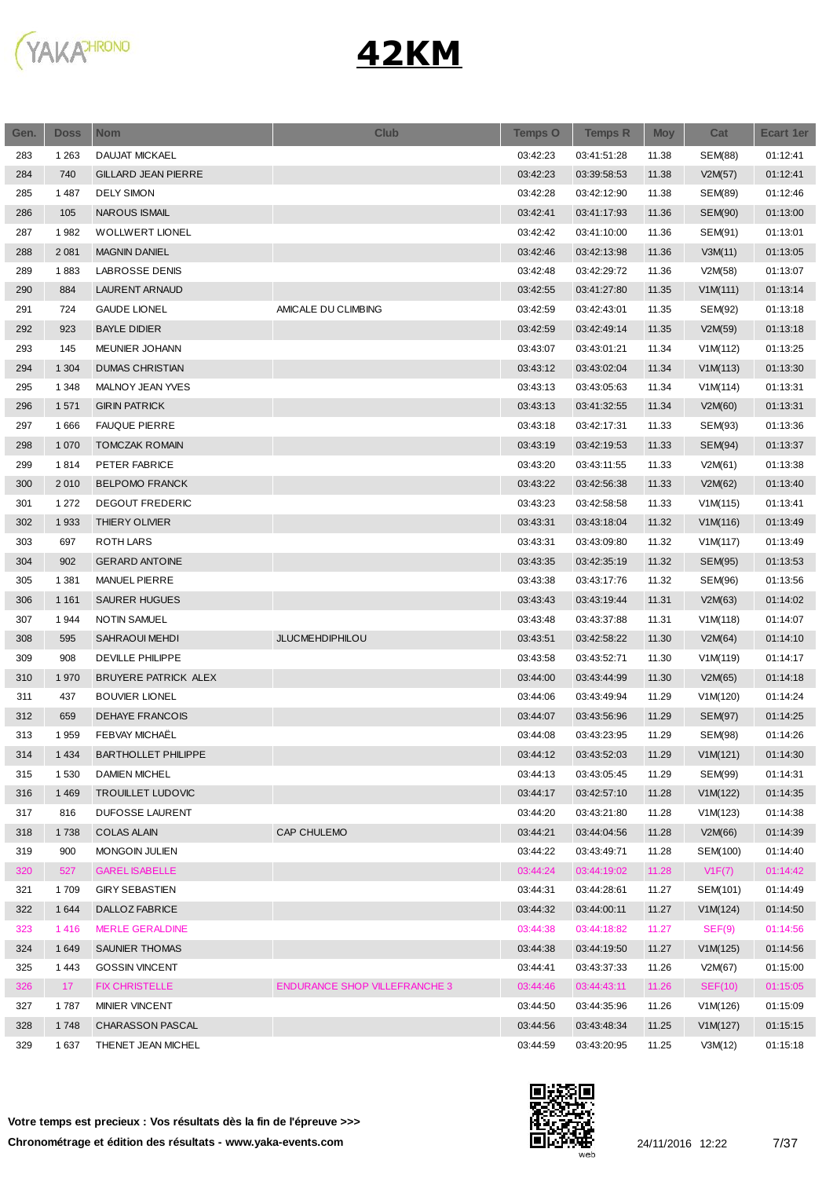

| Gen. | <b>Doss</b> | <b>Nom</b>                            | <b>Club</b>                          | <b>Temps O</b> | <b>Temps R</b>             | <b>Moy</b> | Cat            | Ecart 1er |
|------|-------------|---------------------------------------|--------------------------------------|----------------|----------------------------|------------|----------------|-----------|
| 283  | 1 2 6 3     | <b>DAUJAT MICKAEL</b>                 |                                      | 03:42:23       | 03:41:51:28                | 11.38      | SEM(88)        | 01:12:41  |
| 284  | 740         | <b>GILLARD JEAN PIERRE</b>            |                                      | 03:42:23       | 03:39:58:53                | 11.38      | V2M(57)        | 01:12:41  |
| 285  | 1487        | <b>DELY SIMON</b>                     |                                      | 03:42:28       | 03:42:12:90                | 11.38      | SEM(89)        | 01:12:46  |
| 286  | 105         | <b>NAROUS ISMAIL</b>                  |                                      | 03:42:41       | 03:41:17:93                | 11.36      | <b>SEM(90)</b> | 01:13:00  |
| 287  | 1982        | <b>WOLLWERT LIONEL</b>                |                                      | 03:42:42       | 03:41:10:00                | 11.36      | SEM(91)        | 01:13:01  |
| 288  | 2 0 8 1     | <b>MAGNIN DANIEL</b>                  |                                      | 03:42:46       | 03:42:13:98                | 11.36      | V3M(11)        | 01:13:05  |
| 289  | 1883        | <b>LABROSSE DENIS</b>                 |                                      | 03:42:48       | 03:42:29:72                | 11.36      | V2M(58)        | 01:13:07  |
| 290  | 884         | <b>LAURENT ARNAUD</b>                 |                                      | 03:42:55       | 03:41:27:80                | 11.35      | V1M(111)       | 01:13:14  |
| 291  | 724         | <b>GAUDE LIONEL</b>                   | AMICALE DU CLIMBING                  | 03:42:59       | 03:42:43:01                | 11.35      | SEM(92)        | 01:13:18  |
| 292  | 923         | <b>BAYLE DIDIER</b>                   |                                      | 03:42:59       | 03:42:49:14                | 11.35      | V2M(59)        | 01:13:18  |
| 293  | 145         | MEUNIER JOHANN                        |                                      | 03:43:07       | 03:43:01:21                | 11.34      | V1M(112)       | 01:13:25  |
| 294  | 1 3 0 4     | <b>DUMAS CHRISTIAN</b>                |                                      | 03:43:12       | 03:43:02:04                | 11.34      | V1M(113)       | 01:13:30  |
| 295  | 1 3 4 8     | MALNOY JEAN YVES                      |                                      | 03:43:13       | 03:43:05:63                | 11.34      | V1M(114)       | 01:13:31  |
| 296  | 1571        | <b>GIRIN PATRICK</b>                  |                                      | 03:43:13       | 03:41:32:55                | 11.34      | V2M(60)        | 01:13:31  |
| 297  | 1666        | <b>FAUQUE PIERRE</b>                  |                                      | 03:43:18       | 03:42:17:31                | 11.33      | SEM(93)        | 01:13:36  |
| 298  | 1 0 7 0     | <b>TOMCZAK ROMAIN</b>                 |                                      | 03:43:19       | 03:42:19:53                | 11.33      | <b>SEM(94)</b> | 01:13:37  |
| 299  | 1814        | PETER FABRICE                         |                                      | 03:43:20       | 03:43:11:55                | 11.33      | V2M(61)        | 01:13:38  |
| 300  | 2010        | <b>BELPOMO FRANCK</b>                 |                                      | 03:43:22       | 03:42:56:38                | 11.33      | V2M(62)        | 01:13:40  |
| 301  | 1 2 7 2     | <b>DEGOUT FREDERIC</b>                |                                      | 03:43:23       | 03:42:58:58                | 11.33      | V1M(115)       | 01:13:41  |
| 302  | 1933        | THIERY OLIVIER                        |                                      | 03:43:31       | 03:43:18:04                | 11.32      | V1M(116)       | 01:13:49  |
| 303  | 697         | ROTH LARS                             |                                      | 03:43:31       | 03:43:09:80                | 11.32      | V1M(117)       | 01:13:49  |
| 304  | 902         | <b>GERARD ANTOINE</b>                 |                                      | 03:43:35       | 03:42:35:19                | 11.32      | <b>SEM(95)</b> | 01:13:53  |
| 305  | 1 3 8 1     | <b>MANUEL PIERRE</b>                  |                                      | 03:43:38       | 03:43:17:76                | 11.32      | SEM(96)        | 01:13:56  |
| 306  | 1 1 6 1     | <b>SAURER HUGUES</b>                  |                                      | 03:43:43       | 03:43:19:44                | 11.31      | V2M(63)        | 01:14:02  |
| 307  | 1944        | <b>NOTIN SAMUEL</b>                   |                                      | 03:43:48       | 03:43:37:88                | 11.31      | V1M(118)       | 01:14:07  |
| 308  | 595         | SAHRAOUI MEHDI                        | <b>JLUCMEHDIPHILOU</b>               | 03:43:51       | 03:42:58:22                | 11.30      | V2M(64)        | 01:14:10  |
| 309  | 908         | <b>DEVILLE PHILIPPE</b>               |                                      | 03:43:58       | 03:43:52:71                | 11.30      | V1M(119)       | 01:14:17  |
| 310  | 1970        | <b>BRUYERE PATRICK ALEX</b>           |                                      | 03:44:00       | 03:43:44:99                | 11.30      | V2M(65)        | 01:14:18  |
| 311  | 437         | <b>BOUVIER LIONEL</b>                 |                                      | 03:44:06       | 03:43:49:94                | 11.29      | V1M(120)       | 01:14:24  |
| 312  | 659         | <b>DEHAYE FRANCOIS</b>                |                                      | 03:44:07       | 03:43:56:96                | 11.29      | SEM(97)        | 01:14:25  |
| 313  | 1959        | FEBVAY MICHAËL                        |                                      | 03:44:08       | 03:43:23:95                | 11.29      | SEM(98)        | 01:14:26  |
| 314  | 1 4 3 4     | <b>BARTHOLLET PHILIPPE</b>            |                                      | 03:44:12       | 03:43:52:03                | 11.29      | V1M(121)       | 01:14:30  |
| 315  | 1 5 3 0     | <b>DAMIEN MICHEL</b>                  |                                      | 03:44:13       | 03:43:05:45                | 11.29      | SEM(99)        | 01:14:31  |
| 316  | 1469        | <b>TROUILLET LUDOVIC</b>              |                                      | 03:44:17       |                            | 11.28      | V1M(122)       |           |
| 317  | 816         |                                       |                                      | 03:44:20       | 03:42:57:10<br>03:43:21:80 |            |                | 01:14:35  |
| 318  |             | DUFOSSE LAURENT<br><b>COLAS ALAIN</b> | CAP CHULEMO                          | 03:44:21       |                            | 11.28      | V1M(123)       | 01:14:38  |
|      | 1738        | MONGOIN JULIEN                        |                                      |                | 03:44:04:56                | 11.28      | V2M(66)        | 01:14:39  |
| 319  | 900         |                                       |                                      | 03:44:22       | 03:43:49:71                | 11.28      | SEM(100)       | 01:14:40  |
| 320  | 527         | <b>GAREL ISABELLE</b>                 |                                      | 03:44:24       | 03:44:19:02                | 11.28      | V1F(7)         | 01:14:42  |
| 321  | 1709        | <b>GIRY SEBASTIEN</b>                 |                                      | 03:44:31       | 03:44:28:61                | 11.27      | SEM(101)       | 01:14:49  |
| 322  | 1644        | DALLOZ FABRICE                        |                                      | 03:44:32       | 03:44:00:11                | 11.27      | V1M(124)       | 01:14:50  |
| 323  | 1416        | <b>MERLE GERALDINE</b>                |                                      | 03:44:38       | 03:44:18:82                | 11.27      | SEF(9)         | 01:14:56  |
| 324  | 1649        | SAUNIER THOMAS                        |                                      | 03:44:38       | 03:44:19:50                | 11.27      | V1M(125)       | 01:14:56  |
| 325  | 1443        | <b>GOSSIN VINCENT</b>                 |                                      | 03:44:41       | 03:43:37:33                | 11.26      | V2M(67)        | 01:15:00  |
| 326  | 17          | <b>FIX CHRISTELLE</b>                 | <b>ENDURANCE SHOP VILLEFRANCHE 3</b> | 03:44:46       | 03:44:43:11                | 11.26      | SEF(10)        | 01:15:05  |
| 327  | 1787        | MINIER VINCENT                        |                                      | 03:44:50       | 03:44:35:96                | 11.26      | V1M(126)       | 01:15:09  |
| 328  | 1748        | CHARASSON PASCAL                      |                                      | 03:44:56       | 03:43:48:34                | 11.25      | V1M(127)       | 01:15:15  |
| 329  | 1637        | THENET JEAN MICHEL                    |                                      | 03:44:59       | 03:43:20:95                | 11.25      | V3M(12)        | 01:15:18  |

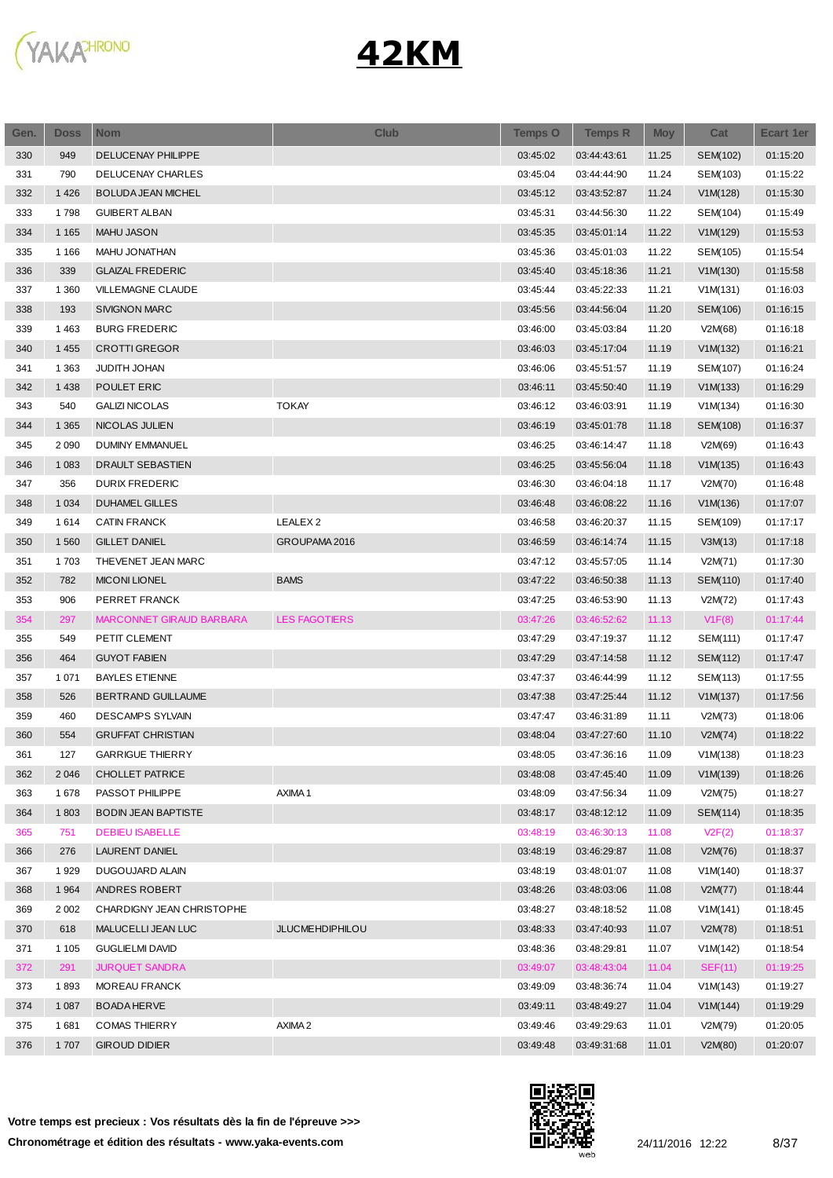

| Gen. | <b>Doss</b> | <b>Nom</b>                 | <b>Club</b>          | <b>Temps O</b> | <b>Temps R</b> | <b>Moy</b> | Cat      | <b>Ecart 1er</b> |
|------|-------------|----------------------------|----------------------|----------------|----------------|------------|----------|------------------|
| 330  | 949         | DELUCENAY PHILIPPE         |                      | 03:45:02       | 03:44:43:61    | 11.25      | SEM(102) | 01:15:20         |
| 331  | 790         | <b>DELUCENAY CHARLES</b>   |                      | 03:45:04       | 03:44:44:90    | 11.24      | SEM(103) | 01:15:22         |
| 332  | 1426        | <b>BOLUDA JEAN MICHEL</b>  |                      | 03:45:12       | 03:43:52:87    | 11.24      | V1M(128) | 01:15:30         |
| 333  | 1798        | <b>GUIBERT ALBAN</b>       |                      | 03:45:31       | 03:44:56:30    | 11.22      | SEM(104) | 01:15:49         |
| 334  | 1 1 6 5     | <b>MAHU JASON</b>          |                      | 03:45:35       | 03:45:01:14    | 11.22      | V1M(129) | 01:15:53         |
| 335  | 1 1 6 6     | MAHU JONATHAN              |                      | 03:45:36       | 03:45:01:03    | 11.22      | SEM(105) | 01:15:54         |
| 336  | 339         | <b>GLAIZAL FREDERIC</b>    |                      | 03:45:40       | 03:45:18:36    | 11.21      | V1M(130) | 01:15:58         |
| 337  | 1 3 6 0     | VILLEMAGNE CLAUDE          |                      | 03:45:44       | 03:45:22:33    | 11.21      | V1M(131) | 01:16:03         |
| 338  | 193         | <b>SIVIGNON MARC</b>       |                      | 03:45:56       | 03:44:56:04    | 11.20      | SEM(106) | 01:16:15         |
| 339  | 1 4 6 3     | <b>BURG FREDERIC</b>       |                      | 03:46:00       | 03:45:03:84    | 11.20      | V2M(68)  | 01:16:18         |
| 340  | 1 4 5 5     | <b>CROTTI GREGOR</b>       |                      | 03:46:03       | 03:45:17:04    | 11.19      | V1M(132) | 01:16:21         |
| 341  | 1 3 6 3     | JUDITH JOHAN               |                      | 03:46:06       | 03:45:51:57    | 11.19      | SEM(107) | 01:16:24         |
| 342  | 1 4 3 8     | POULET ERIC                |                      | 03:46:11       | 03:45:50:40    | 11.19      | V1M(133) | 01:16:29         |
| 343  | 540         | <b>GALIZI NICOLAS</b>      | <b>TOKAY</b>         | 03:46:12       | 03:46:03:91    | 11.19      | V1M(134) | 01:16:30         |
| 344  | 1 3 6 5     | NICOLAS JULIEN             |                      | 03:46:19       | 03:45:01:78    | 11.18      | SEM(108) | 01:16:37         |
| 345  | 2 0 9 0     | <b>DUMINY EMMANUEL</b>     |                      | 03:46:25       | 03:46:14:47    | 11.18      | V2M(69)  | 01:16:43         |
| 346  | 1 0 8 3     | <b>DRAULT SEBASTIEN</b>    |                      | 03:46:25       | 03:45:56:04    | 11.18      | V1M(135) | 01:16:43         |
| 347  | 356         | <b>DURIX FREDERIC</b>      |                      | 03:46:30       | 03:46:04:18    | 11.17      | V2M(70)  | 01:16:48         |
| 348  | 1 0 3 4     | <b>DUHAMEL GILLES</b>      |                      | 03:46:48       | 03:46:08:22    | 11.16      | V1M(136) | 01:17:07         |
| 349  | 1614        | <b>CATIN FRANCK</b>        | LEALEX <sub>2</sub>  | 03:46:58       | 03:46:20:37    | 11.15      | SEM(109) | 01:17:17         |
| 350  | 1 5 6 0     | <b>GILLET DANIEL</b>       | GROUPAMA 2016        | 03:46:59       | 03:46:14:74    | 11.15      | V3M(13)  | 01:17:18         |
| 351  | 1703        | THEVENET JEAN MARC         |                      | 03:47:12       | 03:45:57:05    | 11.14      | V2M(71)  | 01:17:30         |
| 352  | 782         | <b>MICONI LIONEL</b>       | <b>BAMS</b>          | 03:47:22       | 03:46:50:38    | 11.13      | SEM(110) | 01:17:40         |
| 353  | 906         | PERRET FRANCK              |                      | 03:47:25       | 03:46:53:90    | 11.13      | V2M(72)  | 01:17:43         |
| 354  | 297         | MARCONNET GIRAUD BARBARA   | <b>LES FAGOTIERS</b> | 03:47:26       | 03:46:52:62    | 11.13      | V1F(8)   | 01:17:44         |
| 355  | 549         | PETIT CLEMENT              |                      | 03:47:29       | 03:47:19:37    | 11.12      | SEM(111) | 01:17:47         |
| 356  | 464         | <b>GUYOT FABIEN</b>        |                      | 03:47:29       | 03:47:14:58    | 11.12      | SEM(112) | 01:17:47         |
| 357  | 1 0 7 1     | <b>BAYLES ETIENNE</b>      |                      | 03:47:37       | 03:46:44:99    | 11.12      | SEM(113) | 01:17:55         |
| 358  | 526         | <b>BERTRAND GUILLAUME</b>  |                      | 03:47:38       | 03:47:25:44    | 11.12      | V1M(137) | 01:17:56         |
| 359  | 460         | <b>DESCAMPS SYLVAIN</b>    |                      | 03:47:47       | 03:46:31:89    | 11.11      | V2M(73)  | 01:18:06         |
| 360  | 554         | <b>GRUFFAT CHRISTIAN</b>   |                      | 03:48:04       | 03:47:27:60    | 11.10      | V2M(74)  | 01:18:22         |
| 361  | 127         | <b>GARRIGUE THIERRY</b>    |                      | 03:48:05       | 03:47:36:16    | 11.09      | V1M(138) | 01:18:23         |
| 362  | 2 0 4 6     | <b>CHOLLET PATRICE</b>     |                      | 03:48:08       | 03:47:45:40    | 11.09      | V1M(139) | 01:18:26         |
| 363  | 1678        | PASSOT PHILIPPE            | AXIMA1               | 03:48:09       | 03:47:56:34    | 11.09      | V2M(75)  | 01:18:27         |
| 364  | 1803        | <b>BODIN JEAN BAPTISTE</b> |                      | 03:48:17       | 03:48:12:12    | 11.09      | SEM(114) | 01:18:35         |
| 365  | 751         | <b>DEBIEU ISABELLE</b>     |                      | 03:48:19       | 03:46:30:13    | 11.08      | V2F(2)   | 01:18:37         |
| 366  | 276         | LAURENT DANIEL             |                      | 03:48:19       | 03:46:29:87    | 11.08      | V2M(76)  | 01:18:37         |
| 367  | 1929        | DUGOUJARD ALAIN            |                      | 03:48:19       | 03:48:01:07    | 11.08      | V1M(140) | 01:18:37         |
| 368  | 1964        | ANDRES ROBERT              |                      | 03:48:26       | 03:48:03:06    | 11.08      | V2M(77)  | 01:18:44         |
| 369  | 2 0 0 2     | CHARDIGNY JEAN CHRISTOPHE  |                      | 03:48:27       | 03:48:18:52    | 11.08      | V1M(141) | 01:18:45         |
| 370  | 618         | MALUCELLI JEAN LUC         | JLUCMEHDIPHILOU      | 03:48:33       | 03:47:40:93    | 11.07      | V2M(78)  | 01:18:51         |
| 371  | 1 1 0 5     | <b>GUGLIELMI DAVID</b>     |                      | 03:48:36       | 03:48:29:81    | 11.07      | V1M(142) | 01:18:54         |
| 372  | 291         | <b>JURQUET SANDRA</b>      |                      | 03:49:07       | 03:48:43:04    | 11.04      | SEF(11)  | 01:19:25         |
| 373  | 1893        | MOREAU FRANCK              |                      | 03:49:09       | 03:48:36:74    | 11.04      | V1M(143) | 01:19:27         |
| 374  | 1 0 8 7     | <b>BOADA HERVE</b>         |                      | 03:49:11       | 03:48:49:27    | 11.04      | V1M(144) | 01:19:29         |
| 375  | 1681        | <b>COMAS THIERRY</b>       | AXIMA <sub>2</sub>   | 03:49:46       | 03:49:29:63    | 11.01      | V2M(79)  | 01:20:05         |
| 376  | 1 707       | <b>GIROUD DIDIER</b>       |                      | 03:49:48       | 03:49:31:68    | 11.01      | V2M(80)  | 01:20:07         |
|      |             |                            |                      |                |                |            |          |                  |

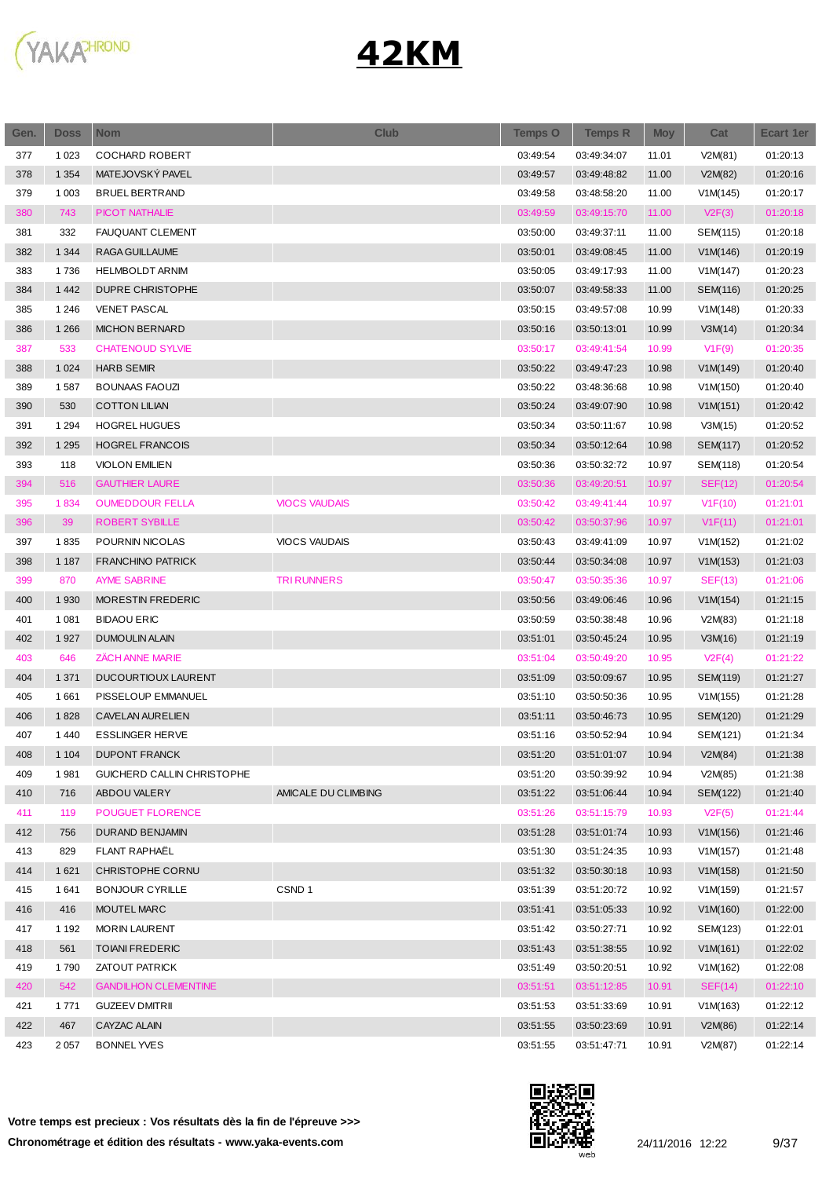

| Gen.       | <b>Doss</b> | <b>Nom</b>                                           | <b>Club</b>          | Temps O              | <b>Temps R</b>             | <b>Moy</b>     | Cat                 | <b>Ecart 1er</b>     |
|------------|-------------|------------------------------------------------------|----------------------|----------------------|----------------------------|----------------|---------------------|----------------------|
| 377        | 1 0 2 3     | <b>COCHARD ROBERT</b>                                |                      | 03:49:54             | 03:49:34:07                | 11.01          | V2M(81)             | 01:20:13             |
| 378        | 1 3 5 4     | MATEJOVSKÝ PAVEL                                     |                      | 03:49:57             | 03:49:48:82                | 11.00          | V2M(82)             | 01:20:16             |
| 379        | 1 0 0 3     | <b>BRUEL BERTRAND</b>                                |                      | 03:49:58             | 03:48:58:20                | 11.00          | V1M(145)            | 01:20:17             |
| 380        | 743         | <b>PICOT NATHALIE</b>                                |                      | 03:49:59             | 03:49:15:70                | 11.00          | V2F(3)              | 01:20:18             |
| 381        | 332         | FAUQUANT CLEMENT                                     |                      | 03:50:00             | 03:49:37:11                | 11.00          | SEM(115)            | 01:20:18             |
| 382        | 1 3 4 4     | RAGA GUILLAUME                                       |                      | 03:50:01             | 03:49:08:45                | 11.00          | V1M(146)            | 01:20:19             |
| 383        | 1736        | <b>HELMBOLDT ARNIM</b>                               |                      | 03:50:05             | 03:49:17:93                | 11.00          | V1M(147)            | 01:20:23             |
| 384        | 1 4 4 2     | DUPRE CHRISTOPHE                                     |                      | 03:50:07             | 03:49:58:33                | 11.00          | SEM(116)            | 01:20:25             |
| 385        | 1 2 4 6     | <b>VENET PASCAL</b>                                  |                      | 03:50:15             | 03:49:57:08                | 10.99          | V1M(148)            | 01:20:33             |
| 386        | 1 2 6 6     | <b>MICHON BERNARD</b>                                |                      | 03:50:16             | 03:50:13:01                | 10.99          | V3M(14)             | 01:20:34             |
| 387        | 533         | <b>CHATENOUD SYLVIE</b>                              |                      | 03:50:17             | 03:49:41:54                | 10.99          | V1F(9)              | 01:20:35             |
| 388        | 1 0 2 4     | <b>HARB SEMIR</b>                                    |                      | 03:50:22             | 03:49:47:23                | 10.98          | V1M(149)            | 01:20:40             |
| 389        | 1587        | <b>BOUNAAS FAOUZI</b>                                |                      | 03:50:22             | 03:48:36:68                | 10.98          | V1M(150)            | 01:20:40             |
| 390        | 530         | <b>COTTON LILIAN</b>                                 |                      | 03:50:24             | 03:49:07:90                | 10.98          | V1M(151)            | 01:20:42             |
| 391        | 1 2 9 4     | <b>HOGREL HUGUES</b>                                 |                      | 03:50:34             | 03:50:11:67                | 10.98          | V3M(15)             | 01:20:52             |
| 392        | 1 2 9 5     | <b>HOGREL FRANCOIS</b>                               |                      | 03:50:34             | 03:50:12:64                | 10.98          | <b>SEM(117)</b>     | 01:20:52             |
| 393        | 118         | <b>VIOLON EMILIEN</b>                                |                      | 03:50:36             | 03:50:32:72                | 10.97          | SEM(118)            | 01:20:54             |
| 394        | 516         | <b>GAUTHIER LAURE</b>                                |                      | 03:50:36             | 03:49:20:51                | 10.97          | SEF(12)             | 01:20:54             |
| 395        | 1834        | <b>OUMEDDOUR FELLA</b>                               | <b>VIOCS VAUDAIS</b> | 03:50:42             | 03:49:41:44                | 10.97          | V1F(10)             | 01:21:01             |
| 396        | 39          | <b>ROBERT SYBILLE</b>                                |                      | 03:50:42             | 03:50:37:96                | 10.97          | V1F(11)             | 01:21:01             |
| 397        | 1835        | POURNIN NICOLAS                                      | <b>VIOCS VAUDAIS</b> | 03:50:43             | 03:49:41:09                | 10.97          | V1M(152)            | 01:21:02             |
| 398        | 1 1 8 7     | <b>FRANCHINO PATRICK</b>                             |                      | 03:50:44             | 03:50:34:08                | 10.97          | V1M(153)            | 01:21:03             |
| 399        | 870         | <b>AYME SABRINE</b>                                  | <b>TRI RUNNERS</b>   | 03:50:47             | 03:50:35:36                | 10.97          | SEF(13)             | 01:21:06             |
| 400        | 1930        | MORESTIN FREDERIC                                    |                      | 03:50:56             | 03:49:06:46                | 10.96          | V1M(154)            | 01:21:15             |
| 401        | 1 0 8 1     | <b>BIDAOU ERIC</b>                                   |                      | 03:50:59             | 03:50:38:48                | 10.96          | V2M(83)             | 01:21:18             |
| 402        | 1927        | <b>DUMOULIN ALAIN</b>                                |                      | 03:51:01             | 03:50:45:24                | 10.95          | V3M(16)             | 01:21:19             |
| 403        | 646         | <b>ZACH ANNE MARIE</b>                               |                      | 03:51:04             | 03:50:49:20                | 10.95          | V2F(4)              | 01:21:22             |
| 404        | 1 3 7 1     | DUCOURTIOUX LAURENT                                  |                      | 03:51:09             | 03:50:09:67                | 10.95          | SEM(119)            | 01:21:27             |
| 405        | 1661        | PISSELOUP EMMANUEL                                   |                      | 03:51:10             | 03:50:50:36                | 10.95          | V1M(155)            | 01:21:28             |
| 406        | 1828        | <b>CAVELAN AURELIEN</b>                              |                      | 03:51:11             | 03:50:46:73                | 10.95          | SEM(120)            | 01:21:29             |
| 407        | 1 4 4 0     | <b>ESSLINGER HERVE</b>                               |                      | 03:51:16             | 03:50:52:94                | 10.94          | SEM(121)            | 01:21:34             |
| 408        | 1 1 0 4     | <b>DUPONT FRANCK</b>                                 |                      | 03:51:20             | 03:51:01:07                | 10.94          | V2M(84)             | 01:21:38             |
| 409        | 1981        | GUICHERD CALLIN CHRISTOPHE                           |                      | 03:51:20             | 03:50:39:92                | 10.94          | V2M(85)             | 01:21:38             |
| 410        | 716         | ABDOU VALERY                                         | AMICALE DU CLIMBING  | 03:51:22             | 03:51:06:44                | 10.94          | SEM(122)            | 01:21:40             |
| 411        | 119         | POUGUET FLORENCE                                     |                      | 03:51:26             | 03:51:15:79                | 10.93          | V2F(5)              | 01:21:44             |
| 412        | 756         | <b>DURAND BENJAMIN</b>                               |                      | 03:51:28             | 03:51:01:74                | 10.93          | V1M(156)            | 01:21:46             |
| 413        | 829         | FLANT RAPHAËL                                        |                      | 03:51:30             | 03:51:24:35                | 10.93          | V1M(157)            | 01:21:48             |
| 414        | 1 6 2 1     | CHRISTOPHE CORNU                                     |                      | 03:51:32             | 03:50:30:18                | 10.93          | V1M(158)            | 01:21:50             |
| 415        | 1641        | <b>BONJOUR CYRILLE</b>                               | CSND <sub>1</sub>    | 03:51:39             | 03:51:20:72                | 10.92          | V1M(159)            | 01:21:57             |
| 416        | 416         | MOUTEL MARC                                          |                      | 03:51:41             | 03:51:05:33                | 10.92          | V1M(160)            | 01:22:00             |
| 417        | 1 1 9 2     | <b>MORIN LAURENT</b>                                 |                      | 03:51:42             | 03:50:27:71                | 10.92          | SEM(123)            | 01:22:01             |
| 418        | 561         | <b>TOIANI FREDERIC</b>                               |                      | 03:51:43             | 03:51:38:55                | 10.92          | V1M(161)            | 01:22:02             |
|            |             |                                                      |                      |                      |                            |                |                     |                      |
| 419<br>420 | 1790<br>542 | <b>ZATOUT PATRICK</b><br><b>GANDILHON CLEMENTINE</b> |                      | 03:51:49<br>03:51:51 | 03:50:20:51<br>03:51:12:85 | 10.92<br>10.91 | V1M(162)<br>SEF(14) | 01:22:08<br>01:22:10 |
| 421        | 1771        | <b>GUZEEV DMITRII</b>                                |                      | 03:51:53             |                            | 10.91          | V1M(163)            | 01:22:12             |
| 422        | 467         | CAYZAC ALAIN                                         |                      | 03:51:55             | 03:51:33:69<br>03:50:23:69 |                |                     |                      |
|            |             |                                                      |                      |                      |                            | 10.91          | V2M(86)             | 01:22:14             |
| 423        | 2057        | <b>BONNEL YVES</b>                                   |                      | 03:51:55             | 03:51:47:71                | 10.91          | V2M(87)             | 01:22:14             |

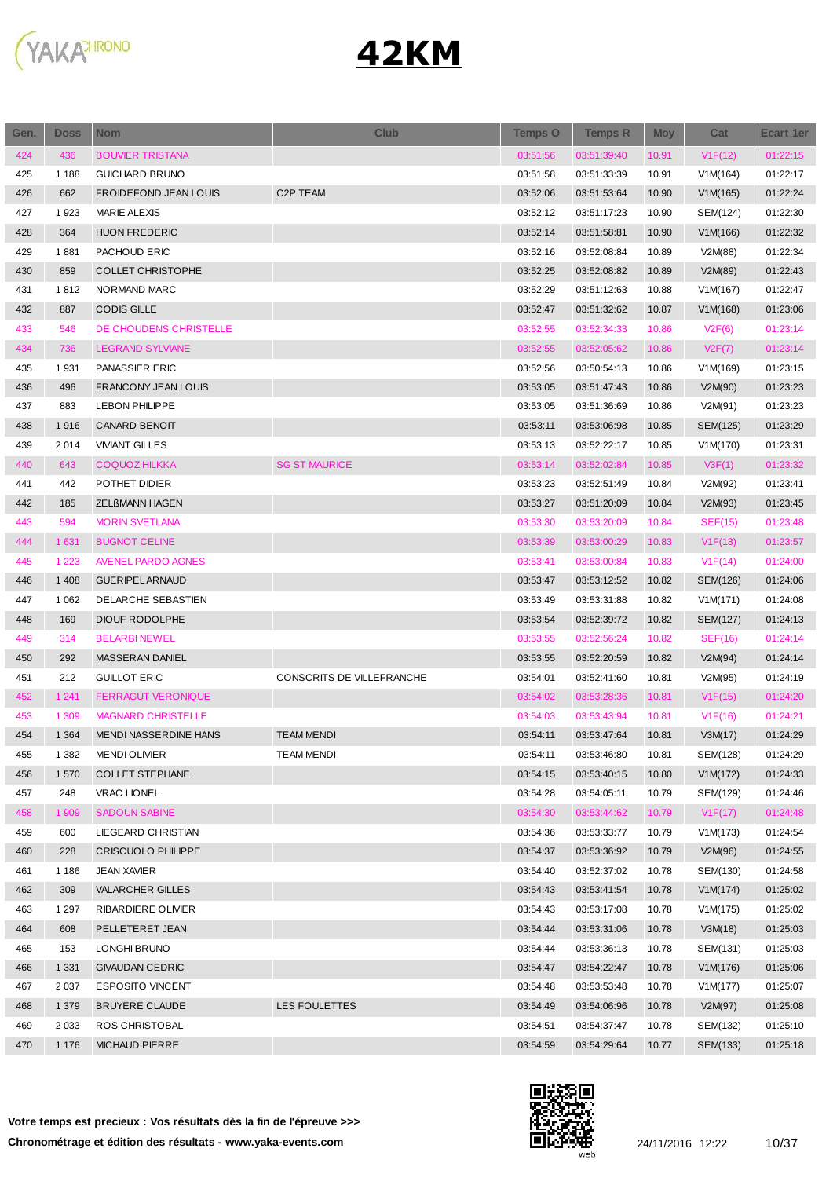

| Gen. | Doss    | <b>Nom</b>                   | <b>Club</b>               | <b>Temps O</b> | <b>Temps R</b> | <b>Moy</b> | Cat            | Ecart 1er |
|------|---------|------------------------------|---------------------------|----------------|----------------|------------|----------------|-----------|
| 424  | 436     | <b>BOUVIER TRISTANA</b>      |                           | 03:51:56       | 03:51:39:40    | 10.91      | V1F(12)        | 01:22:15  |
| 425  | 1 1 8 8 | <b>GUICHARD BRUNO</b>        |                           | 03:51:58       | 03:51:33:39    | 10.91      | V1M(164)       | 01:22:17  |
| 426  | 662     | <b>FROIDEFOND JEAN LOUIS</b> | C2P TEAM                  | 03:52:06       | 03:51:53:64    | 10.90      | V1M(165)       | 01:22:24  |
| 427  | 1923    | <b>MARIE ALEXIS</b>          |                           | 03:52:12       | 03:51:17:23    | 10.90      | SEM(124)       | 01:22:30  |
| 428  | 364     | <b>HUON FREDERIC</b>         |                           | 03:52:14       | 03:51:58:81    | 10.90      | V1M(166)       | 01:22:32  |
| 429  | 1881    | PACHOUD ERIC                 |                           | 03:52:16       | 03:52:08:84    | 10.89      | V2M(88)        | 01:22:34  |
| 430  | 859     | <b>COLLET CHRISTOPHE</b>     |                           | 03:52:25       | 03:52:08:82    | 10.89      | V2M(89)        | 01:22:43  |
| 431  | 1812    | NORMAND MARC                 |                           | 03:52:29       | 03:51:12:63    | 10.88      | V1M(167)       | 01:22:47  |
| 432  | 887     | <b>CODIS GILLE</b>           |                           | 03:52:47       | 03:51:32:62    | 10.87      | V1M(168)       | 01:23:06  |
| 433  | 546     | DE CHOUDENS CHRISTELLE       |                           | 03:52:55       | 03:52:34:33    | 10.86      | V2F(6)         | 01:23:14  |
| 434  | 736     | <b>LEGRAND SYLVIANE</b>      |                           | 03:52:55       | 03:52:05:62    | 10.86      | V2F(7)         | 01:23:14  |
| 435  | 1931    | PANASSIER ERIC               |                           | 03:52:56       | 03:50:54:13    | 10.86      | V1M(169)       | 01:23:15  |
| 436  | 496     | <b>FRANCONY JEAN LOUIS</b>   |                           | 03:53:05       | 03:51:47:43    | 10.86      | V2M(90)        | 01:23:23  |
| 437  | 883     | <b>LEBON PHILIPPE</b>        |                           | 03:53:05       | 03:51:36:69    | 10.86      | V2M(91)        | 01:23:23  |
| 438  | 1916    | <b>CANARD BENOIT</b>         |                           | 03:53:11       | 03:53:06:98    | 10.85      | SEM(125)       | 01:23:29  |
| 439  | 2014    | <b>VIVIANT GILLES</b>        |                           | 03:53:13       | 03:52:22:17    | 10.85      | V1M(170)       | 01:23:31  |
| 440  | 643     | <b>COQUOZ HILKKA</b>         | <b>SG ST MAURICE</b>      | 03:53:14       | 03:52:02:84    | 10.85      | V3F(1)         | 01:23:32  |
| 441  | 442     | POTHET DIDIER                |                           | 03:53:23       | 03:52:51:49    | 10.84      | V2M(92)        | 01:23:41  |
| 442  | 185     | <b>ZELBMANN HAGEN</b>        |                           | 03:53:27       | 03:51:20:09    | 10.84      | V2M(93)        | 01:23:45  |
| 443  | 594     | <b>MORIN SVETLANA</b>        |                           | 03:53:30       | 03:53:20:09    | 10.84      | <b>SEF(15)</b> | 01:23:48  |
| 444  | 1 631   | <b>BUGNOT CELINE</b>         |                           | 03:53:39       | 03:53:00:29    | 10.83      | V1F(13)        | 01:23:57  |
| 445  | 1 2 2 3 | <b>AVENEL PARDO AGNES</b>    |                           | 03:53:41       | 03:53:00:84    | 10.83      | V1F(14)        | 01:24:00  |
| 446  | 1 4 0 8 | <b>GUERIPEL ARNAUD</b>       |                           | 03:53:47       | 03:53:12:52    | 10.82      | SEM(126)       | 01:24:06  |
| 447  | 1 0 6 2 | DELARCHE SEBASTIEN           |                           | 03:53:49       | 03:53:31:88    | 10.82      | V1M(171)       | 01:24:08  |
| 448  | 169     | <b>DIOUF RODOLPHE</b>        |                           | 03:53:54       | 03:52:39:72    | 10.82      | SEM(127)       | 01:24:13  |
| 449  | 314     | <b>BELARBINEWEL</b>          |                           | 03:53:55       | 03:52:56:24    | 10.82      | SEF(16)        | 01:24:14  |
| 450  | 292     | MASSERAN DANIEL              |                           | 03:53:55       | 03:52:20:59    | 10.82      | V2M(94)        | 01:24:14  |
| 451  | 212     | <b>GUILLOT ERIC</b>          | CONSCRITS DE VILLEFRANCHE | 03:54:01       | 03:52:41:60    | 10.81      | V2M(95)        | 01:24:19  |
| 452  | 1 2 4 1 | <b>FERRAGUT VERONIQUE</b>    |                           | 03:54:02       | 03:53:28:36    | 10.81      | V1F(15)        | 01:24:20  |
| 453  | 1 3 0 9 | <b>MAGNARD CHRISTELLE</b>    |                           | 03:54:03       | 03:53:43:94    | 10.81      | V1F(16)        | 01:24:21  |
| 454  | 1 3 6 4 | MENDI NASSERDINE HANS        | <b>TEAM MENDI</b>         | 03:54:11       | 03:53:47:64    | 10.81      | V3M(17)        | 01:24:29  |
| 455  | 1 3 8 2 | <b>MENDI OLIVIER</b>         | TEAM MENDI                | 03:54:11       | 03:53:46:80    | 10.81      | SEM(128)       | 01:24:29  |
| 456  | 1570    | <b>COLLET STEPHANE</b>       |                           | 03:54:15       | 03:53:40:15    | 10.80      | V1M(172)       | 01:24:33  |
| 457  | 248     | <b>VRAC LIONEL</b>           |                           | 03:54:28       | 03:54:05:11    | 10.79      | SEM(129)       | 01:24:46  |
| 458  | 1 909   | <b>SADOUN SABINE</b>         |                           | 03:54:30       | 03:53:44:62    | 10.79      | V1F(17)        | 01:24:48  |
| 459  | 600     | LIEGEARD CHRISTIAN           |                           | 03:54:36       | 03:53:33:77    | 10.79      | V1M(173)       | 01:24:54  |
| 460  | 228     | <b>CRISCUOLO PHILIPPE</b>    |                           | 03:54:37       | 03:53:36:92    | 10.79      | V2M(96)        | 01:24:55  |
| 461  | 1 1 8 6 | <b>JEAN XAVIER</b>           |                           | 03:54:40       | 03:52:37:02    | 10.78      | SEM(130)       | 01:24:58  |
| 462  | 309     | <b>VALARCHER GILLES</b>      |                           | 03:54:43       | 03:53:41:54    | 10.78      | V1M(174)       | 01:25:02  |
| 463  | 1 297   | RIBARDIERE OLIVIER           |                           | 03:54:43       | 03:53:17:08    | 10.78      | V1M(175)       | 01:25:02  |
| 464  | 608     | PELLETERET JEAN              |                           | 03:54:44       | 03:53:31:06    | 10.78      | V3M(18)        | 01:25:03  |
| 465  | 153     | LONGHI BRUNO                 |                           | 03:54:44       | 03:53:36:13    | 10.78      | SEM(131)       | 01:25:03  |
| 466  | 1 3 3 1 | <b>GIVAUDAN CEDRIC</b>       |                           | 03:54:47       | 03:54:22:47    | 10.78      | V1M(176)       | 01:25:06  |
| 467  | 2 0 3 7 | <b>ESPOSITO VINCENT</b>      |                           | 03:54:48       | 03:53:53:48    | 10.78      | V1M(177)       | 01:25:07  |
| 468  | 1 3 7 9 | <b>BRUYERE CLAUDE</b>        | LES FOULETTES             | 03:54:49       | 03:54:06:96    | 10.78      | V2M(97)        | 01:25:08  |
| 469  | 2 0 3 3 | ROS CHRISTOBAL               |                           | 03:54:51       | 03:54:37:47    | 10.78      | SEM(132)       | 01:25:10  |
| 470  | 1 1 7 6 | <b>MICHAUD PIERRE</b>        |                           | 03:54:59       | 03:54:29:64    | 10.77      | SEM(133)       | 01:25:18  |
|      |         |                              |                           |                |                |            |                |           |

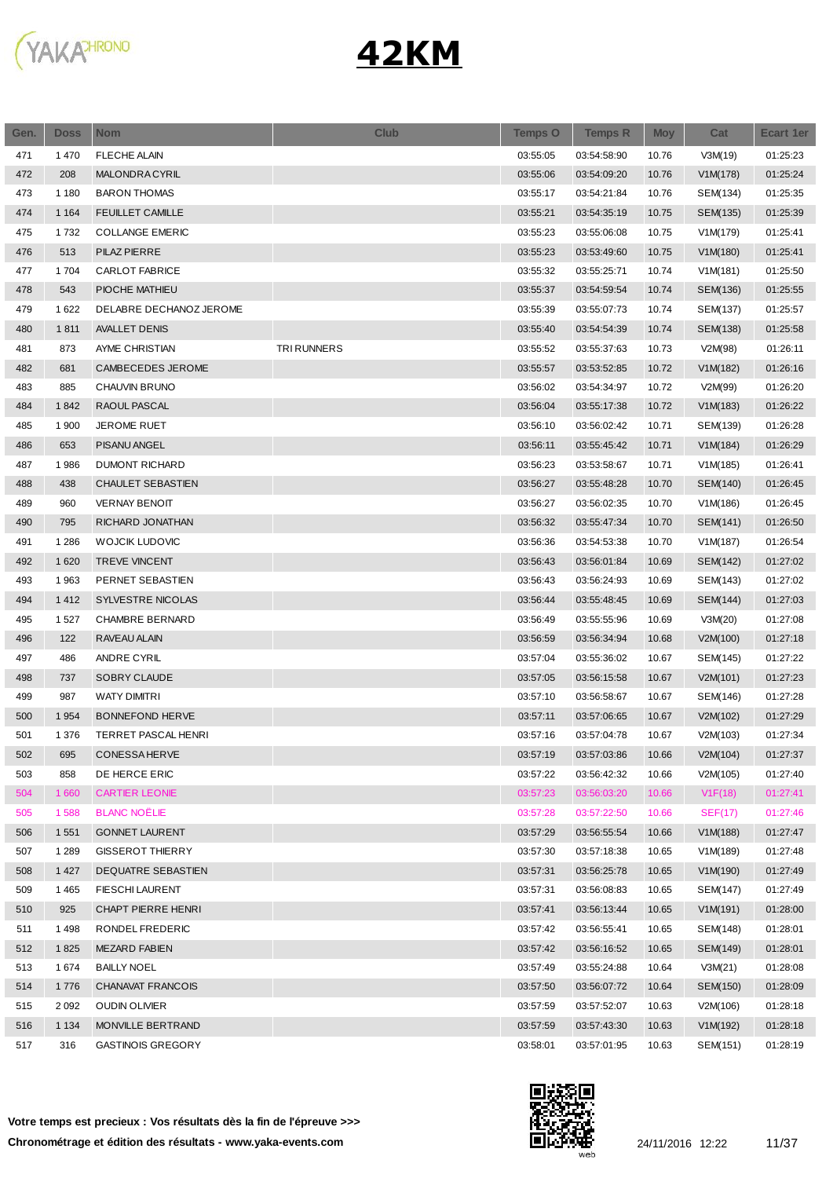

| Gen. | <b>Doss</b> | <b>Nom</b>                | <b>Club</b>        | <b>Temps O</b> | <b>Temps R</b> | <b>Moy</b> | Cat            | <b>Ecart 1er</b> |
|------|-------------|---------------------------|--------------------|----------------|----------------|------------|----------------|------------------|
| 471  | 1470        | <b>FLECHE ALAIN</b>       |                    | 03:55:05       | 03:54:58:90    | 10.76      | V3M(19)        | 01:25:23         |
| 472  | 208         | <b>MALONDRACYRIL</b>      |                    | 03:55:06       | 03:54:09:20    | 10.76      | V1M(178)       | 01:25:24         |
| 473  | 1 1 8 0     | <b>BARON THOMAS</b>       |                    | 03:55:17       | 03:54:21:84    | 10.76      | SEM(134)       | 01:25:35         |
| 474  | 1 1 6 4     | <b>FEUILLET CAMILLE</b>   |                    | 03:55:21       | 03:54:35:19    | 10.75      | SEM(135)       | 01:25:39         |
| 475  | 1732        | <b>COLLANGE EMERIC</b>    |                    | 03:55:23       | 03:55:06:08    | 10.75      | V1M(179)       | 01:25:41         |
| 476  | 513         | <b>PILAZ PIERRE</b>       |                    | 03:55:23       | 03:53:49:60    | 10.75      | V1M(180)       | 01:25:41         |
| 477  | 1704        | <b>CARLOT FABRICE</b>     |                    | 03:55:32       | 03:55:25:71    | 10.74      | V1M(181)       | 01:25:50         |
| 478  | 543         | PIOCHE MATHIEU            |                    | 03:55:37       | 03:54:59:54    | 10.74      | SEM(136)       | 01:25:55         |
| 479  | 1622        | DELABRE DECHANOZ JEROME   |                    | 03:55:39       | 03:55:07:73    | 10.74      | SEM(137)       | 01:25:57         |
| 480  | 1811        | <b>AVALLET DENIS</b>      |                    | 03:55:40       | 03:54:54:39    | 10.74      | SEM(138)       | 01:25:58         |
| 481  | 873         | AYME CHRISTIAN            | <b>TRI RUNNERS</b> | 03:55:52       | 03:55:37:63    | 10.73      | V2M(98)        | 01:26:11         |
| 482  | 681         | CAMBECEDES JEROME         |                    | 03:55:57       | 03:53:52:85    | 10.72      | V1M(182)       | 01:26:16         |
| 483  | 885         | CHAUVIN BRUNO             |                    | 03:56:02       | 03:54:34:97    | 10.72      | V2M(99)        | 01:26:20         |
| 484  | 1842        | RAOUL PASCAL              |                    | 03:56:04       | 03:55:17:38    | 10.72      | V1M(183)       | 01:26:22         |
| 485  | 1 900       | JEROME RUET               |                    | 03:56:10       | 03:56:02:42    | 10.71      | SEM(139)       | 01:26:28         |
| 486  | 653         | <b>PISANU ANGEL</b>       |                    | 03:56:11       | 03:55:45:42    | 10.71      | V1M(184)       | 01:26:29         |
| 487  | 1986        | <b>DUMONT RICHARD</b>     |                    | 03:56:23       | 03:53:58:67    | 10.71      | V1M(185)       | 01:26:41         |
| 488  | 438         | CHAULET SEBASTIEN         |                    | 03:56:27       | 03:55:48:28    | 10.70      | SEM(140)       | 01:26:45         |
| 489  | 960         | <b>VERNAY BENOIT</b>      |                    | 03:56:27       | 03:56:02:35    | 10.70      | V1M(186)       | 01:26:45         |
| 490  | 795         | RICHARD JONATHAN          |                    | 03:56:32       | 03:55:47:34    | 10.70      | SEM(141)       | 01:26:50         |
| 491  | 1 2 8 6     | <b>WOJCIK LUDOVIC</b>     |                    | 03:56:36       | 03:54:53:38    | 10.70      | V1M(187)       | 01:26:54         |
| 492  | 1620        | <b>TREVE VINCENT</b>      |                    | 03:56:43       | 03:56:01:84    | 10.69      | SEM(142)       | 01:27:02         |
| 493  | 1963        | PERNET SEBASTIEN          |                    | 03:56:43       | 03:56:24:93    | 10.69      | SEM(143)       | 01:27:02         |
| 494  | 1412        | SYLVESTRE NICOLAS         |                    | 03:56:44       | 03:55:48:45    | 10.69      | SEM(144)       | 01:27:03         |
| 495  | 1527        | <b>CHAMBRE BERNARD</b>    |                    | 03:56:49       | 03:55:55:96    | 10.69      | V3M(20)        | 01:27:08         |
| 496  | 122         | RAVEAU ALAIN              |                    | 03:56:59       | 03:56:34:94    | 10.68      | V2M(100)       | 01:27:18         |
| 497  | 486         | <b>ANDRE CYRIL</b>        |                    | 03:57:04       | 03:55:36:02    | 10.67      | SEM(145)       | 01:27:22         |
| 498  | 737         | SOBRY CLAUDE              |                    | 03:57:05       | 03:56:15:58    | 10.67      | V2M(101)       | 01:27:23         |
| 499  | 987         | <b>WATY DIMITRI</b>       |                    | 03:57:10       | 03:56:58:67    | 10.67      | SEM(146)       | 01:27:28         |
| 500  | 1 9 5 4     | <b>BONNEFOND HERVE</b>    |                    | 03:57:11       | 03:57:06:65    | 10.67      | V2M(102)       | 01:27:29         |
| 501  | 1 3 7 6     | TERRET PASCAL HENRI       |                    | 03:57:16       | 03:57:04:78    | 10.67      | V2M(103)       | 01:27:34         |
| 502  | 695         | <b>CONESSAHERVE</b>       |                    | 03:57:19       | 03:57:03:86    | 10.66      | V2M(104)       | 01:27:37         |
| 503  | 858         | DE HERCE ERIC             |                    | 03:57:22       | 03:56:42:32    | 10.66      | V2M(105)       | 01:27:40         |
| 504  | 1 660       | <b>CARTIER LEONIE</b>     |                    | 03:57:23       | 03:56:03:20    | 10.66      | V1F(18)        | 01:27:41         |
| 505  | 1588        | <b>BLANC NOËLIE</b>       |                    | 03:57:28       | 03:57:22:50    | 10.66      | <b>SEF(17)</b> | 01:27:46         |
| 506  | 1 5 5 1     | <b>GONNET LAURENT</b>     |                    | 03:57:29       | 03:56:55:54    | 10.66      | V1M(188)       | 01:27:47         |
| 507  | 1 2 8 9     | <b>GISSEROT THIERRY</b>   |                    | 03:57:30       | 03:57:18:38    | 10.65      | V1M(189)       | 01:27:48         |
| 508  | 1 4 2 7     | <b>DEQUATRE SEBASTIEN</b> |                    | 03:57:31       | 03:56:25:78    | 10.65      | V1M(190)       | 01:27:49         |
| 509  | 1465        | <b>FIESCHI LAURENT</b>    |                    | 03:57:31       | 03:56:08:83    | 10.65      | SEM(147)       | 01:27:49         |
| 510  | 925         | CHAPT PIERRE HENRI        |                    | 03:57:41       | 03:56:13:44    | 10.65      | V1M(191)       | 01:28:00         |
| 511  | 1498        | RONDEL FREDERIC           |                    | 03:57:42       | 03:56:55:41    | 10.65      | SEM(148)       | 01:28:01         |
| 512  | 1825        | <b>MEZARD FABIEN</b>      |                    | 03:57:42       | 03:56:16:52    | 10.65      | SEM(149)       | 01:28:01         |
| 513  | 1674        | <b>BAILLY NOEL</b>        |                    | 03:57:49       | 03:55:24:88    | 10.64      | V3M(21)        | 01:28:08         |
| 514  | 1776        | <b>CHANAVAT FRANCOIS</b>  |                    | 03:57:50       | 03:56:07:72    | 10.64      | SEM(150)       | 01:28:09         |
| 515  | 2 0 9 2     | <b>OUDIN OLIVIER</b>      |                    | 03:57:59       | 03:57:52:07    | 10.63      | V2M(106)       | 01:28:18         |
| 516  | 1 1 3 4     | MONVILLE BERTRAND         |                    | 03:57:59       | 03:57:43:30    | 10.63      | V1M(192)       | 01:28:18         |
| 517  | 316         | <b>GASTINOIS GREGORY</b>  |                    | 03:58:01       | 03:57:01:95    | 10.63      | SEM(151)       | 01:28:19         |

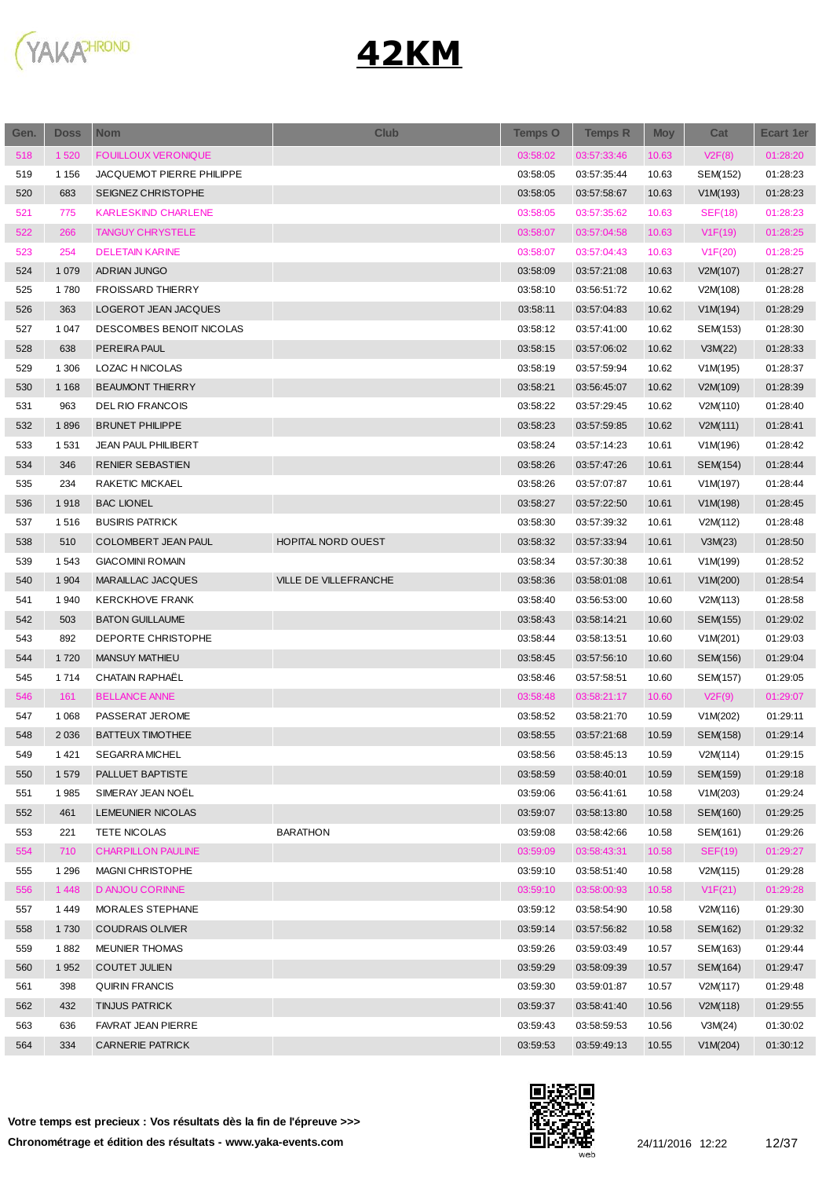

| Gen. | <b>Doss</b> | <b>Nom</b>                 | <b>Club</b>           | <b>Temps O</b> | <b>Temps R</b> | <b>Moy</b> | Cat            | <b>Ecart 1er</b> |
|------|-------------|----------------------------|-----------------------|----------------|----------------|------------|----------------|------------------|
| 518  | 1 5 2 0     | <b>FOUILLOUX VERONIQUE</b> |                       | 03:58:02       | 03:57:33:46    | 10.63      | V2F(8)         | 01:28:20         |
| 519  | 1 1 5 6     | JACQUEMOT PIERRE PHILIPPE  |                       | 03:58:05       | 03:57:35:44    | 10.63      | SEM(152)       | 01:28:23         |
| 520  | 683         | SEIGNEZ CHRISTOPHE         |                       | 03:58:05       | 03:57:58:67    | 10.63      | V1M(193)       | 01:28:23         |
| 521  | 775         | <b>KARLESKIND CHARLENE</b> |                       | 03:58:05       | 03:57:35:62    | 10.63      | <b>SEF(18)</b> | 01:28:23         |
| 522  | 266         | <b>TANGUY CHRYSTELE</b>    |                       | 03:58:07       | 03:57:04:58    | 10.63      | V1F(19)        | 01:28:25         |
| 523  | 254         | <b>DELETAIN KARINE</b>     |                       | 03:58:07       | 03:57:04:43    | 10.63      | V1F(20)        | 01:28:25         |
| 524  | 1 0 7 9     | <b>ADRIAN JUNGO</b>        |                       | 03:58:09       | 03:57:21:08    | 10.63      | V2M(107)       | 01:28:27         |
| 525  | 1780        | <b>FROISSARD THIERRY</b>   |                       | 03:58:10       | 03:56:51:72    | 10.62      | V2M(108)       | 01:28:28         |
| 526  | 363         | LOGEROT JEAN JACQUES       |                       | 03:58:11       | 03:57:04:83    | 10.62      | V1M(194)       | 01:28:29         |
| 527  | 1 0 4 7     | DESCOMBES BENOIT NICOLAS   |                       | 03:58:12       | 03:57:41:00    | 10.62      | SEM(153)       | 01:28:30         |
| 528  | 638         | <b>PEREIRA PAUL</b>        |                       | 03:58:15       | 03:57:06:02    | 10.62      | V3M(22)        | 01:28:33         |
| 529  | 1 306       | LOZAC H NICOLAS            |                       | 03:58:19       | 03:57:59:94    | 10.62      | V1M(195)       | 01:28:37         |
| 530  | 1 1 6 8     | <b>BEAUMONT THIERRY</b>    |                       | 03:58:21       | 03:56:45:07    | 10.62      | V2M(109)       | 01:28:39         |
| 531  | 963         | <b>DELRIO FRANCOIS</b>     |                       | 03:58:22       | 03:57:29:45    | 10.62      | V2M(110)       | 01:28:40         |
| 532  | 1896        | <b>BRUNET PHILIPPE</b>     |                       | 03:58:23       | 03:57:59:85    | 10.62      | V2M(111)       | 01:28:41         |
| 533  | 1 5 3 1     | <b>JEAN PAUL PHILIBERT</b> |                       | 03:58:24       | 03:57:14:23    | 10.61      | V1M(196)       | 01:28:42         |
| 534  | 346         | RENIER SEBASTIEN           |                       | 03:58:26       | 03:57:47:26    | 10.61      | SEM(154)       | 01:28:44         |
| 535  | 234         | RAKETIC MICKAEL            |                       | 03:58:26       | 03:57:07:87    | 10.61      | V1M(197)       | 01:28:44         |
| 536  | 1918        | <b>BAC LIONEL</b>          |                       | 03:58:27       | 03:57:22:50    | 10.61      | V1M(198)       | 01:28:45         |
| 537  | 1516        | <b>BUSIRIS PATRICK</b>     |                       | 03:58:30       | 03:57:39:32    | 10.61      | V2M(112)       | 01:28:48         |
| 538  | 510         | COLOMBERT JEAN PAUL        | HOPITAL NORD OUEST    | 03:58:32       | 03:57:33:94    | 10.61      | V3M(23)        | 01:28:50         |
| 539  | 1543        | <b>GIACOMINI ROMAIN</b>    |                       | 03:58:34       | 03:57:30:38    | 10.61      | V1M(199)       | 01:28:52         |
| 540  | 1 9 0 4     | MARAILLAC JACQUES          | VILLE DE VILLEFRANCHE | 03:58:36       | 03:58:01:08    | 10.61      | V1M(200)       | 01:28:54         |
| 541  | 1940        | <b>KERCKHOVE FRANK</b>     |                       | 03:58:40       | 03:56:53:00    | 10.60      | V2M(113)       | 01:28:58         |
| 542  | 503         | <b>BATON GUILLAUME</b>     |                       | 03:58:43       | 03:58:14:21    | 10.60      | SEM(155)       | 01:29:02         |
| 543  | 892         | DEPORTE CHRISTOPHE         |                       | 03:58:44       | 03:58:13:51    | 10.60      | V1M(201)       | 01:29:03         |
| 544  | 1720        | <b>MANSUY MATHIEU</b>      |                       | 03:58:45       | 03:57:56:10    | 10.60      | SEM(156)       | 01:29:04         |
| 545  | 1714        | CHATAIN RAPHAËL            |                       | 03:58:46       | 03:57:58:51    | 10.60      | SEM(157)       | 01:29:05         |
| 546  | 161         | <b>BELLANCE ANNE</b>       |                       | 03:58:48       | 03:58:21:17    | 10.60      | V2F(9)         | 01:29:07         |
| 547  | 1 0 6 8     | PASSERAT JEROME            |                       | 03:58:52       | 03:58:21:70    | 10.59      | V1M(202)       | 01:29:11         |
| 548  | 2 0 3 6     | <b>BATTEUX TIMOTHEE</b>    |                       | 03:58:55       | 03:57:21:68    | 10.59      | SEM(158)       | 01:29:14         |
| 549  | 1421        | <b>SEGARRA MICHEL</b>      |                       | 03:58:56       | 03:58:45:13    | 10.59      | V2M(114)       | 01:29:15         |
| 550  | 1579        | PALLUET BAPTISTE           |                       | 03:58:59       | 03:58:40:01    | 10.59      | SEM(159)       | 01:29:18         |
| 551  | 1985        | SIMERAY JEAN NOËL          |                       | 03:59:06       | 03:56:41:61    | 10.58      | V1M(203)       | 01:29:24         |
| 552  | 461         | LEMEUNIER NICOLAS          |                       | 03:59:07       | 03:58:13:80    | 10.58      | SEM(160)       | 01:29:25         |
| 553  | 221         | TETE NICOLAS               | <b>BARATHON</b>       | 03:59:08       | 03:58:42:66    | 10.58      | SEM(161)       | 01:29:26         |
| 554  | 710         | <b>CHARPILLON PAULINE</b>  |                       | 03:59:09       | 03:58:43:31    | 10.58      | <b>SEF(19)</b> | 01:29:27         |
| 555  | 1 2 9 6     | <b>MAGNI CHRISTOPHE</b>    |                       | 03:59:10       | 03:58:51:40    | 10.58      | V2M(115)       | 01:29:28         |
| 556  | 1448        | D ANJOU CORINNE            |                       | 03:59:10       | 03:58:00:93    | 10.58      | V1F(21)        | 01:29:28         |
| 557  | 1449        | MORALES STEPHANE           |                       | 03:59:12       | 03:58:54:90    | 10.58      | V2M(116)       | 01:29:30         |
| 558  | 1730        | <b>COUDRAIS OLIVIER</b>    |                       | 03:59:14       | 03:57:56:82    | 10.58      | SEM(162)       | 01:29:32         |
| 559  | 1882        | <b>MEUNIER THOMAS</b>      |                       | 03:59:26       | 03:59:03:49    | 10.57      | SEM(163)       | 01:29:44         |
| 560  | 1952        | <b>COUTET JULIEN</b>       |                       | 03:59:29       | 03:58:09:39    | 10.57      | SEM(164)       | 01:29:47         |
| 561  | 398         | QUIRIN FRANCIS             |                       | 03:59:30       | 03:59:01:87    | 10.57      | V2M(117)       | 01:29:48         |
| 562  | 432         | <b>TINJUS PATRICK</b>      |                       | 03:59:37       | 03:58:41:40    | 10.56      | V2M(118)       | 01:29:55         |
| 563  | 636         | FAVRAT JEAN PIERRE         |                       | 03:59:43       | 03:58:59:53    | 10.56      | V3M(24)        | 01:30:02         |
| 564  | 334         | <b>CARNERIE PATRICK</b>    |                       | 03:59:53       | 03:59:49:13    | 10.55      | V1M(204)       | 01:30:12         |
|      |             |                            |                       |                |                |            |                |                  |



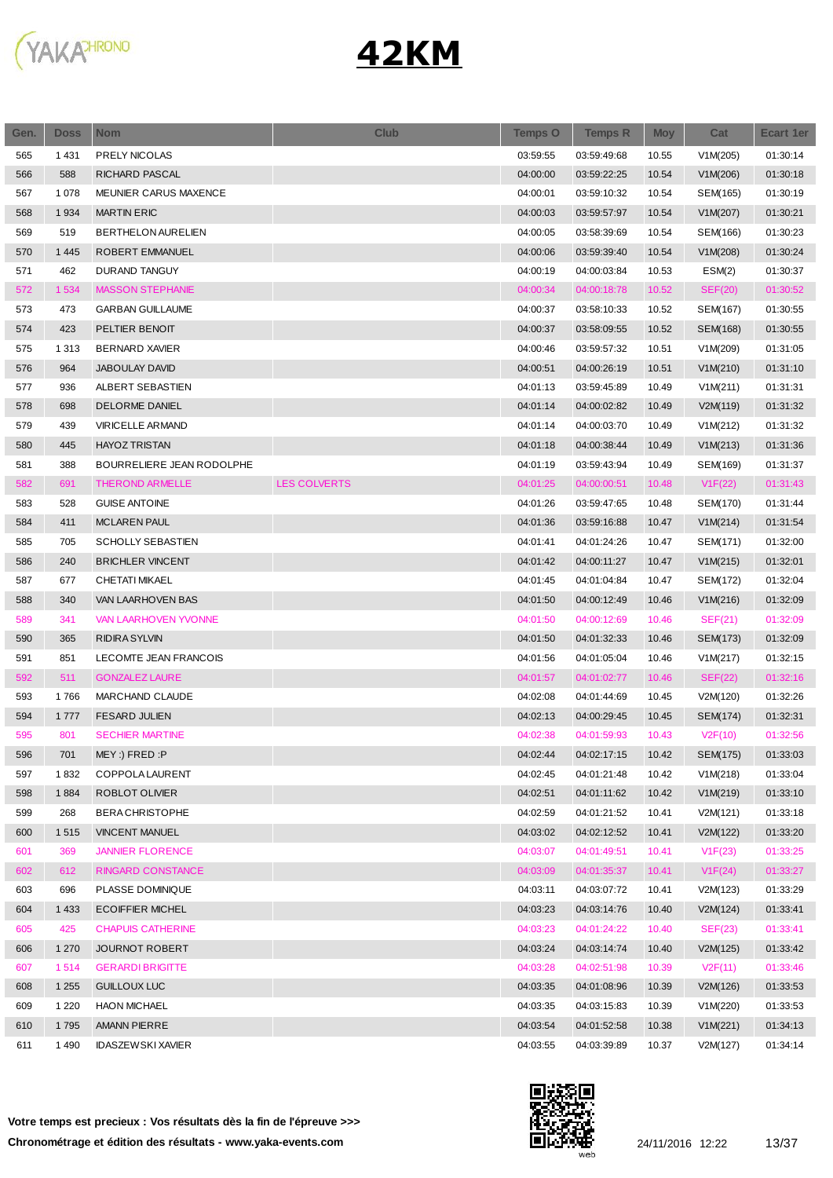

| Gen. | <b>Doss</b> | <b>Nom</b>                  | <b>Club</b>         | Temps O  | <b>Temps R</b> | <b>Moy</b> | Cat      | <b>Ecart 1er</b> |
|------|-------------|-----------------------------|---------------------|----------|----------------|------------|----------|------------------|
| 565  | 1431        | PRELY NICOLAS               |                     | 03:59:55 | 03:59:49:68    | 10.55      | V1M(205) | 01:30:14         |
| 566  | 588         | RICHARD PASCAL              |                     | 04:00:00 | 03:59:22:25    | 10.54      | V1M(206) | 01:30:18         |
| 567  | 1 0 7 8     | MEUNIER CARUS MAXENCE       |                     | 04:00:01 | 03:59:10:32    | 10.54      | SEM(165) | 01:30:19         |
| 568  | 1934        | <b>MARTIN ERIC</b>          |                     | 04:00:03 | 03:59:57:97    | 10.54      | V1M(207) | 01:30:21         |
| 569  | 519         | <b>BERTHELON AURELIEN</b>   |                     | 04:00:05 | 03:58:39:69    | 10.54      | SEM(166) | 01:30:23         |
| 570  | 1 4 4 5     | ROBERT EMMANUEL             |                     | 04:00:06 | 03:59:39:40    | 10.54      | V1M(208) | 01:30:24         |
| 571  | 462         | DURAND TANGUY               |                     | 04:00:19 | 04:00:03:84    | 10.53      | ESM(2)   | 01:30:37         |
| 572  | 1 5 3 4     | <b>MASSON STEPHANIE</b>     |                     | 04:00:34 | 04:00:18:78    | 10.52      | SEF(20)  | 01:30:52         |
| 573  | 473         | <b>GARBAN GUILLAUME</b>     |                     | 04:00:37 | 03:58:10:33    | 10.52      | SEM(167) | 01:30:55         |
| 574  | 423         | PELTIER BENOIT              |                     | 04:00:37 | 03:58:09:55    | 10.52      | SEM(168) | 01:30:55         |
| 575  | 1 3 1 3     | <b>BERNARD XAVIER</b>       |                     | 04:00:46 | 03:59:57:32    | 10.51      | V1M(209) | 01:31:05         |
| 576  | 964         | <b>JABOULAY DAVID</b>       |                     | 04:00:51 | 04:00:26:19    | 10.51      | V1M(210) | 01:31:10         |
| 577  | 936         | ALBERT SEBASTIEN            |                     | 04:01:13 | 03:59:45:89    | 10.49      | V1M(211) | 01:31:31         |
| 578  | 698         | <b>DELORME DANIEL</b>       |                     | 04:01:14 | 04:00:02:82    | 10.49      | V2M(119) | 01:31:32         |
| 579  | 439         | <b>VIRICELLE ARMAND</b>     |                     | 04:01:14 | 04:00:03:70    | 10.49      | V1M(212) | 01:31:32         |
| 580  | 445         | <b>HAYOZ TRISTAN</b>        |                     | 04:01:18 | 04:00:38:44    | 10.49      | V1M(213) | 01:31:36         |
| 581  | 388         | BOURRELIERE JEAN RODOLPHE   |                     | 04:01:19 | 03:59:43:94    | 10.49      | SEM(169) | 01:31:37         |
| 582  | 691         | THEROND ARMELLE             | <b>LES COLVERTS</b> | 04:01:25 | 04:00:00:51    | 10.48      | V1F(22)  | 01:31:43         |
| 583  | 528         | <b>GUISE ANTOINE</b>        |                     | 04:01:26 | 03:59:47:65    | 10.48      | SEM(170) | 01:31:44         |
| 584  | 411         | <b>MCLAREN PAUL</b>         |                     | 04:01:36 | 03:59:16:88    | 10.47      | V1M(214) | 01:31:54         |
| 585  | 705         | <b>SCHOLLY SEBASTIEN</b>    |                     | 04:01:41 | 04:01:24:26    | 10.47      | SEM(171) | 01:32:00         |
| 586  | 240         | <b>BRICHLER VINCENT</b>     |                     | 04:01:42 | 04:00:11:27    | 10.47      | V1M(215) | 01:32:01         |
| 587  | 677         | CHETATI MIKAEL              |                     | 04:01:45 | 04:01:04:84    | 10.47      | SEM(172) | 01:32:04         |
| 588  | 340         | VAN LAARHOVEN BAS           |                     | 04:01:50 | 04:00:12:49    | 10.46      | V1M(216) | 01:32:09         |
| 589  | 341         | <b>VAN LAARHOVEN YVONNE</b> |                     | 04:01:50 | 04:00:12:69    | 10.46      | SEF(21)  | 01:32:09         |
| 590  | 365         | <b>RIDIRA SYLVIN</b>        |                     | 04:01:50 | 04:01:32:33    | 10.46      | SEM(173) | 01:32:09         |
| 591  | 851         | LECOMTE JEAN FRANCOIS       |                     | 04:01:56 | 04:01:05:04    | 10.46      | V1M(217) | 01:32:15         |
| 592  | 511         | <b>GONZALEZ LAURE</b>       |                     | 04:01:57 | 04:01:02:77    | 10.46      | SEF(22)  | 01:32:16         |
| 593  | 1766        | MARCHAND CLAUDE             |                     | 04:02:08 | 04:01:44:69    | 10.45      | V2M(120) | 01:32:26         |
| 594  | 1777        | <b>FESARD JULIEN</b>        |                     | 04:02:13 | 04:00:29:45    | 10.45      | SEM(174) | 01:32:31         |
| 595  | 801         | <b>SECHIER MARTINE</b>      |                     | 04:02:38 | 04:01:59:93    |            |          | 01:32:56         |
|      |             |                             |                     |          |                | 10.43      | V2F(10)  | 01:33:03         |
| 596  | 701         | $MEY$ :) FRED:P             |                     | 04:02:44 | 04:02:17:15    | 10.42      | SEM(175) |                  |
| 597  | 1832        | COPPOLA LAURENT             |                     | 04:02:45 | 04:01:21:48    | 10.42      | V1M(218) | 01:33:04         |
| 598  | 1884        | ROBLOT OLIVIER              |                     | 04:02:51 | 04:01:11:62    | 10.42      | V1M(219) | 01:33:10         |
| 599  | 268         | <b>BERACHRISTOPHE</b>       |                     | 04:02:59 | 04:01:21:52    | 10.41      | V2M(121) | 01:33:18         |
| 600  | 1515        | <b>VINCENT MANUEL</b>       |                     | 04:03:02 | 04:02:12:52    | 10.41      | V2M(122) | 01:33:20         |
| 601  | 369         | <b>JANNIER FLORENCE</b>     |                     | 04:03:07 | 04:01:49:51    | 10.41      | V1F(23)  | 01:33:25         |
| 602  | 612         | RINGARD CONSTANCE           |                     | 04:03:09 | 04:01:35:37    | 10.41      | V1F(24)  | 01:33:27         |
| 603  | 696         | PLASSE DOMINIQUE            |                     | 04:03:11 | 04:03:07:72    | 10.41      | V2M(123) | 01:33:29         |
| 604  | 1 4 3 3     | <b>ECOIFFIER MICHEL</b>     |                     | 04:03:23 | 04:03:14:76    | 10.40      | V2M(124) | 01:33:41         |
| 605  | 425         | <b>CHAPUIS CATHERINE</b>    |                     | 04:03:23 | 04:01:24:22    | 10.40      | SEF(23)  | 01:33:41         |
| 606  | 1 2 7 0     | <b>JOURNOT ROBERT</b>       |                     | 04:03:24 | 04:03:14:74    | 10.40      | V2M(125) | 01:33:42         |
| 607  | 1514        | <b>GERARDI BRIGITTE</b>     |                     | 04:03:28 | 04:02:51:98    | 10.39      | V2F(11)  | 01:33:46         |
| 608  | 1 2 5 5     | <b>GUILLOUX LUC</b>         |                     | 04:03:35 | 04:01:08:96    | 10.39      | V2M(126) | 01:33:53         |
| 609  | 1 2 2 0     | <b>HAON MICHAEL</b>         |                     | 04:03:35 | 04:03:15:83    | 10.39      | V1M(220) | 01:33:53         |
| 610  | 1795        | <b>AMANN PIERRE</b>         |                     | 04:03:54 | 04:01:52:58    | 10.38      | V1M(221) | 01:34:13         |
| 611  | 1490        | <b>IDASZEWSKI XAVIER</b>    |                     | 04:03:55 | 04:03:39:89    | 10.37      | V2M(127) | 01:34:14         |

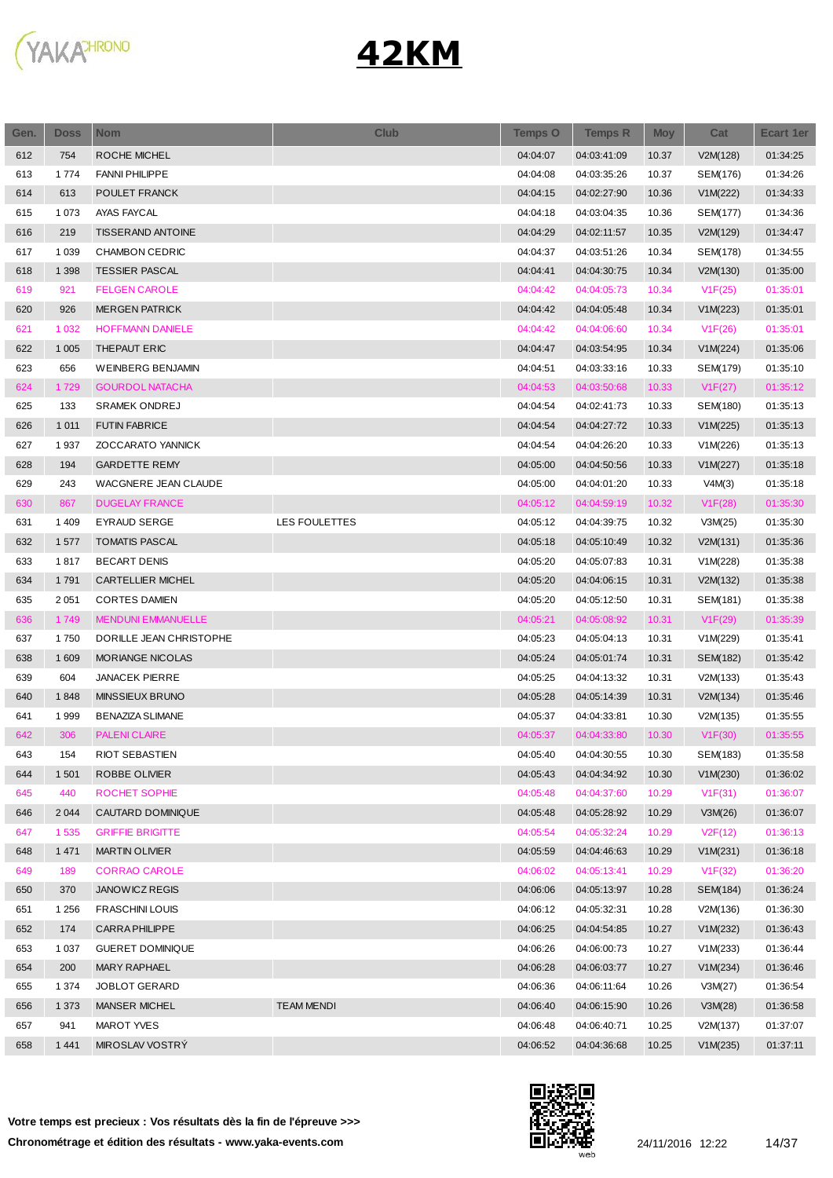

| Gen. | <b>Doss</b> | <b>Nom</b>                  | <b>Club</b>       | <b>Temps O</b> | <b>Temps R</b> | <b>Moy</b> | Cat      | <b>Ecart 1er</b> |
|------|-------------|-----------------------------|-------------------|----------------|----------------|------------|----------|------------------|
| 612  | 754         | ROCHE MICHEL                |                   | 04:04:07       | 04:03:41:09    | 10.37      | V2M(128) | 01:34:25         |
| 613  | 1774        | <b>FANNI PHILIPPE</b>       |                   | 04:04:08       | 04:03:35:26    | 10.37      | SEM(176) | 01:34:26         |
| 614  | 613         | POULET FRANCK               |                   | 04:04:15       | 04:02:27:90    | 10.36      | V1M(222) | 01:34:33         |
| 615  | 1 0 7 3     | AYAS FAYCAL                 |                   | 04:04:18       | 04:03:04:35    | 10.36      | SEM(177) | 01:34:36         |
| 616  | 219         | <b>TISSERAND ANTOINE</b>    |                   | 04:04:29       | 04:02:11:57    | 10.35      | V2M(129) | 01:34:47         |
| 617  | 1 0 3 9     | <b>CHAMBON CEDRIC</b>       |                   | 04:04:37       | 04:03:51:26    | 10.34      | SEM(178) | 01:34:55         |
| 618  | 1 3 9 8     | <b>TESSIER PASCAL</b>       |                   | 04:04:41       | 04:04:30:75    | 10.34      | V2M(130) | 01:35:00         |
| 619  | 921         | <b>FELGEN CAROLE</b>        |                   | 04:04:42       | 04:04:05:73    | 10.34      | V1F(25)  | 01:35:01         |
| 620  | 926         | <b>MERGEN PATRICK</b>       |                   | 04:04:42       | 04:04:05:48    | 10.34      | V1M(223) | 01:35:01         |
| 621  | 1 0 3 2     | <b>HOFFMANN DANIELE</b>     |                   | 04:04:42       | 04:04:06:60    | 10.34      | V1F(26)  | 01:35:01         |
| 622  | 1 0 0 5     | THEPAUT ERIC                |                   | 04:04:47       | 04:03:54:95    | 10.34      | V1M(224) | 01:35:06         |
| 623  | 656         | <b>WEINBERG BENJAMIN</b>    |                   | 04:04:51       | 04:03:33:16    | 10.33      | SEM(179) | 01:35:10         |
| 624  | 1729        | <b>GOURDOL NATACHA</b>      |                   | 04:04:53       | 04:03:50:68    | 10.33      | V1F(27)  | 01:35:12         |
| 625  | 133         | SRAMEK ONDREJ               |                   | 04:04:54       | 04:02:41:73    | 10.33      | SEM(180) | 01:35:13         |
| 626  | 1 0 1 1     | <b>FUTIN FABRICE</b>        |                   | 04:04:54       | 04:04:27:72    | 10.33      | V1M(225) | 01:35:13         |
| 627  | 1937        | ZOCCARATO YANNICK           |                   | 04:04:54       | 04:04:26:20    | 10.33      | V1M(226) | 01:35:13         |
| 628  | 194         | <b>GARDETTE REMY</b>        |                   | 04:05:00       | 04:04:50:56    | 10.33      | V1M(227) | 01:35:18         |
| 629  | 243         | <b>WACGNERE JEAN CLAUDE</b> |                   | 04:05:00       | 04:04:01:20    | 10.33      | V4M(3)   | 01:35:18         |
| 630  | 867         | <b>DUGELAY FRANCE</b>       |                   | 04:05:12       | 04:04:59:19    | 10.32      | V1F(28)  | 01:35:30         |
| 631  | 1 4 0 9     | EYRAUD SERGE                | LES FOULETTES     | 04:05:12       | 04:04:39:75    | 10.32      | V3M(25)  | 01:35:30         |
| 632  | 1577        | <b>TOMATIS PASCAL</b>       |                   | 04:05:18       | 04:05:10:49    | 10.32      | V2M(131) | 01:35:36         |
| 633  | 1817        | <b>BECART DENIS</b>         |                   | 04:05:20       | 04:05:07:83    | 10.31      | V1M(228) | 01:35:38         |
| 634  | 1791        | CARTELLIER MICHEL           |                   | 04:05:20       | 04:04:06:15    | 10.31      | V2M(132) | 01:35:38         |
| 635  | 2 0 5 1     | <b>CORTES DAMIEN</b>        |                   | 04:05:20       | 04:05:12:50    | 10.31      | SEM(181) | 01:35:38         |
| 636  | 1749        | <b>MENDUNI EMMANUELLE</b>   |                   | 04:05:21       | 04:05:08:92    | 10.31      | V1F(29)  | 01:35:39         |
| 637  | 1750        | DORILLE JEAN CHRISTOPHE     |                   | 04:05:23       | 04:05:04:13    | 10.31      | V1M(229) | 01:35:41         |
| 638  | 1 609       | <b>MORIANGE NICOLAS</b>     |                   | 04:05:24       | 04:05:01:74    | 10.31      | SEM(182) | 01:35:42         |
| 639  | 604         | <b>JANACEK PIERRE</b>       |                   | 04:05:25       | 04:04:13:32    | 10.31      | V2M(133) | 01:35:43         |
| 640  | 1848        | MINSSIEUX BRUNO             |                   | 04:05:28       | 04:05:14:39    | 10.31      | V2M(134) | 01:35:46         |
| 641  | 1999        | <b>BENAZIZA SLIMANE</b>     |                   | 04:05:37       | 04:04:33:81    | 10.30      | V2M(135) | 01:35:55         |
| 642  | 306         | <b>PALENI CLAIRE</b>        |                   | 04:05:37       | 04:04:33:80    | 10.30      | V1F(30)  | 01:35:55         |
| 643  | 154         | RIOT SEBASTIEN              |                   | 04:05:40       | 04:04:30:55    | 10.30      | SEM(183) | 01:35:58         |
| 644  | 1 501       | ROBBE OLIVIER               |                   | 04:05:43       | 04:04:34:92    | 10.30      | V1M(230) | 01:36:02         |
| 645  | 440         | ROCHET SOPHIE               |                   | 04:05:48       | 04:04:37:60    | 10.29      | V1F(31)  | 01:36:07         |
| 646  | 2 0 4 4     | CAUTARD DOMINIQUE           |                   | 04:05:48       | 04:05:28:92    | 10.29      | V3M(26)  | 01:36:07         |
| 647  | 1 5 3 5     | <b>GRIFFIE BRIGITTE</b>     |                   | 04:05:54       | 04:05:32:24    | 10.29      | V2F(12)  | 01:36:13         |
| 648  | 1 4 7 1     | <b>MARTIN OLIVIER</b>       |                   | 04:05:59       | 04:04:46:63    | 10.29      | V1M(231) | 01:36:18         |
| 649  | 189         | <b>CORRAO CAROLE</b>        |                   | 04:06:02       | 04:05:13:41    | 10.29      | V1F(32)  | 01:36:20         |
| 650  | 370         | JANOW ICZ REGIS             |                   | 04:06:06       | 04:05:13:97    | 10.28      | SEM(184) | 01:36:24         |
| 651  | 1 2 5 6     | <b>FRASCHINI LOUIS</b>      |                   | 04:06:12       | 04:05:32:31    | 10.28      | V2M(136) | 01:36:30         |
| 652  | 174         | <b>CARRA PHILIPPE</b>       |                   | 04:06:25       | 04:04:54:85    | 10.27      | V1M(232) | 01:36:43         |
| 653  | 1 0 3 7     | <b>GUERET DOMINIQUE</b>     |                   | 04:06:26       | 04:06:00:73    | 10.27      | V1M(233) | 01:36:44         |
| 654  | 200         | MARY RAPHAEL                |                   | 04:06:28       | 04:06:03:77    | 10.27      | V1M(234) | 01:36:46         |
| 655  | 1 3 7 4     | JOBLOT GERARD               |                   | 04:06:36       | 04:06:11:64    | 10.26      | V3M(27)  | 01:36:54         |
| 656  | 1 3 7 3     | <b>MANSER MICHEL</b>        | <b>TEAM MENDI</b> | 04:06:40       | 04:06:15:90    | 10.26      | V3M(28)  | 01:36:58         |
| 657  | 941         | MAROT YVES                  |                   | 04:06:48       | 04:06:40:71    | 10.25      | V2M(137) | 01:37:07         |
| 658  | 1 4 4 1     | MIROSLAV VOSTRÝ             |                   | 04:06:52       | 04:04:36:68    | 10.25      | V1M(235) | 01:37:11         |
|      |             |                             |                   |                |                |            |          |                  |

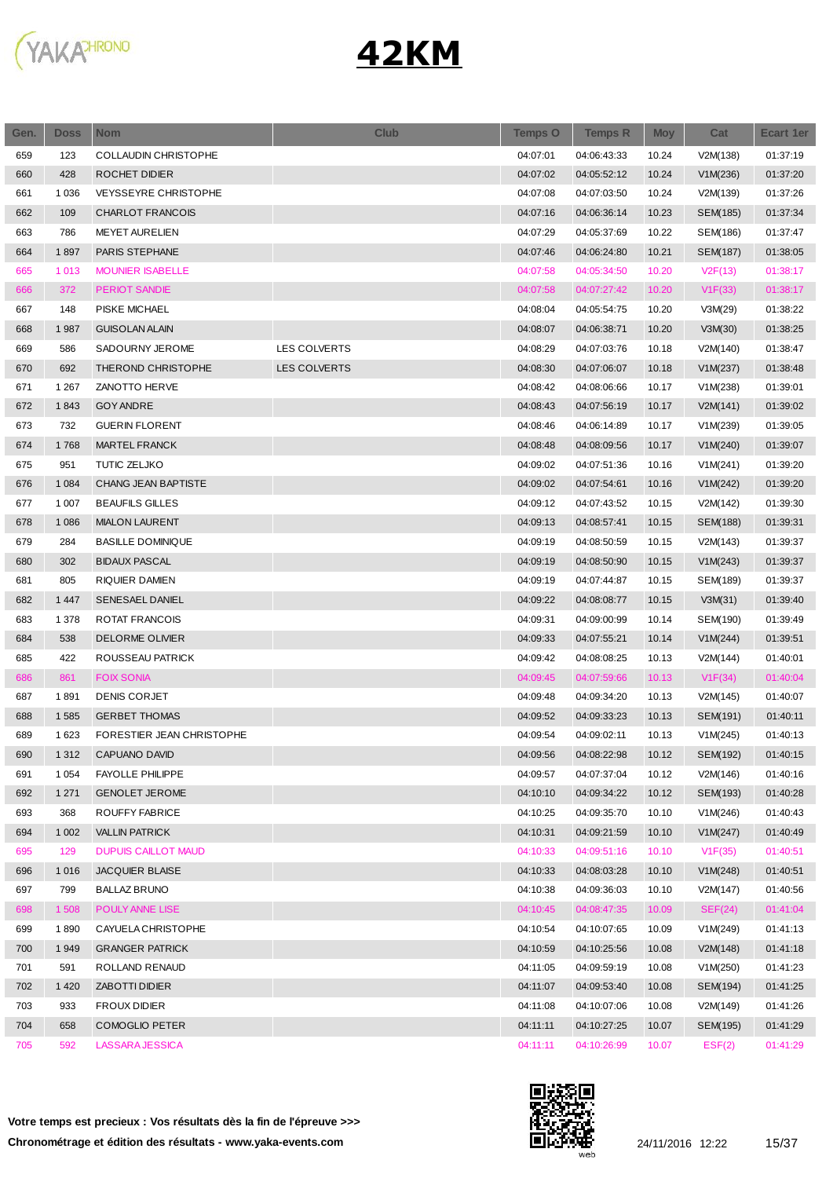

| Gen. | <b>Doss</b> | <b>Nom</b>                  | <b>Club</b>         | <b>Temps O</b> | <b>Temps R</b> | <b>Moy</b> | Cat      | <b>Ecart 1er</b> |
|------|-------------|-----------------------------|---------------------|----------------|----------------|------------|----------|------------------|
| 659  | 123         | <b>COLLAUDIN CHRISTOPHE</b> |                     | 04:07:01       | 04:06:43:33    | 10.24      | V2M(138) | 01:37:19         |
| 660  | 428         | ROCHET DIDIER               |                     | 04:07:02       | 04:05:52:12    | 10.24      | V1M(236) | 01:37:20         |
| 661  | 1 0 3 6     | <b>VEYSSEYRE CHRISTOPHE</b> |                     | 04:07:08       | 04:07:03:50    | 10.24      | V2M(139) | 01:37:26         |
| 662  | 109         | <b>CHARLOT FRANCOIS</b>     |                     | 04:07:16       | 04:06:36:14    | 10.23      | SEM(185) | 01:37:34         |
| 663  | 786         | <b>MEYET AURELIEN</b>       |                     | 04:07:29       | 04:05:37:69    | 10.22      | SEM(186) | 01:37:47         |
| 664  | 1897        | PARIS STEPHANE              |                     | 04:07:46       | 04:06:24:80    | 10.21      | SEM(187) | 01:38:05         |
| 665  | 1013        | <b>MOUNIER ISABELLE</b>     |                     | 04:07:58       | 04:05:34:50    | 10.20      | V2F(13)  | 01:38:17         |
| 666  | 372         | <b>PERIOT SANDIE</b>        |                     | 04:07:58       | 04:07:27:42    | 10.20      | V1F(33)  | 01:38:17         |
| 667  | 148         | PISKE MICHAEL               |                     | 04:08:04       | 04:05:54:75    | 10.20      | V3M(29)  | 01:38:22         |
| 668  | 1987        | <b>GUISOLAN ALAIN</b>       |                     | 04:08:07       | 04:06:38:71    | 10.20      | V3M(30)  | 01:38:25         |
| 669  | 586         | SADOURNY JEROME             | <b>LES COLVERTS</b> | 04:08:29       | 04:07:03:76    | 10.18      | V2M(140) | 01:38:47         |
| 670  | 692         | THEROND CHRISTOPHE          | <b>LES COLVERTS</b> | 04:08:30       | 04:07:06:07    | 10.18      | V1M(237) | 01:38:48         |
| 671  | 1 2 6 7     | <b>ZANOTTO HERVE</b>        |                     | 04:08:42       | 04:08:06:66    | 10.17      | V1M(238) | 01:39:01         |
| 672  | 1843        | <b>GOY ANDRE</b>            |                     | 04:08:43       | 04:07:56:19    | 10.17      | V2M(141) | 01:39:02         |
| 673  | 732         | <b>GUERIN FLORENT</b>       |                     | 04:08:46       | 04:06:14:89    | 10.17      | V1M(239) | 01:39:05         |
| 674  | 1768        | MARTEL FRANCK               |                     | 04:08:48       | 04:08:09:56    | 10.17      | V1M(240) | 01:39:07         |
| 675  | 951         | TUTIC ZELJKO                |                     | 04:09:02       | 04:07:51:36    | 10.16      | V1M(241) | 01:39:20         |
| 676  | 1 0 8 4     | CHANG JEAN BAPTISTE         |                     | 04:09:02       | 04:07:54:61    | 10.16      | V1M(242) | 01:39:20         |
| 677  | 1 0 0 7     | <b>BEAUFILS GILLES</b>      |                     | 04:09:12       | 04:07:43:52    | 10.15      | V2M(142) | 01:39:30         |
| 678  | 1 0 8 6     | <b>MIALON LAURENT</b>       |                     | 04:09:13       | 04:08:57:41    | 10.15      | SEM(188) | 01:39:31         |
| 679  | 284         | <b>BASILLE DOMINIQUE</b>    |                     | 04:09:19       | 04:08:50:59    | 10.15      | V2M(143) | 01:39:37         |
| 680  | 302         | <b>BIDAUX PASCAL</b>        |                     | 04:09:19       | 04:08:50:90    | 10.15      | V1M(243) | 01:39:37         |
| 681  | 805         | RIQUIER DAMIEN              |                     | 04:09:19       | 04:07:44:87    | 10.15      | SEM(189) | 01:39:37         |
| 682  | 1 4 4 7     | <b>SENESAEL DANIEL</b>      |                     | 04:09:22       | 04:08:08:77    | 10.15      | V3M(31)  | 01:39:40         |
| 683  | 1 378       | ROTAT FRANCOIS              |                     | 04:09:31       | 04:09:00:99    | 10.14      | SEM(190) | 01:39:49         |
| 684  | 538         | <b>DELORME OLIVIER</b>      |                     | 04:09:33       | 04:07:55:21    | 10.14      | V1M(244) | 01:39:51         |
| 685  | 422         | ROUSSEAU PATRICK            |                     | 04:09:42       | 04:08:08:25    | 10.13      | V2M(144) | 01:40:01         |
| 686  | 861         | <b>FOIX SONIA</b>           |                     | 04:09:45       | 04:07:59:66    | 10.13      | V1F(34)  | 01:40:04         |
| 687  | 1891        | <b>DENIS CORJET</b>         |                     | 04:09:48       | 04:09:34:20    | 10.13      | V2M(145) | 01:40:07         |
| 688  | 1585        | <b>GERBET THOMAS</b>        |                     | 04:09:52       | 04:09:33:23    | 10.13      | SEM(191) | 01:40:11         |
| 689  | 1 6 2 3     | FORESTIER JEAN CHRISTOPHE   |                     | 04:09:54       | 04:09:02:11    | 10.13      | V1M(245) | 01:40:13         |
| 690  | 1 3 1 2     | CAPUANO DAVID               |                     | 04:09:56       | 04:08:22:98    | 10.12      | SEM(192) | 01:40:15         |
| 691  | 1 0 5 4     | <b>FAYOLLE PHILIPPE</b>     |                     | 04:09:57       | 04:07:37:04    | 10.12      | V2M(146) | 01:40:16         |
| 692  | 1 2 7 1     | <b>GENOLET JEROME</b>       |                     | 04:10:10       | 04:09:34:22    | 10.12      | SEM(193) | 01:40:28         |
| 693  | 368         | ROUFFY FABRICE              |                     | 04:10:25       | 04:09:35:70    | 10.10      | V1M(246) | 01:40:43         |
| 694  | 1 0 0 2     | <b>VALLIN PATRICK</b>       |                     | 04:10:31       | 04:09:21:59    | 10.10      | V1M(247) | 01:40:49         |
| 695  | 129         | <b>DUPUIS CAILLOT MAUD</b>  |                     | 04:10:33       | 04:09:51:16    | 10.10      | V1F(35)  | 01:40:51         |
| 696  | 1016        | <b>JACQUIER BLAISE</b>      |                     | 04:10:33       | 04:08:03:28    | 10.10      | V1M(248) | 01:40:51         |
| 697  | 799         | <b>BALLAZ BRUNO</b>         |                     | 04:10:38       | 04:09:36:03    | 10.10      | V2M(147) | 01:40:56         |
| 698  | 1 508       | POULY ANNE LISE             |                     | 04:10:45       | 04:08:47:35    | 10.09      | SEF(24)  | 01:41:04         |
| 699  | 1890        | CAYUELA CHRISTOPHE          |                     | 04:10:54       | 04:10:07:65    | 10.09      | V1M(249) | 01:41:13         |
| 700  | 1949        | <b>GRANGER PATRICK</b>      |                     | 04:10:59       | 04:10:25:56    | 10.08      | V2M(148) | 01:41:18         |
| 701  | 591         | ROLLAND RENAUD              |                     | 04:11:05       | 04:09:59:19    | 10.08      | V1M(250) | 01:41:23         |
| 702  | 1420        | ZABOTTI DIDIER              |                     | 04:11:07       | 04:09:53:40    | 10.08      | SEM(194) | 01:41:25         |
| 703  | 933         | <b>FROUX DIDIER</b>         |                     | 04:11:08       | 04:10:07:06    | 10.08      | V2M(149) | 01:41:26         |
| 704  | 658         | <b>COMOGLIO PETER</b>       |                     | 04:11:11       | 04:10:27:25    | 10.07      | SEM(195) | 01:41:29         |
| 705  | 592         | LASSARA JESSICA             |                     | 04:11:11       | 04:10:26:99    | 10.07      | EST(2)   | 01:41:29         |



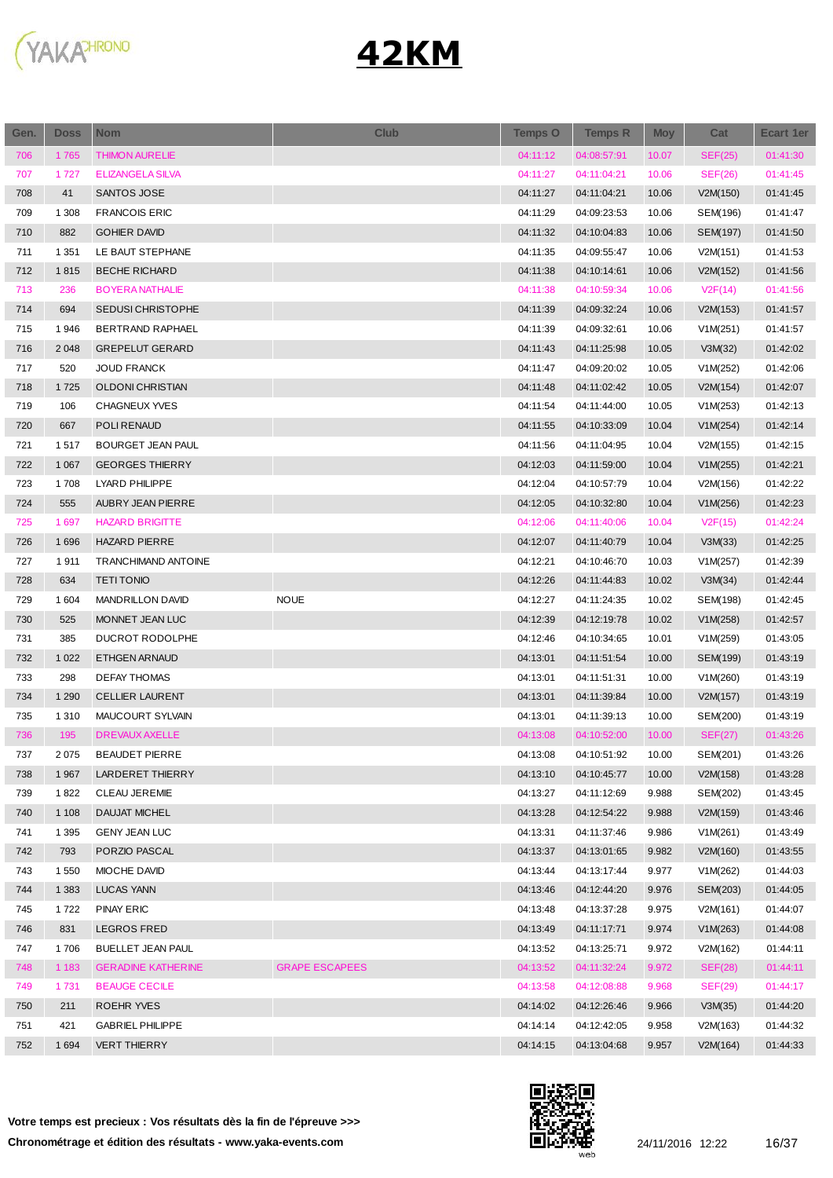

| Gen.       | <b>Doss</b>        | <b>Nom</b>                 | <b>Club</b>           | <b>Temps O</b>       | <b>Temps R</b> | <b>Moy</b> | Cat      | Ecart 1er            |
|------------|--------------------|----------------------------|-----------------------|----------------------|----------------|------------|----------|----------------------|
| 706        | 1765               | <b>THIMON AURELIE</b>      |                       | 04:11:12             | 04:08:57:91    | 10.07      | SEF(25)  | 01:41:30             |
| 707        | 1727               | <b>ELIZANGELA SILVA</b>    |                       | 04:11:27             | 04:11:04:21    | 10.06      | SEF(26)  | 01:41:45             |
| 708        | 41                 | SANTOS JOSE                |                       | 04:11:27             | 04:11:04:21    | 10.06      | V2M(150) | 01:41:45             |
| 709        | 1 3 0 8            | <b>FRANCOIS ERIC</b>       |                       | 04:11:29             | 04:09:23:53    | 10.06      | SEM(196) | 01:41:47             |
| 710        | 882                | <b>GOHIER DAVID</b>        |                       | 04:11:32             | 04:10:04:83    | 10.06      | SEM(197) | 01:41:50             |
| 711        | 1 3 5 1            | LE BAUT STEPHANE           |                       | 04:11:35             | 04:09:55:47    | 10.06      | V2M(151) | 01:41:53             |
| 712        | 1815               | <b>BECHE RICHARD</b>       |                       | 04:11:38             | 04:10:14:61    | 10.06      | V2M(152) | 01:41:56             |
| 713        | 236                | <b>BOYERA NATHALIE</b>     |                       | 04:11:38             | 04:10:59:34    | 10.06      | V2F(14)  | 01:41:56             |
| 714        | 694                | <b>SEDUSI CHRISTOPHE</b>   |                       | 04:11:39             | 04:09:32:24    | 10.06      | V2M(153) | 01:41:57             |
| 715        | 1946               | BERTRAND RAPHAEL           |                       | 04:11:39             | 04:09:32:61    | 10.06      | V1M(251) | 01:41:57             |
| 716        | 2 0 4 8            | <b>GREPELUT GERARD</b>     |                       | 04:11:43             | 04:11:25:98    | 10.05      | V3M(32)  | 01:42:02             |
| 717        | 520                | <b>JOUD FRANCK</b>         |                       | 04:11:47             | 04:09:20:02    | 10.05      | V1M(252) | 01:42:06             |
| 718        | 1725               | OLDONI CHRISTIAN           |                       | 04:11:48             | 04:11:02:42    | 10.05      | V2M(154) | 01:42:07             |
| 719        | 106                | CHAGNEUX YVES              |                       | 04:11:54             | 04:11:44:00    | 10.05      | V1M(253) | 01:42:13             |
| 720        | 667                | POLI RENAUD                |                       | 04:11:55             | 04:10:33:09    | 10.04      | V1M(254) | 01:42:14             |
| 721        | 1517               | BOURGET JEAN PAUL          |                       | 04:11:56             | 04:11:04:95    | 10.04      | V2M(155) | 01:42:15             |
| 722        | 1 0 6 7            | <b>GEORGES THIERRY</b>     |                       | 04:12:03             | 04:11:59:00    | 10.04      | V1M(255) | 01:42:21             |
| 723        | 1708               | LYARD PHILIPPE             |                       | 04:12:04             | 04:10:57:79    | 10.04      | V2M(156) | 01:42:22             |
| 724        | 555                | AUBRY JEAN PIERRE          |                       | 04:12:05             | 04:10:32:80    | 10.04      | V1M(256) | 01:42:23             |
| 725        | 1697               | <b>HAZARD BRIGITTE</b>     |                       | 04:12:06             | 04:11:40:06    | 10.04      | V2F(15)  | 01:42:24             |
| 726        | 1696               | <b>HAZARD PIERRE</b>       |                       | 04:12:07             | 04:11:40:79    | 10.04      | V3M(33)  | 01:42:25             |
| 727        | 1911               | TRANCHIMAND ANTOINE        |                       | 04:12:21             | 04:10:46:70    | 10.03      | V1M(257) | 01:42:39             |
| 728        | 634                | <b>TETI TONIO</b>          |                       | 04:12:26             | 04:11:44:83    | 10.02      | V3M(34)  | 01:42:44             |
| 729        | 1 604              | <b>MANDRILLON DAVID</b>    | <b>NOUE</b>           | 04:12:27             | 04:11:24:35    | 10.02      | SEM(198) | 01:42:45             |
| 730        | 525                | MONNET JEAN LUC            |                       | 04:12:39             | 04:12:19:78    | 10.02      | V1M(258) | 01:42:57             |
| 731        | 385                | DUCROT RODOLPHE            |                       | 04:12:46             | 04:10:34:65    | 10.01      | V1M(259) | 01:43:05             |
| 732        | 1 0 2 2            | ETHGEN ARNAUD              |                       | 04:13:01             | 04:11:51:54    | 10.00      | SEM(199) | 01:43:19             |
| 733        | 298                | <b>DEFAY THOMAS</b>        |                       | 04:13:01             | 04:11:51:31    | 10.00      | V1M(260) | 01:43:19             |
| 734        | 1 2 9 0            | <b>CELLIER LAURENT</b>     |                       | 04:13:01             | 04:11:39:84    | 10.00      | V2M(157) | 01:43:19             |
| 735        | 1 3 1 0            | MAUCOURT SYLVAIN           |                       | 04:13:01             | 04:11:39:13    | 10.00      | SEM(200) | 01:43:19             |
| 736        | 195                | <b>DREVAUX AXELLE</b>      |                       | 04:13:08             | 04:10:52:00    | 10.00      | SEF(27)  | 01:43:26             |
| 737        | 2075               | <b>BEAUDET PIERRE</b>      |                       | 04:13:08             | 04:10:51:92    | 10.00      | SEM(201) | 01:43:26             |
| 738        | 1 9 6 7            | LARDERET THIERRY           |                       | 04:13:10             | 04:10:45:77    | 10.00      | V2M(158) | 01:43:28             |
| 739        | 1822               | <b>CLEAU JEREMIE</b>       |                       | 04:13:27             | 04:11:12:69    | 9.988      | SEM(202) | 01:43:45             |
| 740        | 1 1 0 8            | <b>DAUJAT MICHEL</b>       |                       | 04:13:28             | 04:12:54:22    | 9.988      | V2M(159) | 01:43:46             |
| 741        | 1 3 9 5            | <b>GENY JEAN LUC</b>       |                       | 04:13:31             |                | 9.986      |          | 01:43:49             |
| 742        | 793                | PORZIO PASCAL              |                       |                      | 04:11:37:46    |            | V1M(261) |                      |
|            |                    |                            |                       | 04:13:37             | 04:13:01:65    | 9.982      | V2M(160) | 01:43:55             |
| 743<br>744 | 1 5 5 0<br>1 3 8 3 | MIOCHE DAVID<br>LUCAS YANN |                       | 04:13:44<br>04:13:46 | 04:13:17:44    | 9.977      | V1M(262) | 01:44:03<br>01:44:05 |
|            |                    |                            |                       |                      | 04:12:44:20    | 9.976      | SEM(203) |                      |
| 745        | 1722               | <b>PINAY ERIC</b>          |                       | 04:13:48             | 04:13:37:28    | 9.975      | V2M(161) | 01:44:07             |
| 746        | 831                | <b>LEGROS FRED</b>         |                       | 04:13:49             | 04:11:17:71    | 9.974      | V1M(263) | 01:44:08             |
| 747        | 1706               | BUELLET JEAN PAUL          |                       | 04:13:52             | 04:13:25:71    | 9.972      | V2M(162) | 01:44:11             |
| 748        | 1 1 8 3            | <b>GERADINE KATHERINE</b>  | <b>GRAPE ESCAPEES</b> | 04:13:52             | 04:11:32:24    | 9.972      | SEF(28)  | 01:44:11             |
| 749        | 1731               | <b>BEAUGE CECILE</b>       |                       | 04:13:58             | 04:12:08:88    | 9.968      | SEF(29)  | 01:44:17             |
| 750        | 211                | ROEHR YVES                 |                       | 04:14:02             | 04:12:26:46    | 9.966      | V3M(35)  | 01:44:20             |
| 751        | 421                | <b>GABRIEL PHILIPPE</b>    |                       | 04:14:14             | 04:12:42:05    | 9.958      | V2M(163) | 01:44:32             |
| 752        | 1 6 9 4            | <b>VERT THIERRY</b>        |                       | 04:14:15             | 04:13:04:68    | 9.957      | V2M(164) | 01:44:33             |



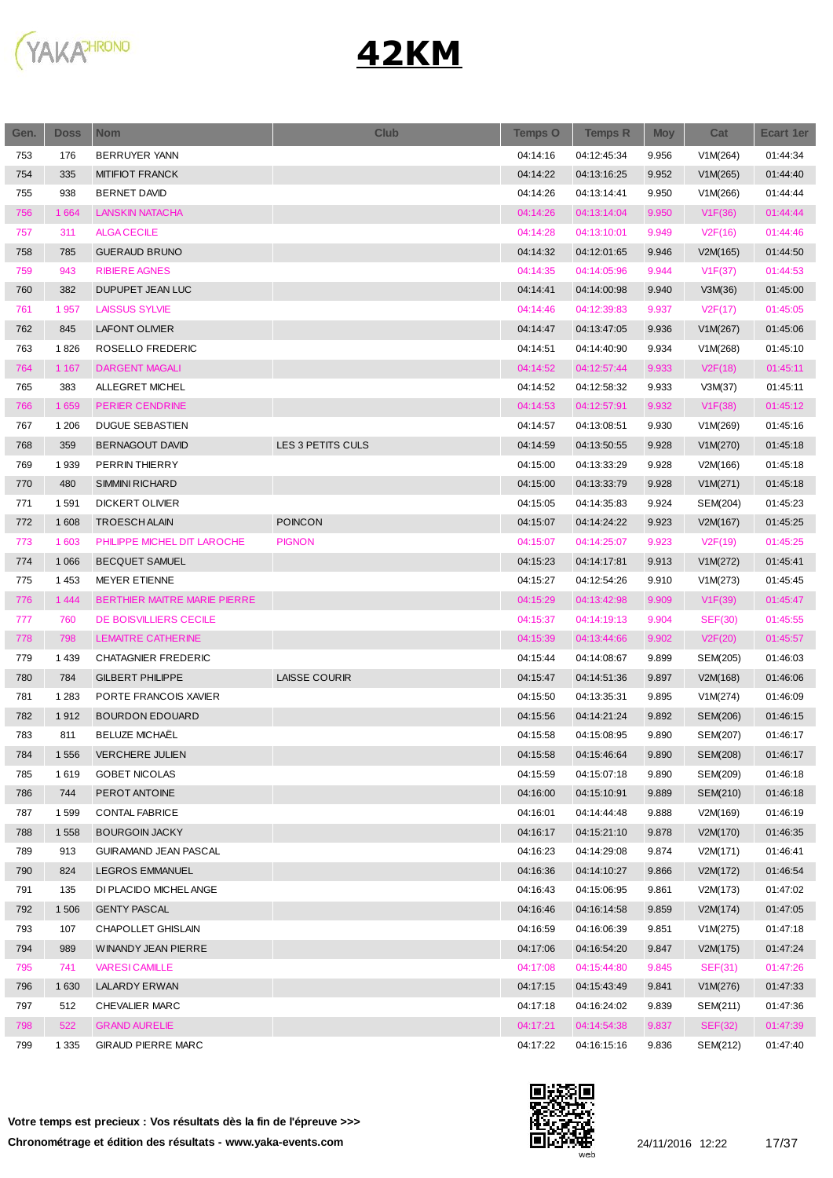

| Gen. | <b>Doss</b> | <b>Nom</b>                   | <b>Club</b>          | <b>Temps O</b> | <b>Temps R</b> | <b>Moy</b> | Cat            | <b>Ecart 1er</b> |
|------|-------------|------------------------------|----------------------|----------------|----------------|------------|----------------|------------------|
| 753  | 176         | <b>BERRUYER YANN</b>         |                      | 04:14:16       | 04:12:45:34    | 9.956      | V1M(264)       | 01:44:34         |
| 754  | 335         | <b>MITIFIOT FRANCK</b>       |                      | 04:14:22       | 04:13:16:25    | 9.952      | V1M(265)       | 01:44:40         |
| 755  | 938         | <b>BERNET DAVID</b>          |                      | 04:14:26       | 04:13:14:41    | 9.950      | V1M(266)       | 01:44:44         |
| 756  | 1 6 6 4     | <b>LANSKIN NATACHA</b>       |                      | 04:14:26       | 04:13:14:04    | 9.950      | V1F(36)        | 01:44:44         |
| 757  | 311         | <b>ALGA CECILE</b>           |                      | 04:14:28       | 04:13:10:01    | 9.949      | V2F(16)        | 01:44:46         |
| 758  | 785         | <b>GUERAUD BRUNO</b>         |                      | 04:14:32       | 04:12:01:65    | 9.946      | V2M(165)       | 01:44:50         |
| 759  | 943         | <b>RIBIERE AGNES</b>         |                      | 04:14:35       | 04:14:05:96    | 9.944      | V1F(37)        | 01:44:53         |
| 760  | 382         | DUPUPET JEAN LUC             |                      | 04:14:41       | 04:14:00:98    | 9.940      | V3M(36)        | 01:45:00         |
| 761  | 1957        | <b>LAISSUS SYLVIE</b>        |                      | 04:14:46       | 04:12:39:83    | 9.937      | V2F(17)        | 01:45:05         |
| 762  | 845         | <b>LAFONT OLIVIER</b>        |                      | 04:14:47       | 04:13:47:05    | 9.936      | V1M(267)       | 01:45:06         |
| 763  | 1826        | ROSELLO FREDERIC             |                      | 04:14:51       | 04:14:40:90    | 9.934      | V1M(268)       | 01:45:10         |
| 764  | 1 1 6 7     | <b>DARGENT MAGALI</b>        |                      | 04:14:52       | 04:12:57:44    | 9.933      | V2F(18)        | 01:45:11         |
| 765  | 383         | ALLEGRET MICHEL              |                      | 04:14:52       | 04:12:58:32    | 9.933      | V3M(37)        | 01:45:11         |
| 766  | 1 6 5 9     | PERIER CENDRINE              |                      | 04:14:53       | 04:12:57:91    | 9.932      | V1F(38)        | 01:45:12         |
| 767  | 1 206       | <b>DUGUE SEBASTIEN</b>       |                      | 04:14:57       | 04:13:08:51    | 9.930      | V1M(269)       | 01:45:16         |
| 768  | 359         | BERNAGOUT DAVID              | LES 3 PETITS CULS    | 04:14:59       | 04:13:50:55    | 9.928      | V1M(270)       | 01:45:18         |
| 769  | 1939        | PERRIN THIERRY               |                      | 04:15:00       | 04:13:33:29    | 9.928      | V2M(166)       | 01:45:18         |
| 770  | 480         | <b>SIMMINI RICHARD</b>       |                      | 04:15:00       | 04:13:33:79    | 9.928      | V1M(271)       | 01:45:18         |
| 771  | 1591        | <b>DICKERT OLIVIER</b>       |                      | 04:15:05       | 04:14:35:83    | 9.924      | SEM(204)       | 01:45:23         |
| 772  | 1 608       | <b>TROESCH ALAIN</b>         | <b>POINCON</b>       | 04:15:07       | 04:14:24:22    | 9.923      | V2M(167)       | 01:45:25         |
| 773  | 1 603       | PHILIPPE MICHEL DIT LAROCHE  | <b>PIGNON</b>        | 04:15:07       | 04:14:25:07    | 9.923      | V2F(19)        | 01:45:25         |
| 774  | 1 0 6 6     | <b>BECQUET SAMUEL</b>        |                      | 04:15:23       | 04:14:17:81    | 9.913      | V1M(272)       | 01:45:41         |
| 775  | 1 4 5 3     | <b>MEYER ETIENNE</b>         |                      | 04:15:27       | 04:12:54:26    | 9.910      | V1M(273)       | 01:45:45         |
| 776  | 1 4 4 4     | BERTHIER MAITRE MARIE PIERRE |                      | 04:15:29       | 04:13:42:98    | 9.909      | V1F(39)        | 01:45:47         |
| 777  | 760         | DE BOISVILLIERS CECILE       |                      | 04:15:37       | 04:14:19:13    | 9.904      | <b>SEF(30)</b> | 01:45:55         |
| 778  | 798         | LEMAITRE CATHERINE           |                      | 04:15:39       | 04:13:44:66    | 9.902      | V2F(20)        | 01:45:57         |
| 779  | 1439        | <b>CHATAGNIER FREDERIC</b>   |                      | 04:15:44       | 04:14:08:67    | 9.899      | SEM(205)       | 01:46:03         |
| 780  | 784         | <b>GILBERT PHILIPPE</b>      | <b>LAISSE COURIR</b> | 04:15:47       | 04:14:51:36    | 9.897      | V2M(168)       | 01:46:06         |
| 781  | 1 2 8 3     | PORTE FRANCOIS XAVIER        |                      | 04:15:50       | 04:13:35:31    | 9.895      | V1M(274)       | 01:46:09         |
| 782  | 1912        | <b>BOURDON EDOUARD</b>       |                      | 04:15:56       | 04:14:21:24    | 9.892      | SEM(206)       | 01:46:15         |
| 783  | 811         | <b>BELUZE MICHAËL</b>        |                      | 04:15:58       | 04:15:08:95    | 9.890      | SEM(207)       | 01:46:17         |
| 784  | 1 5 5 6     | VERCHERE JULIEN              |                      | 04:15:58       | 04:15:46:64    | 9.890      | SEM(208)       | 01:46:17         |
| 785  | 1619        | GOBET NICOLAS                |                      | 04:15:59       | 04:15:07:18    | 9.890      | SEM(209)       | 01:46:18         |
| 786  | 744         | PEROT ANTOINE                |                      | 04:16:00       | 04:15:10:91    | 9.889      | SEM(210)       | 01:46:18         |
| 787  | 1599        | CONTAL FABRICE               |                      | 04:16:01       | 04:14:44:48    | 9.888      | V2M(169)       | 01:46:19         |
| 788  | 1 5 5 8     | <b>BOURGOIN JACKY</b>        |                      | 04:16:17       | 04:15:21:10    | 9.878      | V2M(170)       | 01:46:35         |
| 789  | 913         | GUIRAMAND JEAN PASCAL        |                      | 04:16:23       | 04:14:29:08    | 9.874      | V2M(171)       | 01:46:41         |
| 790  | 824         | LEGROS EMMANUEL              |                      | 04:16:36       | 04:14:10:27    | 9.866      | V2M(172)       | 01:46:54         |
| 791  | 135         | DI PLACIDO MICHELANGE        |                      | 04:16:43       | 04:15:06:95    | 9.861      | V2M(173)       | 01:47:02         |
| 792  | 1 506       | <b>GENTY PASCAL</b>          |                      | 04:16:46       | 04:16:14:58    | 9.859      | V2M(174)       | 01:47:05         |
| 793  | 107         | CHAPOLLET GHISLAIN           |                      | 04:16:59       | 04:16:06:39    | 9.851      | V1M(275)       | 01:47:18         |
| 794  | 989         | WINANDY JEAN PIERRE          |                      | 04:17:06       | 04:16:54:20    | 9.847      | V2M(175)       | 01:47:24         |
| 795  | 741         | <b>VARESI CAMILLE</b>        |                      | 04:17:08       | 04:15:44:80    | 9.845      | <b>SEF(31)</b> | 01:47:26         |
| 796  | 1 6 3 0     | LALARDY ERWAN                |                      | 04:17:15       | 04:15:43:49    | 9.841      | V1M(276)       | 01:47:33         |
| 797  | 512         | CHEVALIER MARC               |                      | 04:17:18       | 04:16:24:02    | 9.839      | SEM(211)       | 01:47:36         |
| 798  | 522         | <b>GRAND AURELIE</b>         |                      | 04:17:21       | 04:14:54:38    | 9.837      | <b>SEF(32)</b> | 01:47:39         |
| 799  | 1 3 3 5     | <b>GIRAUD PIERRE MARC</b>    |                      | 04:17:22       | 04:16:15:16    | 9.836      | SEM(212)       | 01:47:40         |

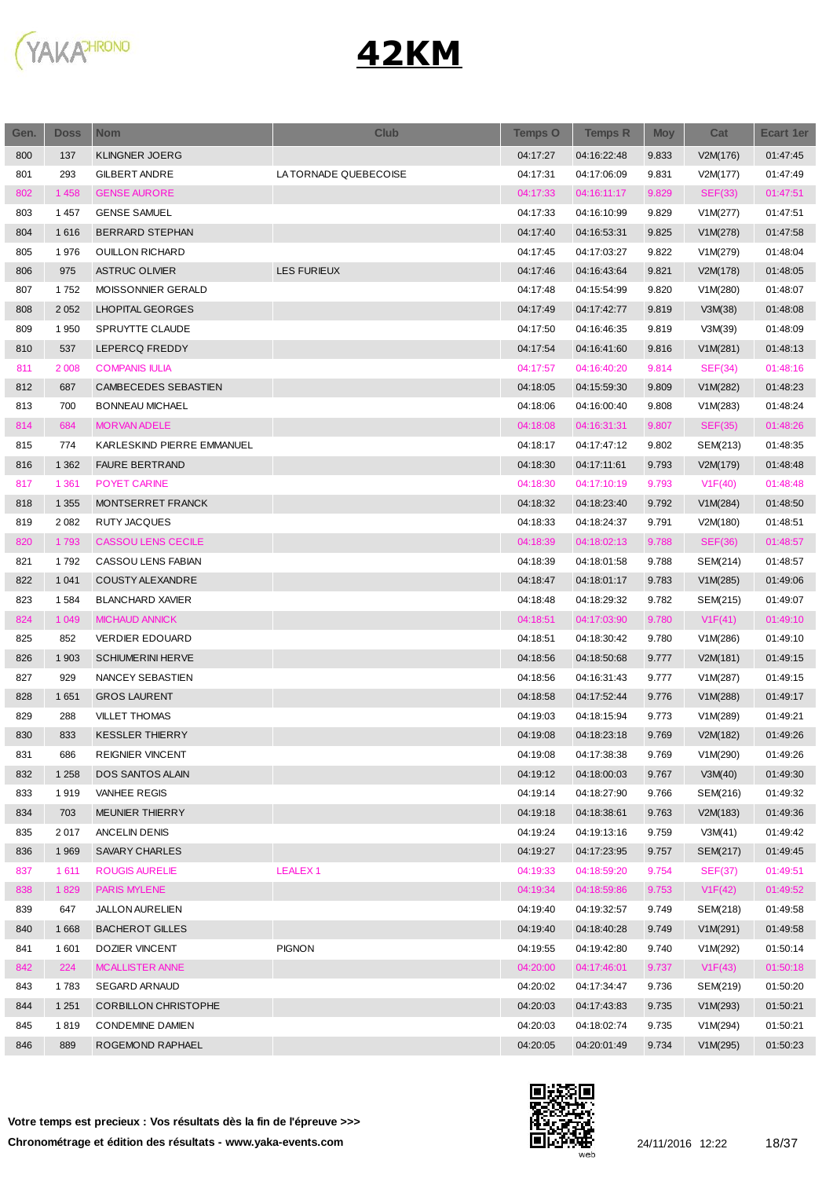

| Gen. | <b>Doss</b> | <b>Nom</b>                  | <b>Club</b>           | <b>Temps O</b> | <b>Temps R</b> | <b>Moy</b> | Cat            | <b>Ecart 1er</b>     |
|------|-------------|-----------------------------|-----------------------|----------------|----------------|------------|----------------|----------------------|
| 800  | 137         | <b>KLINGNER JOERG</b>       |                       | 04:17:27       | 04:16:22:48    | 9.833      | V2M(176)       | 01:47:45             |
| 801  | 293         | <b>GILBERT ANDRE</b>        | LA TORNADE QUEBECOISE | 04:17:31       | 04:17:06:09    | 9.831      | V2M(177)       | 01:47:49             |
| 802  | 1 4 5 8     | <b>GENSE AURORE</b>         |                       | 04:17:33       | 04:16:11:17    | 9.829      | <b>SEF(33)</b> | 01:47:51             |
| 803  | 1 4 5 7     | <b>GENSE SAMUEL</b>         |                       | 04:17:33       | 04:16:10:99    | 9.829      | V1M(277)       | 01:47:51             |
| 804  | 1616        | BERRARD STEPHAN             |                       | 04:17:40       | 04:16:53:31    | 9.825      | V1M(278)       | 01:47:58             |
| 805  | 1976        | <b>OUILLON RICHARD</b>      |                       | 04:17:45       | 04:17:03:27    | 9.822      | V1M(279)       | 01:48:04             |
| 806  | 975         | <b>ASTRUC OLIVIER</b>       | <b>LES FURIEUX</b>    | 04:17:46       | 04:16:43:64    | 9.821      | V2M(178)       | 01:48:05             |
| 807  | 1752        | MOISSONNIER GERALD          |                       | 04:17:48       | 04:15:54:99    | 9.820      | V1M(280)       | 01:48:07             |
| 808  | 2 0 5 2     | <b>LHOPITAL GEORGES</b>     |                       | 04:17:49       | 04:17:42:77    | 9.819      | V3M(38)        | 01:48:08             |
| 809  | 1950        | SPRUYTTE CLAUDE             |                       | 04:17:50       | 04:16:46:35    | 9.819      | V3M(39)        | 01:48:09             |
| 810  | 537         | LEPERCQ FREDDY              |                       | 04:17:54       | 04:16:41:60    | 9.816      | V1M(281)       | 01:48:13             |
| 811  | 2 0 0 8     | <b>COMPANIS IULIA</b>       |                       | 04:17:57       | 04:16:40:20    | 9.814      | SEF(34)        | 01:48:16             |
| 812  | 687         | CAMBECEDES SEBASTIEN        |                       | 04:18:05       | 04:15:59:30    | 9.809      | V1M(282)       | 01:48:23             |
| 813  | 700         | BONNEAU MICHAEL             |                       | 04:18:06       | 04:16:00:40    | 9.808      | V1M(283)       | 01:48:24             |
| 814  | 684         | <b>MORVAN ADELE</b>         |                       | 04:18:08       | 04:16:31:31    | 9.807      | <b>SEF(35)</b> | 01:48:26             |
| 815  | 774         | KARLESKIND PIERRE EMMANUEL  |                       | 04:18:17       | 04:17:47:12    | 9.802      | SEM(213)       | 01:48:35             |
| 816  | 1 3 6 2     | <b>FAURE BERTRAND</b>       |                       | 04:18:30       | 04:17:11:61    | 9.793      | V2M(179)       | 01:48:48             |
| 817  | 1 3 6 1     | POYET CARINE                |                       | 04:18:30       | 04:17:10:19    | 9.793      | V1F(40)        | 01:48:48             |
| 818  | 1 3 5 5     | MONTSERRET FRANCK           |                       | 04:18:32       | 04:18:23:40    | 9.792      | V1M(284)       | 01:48:50             |
| 819  | 2 0 8 2     | RUTY JACQUES                |                       | 04:18:33       | 04:18:24:37    | 9.791      | V2M(180)       | 01:48:51             |
| 820  | 1793        | <b>CASSOU LENS CECILE</b>   |                       | 04:18:39       | 04:18:02:13    | 9.788      | SEF(36)        | 01:48:57             |
| 821  | 1792        | CASSOU LENS FABIAN          |                       | 04:18:39       | 04:18:01:58    | 9.788      | SEM(214)       | 01:48:57             |
| 822  | 1 0 4 1     | COUSTY ALEXANDRE            |                       | 04:18:47       | 04:18:01:17    | 9.783      | V1M(285)       | 01:49:06             |
| 823  | 1584        | <b>BLANCHARD XAVIER</b>     |                       | 04:18:48       | 04:18:29:32    | 9.782      | SEM(215)       | 01:49:07             |
| 824  | 1 0 4 9     | <b>MICHAUD ANNICK</b>       |                       | 04:18:51       | 04:17:03:90    | 9.780      | V1F(41)        | 01:49:10             |
| 825  | 852         | <b>VERDIER EDOUARD</b>      |                       | 04:18:51       | 04:18:30:42    | 9.780      | V1M(286)       | 01:49:10             |
| 826  | 1 903       | <b>SCHIUMERINI HERVE</b>    |                       | 04:18:56       | 04:18:50:68    | 9.777      | V2M(181)       | 01:49:15             |
| 827  | 929         | NANCEY SEBASTIEN            |                       | 04:18:56       | 04:16:31:43    | 9.777      | V1M(287)       | 01:49:15             |
| 828  | 1651        | <b>GROS LAURENT</b>         |                       | 04:18:58       | 04:17:52:44    | 9.776      | V1M(288)       | 01:49:17             |
| 829  | 288         | <b>VILLET THOMAS</b>        |                       | 04:19:03       | 04:18:15:94    | 9.773      | V1M(289)       | 01:49:21             |
| 830  | 833         | <b>KESSLER THIERRY</b>      |                       | 04:19:08       | 04:18:23:18    | 9.769      | V2M(182)       | 01:49:26             |
| 831  | 686         | REIGNIER VINCENT            |                       | 04:19:08       | 04:17:38:38    | 9.769      | V1M(290)       | 01:49:26             |
| 832  | 1 2 5 8     | <b>DOS SANTOS ALAIN</b>     |                       | 04:19:12       | 04:18:00:03    | 9.767      | V3M(40)        | 01:49:30             |
| 833  | 1919        | VANHEE REGIS                |                       | 04:19:14       | 04:18:27:90    | 9.766      | SEM(216)       | 01:49:32             |
| 834  | 703         | MEUNIER THIERRY             |                       | 04:19:18       | 04:18:38:61    | 9.763      | V2M(183)       | 01:49:36             |
| 835  | 2017        | <b>ANCELIN DENIS</b>        |                       | 04:19:24       | 04:19:13:16    | 9.759      | V3M(41)        | 01:49:42             |
|      | 1 9 6 9     | <b>SAVARY CHARLES</b>       |                       |                |                |            |                |                      |
| 836  |             |                             |                       | 04:19:27       | 04:17:23:95    | 9.757      | SEM(217)       | 01:49:45             |
| 837  | 1611        | ROUGIS AURELIE              | <b>LEALEX1</b>        | 04:19:33       | 04:18:59:20    | 9.754      | <b>SEF(37)</b> | 01:49:51<br>01:49:52 |
| 838  | 1829        | <b>PARIS MYLENE</b>         |                       | 04:19:34       | 04:18:59:86    | 9.753      | V1F(42)        |                      |
| 839  | 647         | <b>JALLON AURELIEN</b>      |                       | 04:19:40       | 04:19:32:57    | 9.749      | SEM(218)       | 01:49:58             |
| 840  | 1668        | <b>BACHEROT GILLES</b>      |                       | 04:19:40       | 04:18:40:28    | 9.749      | V1M(291)       | 01:49:58             |
| 841  | 1601        | DOZIER VINCENT              | <b>PIGNON</b>         | 04:19:55       | 04:19:42:80    | 9.740      | V1M(292)       | 01:50:14             |
| 842  | 224         | <b>MCALLISTER ANNE</b>      |                       | 04:20:00       | 04:17:46:01    | 9.737      | V1F(43)        | 01:50:18             |
| 843  | 1783        | SEGARD ARNAUD               |                       | 04:20:02       | 04:17:34:47    | 9.736      | SEM(219)       | 01:50:20             |
| 844  | 1 2 5 1     | <b>CORBILLON CHRISTOPHE</b> |                       | 04:20:03       | 04:17:43:83    | 9.735      | V1M(293)       | 01:50:21             |
| 845  | 1819        | <b>CONDEMINE DAMIEN</b>     |                       | 04:20:03       | 04:18:02:74    | 9.735      | V1M(294)       | 01:50:21             |
| 846  | 889         | ROGEMOND RAPHAEL            |                       | 04:20:05       | 04:20:01:49    | 9.734      | V1M(295)       | 01:50:23             |



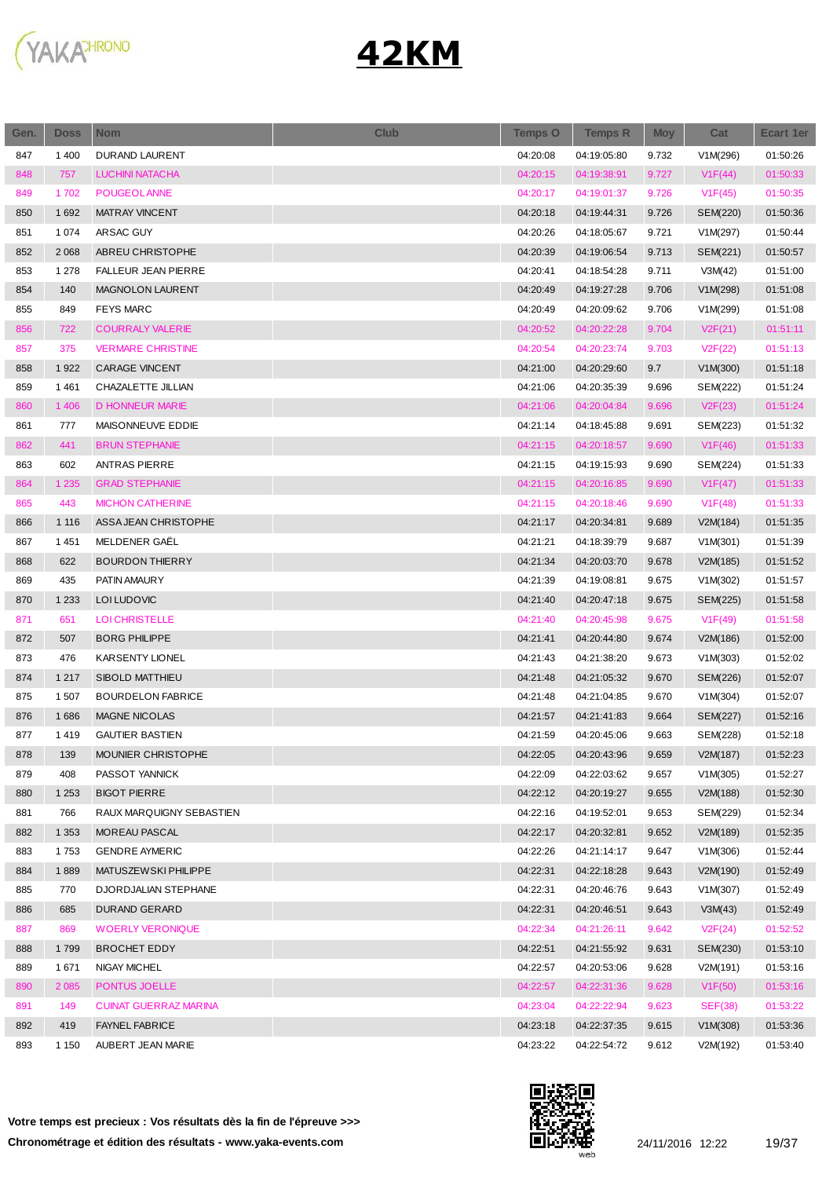

| Gen. | <b>Doss</b> | <b>Nom</b>                   | <b>Club</b> | <b>Temps O</b> | <b>Temps R</b> | <b>Moy</b> | Cat            | Ecart 1er |
|------|-------------|------------------------------|-------------|----------------|----------------|------------|----------------|-----------|
| 847  | 1 400       | DURAND LAURENT               |             | 04:20:08       | 04:19:05:80    | 9.732      | V1M(296)       | 01:50:26  |
| 848  | 757         | <b>LUCHINI NATACHA</b>       |             | 04:20:15       | 04:19:38:91    | 9.727      | V1F(44)        | 01:50:33  |
| 849  | 1702        | POUGEOL ANNE                 |             | 04:20:17       | 04:19:01:37    | 9.726      | V1F(45)        | 01:50:35  |
| 850  | 1692        | <b>MATRAY VINCENT</b>        |             | 04:20:18       | 04:19:44:31    | 9.726      | SEM(220)       | 01:50:36  |
| 851  | 1 0 7 4     | ARSAC GUY                    |             | 04:20:26       | 04:18:05:67    | 9.721      | V1M(297)       | 01:50:44  |
| 852  | 2 0 6 8     | ABREU CHRISTOPHE             |             | 04:20:39       | 04:19:06:54    | 9.713      | SEM(221)       | 01:50:57  |
| 853  | 1 2 7 8     | <b>FALLEUR JEAN PIERRE</b>   |             | 04:20:41       | 04:18:54:28    | 9.711      | V3M(42)        | 01:51:00  |
| 854  | 140         | MAGNOLON LAURENT             |             | 04:20:49       | 04:19:27:28    | 9.706      | V1M(298)       | 01:51:08  |
| 855  | 849         | <b>FEYS MARC</b>             |             | 04:20:49       | 04:20:09:62    | 9.706      | V1M(299)       | 01:51:08  |
| 856  | 722         | <b>COURRALY VALERIE</b>      |             | 04:20:52       | 04:20:22:28    | 9.704      | V2F(21)        | 01:51:11  |
| 857  | 375         | <b>VERMARE CHRISTINE</b>     |             | 04:20:54       | 04:20:23:74    | 9.703      | V2F(22)        | 01:51:13  |
| 858  | 1922        | <b>CARAGE VINCENT</b>        |             | 04:21:00       | 04:20:29:60    | 9.7        | V1M(300)       | 01:51:18  |
| 859  | 1461        | CHAZALETTE JILLIAN           |             | 04:21:06       | 04:20:35:39    | 9.696      | SEM(222)       | 01:51:24  |
| 860  | 1 4 0 6     | <b>D HONNEUR MARIE</b>       |             | 04:21:06       | 04:20:04:84    | 9.696      | V2F(23)        | 01:51:24  |
| 861  | 777         | MAISONNEUVE EDDIE            |             | 04:21:14       | 04:18:45:88    | 9.691      | SEM(223)       | 01:51:32  |
| 862  | 441         | <b>BRUN STEPHANIE</b>        |             | 04:21:15       | 04:20:18:57    | 9.690      | V1F(46)        | 01:51:33  |
| 863  | 602         | <b>ANTRAS PIERRE</b>         |             | 04:21:15       | 04:19:15:93    | 9.690      | SEM(224)       | 01:51:33  |
| 864  | 1 2 3 5     | <b>GRAD STEPHANIE</b>        |             | 04:21:15       | 04:20:16:85    | 9.690      | V1F(47)        | 01:51:33  |
| 865  | 443         | <b>MICHON CATHERINE</b>      |             | 04:21:15       | 04:20:18:46    | 9.690      | V1F(48)        | 01:51:33  |
| 866  | 1 1 1 6     | ASSA JEAN CHRISTOPHE         |             | 04:21:17       | 04:20:34:81    | 9.689      | V2M(184)       | 01:51:35  |
| 867  | 1 4 5 1     | MELDENER GAËL                |             | 04:21:21       | 04:18:39:79    | 9.687      | V1M(301)       | 01:51:39  |
| 868  | 622         | <b>BOURDON THIERRY</b>       |             | 04:21:34       | 04:20:03:70    | 9.678      | V2M(185)       | 01:51:52  |
| 869  | 435         | PATIN AMAURY                 |             | 04:21:39       | 04:19:08:81    | 9.675      | V1M(302)       | 01:51:57  |
| 870  | 1 2 3 3     | LOI LUDOVIC                  |             | 04:21:40       | 04:20:47:18    | 9.675      | SEM(225)       | 01:51:58  |
| 871  | 651         | <b>LOI CHRISTELLE</b>        |             | 04:21:40       | 04:20:45:98    | 9.675      | V1F(49)        | 01:51:58  |
| 872  | 507         | <b>BORG PHILIPPE</b>         |             | 04:21:41       | 04:20:44:80    | 9.674      | V2M(186)       | 01:52:00  |
| 873  | 476         | <b>KARSENTY LIONEL</b>       |             | 04:21:43       | 04:21:38:20    | 9.673      | V1M(303)       | 01:52:02  |
| 874  | 1 2 1 7     | <b>SIBOLD MATTHIEU</b>       |             | 04:21:48       | 04:21:05:32    | 9.670      | SEM(226)       | 01:52:07  |
| 875  | 1507        | <b>BOURDELON FABRICE</b>     |             | 04:21:48       | 04:21:04:85    | 9.670      | V1M(304)       | 01:52:07  |
| 876  | 1686        | <b>MAGNE NICOLAS</b>         |             | 04:21:57       | 04:21:41:83    | 9.664      | SEM(227)       | 01:52:16  |
| 877  | 1419        | <b>GAUTIER BASTIEN</b>       |             | 04:21:59       | 04:20:45:06    | 9.663      | SEM(228)       | 01:52:18  |
| 878  | 139         | MOUNIER CHRISTOPHE           |             | 04:22:05       | 04:20:43:96    | 9.659      | V2M(187)       | 01:52:23  |
| 879  | 408         | PASSOT YANNICK               |             | 04:22:09       | 04:22:03:62    | 9.657      | V1M(305)       | 01:52:27  |
| 880  | 1 2 5 3     | <b>BIGOT PIERRE</b>          |             | 04:22:12       | 04:20:19:27    | 9.655      | V2M(188)       | 01:52:30  |
| 881  | 766         | RAUX MARQUIGNY SEBASTIEN     |             | 04:22:16       | 04:19:52:01    | 9.653      | SEM(229)       | 01:52:34  |
| 882  | 1 3 5 3     | MOREAU PASCAL                |             | 04:22:17       | 04:20:32:81    | 9.652      | V2M(189)       | 01:52:35  |
| 883  | 1753        | <b>GENDRE AYMERIC</b>        |             | 04:22:26       | 04:21:14:17    | 9.647      | V1M(306)       | 01:52:44  |
| 884  | 1889        | MATUSZEW SKI PHILIPPE        |             | 04:22:31       | 04:22:18:28    | 9.643      | V2M(190)       | 01:52:49  |
| 885  | 770         | DJORDJALIAN STEPHANE         |             | 04:22:31       | 04:20:46:76    | 9.643      | V1M(307)       | 01:52:49  |
| 886  | 685         | DURAND GERARD                |             | 04:22:31       | 04:20:46:51    | 9.643      | V3M(43)        | 01:52:49  |
| 887  | 869         | <b>WOERLY VERONIQUE</b>      |             | 04:22:34       | 04:21:26:11    | 9.642      | V2F(24)        | 01:52:52  |
| 888  | 1799        | <b>BROCHET EDDY</b>          |             | 04:22:51       | 04:21:55:92    | 9.631      | SEM(230)       | 01:53:10  |
| 889  | 1671        | NIGAY MICHEL                 |             | 04:22:57       | 04:20:53:06    | 9.628      | V2M(191)       | 01:53:16  |
| 890  | 2 0 8 5     | PONTUS JOELLE                |             | 04:22:57       | 04:22:31:36    | 9.628      | V1F(50)        | 01:53:16  |
| 891  | 149         | <b>CUINAT GUERRAZ MARINA</b> |             | 04:23:04       | 04:22:22:94    | 9.623      | <b>SEF(38)</b> | 01:53:22  |
| 892  | 419         | <b>FAYNEL FABRICE</b>        |             | 04:23:18       | 04:22:37:35    | 9.615      | V1M(308)       | 01:53:36  |
| 893  | 1 1 5 0     | AUBERT JEAN MARIE            |             | 04:23:22       | 04:22:54:72    | 9.612      | V2M(192)       | 01:53:40  |
|      |             |                              |             |                |                |            |                |           |

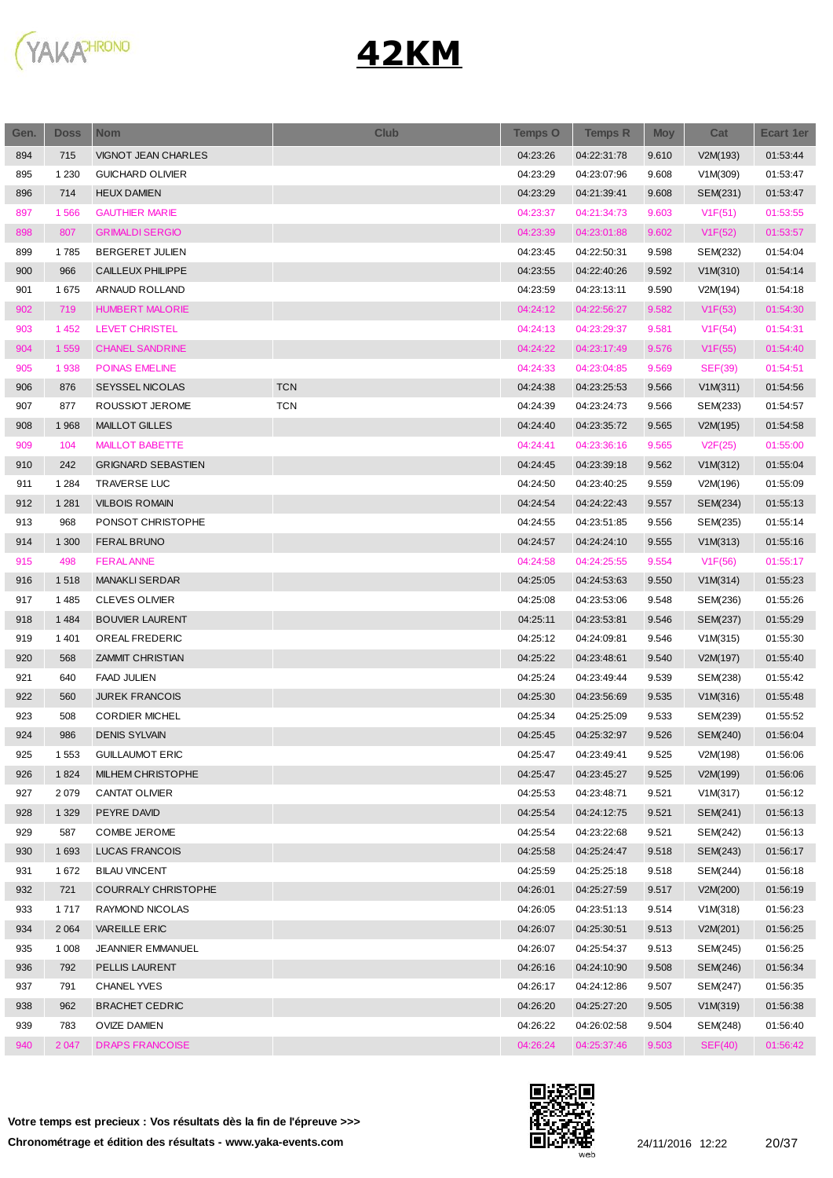

| Gen. | <b>Doss</b> | <b>Nom</b>                 | <b>Club</b> | <b>Temps O</b> | <b>Temps R</b> | <b>Moy</b> | Cat            | <b>Ecart 1er</b> |
|------|-------------|----------------------------|-------------|----------------|----------------|------------|----------------|------------------|
| 894  | 715         | VIGNOT JEAN CHARLES        |             | 04:23:26       | 04:22:31:78    | 9.610      | V2M(193)       | 01:53:44         |
| 895  | 1 2 3 0     | <b>GUICHARD OLIVIER</b>    |             | 04:23:29       | 04:23:07:96    | 9.608      | V1M(309)       | 01:53:47         |
| 896  | 714         | <b>HEUX DAMIEN</b>         |             | 04:23:29       | 04:21:39:41    | 9.608      | SEM(231)       | 01:53:47         |
| 897  | 1566        | <b>GAUTHIER MARIE</b>      |             | 04:23:37       | 04:21:34:73    | 9.603      | V1F(51)        | 01:53:55         |
| 898  | 807         | <b>GRIMALDI SERGIO</b>     |             | 04:23:39       | 04:23:01:88    | 9.602      | V1F(52)        | 01:53:57         |
| 899  | 1785        | <b>BERGERET JULIEN</b>     |             | 04:23:45       | 04:22:50:31    | 9.598      | SEM(232)       | 01:54:04         |
| 900  | 966         | CAILLEUX PHILIPPE          |             | 04:23:55       | 04:22:40:26    | 9.592      | V1M(310)       | 01:54:14         |
| 901  | 1675        | ARNAUD ROLLAND             |             | 04:23:59       | 04:23:13:11    | 9.590      | V2M(194)       | 01:54:18         |
| 902  | 719         | <b>HUMBERT MALORIE</b>     |             | 04:24:12       | 04:22:56:27    | 9.582      | V1F(53)        | 01:54:30         |
| 903  | 1 4 5 2     | LEVET CHRISTEL             |             | 04:24:13       | 04:23:29:37    | 9.581      | V1F(54)        | 01:54:31         |
| 904  | 1559        | <b>CHANEL SANDRINE</b>     |             | 04:24:22       | 04:23:17:49    | 9.576      | V1F(55)        | 01:54:40         |
| 905  | 1938        | <b>POINAS EMELINE</b>      |             | 04:24:33       | 04:23:04:85    | 9.569      | <b>SEF(39)</b> | 01:54:51         |
| 906  | 876         | SEYSSEL NICOLAS            | <b>TCN</b>  | 04:24:38       | 04:23:25:53    | 9.566      | V1M(311)       | 01:54:56         |
| 907  | 877         | ROUSSIOT JEROME            | <b>TCN</b>  | 04:24:39       | 04:23:24:73    | 9.566      | SEM(233)       | 01:54:57         |
| 908  | 1968        | <b>MAILLOT GILLES</b>      |             | 04:24:40       | 04:23:35:72    | 9.565      | V2M(195)       | 01:54:58         |
| 909  | 104         | <b>MAILLOT BABETTE</b>     |             | 04:24:41       | 04:23:36:16    | 9.565      | V2F(25)        | 01:55:00         |
| 910  | 242         | <b>GRIGNARD SEBASTIEN</b>  |             | 04:24:45       | 04:23:39:18    | 9.562      | V1M(312)       | 01:55:04         |
| 911  | 1 2 8 4     | <b>TRAVERSE LUC</b>        |             | 04:24:50       | 04:23:40:25    | 9.559      | V2M(196)       | 01:55:09         |
| 912  | 1 2 8 1     | <b>VILBOIS ROMAIN</b>      |             | 04:24:54       | 04:24:22:43    | 9.557      | SEM(234)       | 01:55:13         |
| 913  | 968         | PONSOT CHRISTOPHE          |             | 04:24:55       | 04:23:51:85    | 9.556      | SEM(235)       | 01:55:14         |
| 914  | 1 300       | <b>FERAL BRUNO</b>         |             | 04:24:57       | 04:24:24:10    | 9.555      | V1M(313)       | 01:55:16         |
| 915  | 498         | <b>FERALANNE</b>           |             | 04:24:58       | 04:24:25:55    | 9.554      | V1F(56)        | 01:55:17         |
| 916  | 1518        | <b>MANAKLI SERDAR</b>      |             | 04:25:05       | 04:24:53:63    | 9.550      | V1M(314)       | 01:55:23         |
| 917  | 1485        | <b>CLEVES OLIVIER</b>      |             | 04:25:08       | 04:23:53:06    | 9.548      | SEM(236)       | 01:55:26         |
| 918  | 1 4 8 4     | <b>BOUVIER LAURENT</b>     |             | 04:25:11       | 04:23:53:81    | 9.546      | SEM(237)       | 01:55:29         |
| 919  | 1 4 0 1     | OREAL FREDERIC             |             | 04:25:12       | 04:24:09:81    | 9.546      | V1M(315)       | 01:55:30         |
| 920  | 568         | <b>ZAMMIT CHRISTIAN</b>    |             | 04:25:22       | 04:23:48:61    | 9.540      | V2M(197)       | 01:55:40         |
| 921  | 640         | <b>FAAD JULIEN</b>         |             | 04:25:24       | 04:23:49:44    | 9.539      | SEM(238)       | 01:55:42         |
| 922  | 560         | <b>JUREK FRANCOIS</b>      |             | 04:25:30       | 04:23:56:69    | 9.535      | V1M(316)       | 01:55:48         |
| 923  | 508         | <b>CORDIER MICHEL</b>      |             | 04:25:34       | 04:25:25:09    | 9.533      | SEM(239)       | 01:55:52         |
| 924  | 986         | <b>DENIS SYLVAIN</b>       |             | 04:25:45       | 04:25:32:97    | 9.526      | SEM(240)       | 01:56:04         |
| 925  | 1 5 5 3     | <b>GUILLAUMOT ERIC</b>     |             | 04:25:47       | 04:23:49:41    | 9.525      | V2M(198)       | 01:56:06         |
| 926  | 1824        | MILHEM CHRISTOPHE          |             | 04:25:47       | 04:23:45:27    | 9.525      | V2M(199)       | 01:56:06         |
| 927  | 2079        | <b>CANTAT OLIVIER</b>      |             | 04:25:53       | 04:23:48:71    | 9.521      | V1M(317)       | 01:56:12         |
| 928  | 1 3 2 9     | PEYRE DAVID                |             | 04:25:54       | 04:24:12:75    | 9.521      | SEM(241)       | 01:56:13         |
| 929  | 587         | COMBE JEROME               |             | 04:25:54       | 04:23:22:68    | 9.521      | SEM(242)       | 01:56:13         |
| 930  | 1693        | LUCAS FRANCOIS             |             | 04:25:58       | 04:25:24:47    | 9.518      | SEM(243)       | 01:56:17         |
| 931  | 1672        | <b>BILAU VINCENT</b>       |             | 04:25:59       | 04:25:25:18    | 9.518      | SEM(244)       | 01:56:18         |
| 932  | 721         | <b>COURRALY CHRISTOPHE</b> |             | 04:26:01       | 04:25:27:59    | 9.517      | V2M(200)       | 01:56:19         |
| 933  | 1717        | RAYMOND NICOLAS            |             | 04:26:05       | 04:23:51:13    | 9.514      | V1M(318)       | 01:56:23         |
| 934  | 2 0 6 4     | <b>VAREILLE ERIC</b>       |             | 04:26:07       | 04:25:30:51    | 9.513      | V2M(201)       | 01:56:25         |
| 935  | 1 0 0 8     | JEANNIER EMMANUEL          |             | 04:26:07       | 04:25:54:37    | 9.513      | SEM(245)       | 01:56:25         |
| 936  | 792         | PELLIS LAURENT             |             | 04:26:16       | 04:24:10:90    | 9.508      | SEM(246)       | 01:56:34         |
| 937  | 791         | <b>CHANEL YVES</b>         |             | 04:26:17       | 04:24:12:86    | 9.507      | SEM(247)       | 01:56:35         |
| 938  | 962         | <b>BRACHET CEDRIC</b>      |             | 04:26:20       | 04:25:27:20    | 9.505      | V1M(319)       | 01:56:38         |
| 939  | 783         | OVIZE DAMIEN               |             | 04:26:22       | 04:26:02:58    | 9.504      | SEM(248)       | 01:56:40         |
| 940  | 2 0 4 7     | <b>DRAPS FRANCOISE</b>     |             | 04:26:24       | 04:25:37:46    | 9.503      | SEF(40)        | 01:56:42         |

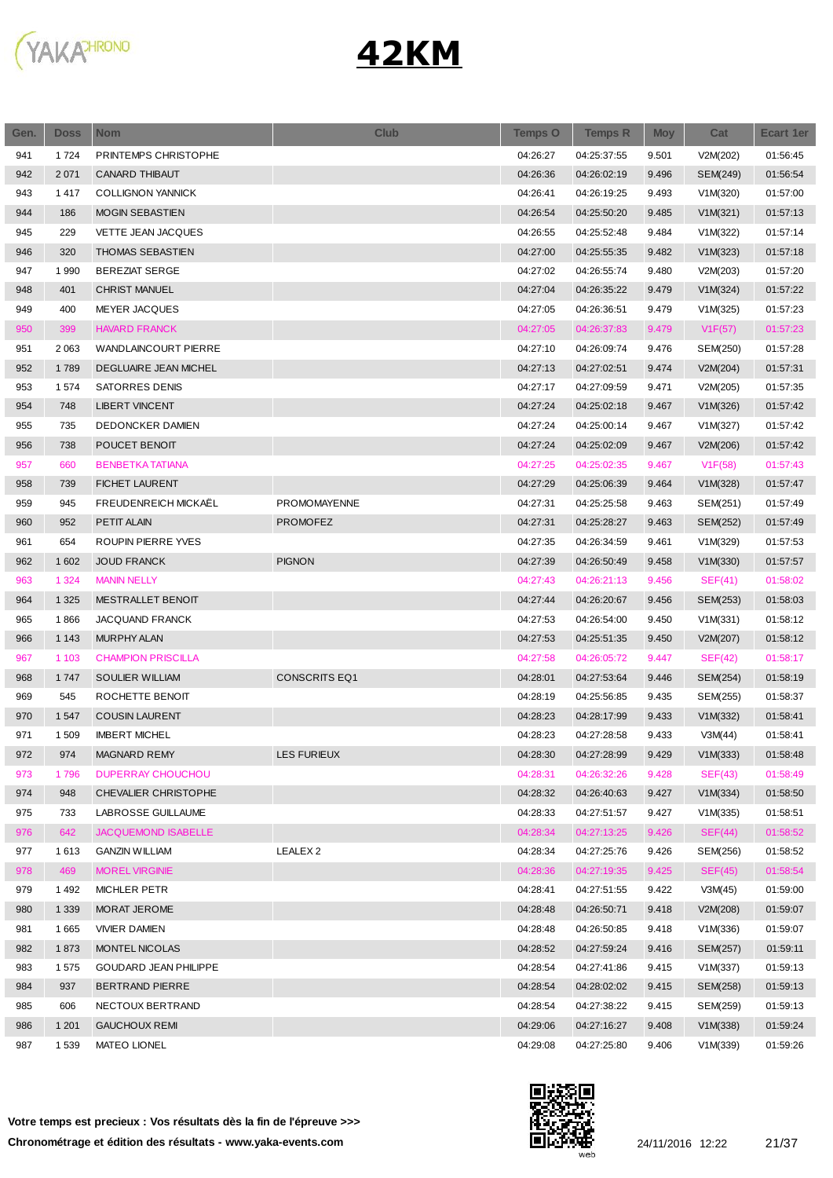

| Gen. | <b>Doss</b> | <b>Nom</b>                | <b>Club</b>          | <b>Temps O</b> | <b>Temps R</b> | <b>Moy</b> | Cat      | <b>Ecart 1er</b> |
|------|-------------|---------------------------|----------------------|----------------|----------------|------------|----------|------------------|
| 941  | 1724        | PRINTEMPS CHRISTOPHE      |                      | 04:26:27       | 04:25:37:55    | 9.501      | V2M(202) | 01:56:45         |
| 942  | 2 0 7 1     | <b>CANARD THIBAUT</b>     |                      | 04:26:36       | 04:26:02:19    | 9.496      | SEM(249) | 01:56:54         |
| 943  | 1417        | <b>COLLIGNON YANNICK</b>  |                      | 04:26:41       | 04:26:19:25    | 9.493      | V1M(320) | 01:57:00         |
| 944  | 186         | <b>MOGIN SEBASTIEN</b>    |                      | 04:26:54       | 04:25:50:20    | 9.485      | V1M(321) | 01:57:13         |
| 945  | 229         | VETTE JEAN JACQUES        |                      | 04:26:55       | 04:25:52:48    | 9.484      | V1M(322) | 01:57:14         |
| 946  | 320         | THOMAS SEBASTIEN          |                      | 04:27:00       | 04:25:55:35    | 9.482      | V1M(323) | 01:57:18         |
| 947  | 1990        | <b>BEREZIAT SERGE</b>     |                      | 04:27:02       | 04:26:55:74    | 9.480      | V2M(203) | 01:57:20         |
| 948  | 401         | <b>CHRIST MANUEL</b>      |                      | 04:27:04       | 04:26:35:22    | 9.479      | V1M(324) | 01:57:22         |
| 949  | 400         | <b>MEYER JACQUES</b>      |                      | 04:27:05       | 04:26:36:51    | 9.479      | V1M(325) | 01:57:23         |
| 950  | 399         | <b>HAVARD FRANCK</b>      |                      | 04:27:05       | 04:26:37:83    | 9.479      | V1F(57)  | 01:57:23         |
| 951  | 2 0 6 3     | WANDLAINCOURT PIERRE      |                      | 04:27:10       | 04:26:09:74    | 9.476      | SEM(250) | 01:57:28         |
| 952  | 1789        | DEGLUAIRE JEAN MICHEL     |                      | 04:27:13       | 04:27:02:51    | 9.474      | V2M(204) | 01:57:31         |
| 953  | 1574        | <b>SATORRES DENIS</b>     |                      | 04:27:17       | 04:27:09:59    | 9.471      | V2M(205) | 01:57:35         |
| 954  | 748         | <b>LIBERT VINCENT</b>     |                      | 04:27:24       | 04:25:02:18    | 9.467      | V1M(326) | 01:57:42         |
| 955  | 735         | DEDONCKER DAMIEN          |                      | 04:27:24       | 04:25:00:14    | 9.467      | V1M(327) | 01:57:42         |
| 956  | 738         | POUCET BENOIT             |                      | 04:27:24       | 04:25:02:09    | 9.467      | V2M(206) | 01:57:42         |
| 957  | 660         | <b>BENBETKA TATIANA</b>   |                      | 04:27:25       | 04:25:02:35    | 9.467      | V1F(58)  | 01:57:43         |
| 958  | 739         | <b>FICHET LAURENT</b>     |                      | 04:27:29       | 04:25:06:39    | 9.464      | V1M(328) | 01:57:47         |
| 959  | 945         | FREUDENREICH MICKAEL      | PROMOMAYENNE         | 04:27:31       | 04:25:25:58    | 9.463      | SEM(251) | 01:57:49         |
| 960  | 952         | PETIT ALAIN               | <b>PROMOFEZ</b>      | 04:27:31       | 04:25:28:27    | 9.463      | SEM(252) | 01:57:49         |
| 961  | 654         | ROUPIN PIERRE YVES        |                      | 04:27:35       | 04:26:34:59    | 9.461      | V1M(329) | 01:57:53         |
| 962  | 1 602       | <b>JOUD FRANCK</b>        | <b>PIGNON</b>        | 04:27:39       | 04:26:50:49    | 9.458      | V1M(330) | 01:57:57         |
| 963  | 1 3 2 4     | <b>MANIN NELLY</b>        |                      | 04:27:43       | 04:26:21:13    | 9.456      | SEF(41)  | 01:58:02         |
|      | 1 3 2 5     | MESTRALLET BENOIT         |                      | 04:27:44       |                |            |          |                  |
| 964  |             |                           |                      |                | 04:26:20:67    | 9.456      | SEM(253) | 01:58:03         |
| 965  | 1866        | JACQUAND FRANCK           |                      | 04:27:53       | 04:26:54:00    | 9.450      | V1M(331) | 01:58:12         |
| 966  | 1 1 4 3     | <b>MURPHY ALAN</b>        |                      | 04:27:53       | 04:25:51:35    | 9.450      | V2M(207) | 01:58:12         |
| 967  | 1 1 0 3     | <b>CHAMPION PRISCILLA</b> |                      | 04:27:58       | 04:26:05:72    | 9.447      | SEF(42)  | 01:58:17         |
| 968  | 1747        | <b>SOULIER WILLIAM</b>    | <b>CONSCRITS EQ1</b> | 04:28:01       | 04:27:53:64    | 9.446      | SEM(254) | 01:58:19         |
| 969  | 545         | ROCHETTE BENOIT           |                      | 04:28:19       | 04:25:56:85    | 9.435      | SEM(255) | 01:58:37         |
| 970  | 1547        | <b>COUSIN LAURENT</b>     |                      | 04:28:23       | 04:28:17:99    | 9.433      | V1M(332) | 01:58:41         |
| 971  | 1509        | <b>IMBERT MICHEL</b>      |                      | 04:28:23       | 04:27:28:58    | 9.433      | V3M(44)  | 01:58:41         |
| 972  | 974         | MAGNARD REMY              | LES FURIEUX          | 04:28:30       | 04:27:28:99    | 9.429      | V1M(333) | 01:58:48         |
| 973  | 1796        | <b>DUPERRAY CHOUCHOU</b>  |                      | 04:28:31       | 04:26:32:26    | 9.428      | SEF(43)  | 01:58:49         |
| 974  | 948         | CHEVALIER CHRISTOPHE      |                      | 04:28:32       | 04:26:40:63    | 9.427      | V1M(334) | 01:58:50         |
| 975  | 733         | LABROSSE GUILLAUME        |                      | 04:28:33       | 04:27:51:57    | 9.427      | V1M(335) | 01:58:51         |
| 976  | 642         | JACQUEMOND ISABELLE       |                      | 04:28:34       | 04:27:13:25    | 9.426      | SEF(44)  | 01:58:52         |
| 977  | 1613        | <b>GANZIN WILLIAM</b>     | LEALEX <sub>2</sub>  | 04:28:34       | 04:27:25:76    | 9.426      | SEM(256) | 01:58:52         |
| 978  | 469         | <b>MOREL VIRGINIE</b>     |                      | 04:28:36       | 04:27:19:35    | 9.425      | SEF(45)  | 01:58:54         |
| 979  | 1492        | <b>MICHLER PETR</b>       |                      | 04:28:41       | 04:27:51:55    | 9.422      | V3M(45)  | 01:59:00         |
| 980  | 1 3 3 9     | MORAT JEROME              |                      | 04:28:48       | 04:26:50:71    | 9.418      | V2M(208) | 01:59:07         |
| 981  | 1665        | <b>VIVIER DAMIEN</b>      |                      | 04:28:48       | 04:26:50:85    | 9.418      | V1M(336) | 01:59:07         |
| 982  | 1873        | MONTEL NICOLAS            |                      | 04:28:52       | 04:27:59:24    | 9.416      | SEM(257) | 01:59:11         |
| 983  | 1575        | GOUDARD JEAN PHILIPPE     |                      | 04:28:54       | 04:27:41:86    | 9.415      | V1M(337) | 01:59:13         |
| 984  | 937         | BERTRAND PIERRE           |                      | 04:28:54       | 04:28:02:02    | 9.415      | SEM(258) | 01:59:13         |
| 985  | 606         | NECTOUX BERTRAND          |                      | 04:28:54       | 04:27:38:22    | 9.415      | SEM(259) | 01:59:13         |
| 986  | 1 2 0 1     | <b>GAUCHOUX REMI</b>      |                      | 04:29:06       | 04:27:16:27    | 9.408      | V1M(338) | 01:59:24         |
| 987  | 1539        | MATEO LIONEL              |                      | 04:29:08       | 04:27:25:80    | 9.406      | V1M(339) | 01:59:26         |

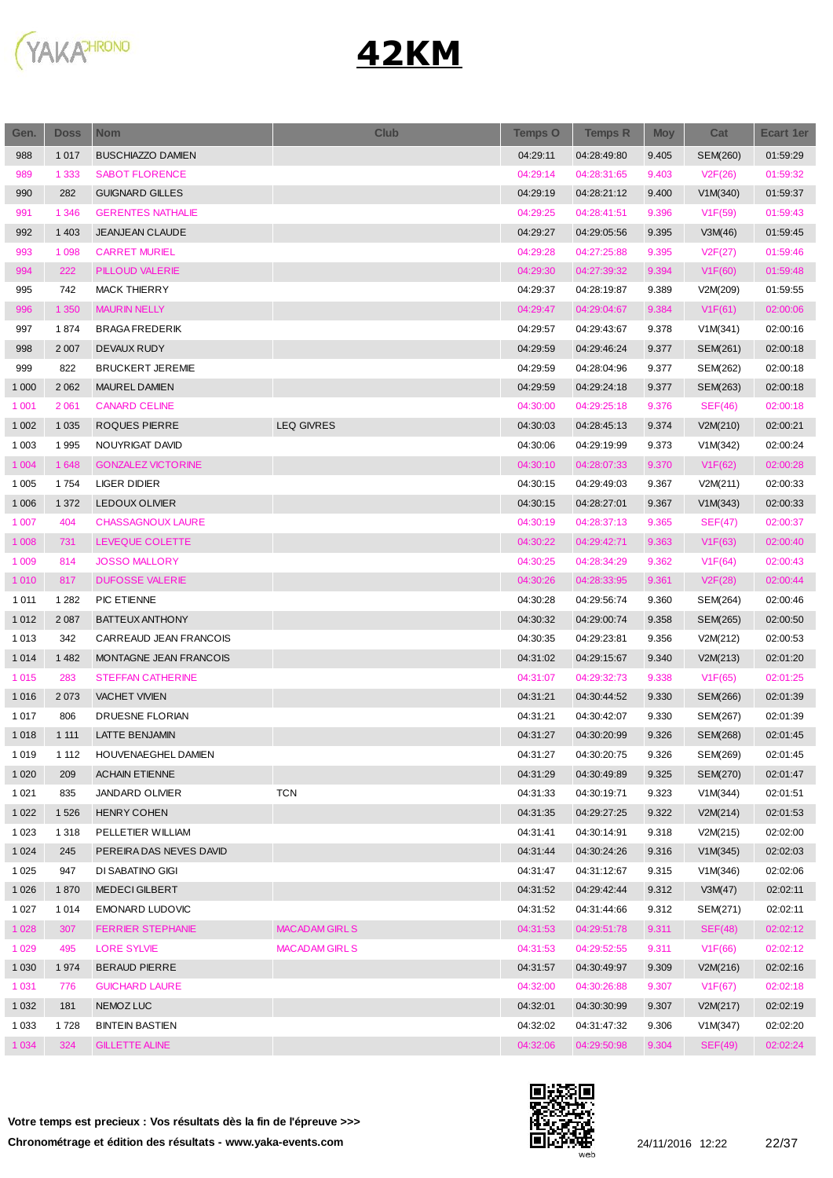

| Gen.    | <b>Doss</b> | <b>Nom</b>                | <b>Club</b>          | <b>Temps O</b> | <b>Temps R</b> | <b>Moy</b> | Cat      | Ecart 1er |
|---------|-------------|---------------------------|----------------------|----------------|----------------|------------|----------|-----------|
| 988     | 1 0 1 7     | <b>BUSCHIAZZO DAMIEN</b>  |                      | 04:29:11       | 04:28:49:80    | 9.405      | SEM(260) | 01:59:29  |
| 989     | 1 3 3 3     | <b>SABOT FLORENCE</b>     |                      | 04:29:14       | 04:28:31:65    | 9.403      | V2F(26)  | 01:59:32  |
| 990     | 282         | <b>GUIGNARD GILLES</b>    |                      | 04:29:19       | 04:28:21:12    | 9.400      | V1M(340) | 01:59:37  |
| 991     | 1 3 4 6     | <b>GERENTES NATHALIE</b>  |                      | 04:29:25       | 04:28:41:51    | 9.396      | V1F(59)  | 01:59:43  |
| 992     | 1 4 0 3     | <b>JEANJEAN CLAUDE</b>    |                      | 04:29:27       | 04:29:05:56    | 9.395      | V3M(46)  | 01:59:45  |
| 993     | 1 0 9 8     | <b>CARRET MURIEL</b>      |                      | 04:29:28       | 04:27:25:88    | 9.395      | V2F(27)  | 01:59:46  |
| 994     | 222         | PILLOUD VALERIE           |                      | 04:29:30       | 04:27:39:32    | 9.394      | V1F(60)  | 01:59:48  |
| 995     | 742         | <b>MACK THIERRY</b>       |                      | 04:29:37       | 04:28:19:87    | 9.389      | V2M(209) | 01:59:55  |
| 996     | 1 3 5 0     | <b>MAURIN NELLY</b>       |                      | 04:29:47       | 04:29:04:67    | 9.384      | V1F(61)  | 02:00:06  |
| 997     | 1874        | <b>BRAGA FREDERIK</b>     |                      | 04:29:57       | 04:29:43:67    | 9.378      | V1M(341) | 02:00:16  |
| 998     | 2 0 0 7     | <b>DEVAUX RUDY</b>        |                      | 04:29:59       | 04:29:46:24    | 9.377      | SEM(261) | 02:00:18  |
| 999     | 822         | <b>BRUCKERT JEREMIE</b>   |                      | 04:29:59       | 04:28:04:96    | 9.377      | SEM(262) | 02:00:18  |
| 1 0 0 0 | 2 0 6 2     | MAUREL DAMIEN             |                      | 04:29:59       | 04:29:24:18    | 9.377      | SEM(263) | 02:00:18  |
| 1 0 0 1 | 2 0 6 1     | <b>CANARD CELINE</b>      |                      | 04:30:00       | 04:29:25:18    | 9.376      | SEF(46)  | 02:00:18  |
| 1 0 0 2 | 1 0 3 5     | <b>ROQUES PIERRE</b>      | <b>LEQ GIVRES</b>    | 04:30:03       | 04:28:45:13    | 9.374      | V2M(210) | 02:00:21  |
| 1 0 0 3 | 1995        | NOUYRIGAT DAVID           |                      | 04:30:06       | 04:29:19:99    | 9.373      | V1M(342) | 02:00:24  |
| 1 0 0 4 | 1 6 4 8     | <b>GONZALEZ VICTORINE</b> |                      | 04:30:10       | 04:28:07:33    | 9.370      | V1F(62)  | 02:00:28  |
| 1 0 0 5 | 1754        | LIGER DIDIER              |                      | 04:30:15       | 04:29:49:03    | 9.367      | V2M(211) | 02:00:33  |
| 1 0 0 6 | 1 3 7 2     | <b>LEDOUX OLIVIER</b>     |                      | 04:30:15       | 04:28:27:01    | 9.367      | V1M(343) | 02:00:33  |
| 1 0 0 7 | 404         | <b>CHASSAGNOUX LAURE</b>  |                      | 04:30:19       | 04:28:37:13    | 9.365      | SEF(47)  | 02:00:37  |
| 1 0 0 8 | 731         | LEVEQUE COLETTE           |                      | 04:30:22       | 04:29:42:71    | 9.363      | V1F(63)  | 02:00:40  |
| 1 0 0 9 | 814         | <b>JOSSO MALLORY</b>      |                      | 04:30:25       | 04:28:34:29    | 9.362      | V1F(64)  | 02:00:43  |
| 1 0 1 0 | 817         | <b>DUFOSSE VALERIE</b>    |                      | 04:30:26       | 04:28:33:95    | 9.361      | V2F(28)  | 02:00:44  |
| 1 0 1 1 | 1 2 8 2     | PIC ETIENNE               |                      | 04:30:28       | 04:29:56:74    | 9.360      | SEM(264) | 02:00:46  |
| 1 0 1 2 | 2 0 8 7     | <b>BATTEUX ANTHONY</b>    |                      | 04:30:32       | 04:29:00:74    | 9.358      | SEM(265) | 02:00:50  |
| 1013    | 342         | CARREAUD JEAN FRANCOIS    |                      | 04:30:35       | 04:29:23:81    | 9.356      | V2M(212) | 02:00:53  |
| 1 0 1 4 | 1 4 8 2     | MONTAGNE JEAN FRANCOIS    |                      | 04:31:02       | 04:29:15:67    | 9.340      | V2M(213) | 02:01:20  |
| 1015    | 283         | <b>STEFFAN CATHERINE</b>  |                      | 04:31:07       | 04:29:32:73    | 9.338      | V1F(65)  | 02:01:25  |
| 1016    | 2 0 7 3     | <b>VACHET VIVIEN</b>      |                      | 04:31:21       | 04:30:44:52    | 9.330      | SEM(266) | 02:01:39  |
| 1017    | 806         | DRUESNE FLORIAN           |                      | 04:31:21       | 04:30:42:07    | 9.330      | SEM(267) | 02:01:39  |
| 1018    | 1 1 1 1     | LATTE BENJAMIN            |                      | 04:31:27       | 04:30:20:99    | 9.326      | SEM(268) | 02:01:45  |
| 1019    | 1 1 1 2     | HOUVENAEGHEL DAMIEN       |                      | 04:31:27       | 04:30:20:75    | 9.326      | SEM(269) | 02:01:45  |
| 1 0 2 0 | 209         | <b>ACHAIN ETIENNE</b>     |                      | 04:31:29       | 04:30:49:89    | 9.325      | SEM(270) | 02:01:47  |
| 1 0 2 1 | 835         | <b>JANDARD OLIVIER</b>    | <b>TCN</b>           | 04:31:33       | 04:30:19:71    | 9.323      | V1M(344) | 02:01:51  |
| 1 0 2 2 | 1526        | <b>HENRY COHEN</b>        |                      | 04:31:35       | 04:29:27:25    | 9.322      | V2M(214) | 02:01:53  |
| 1 0 2 3 | 1 3 1 8     | PELLETIER WILLIAM         |                      | 04:31:41       | 04:30:14:91    | 9.318      | V2M(215) | 02:02:00  |
| 1 0 24  | 245         | PEREIRA DAS NEVES DAVID   |                      | 04:31:44       | 04:30:24:26    | 9.316      | V1M(345) | 02:02:03  |
| 1 0 2 5 | 947         | DI SABATINO GIGI          |                      | 04:31:47       | 04:31:12:67    | 9.315      | V1M(346) | 02:02:06  |
| 1 0 2 6 | 1870        | <b>MEDECI GILBERT</b>     |                      | 04:31:52       | 04:29:42:44    | 9.312      | V3M(47)  | 02:02:11  |
| 1 0 2 7 | 1014        | EMONARD LUDOVIC           |                      | 04:31:52       | 04:31:44:66    | 9.312      | SEM(271) | 02:02:11  |
| 1 0 28  | 307         | <b>FERRIER STEPHANIE</b>  | <b>MACADAM GIRLS</b> | 04:31:53       | 04:29:51:78    | 9.311      | SEF(48)  | 02:02:12  |
| 1 0 2 9 | 495         | <b>LORE SYLVIE</b>        | <b>MACADAM GIRLS</b> | 04:31:53       | 04:29:52:55    | 9.311      | V1F(66)  | 02:02:12  |
| 1 0 3 0 | 1974        | <b>BERAUD PIERRE</b>      |                      | 04:31:57       | 04:30:49:97    | 9.309      | V2M(216) | 02:02:16  |
| 1 0 3 1 | 776         | <b>GUICHARD LAURE</b>     |                      | 04:32:00       | 04:30:26:88    | 9.307      | V1F(67)  | 02:02:18  |
| 1 0 3 2 | 181         | NEMOZ LUC                 |                      | 04:32:01       | 04:30:30:99    | 9.307      | V2M(217) | 02:02:19  |
| 1 0 3 3 | 1728        | <b>BINTEIN BASTIEN</b>    |                      | 04:32:02       | 04:31:47:32    | 9.306      | V1M(347) | 02:02:20  |
| 1 0 34  | 324         | <b>GILLETTE ALINE</b>     |                      | 04:32:06       | 04:29:50:98    | 9.304      | SEF(49)  | 02:02:24  |
|         |             |                           |                      |                |                |            |          |           |

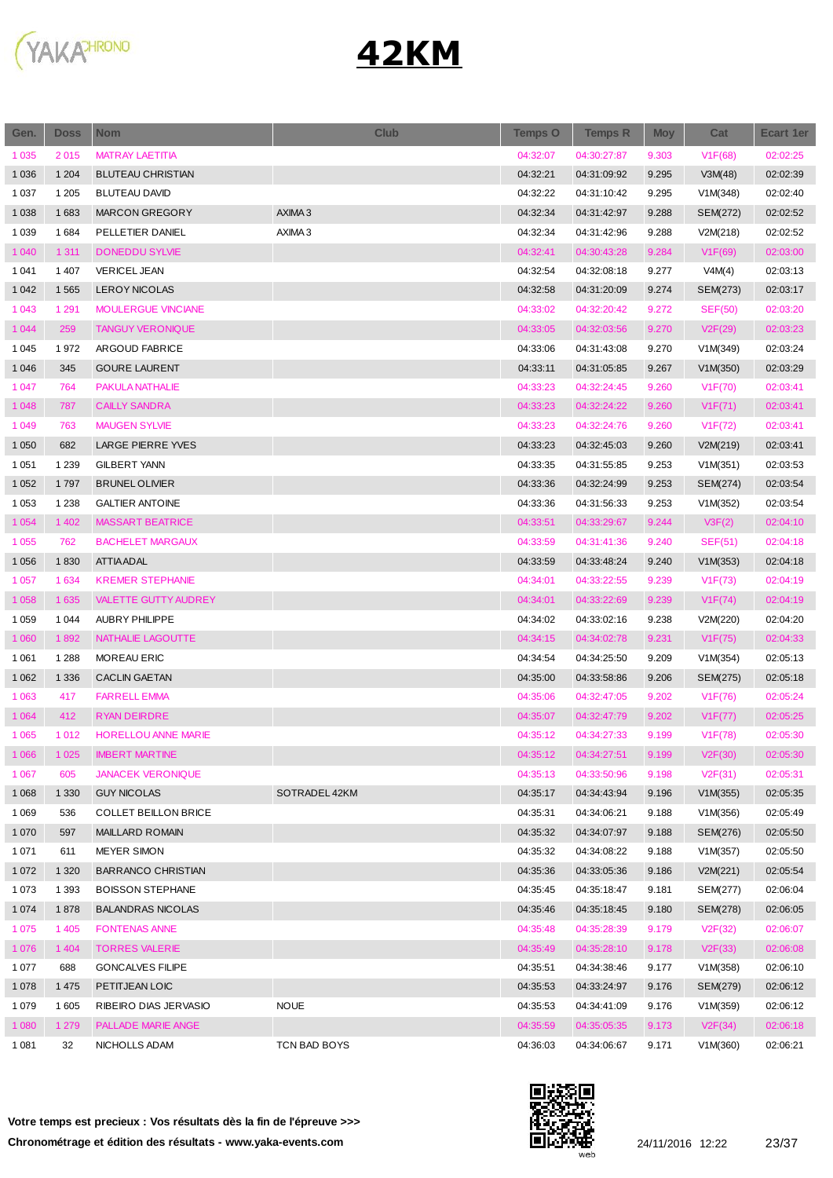

| Gen.    | <b>Doss</b> | <b>Nom</b>                  | <b>Club</b>        | <b>Temps O</b> | <b>Temps R</b> | <b>Moy</b> | Cat            | Ecart 1er |
|---------|-------------|-----------------------------|--------------------|----------------|----------------|------------|----------------|-----------|
| 1 0 3 5 | 2015        | <b>MATRAY LAETITIA</b>      |                    | 04:32:07       | 04:30:27:87    | 9.303      | V1F(68)        | 02:02:25  |
| 1 0 3 6 | 1 2 0 4     | <b>BLUTEAU CHRISTIAN</b>    |                    | 04:32:21       | 04:31:09:92    | 9.295      | V3M(48)        | 02:02:39  |
| 1 0 3 7 | 1 2 0 5     | <b>BLUTEAU DAVID</b>        |                    | 04:32:22       | 04:31:10:42    | 9.295      | V1M(348)       | 02:02:40  |
| 1 0 38  | 1683        | <b>MARCON GREGORY</b>       | AXIMA <sub>3</sub> | 04:32:34       | 04:31:42:97    | 9.288      | SEM(272)       | 02:02:52  |
| 1 0 3 9 | 1684        | PELLETIER DANIEL            | AXIMA 3            | 04:32:34       | 04:31:42:96    | 9.288      | V2M(218)       | 02:02:52  |
| 1 0 4 0 | 1 3 1 1     | <b>DONEDDU SYLVIE</b>       |                    | 04:32:41       | 04:30:43:28    | 9.284      | V1F(69)        | 02:03:00  |
| 1 0 4 1 | 1 4 0 7     | <b>VERICEL JEAN</b>         |                    | 04:32:54       | 04:32:08:18    | 9.277      | V4M(4)         | 02:03:13  |
| 1 0 4 2 | 1 5 6 5     | <b>LEROY NICOLAS</b>        |                    | 04:32:58       | 04:31:20:09    | 9.274      | SEM(273)       | 02:03:17  |
| 1 0 4 3 | 1 2 9 1     | <b>MOULERGUE VINCIANE</b>   |                    | 04:33:02       | 04:32:20:42    | 9.272      | <b>SEF(50)</b> | 02:03:20  |
| 1 0 4 4 | 259         | <b>TANGUY VERONIQUE</b>     |                    | 04:33:05       | 04:32:03:56    | 9.270      | V2F(29)        | 02:03:23  |
| 1 0 4 5 | 1972        | ARGOUD FABRICE              |                    | 04:33:06       | 04:31:43:08    | 9.270      | V1M(349)       | 02:03:24  |
| 1 0 4 6 | 345         | <b>GOURE LAURENT</b>        |                    | 04:33:11       | 04:31:05:85    | 9.267      | V1M(350)       | 02:03:29  |
| 1 0 4 7 | 764         | PAKULA NATHALIE             |                    | 04:33:23       | 04:32:24:45    | 9.260      | V1F(70)        | 02:03:41  |
| 1 0 4 8 | 787         | <b>CAILLY SANDRA</b>        |                    | 04:33:23       | 04:32:24:22    | 9.260      | V1F(71)        | 02:03:41  |
| 1 0 4 9 | 763         | <b>MAUGEN SYLVIE</b>        |                    | 04:33:23       | 04:32:24:76    | 9.260      | V1F(72)        | 02:03:41  |
| 1 0 5 0 | 682         | LARGE PIERRE YVES           |                    | 04:33:23       | 04:32:45:03    | 9.260      | V2M(219)       | 02:03:41  |
| 1 0 5 1 | 1 2 3 9     | <b>GILBERT YANN</b>         |                    | 04:33:35       | 04:31:55:85    | 9.253      | V1M(351)       | 02:03:53  |
| 1 0 5 2 | 1797        | <b>BRUNEL OLIVIER</b>       |                    | 04:33:36       | 04:32:24:99    | 9.253      | SEM(274)       | 02:03:54  |
| 1 0 5 3 | 1 2 3 8     | <b>GALTIER ANTOINE</b>      |                    | 04:33:36       | 04:31:56:33    | 9.253      | V1M(352)       | 02:03:54  |
| 1 0 5 4 | 1 4 0 2     | <b>MASSART BEATRICE</b>     |                    | 04:33:51       | 04:33:29:67    | 9.244      | V3F(2)         | 02:04:10  |
| 1 0 5 5 | 762         | <b>BACHELET MARGAUX</b>     |                    | 04:33:59       | 04:31:41:36    | 9.240      | <b>SEF(51)</b> | 02:04:18  |
| 1 0 5 6 | 1830        | <b>ATTIA ADAL</b>           |                    | 04:33:59       | 04:33:48:24    | 9.240      | V1M(353)       | 02:04:18  |
| 1 0 5 7 | 1 6 3 4     | <b>KREMER STEPHANIE</b>     |                    | 04:34:01       | 04:33:22:55    | 9.239      | V1F(73)        | 02:04:19  |
| 1 0 5 8 | 1 6 3 5     | <b>VALETTE GUTTY AUDREY</b> |                    | 04:34:01       | 04:33:22:69    | 9.239      | V1F(74)        | 02:04:19  |
| 1 0 5 9 | 1 0 4 4     | <b>AUBRY PHILIPPE</b>       |                    | 04:34:02       | 04:33:02:16    | 9.238      | V2M(220)       | 02:04:20  |
| 1 0 6 0 | 1892        | NATHALIE LAGOUTTE           |                    | 04:34:15       | 04:34:02:78    | 9.231      | V1F(75)        | 02:04:33  |
| 1 0 6 1 | 1 2 8 8     | <b>MOREAU ERIC</b>          |                    | 04:34:54       | 04:34:25:50    | 9.209      | V1M(354)       | 02:05:13  |
| 1 0 6 2 | 1 3 3 6     | <b>CACLIN GAETAN</b>        |                    | 04:35:00       | 04:33:58:86    | 9.206      | SEM(275)       | 02:05:18  |
| 1 0 6 3 | 417         | <b>FARRELL EMMA</b>         |                    | 04:35:06       | 04:32:47:05    | 9.202      | V1F(76)        | 02:05:24  |
| 1 0 6 4 | 412         | <b>RYAN DEIRDRE</b>         |                    | 04:35:07       | 04:32:47:79    | 9.202      | V1F(77)        | 02:05:25  |
| 1 0 6 5 | 1012        | HORELLOU ANNE MARIE         |                    | 04:35:12       | 04:34:27:33    | 9.199      | V1F(78)        | 02:05:30  |
| 1 0 6 6 | 1 0 2 5     | <b>IMBERT MARTINE</b>       |                    | 04:35:12       | 04:34:27:51    | 9.199      | V2F(30)        | 02:05:30  |
| 1 0 6 7 | 605         | <b>JANACEK VERONIQUE</b>    |                    | 04:35:13       | 04:33:50:96    | 9.198      | V2F(31)        | 02:05:31  |
| 1 0 6 8 | 1 3 3 0     | <b>GUY NICOLAS</b>          | SOTRADEL 42KM      | 04:35:17       | 04:34:43:94    | 9.196      | V1M(355)       | 02:05:35  |
| 1 0 6 9 | 536         | <b>COLLET BEILLON BRICE</b> |                    | 04:35:31       | 04:34:06:21    | 9.188      | V1M(356)       | 02:05:49  |
| 1 0 7 0 | 597         | <b>MAILLARD ROMAIN</b>      |                    | 04:35:32       | 04:34:07:97    | 9.188      | SEM(276)       | 02:05:50  |
| 1 0 7 1 | 611         | MEYER SIMON                 |                    | 04:35:32       | 04:34:08:22    | 9.188      | V1M(357)       | 02:05:50  |
| 1 0 7 2 | 1 3 2 0     | <b>BARRANCO CHRISTIAN</b>   |                    | 04:35:36       | 04:33:05:36    | 9.186      | V2M(221)       | 02:05:54  |
| 1 0 7 3 | 1 3 9 3     | <b>BOISSON STEPHANE</b>     |                    | 04:35:45       | 04:35:18:47    | 9.181      | SEM(277)       | 02:06:04  |
| 1 0 7 4 | 1878        | <b>BALANDRAS NICOLAS</b>    |                    | 04:35:46       | 04:35:18:45    | 9.180      | SEM(278)       | 02:06:05  |
| 1 0 7 5 | 1 4 0 5     | <b>FONTENAS ANNE</b>        |                    | 04:35:48       | 04:35:28:39    | 9.179      | V2F(32)        | 02:06:07  |
| 1 0 7 6 | 1 4 0 4     | <b>TORRES VALERIE</b>       |                    | 04:35:49       | 04:35:28:10    | 9.178      | V2F(33)        | 02:06:08  |
| 1 0 7 7 | 688         | <b>GONCALVES FILIPE</b>     |                    | 04:35:51       | 04:34:38:46    | 9.177      | V1M(358)       | 02:06:10  |
| 1 0 7 8 | 1 4 7 5     | PETITJEAN LOIC              |                    | 04:35:53       | 04:33:24:97    | 9.176      | SEM(279)       | 02:06:12  |
| 1 0 7 9 | 1 605       | RIBEIRO DIAS JERVASIO       | <b>NOUE</b>        | 04:35:53       | 04:34:41:09    | 9.176      | V1M(359)       | 02:06:12  |
| 1 0 8 0 | 1 2 7 9     | PALLADE MARIE ANGE          |                    | 04:35:59       | 04:35:05:35    | 9.173      | V2F(34)        | 02:06:18  |
| 1 0 8 1 | 32          | NICHOLLS ADAM               | TCN BAD BOYS       | 04:36:03       | 04:34:06:67    | 9.171      | V1M(360)       | 02:06:21  |
|         |             |                             |                    |                |                |            |                |           |

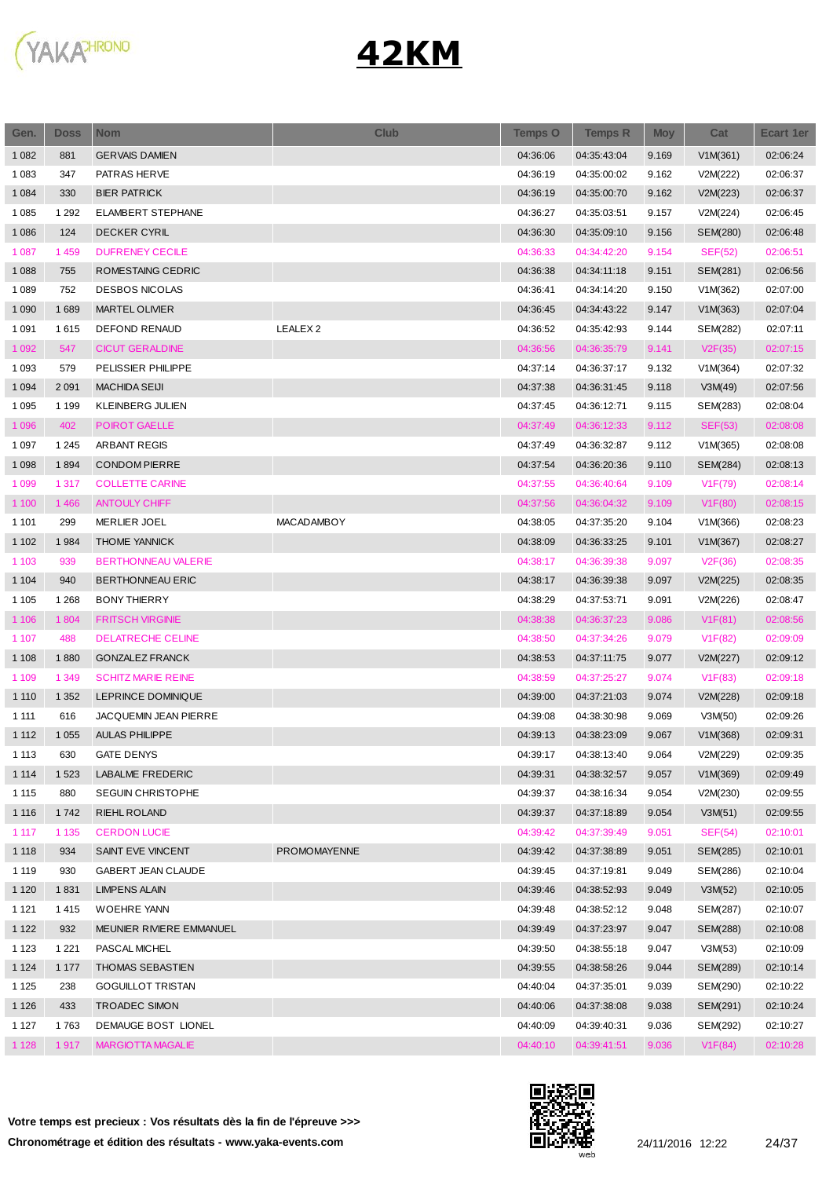

| Gen.    | <b>Doss</b> | <b>Nom</b>                 | <b>Club</b>         | <b>Temps O</b> | <b>Temps R</b> | <b>Moy</b> | Cat            | Ecart 1er |
|---------|-------------|----------------------------|---------------------|----------------|----------------|------------|----------------|-----------|
| 1 0 8 2 | 881         | <b>GERVAIS DAMIEN</b>      |                     | 04:36:06       | 04:35:43:04    | 9.169      | V1M(361)       | 02:06:24  |
| 1 0 8 3 | 347         | PATRAS HERVE               |                     | 04:36:19       | 04:35:00:02    | 9.162      | V2M(222)       | 02:06:37  |
| 1 0 8 4 | 330         | <b>BIER PATRICK</b>        |                     | 04:36:19       | 04:35:00:70    | 9.162      | V2M(223)       | 02:06:37  |
| 1 0 8 5 | 1 2 9 2     | ELAMBERT STEPHANE          |                     | 04:36:27       | 04:35:03:51    | 9.157      | V2M(224)       | 02:06:45  |
| 1 0 8 6 | 124         | <b>DECKER CYRIL</b>        |                     | 04:36:30       | 04:35:09:10    | 9.156      | SEM(280)       | 02:06:48  |
| 1 0 8 7 | 1459        | <b>DUFRENEY CECILE</b>     |                     | 04:36:33       | 04:34:42:20    | 9.154      | <b>SEF(52)</b> | 02:06:51  |
| 1 0 8 8 | 755         | ROMESTAING CEDRIC          |                     | 04:36:38       | 04:34:11:18    | 9.151      | SEM(281)       | 02:06:56  |
| 1 0 8 9 | 752         | <b>DESBOS NICOLAS</b>      |                     | 04:36:41       | 04:34:14:20    | 9.150      | V1M(362)       | 02:07:00  |
| 1 0 9 0 | 1689        | <b>MARTEL OLIVIER</b>      |                     | 04:36:45       | 04:34:43:22    | 9.147      | V1M(363)       | 02:07:04  |
| 1 0 9 1 | 1615        | <b>DEFOND RENAUD</b>       | LEALEX <sub>2</sub> | 04:36:52       | 04:35:42:93    | 9.144      | SEM(282)       | 02:07:11  |
| 1 0 9 2 | 547         | <b>CICUT GERALDINE</b>     |                     | 04:36:56       | 04:36:35:79    | 9.141      | V2F(35)        | 02:07:15  |
| 1 0 9 3 | 579         | PELISSIER PHILIPPE         |                     | 04:37:14       | 04:36:37:17    | 9.132      | V1M(364)       | 02:07:32  |
| 1 0 9 4 | 2 0 9 1     | <b>MACHIDA SEUI</b>        |                     | 04:37:38       | 04:36:31:45    | 9.118      | V3M(49)        | 02:07:56  |
| 1 0 9 5 | 1 1 9 9     | KLEINBERG JULIEN           |                     | 04:37:45       | 04:36:12:71    | 9.115      | SEM(283)       | 02:08:04  |
| 1 0 9 6 | 402         | POIROT GAELLE              |                     | 04:37:49       | 04:36:12:33    | 9.112      | <b>SEF(53)</b> | 02:08:08  |
| 1 0 9 7 | 1 2 4 5     | ARBANT REGIS               |                     | 04:37:49       | 04:36:32:87    | 9.112      | V1M(365)       | 02:08:08  |
| 1 0 9 8 | 1894        | <b>CONDOM PIERRE</b>       |                     | 04:37:54       | 04:36:20:36    | 9.110      | SEM(284)       | 02:08:13  |
| 1 0 9 9 | 1 3 1 7     | <b>COLLETTE CARINE</b>     |                     | 04:37:55       | 04:36:40:64    | 9.109      | V1F(79)        | 02:08:14  |
| 1 100   | 1 4 6 6     | <b>ANTOULY CHIFF</b>       |                     | 04:37:56       | 04:36:04:32    | 9.109      | V1F(80)        | 02:08:15  |
| 1 1 0 1 | 299         | <b>MERLIER JOEL</b>        | <b>MACADAMBOY</b>   | 04:38:05       | 04:37:35:20    | 9.104      | V1M(366)       | 02:08:23  |
| 1 1 0 2 | 1984        | <b>THOME YANNICK</b>       |                     | 04:38:09       | 04:36:33:25    | 9.101      | V1M(367)       | 02:08:27  |
| 1 1 0 3 | 939         | <b>BERTHONNEAU VALERIE</b> |                     | 04:38:17       | 04:36:39:38    | 9.097      | V2F(36)        | 02:08:35  |
| 1 1 0 4 | 940         | <b>BERTHONNEAU ERIC</b>    |                     | 04:38:17       | 04:36:39:38    | 9.097      | V2M(225)       | 02:08:35  |
| 1 1 0 5 | 1 2 6 8     | <b>BONY THIERRY</b>        |                     | 04:38:29       | 04:37:53:71    | 9.091      | V2M(226)       | 02:08:47  |
| 1 1 0 6 | 1804        | <b>FRITSCH VIRGINIE</b>    |                     | 04:38:38       | 04:36:37:23    | 9.086      | V1F(81)        | 02:08:56  |
| 1 1 0 7 | 488         | <b>DELATRECHE CELINE</b>   |                     | 04:38:50       | 04:37:34:26    | 9.079      | V1F(82)        | 02:09:09  |
| 1 1 0 8 | 1880        | <b>GONZALEZ FRANCK</b>     |                     | 04:38:53       | 04:37:11:75    | 9.077      | V2M(227)       | 02:09:12  |
| 1 1 0 9 | 1 3 4 9     | <b>SCHITZ MARIE REINE</b>  |                     | 04:38:59       | 04:37:25:27    | 9.074      | V1F(83)        | 02:09:18  |
| 1 1 1 0 | 1 3 5 2     | LEPRINCE DOMINIQUE         |                     | 04:39:00       | 04:37:21:03    | 9.074      | V2M(228)       | 02:09:18  |
| 1 1 1 1 | 616         | JACQUEMIN JEAN PIERRE      |                     | 04:39:08       | 04:38:30:98    | 9.069      | V3M(50)        | 02:09:26  |
| 1 1 1 2 | 1 0 5 5     | <b>AULAS PHILIPPE</b>      |                     | 04:39:13       | 04:38:23:09    | 9.067      | V1M(368)       | 02:09:31  |
| 1 1 1 3 | 630         | <b>GATE DENYS</b>          |                     | 04:39:17       | 04:38:13:40    | 9.064      | V2M(229)       | 02:09:35  |
| 1 1 1 4 | 1 5 2 3     | LABALME FREDERIC           |                     | 04:39:31       | 04:38:32:57    | 9.057      | V1M(369)       | 02:09:49  |
| 1 1 1 5 | 880         | SEGUIN CHRISTOPHE          |                     | 04:39:37       | 04:38:16:34    | 9.054      | V2M(230)       | 02:09:55  |
| 1 1 1 6 | 1742        | <b>RIEHL ROLAND</b>        |                     | 04:39:37       | 04:37:18:89    | 9.054      | V3M(51)        | 02:09:55  |
| 1 1 1 7 | 1 1 3 5     | <b>CERDON LUCIE</b>        |                     | 04:39:42       | 04:37:39:49    | 9.051      | SEF(54)        | 02:10:01  |
| 1 1 1 8 | 934         | SAINT EVE VINCENT          | <b>PROMOMAYENNE</b> | 04:39:42       | 04:37:38:89    | 9.051      | SEM(285)       | 02:10:01  |
| 1 1 1 9 | 930         | GABERT JEAN CLAUDE         |                     | 04:39:45       | 04:37:19:81    | 9.049      | SEM(286)       | 02:10:04  |
| 1 1 2 0 | 1831        | <b>LIMPENS ALAIN</b>       |                     | 04:39:46       | 04:38:52:93    | 9.049      | V3M(52)        | 02:10:05  |
| 1 1 2 1 | 1415        | <b>WOEHRE YANN</b>         |                     | 04:39:48       | 04:38:52:12    | 9.048      | SEM(287)       | 02:10:07  |
| 1 1 2 2 | 932         | MEUNIER RIVIERE EMMANUEL   |                     | 04:39:49       | 04:37:23:97    | 9.047      | SEM(288)       | 02:10:08  |
| 1 1 2 3 | 1 2 2 1     | PASCAL MICHEL              |                     | 04:39:50       | 04:38:55:18    | 9.047      | V3M(53)        | 02:10:09  |
| 1 1 2 4 | 1 1 7 7     | THOMAS SEBASTIEN           |                     | 04:39:55       | 04:38:58:26    | 9.044      | SEM(289)       | 02:10:14  |
| 1 1 2 5 | 238         | <b>GOGUILLOT TRISTAN</b>   |                     | 04:40:04       | 04:37:35:01    | 9.039      | SEM(290)       | 02:10:22  |
| 1 1 2 6 | 433         | TROADEC SIMON              |                     | 04:40:06       | 04:37:38:08    | 9.038      | SEM(291)       | 02:10:24  |
| 1 1 2 7 | 1763        | DEMAUGE BOST LIONEL        |                     | 04:40:09       | 04:39:40:31    | 9.036      | SEM(292)       | 02:10:27  |
| 1 1 2 8 | 1917        | MARGIOTTA MAGALIE          |                     | 04:40:10       | 04:39:41:51    | 9.036      | V1F(84)        | 02:10:28  |

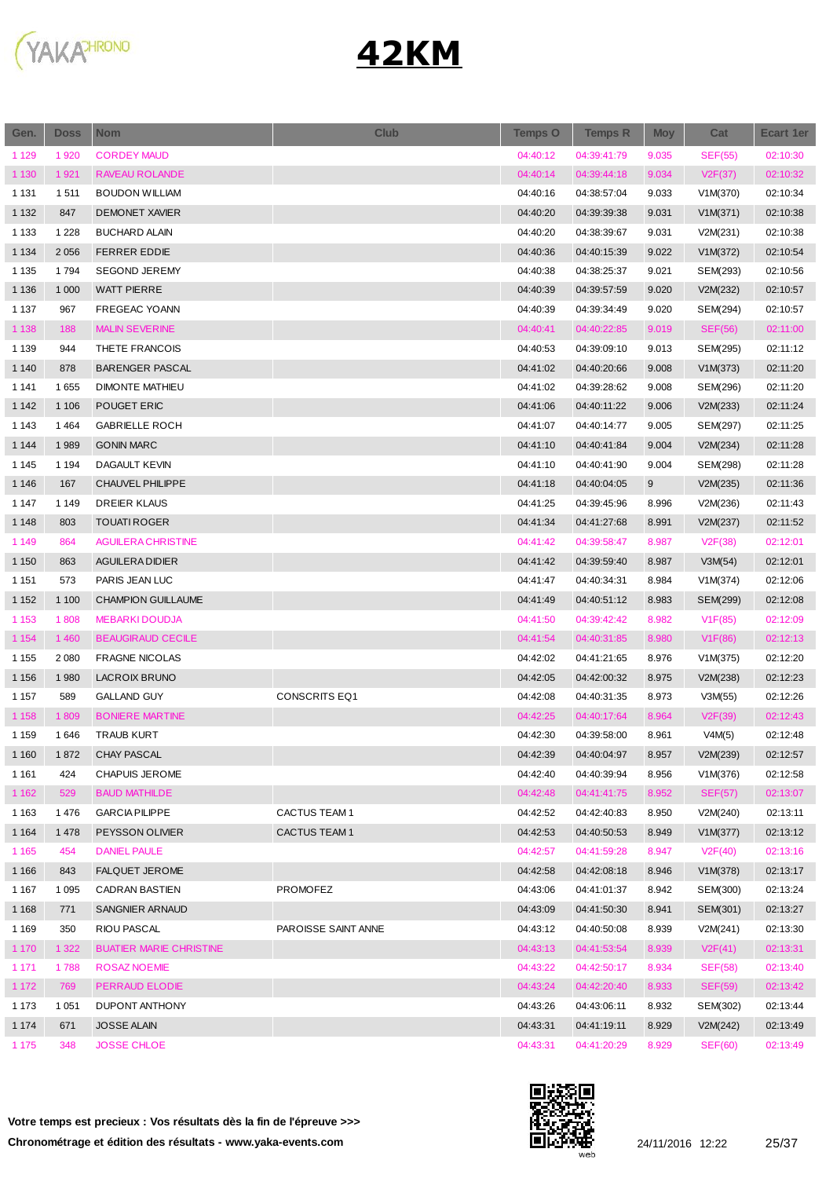

| Gen.    | <b>Doss</b> | <b>Nom</b>                     | <b>Club</b>          | <b>Temps O</b> | <b>Temps R</b> | <b>Moy</b> | Cat            | <b>Ecart 1er</b> |
|---------|-------------|--------------------------------|----------------------|----------------|----------------|------------|----------------|------------------|
| 1 1 2 9 | 1920        | <b>CORDEY MAUD</b>             |                      | 04:40:12       | 04:39:41:79    | 9.035      | <b>SEF(55)</b> | 02:10:30         |
| 1 1 3 0 | 1921        | <b>RAVEAU ROLANDE</b>          |                      | 04:40:14       | 04:39:44:18    | 9.034      | V2F(37)        | 02:10:32         |
| 1 1 3 1 | 1511        | <b>BOUDON WILLIAM</b>          |                      | 04:40:16       | 04:38:57:04    | 9.033      | V1M(370)       | 02:10:34         |
| 1 1 3 2 | 847         | <b>DEMONET XAVIER</b>          |                      | 04:40:20       | 04:39:39:38    | 9.031      | V1M(371)       | 02:10:38         |
| 1 1 3 3 | 1 2 2 8     | <b>BUCHARD ALAIN</b>           |                      | 04:40:20       | 04:38:39:67    | 9.031      | V2M(231)       | 02:10:38         |
| 1 1 3 4 | 2 0 5 6     | <b>FERRER EDDIE</b>            |                      | 04:40:36       | 04:40:15:39    | 9.022      | V1M(372)       | 02:10:54         |
| 1 1 3 5 | 1794        | <b>SEGOND JEREMY</b>           |                      | 04:40:38       | 04:38:25:37    | 9.021      | SEM(293)       | 02:10:56         |
| 1 1 3 6 | 1 0 0 0     | <b>WATT PIERRE</b>             |                      | 04:40:39       | 04:39:57:59    | 9.020      | V2M(232)       | 02:10:57         |
| 1 1 3 7 | 967         | FREGEAC YOANN                  |                      | 04:40:39       | 04:39:34:49    | 9.020      | SEM(294)       | 02:10:57         |
| 1 1 3 8 | 188         | <b>MALIN SEVERINE</b>          |                      | 04:40:41       | 04:40:22:85    | 9.019      | <b>SEF(56)</b> | 02:11:00         |
| 1 1 3 9 | 944         | THETE FRANCOIS                 |                      | 04:40:53       | 04:39:09:10    | 9.013      | SEM(295)       | 02:11:12         |
| 1 1 4 0 | 878         | <b>BARENGER PASCAL</b>         |                      | 04:41:02       | 04:40:20:66    | 9.008      | V1M(373)       | 02:11:20         |
| 1 1 4 1 | 1655        | <b>DIMONTE MATHIEU</b>         |                      | 04:41:02       | 04:39:28:62    | 9.008      | SEM(296)       | 02:11:20         |
| 1 1 4 2 | 1 1 0 6     | POUGET ERIC                    |                      | 04:41:06       | 04:40:11:22    | 9.006      | V2M(233)       | 02:11:24         |
| 1 1 4 3 | 1464        | <b>GABRIELLE ROCH</b>          |                      | 04:41:07       | 04:40:14:77    | 9.005      | SEM(297)       | 02:11:25         |
| 1 1 4 4 | 1989        | <b>GONIN MARC</b>              |                      | 04:41:10       | 04:40:41:84    | 9.004      | V2M(234)       | 02:11:28         |
| 1 1 4 5 | 1 1 9 4     | <b>DAGAULT KEVIN</b>           |                      | 04:41:10       | 04:40:41:90    | 9.004      | SEM(298)       | 02:11:28         |
| 1 1 4 6 | 167         | CHAUVEL PHILIPPE               |                      | 04:41:18       | 04:40:04:05    | 9          | V2M(235)       | 02:11:36         |
| 1 1 4 7 | 1 1 4 9     | DREIER KLAUS                   |                      | 04:41:25       | 04:39:45:96    | 8.996      | V2M(236)       | 02:11:43         |
| 1 1 4 8 | 803         | <b>TOUATI ROGER</b>            |                      | 04:41:34       | 04:41:27:68    | 8.991      | V2M(237)       | 02:11:52         |
| 1 1 4 9 | 864         | <b>AGUILERA CHRISTINE</b>      |                      | 04:41:42       | 04:39:58:47    | 8.987      | V2F(38)        | 02:12:01         |
| 1 1 5 0 | 863         | <b>AGUILERA DIDIER</b>         |                      | 04:41:42       | 04:39:59:40    | 8.987      | V3M(54)        | 02:12:01         |
| 1 1 5 1 | 573         | PARIS JEAN LUC                 |                      | 04:41:47       | 04:40:34:31    | 8.984      | V1M(374)       | 02:12:06         |
| 1 1 5 2 | 1 1 0 0     | <b>CHAMPION GUILLAUME</b>      |                      | 04:41:49       | 04:40:51:12    | 8.983      | SEM(299)       | 02:12:08         |
| 1 1 5 3 | 1808        | <b>MEBARKI DOUDJA</b>          |                      | 04:41:50       | 04:39:42:42    | 8.982      | V1F(85)        | 02:12:09         |
| 1 1 5 4 | 1 4 6 0     | <b>BEAUGIRAUD CECILE</b>       |                      | 04:41:54       | 04:40:31:85    | 8.980      | V1F(86)        | 02:12:13         |
| 1 1 5 5 | 2 0 8 0     | <b>FRAGNE NICOLAS</b>          |                      | 04:42:02       | 04:41:21:65    | 8.976      | V1M(375)       | 02:12:20         |
| 1 1 5 6 | 1980        | <b>LACROIX BRUNO</b>           |                      | 04:42:05       | 04:42:00:32    | 8.975      | V2M(238)       | 02:12:23         |
| 1 1 5 7 | 589         | <b>GALLAND GUY</b>             | <b>CONSCRITS EQ1</b> | 04:42:08       | 04:40:31:35    | 8.973      | V3M(55)        | 02:12:26         |
| 1 1 5 8 | 1809        | <b>BONIERE MARTINE</b>         |                      | 04:42:25       | 04:40:17:64    | 8.964      | V2F(39)        | 02:12:43         |
| 1 1 5 9 | 1646        | <b>TRAUB KURT</b>              |                      | 04:42:30       | 04:39:58:00    | 8.961      | V4M(5)         | 02:12:48         |
| 1 1 6 0 | 1872        | CHAY PASCAL                    |                      | 04:42:39       | 04:40:04:97    | 8.957      | V2M(239)       | 02:12:57         |
| 1 1 6 1 | 424         | CHAPUIS JEROME                 |                      | 04:42:40       | 04:40:39:94    | 8.956      | V1M(376)       | 02:12:58         |
| 1 1 6 2 | 529         | <b>BAUD MATHILDE</b>           |                      | 04:42:48       | 04:41:41:75    | 8.952      | SEF(57)        | 02:13:07         |
| 1 1 6 3 | 1476        | <b>GARCIA PILIPPE</b>          | CACTUS TEAM 1        | 04:42:52       | 04:42:40:83    | 8.950      | V2M(240)       | 02:13:11         |
| 1 1 6 4 | 1478        | PEYSSON OLIVIER                | CACTUS TEAM 1        | 04:42:53       | 04:40:50:53    | 8.949      | V1M(377)       | 02:13:12         |
| 1 1 6 5 | 454         | <b>DANIEL PAULE</b>            |                      | 04:42:57       | 04:41:59:28    | 8.947      | V2F(40)        | 02:13:16         |
| 1 1 6 6 | 843         | <b>FALQUET JEROME</b>          |                      | 04:42:58       | 04:42:08:18    | 8.946      | V1M(378)       | 02:13:17         |
| 1 1 6 7 | 1 0 9 5     | CADRAN BASTIEN                 | PROMOFEZ             | 04:43:06       | 04:41:01:37    | 8.942      | SEM(300)       | 02:13:24         |
| 1 1 6 8 | 771         | SANGNIER ARNAUD                |                      | 04:43:09       | 04:41:50:30    | 8.941      | SEM(301)       | 02:13:27         |
| 1 1 6 9 | 350         | RIOU PASCAL                    | PAROISSE SAINT ANNE  | 04:43:12       | 04:40:50:08    | 8.939      | V2M(241)       | 02:13:30         |
| 1 1 7 0 | 1 3 2 2     | <b>BUATIER MARIE CHRISTINE</b> |                      | 04:43:13       | 04:41:53:54    | 8.939      | V2F(41)        | 02:13:31         |
| 1 1 7 1 | 1788        | <b>ROSAZ NOEMIE</b>            |                      | 04:43:22       | 04:42:50:17    | 8.934      | <b>SEF(58)</b> | 02:13:40         |
| 1 1 7 2 | 769         | PERRAUD ELODIE                 |                      | 04:43:24       | 04:42:20:40    | 8.933      | SEF(59)        | 02:13:42         |
| 1 1 7 3 | 1 0 5 1     | DUPONT ANTHONY                 |                      | 04:43:26       | 04:43:06:11    | 8.932      | SEM(302)       | 02:13:44         |
| 1 1 7 4 | 671         | <b>JOSSE ALAIN</b>             |                      | 04:43:31       | 04:41:19:11    | 8.929      | V2M(242)       | 02:13:49         |
| 1 1 7 5 | 348         | <b>JOSSE CHLOE</b>             |                      | 04:43:31       | 04:41:20:29    | 8.929      | <b>SEF(60)</b> | 02:13:49         |

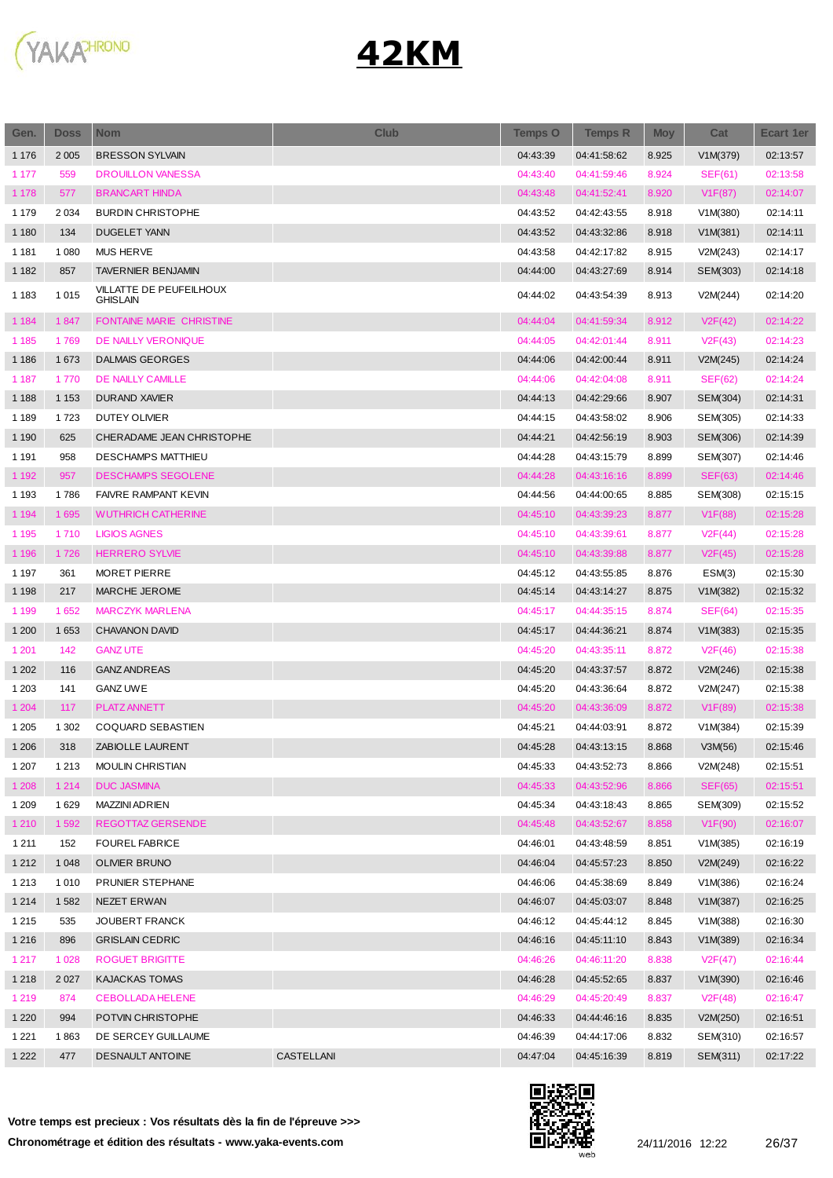

| Gen.    | <b>Doss</b> | <b>Nom</b>                                 | <b>Club</b> | <b>Temps O</b> | <b>Temps R</b> | <b>Moy</b> | Cat            | Ecart 1er |
|---------|-------------|--------------------------------------------|-------------|----------------|----------------|------------|----------------|-----------|
| 1 1 7 6 | 2 0 0 5     | <b>BRESSON SYLVAIN</b>                     |             | 04:43:39       | 04:41:58:62    | 8.925      | V1M(379)       | 02:13:57  |
| 1 1 7 7 | 559         | <b>DROUILLON VANESSA</b>                   |             | 04:43:40       | 04:41:59:46    | 8.924      | <b>SEF(61)</b> | 02:13:58  |
| 1 1 7 8 | 577         | <b>BRANCART HINDA</b>                      |             | 04:43:48       | 04:41:52:41    | 8.920      | V1F(87)        | 02:14:07  |
| 1 1 7 9 | 2 0 3 4     | <b>BURDIN CHRISTOPHE</b>                   |             | 04:43:52       | 04:42:43:55    | 8.918      | V1M(380)       | 02:14:11  |
| 1 1 8 0 | 134         | <b>DUGELET YANN</b>                        |             | 04:43:52       | 04:43:32:86    | 8.918      | V1M(381)       | 02:14:11  |
| 1 1 8 1 | 1 0 8 0     | <b>MUS HERVE</b>                           |             | 04:43:58       | 04:42:17:82    | 8.915      | V2M(243)       | 02:14:17  |
| 1 1 8 2 | 857         | <b>TAVERNIER BENJAMIN</b>                  |             | 04:44:00       | 04:43:27:69    | 8.914      | SEM(303)       | 02:14:18  |
| 1 1 8 3 | 1 0 1 5     | VILLATTE DE PEUFEILHOUX<br><b>GHISLAIN</b> |             | 04:44:02       | 04:43:54:39    | 8.913      | V2M(244)       | 02:14:20  |
| 1 1 8 4 | 1847        | <b>FONTAINE MARIE CHRISTINE</b>            |             | 04:44:04       | 04:41:59:34    | 8.912      | V2F(42)        | 02:14:22  |
| 1 1 8 5 | 1769        | DE NAILLY VERONIQUE                        |             | 04:44:05       | 04:42:01:44    | 8.911      | V2F(43)        | 02:14:23  |
| 1 1 8 6 | 1673        | <b>DALMAIS GEORGES</b>                     |             | 04:44:06       | 04:42:00:44    | 8.911      | V2M(245)       | 02:14:24  |
| 1 1 8 7 | 1770        | DE NAILLY CAMILLE                          |             | 04:44:06       | 04:42:04:08    | 8.911      | <b>SEF(62)</b> | 02:14:24  |
| 1 1 8 8 | 1 1 5 3     | <b>DURAND XAVIER</b>                       |             | 04:44:13       | 04:42:29:66    | 8.907      | SEM(304)       | 02:14:31  |
| 1 1 8 9 | 1723        | <b>DUTEY OLIVIER</b>                       |             | 04:44:15       | 04:43:58:02    | 8.906      | SEM(305)       | 02:14:33  |
| 1 1 9 0 | 625         | CHERADAME JEAN CHRISTOPHE                  |             | 04:44:21       | 04:42:56:19    | 8.903      | SEM(306)       | 02:14:39  |
| 1 1 9 1 | 958         | <b>DESCHAMPS MATTHIEU</b>                  |             | 04:44:28       | 04:43:15:79    | 8.899      | SEM(307)       | 02:14:46  |
| 1 1 9 2 | 957         | <b>DESCHAMPS SEGOLENE</b>                  |             | 04:44:28       | 04:43:16:16    | 8.899      | <b>SEF(63)</b> | 02:14:46  |
| 1 1 9 3 | 1786        | <b>FAIVRE RAMPANT KEVIN</b>                |             | 04:44:56       | 04:44:00:65    | 8.885      | SEM(308)       | 02:15:15  |
| 1 1 9 4 | 1 6 9 5     | <b>WUTHRICH CATHERINE</b>                  |             | 04:45:10       | 04:43:39:23    | 8.877      | V1F(88)        | 02:15:28  |
| 1 1 9 5 | 1710        | <b>LIGIOS AGNES</b>                        |             | 04:45:10       | 04:43:39:61    | 8.877      | V2F(44)        | 02:15:28  |
| 1 1 9 6 | 1726        | <b>HERRERO SYLVIE</b>                      |             | 04:45:10       | 04:43:39:88    | 8.877      | V2F(45)        | 02:15:28  |
| 1 1 9 7 | 361         | <b>MORET PIERRE</b>                        |             | 04:45:12       | 04:43:55:85    | 8.876      | ESM(3)         | 02:15:30  |
| 1 1 9 8 | 217         | MARCHE JEROME                              |             | 04:45:14       | 04:43:14:27    | 8.875      | V1M(382)       | 02:15:32  |
| 1 1 9 9 | 1652        | <b>MARCZYK MARLENA</b>                     |             | 04:45:17       | 04:44:35:15    | 8.874      | SEF(64)        | 02:15:35  |
| 1 200   | 1653        | <b>CHAVANON DAVID</b>                      |             | 04:45:17       | 04:44:36:21    | 8.874      | V1M(383)       | 02:15:35  |
| 1 2 0 1 | 142         | <b>GANZ UTE</b>                            |             | 04:45:20       | 04:43:35:11    | 8.872      | V2F(46)        | 02:15:38  |
| 1 2 0 2 | 116         | <b>GANZ ANDREAS</b>                        |             | 04:45:20       | 04:43:37:57    | 8.872      | V2M(246)       | 02:15:38  |
| 1 2 0 3 | 141         | <b>GANZ UWE</b>                            |             | 04:45:20       | 04:43:36:64    | 8.872      | V2M(247)       | 02:15:38  |
| 1 2 0 4 | 117         | PLATZ ANNETT                               |             | 04:45:20       | 04:43:36:09    | 8.872      | V1F(89)        | 02:15:38  |
| 1 2 0 5 | 1 3 0 2     | COQUARD SEBASTIEN                          |             | 04:45:21       | 04:44:03:91    | 8.872      | V1M(384)       | 02:15:39  |
| 1 2 0 6 | 318         | ZABIOLLE LAURENT                           |             | 04:45:28       | 04:43:13:15    | 8.868      | V3M(56)        | 02:15:46  |
| 1 207   | 1 2 1 3     | <b>MOULIN CHRISTIAN</b>                    |             | 04:45:33       | 04:43:52:73    | 8.866      | V2M(248)       | 02:15:51  |
| 1 2 0 8 | 1 2 1 4     | <b>DUC JASMINA</b>                         |             | 04:45:33       | 04:43:52:96    | 8.866      | SEF(65)        | 02:15:51  |
| 1 2 0 9 | 1 6 2 9     | <b>MAZZINI ADRIEN</b>                      |             | 04:45:34       | 04:43:18:43    | 8.865      | SEM(309)       | 02:15:52  |
| 1 2 1 0 | 1592        | REGOTTAZ GERSENDE                          |             | 04:45:48       | 04:43:52:67    | 8.858      | V1F(90)        | 02:16:07  |
| 1 2 1 1 | 152         | <b>FOUREL FABRICE</b>                      |             | 04:46:01       | 04:43:48:59    | 8.851      | V1M(385)       | 02:16:19  |
| 1 2 1 2 | 1 0 4 8     | OLIVIER BRUNO                              |             | 04:46:04       | 04:45:57:23    | 8.850      | V2M(249)       | 02:16:22  |
| 1 2 1 3 | 1 0 1 0     | PRUNIER STEPHANE                           |             | 04:46:06       | 04:45:38:69    | 8.849      | V1M(386)       | 02:16:24  |
| 1 2 1 4 | 1582        | <b>NEZET ERWAN</b>                         |             | 04:46:07       | 04:45:03:07    | 8.848      | V1M(387)       | 02:16:25  |
| 1 2 1 5 | 535         | <b>JOUBERT FRANCK</b>                      |             | 04:46:12       | 04:45:44:12    | 8.845      | V1M(388)       | 02:16:30  |
| 1 2 1 6 | 896         | <b>GRISLAIN CEDRIC</b>                     |             | 04:46:16       | 04:45:11:10    | 8.843      | V1M(389)       | 02:16:34  |
| 1 2 1 7 | 1 0 2 8     | <b>ROGUET BRIGITTE</b>                     |             | 04:46:26       | 04:46:11:20    | 8.838      | V2F(47)        | 02:16:44  |
| 1 2 1 8 | 2 0 2 7     | <b>KAJACKAS TOMAS</b>                      |             | 04:46:28       | 04:45:52:65    | 8.837      | V1M(390)       | 02:16:46  |
| 1 2 1 9 | 874         | CEBOLLADA HELENE                           |             | 04:46:29       | 04:45:20:49    | 8.837      | V2F(48)        | 02:16:47  |
| 1 2 2 0 | 994         | POTVIN CHRISTOPHE                          |             | 04:46:33       | 04:44:46:16    | 8.835      | V2M(250)       | 02:16:51  |
| 1 2 2 1 | 1863        | DE SERCEY GUILLAUME                        |             | 04:46:39       | 04:44:17:06    | 8.832      | SEM(310)       | 02:16:57  |
| 1 2 2 2 | 477         | <b>DESNAULT ANTOINE</b>                    | CASTELLANI  | 04:47:04       | 04:45:16:39    | 8.819      | SEM(311)       | 02:17:22  |
|         |             |                                            |             |                |                |            |                |           |

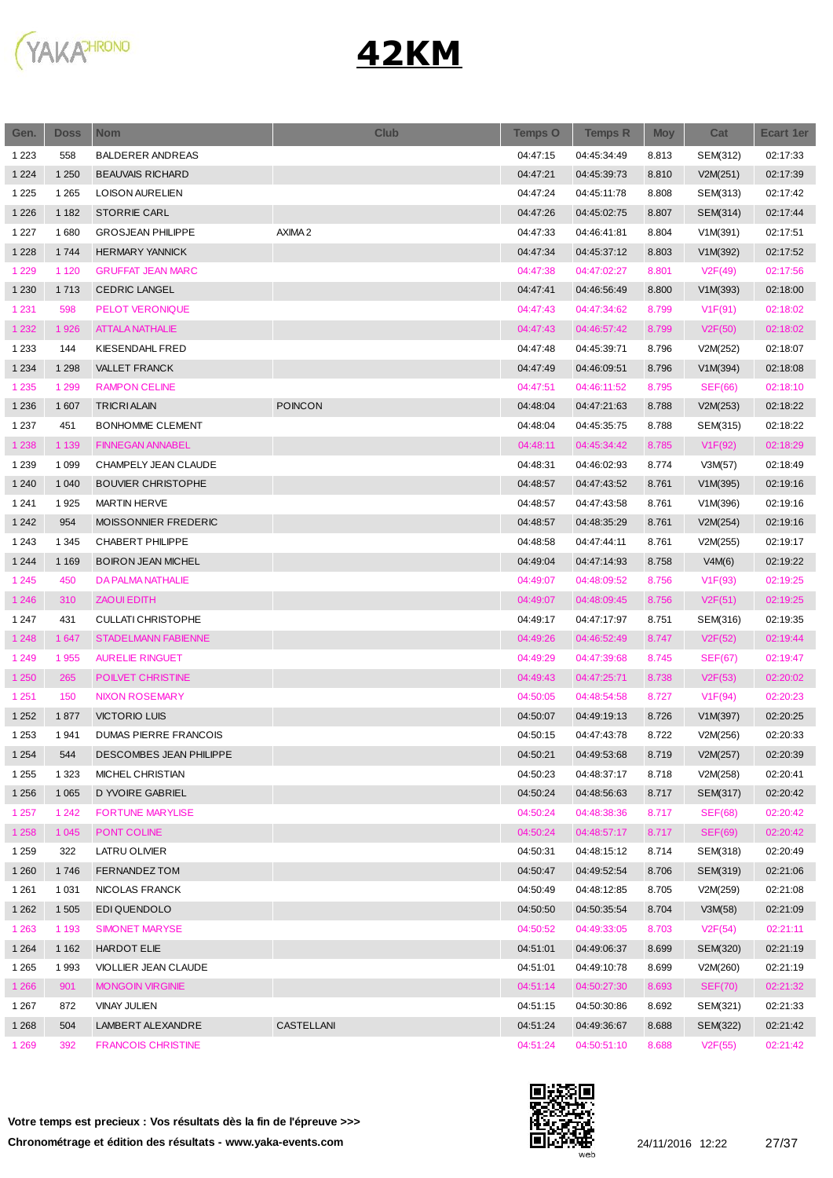

| Gen.    | <b>Doss</b> | <b>Nom</b>                   | <b>Club</b>    | <b>Temps O</b> | <b>Temps R</b> | <b>Moy</b> | Cat            | <b>Ecart 1er</b> |
|---------|-------------|------------------------------|----------------|----------------|----------------|------------|----------------|------------------|
| 1 2 2 3 | 558         | <b>BALDERER ANDREAS</b>      |                | 04:47:15       | 04:45:34:49    | 8.813      | SEM(312)       | 02:17:33         |
| 1 2 2 4 | 1 2 5 0     | <b>BEAUVAIS RICHARD</b>      |                | 04:47:21       | 04:45:39:73    | 8.810      | V2M(251)       | 02:17:39         |
| 1 2 2 5 | 1 2 6 5     | <b>LOISON AURELIEN</b>       |                | 04:47:24       | 04:45:11:78    | 8.808      | SEM(313)       | 02:17:42         |
| 1 2 2 6 | 1 1 8 2     | <b>STORRIE CARL</b>          |                | 04:47:26       | 04:45:02:75    | 8.807      | SEM(314)       | 02:17:44         |
| 1 2 2 7 | 1680        | <b>GROSJEAN PHILIPPE</b>     | AXIMA 2        | 04:47:33       | 04:46:41:81    | 8.804      | V1M(391)       | 02:17:51         |
| 1 2 2 8 | 1744        | <b>HERMARY YANNICK</b>       |                | 04:47:34       | 04:45:37:12    | 8.803      | V1M(392)       | 02:17:52         |
| 1 2 2 9 | 1 1 2 0     | <b>GRUFFAT JEAN MARC</b>     |                | 04:47:38       | 04:47:02:27    | 8.801      | V2F(49)        | 02:17:56         |
| 1 2 3 0 | 1713        | <b>CEDRIC LANGEL</b>         |                | 04:47:41       | 04:46:56:49    | 8.800      | V1M(393)       | 02:18:00         |
| 1 2 3 1 | 598         | PELOT VERONIQUE              |                | 04:47:43       | 04:47:34:62    | 8.799      | V1F(91)        | 02:18:02         |
| 1 2 3 2 | 1926        | <b>ATTALA NATHALIE</b>       |                | 04:47:43       | 04:46:57:42    | 8.799      | V2F(50)        | 02:18:02         |
| 1 2 3 3 | 144         | <b>KIESENDAHL FRED</b>       |                | 04:47:48       | 04:45:39:71    | 8.796      | V2M(252)       | 02:18:07         |
| 1 2 3 4 | 1 2 9 8     | <b>VALLET FRANCK</b>         |                | 04:47:49       | 04:46:09:51    | 8.796      | V1M(394)       | 02:18:08         |
| 1 2 3 5 | 1 2 9 9     | <b>RAMPON CELINE</b>         |                | 04:47:51       | 04:46:11:52    | 8.795      | <b>SEF(66)</b> | 02:18:10         |
| 1 2 3 6 | 1 607       | <b>TRICRI ALAIN</b>          | <b>POINCON</b> | 04:48:04       | 04:47:21:63    | 8.788      | V2M(253)       | 02:18:22         |
| 1 2 3 7 | 451         | BONHOMME CLEMENT             |                | 04:48:04       | 04:45:35:75    | 8.788      | SEM(315)       | 02:18:22         |
| 1 2 3 8 | 1 1 3 9     | <b>FINNEGAN ANNABEL</b>      |                | 04:48:11       | 04:45:34:42    | 8.785      | V1F(92)        | 02:18:29         |
| 1 2 3 9 | 1 0 9 9     | CHAMPELY JEAN CLAUDE         |                | 04:48:31       | 04:46:02:93    | 8.774      | V3M(57)        | 02:18:49         |
| 1 2 4 0 | 1 0 4 0     | <b>BOUVIER CHRISTOPHE</b>    |                | 04:48:57       | 04:47:43:52    | 8.761      | V1M(395)       | 02:19:16         |
| 1 2 4 1 | 1925        | <b>MARTIN HERVE</b>          |                | 04:48:57       | 04:47:43:58    | 8.761      | V1M(396)       | 02:19:16         |
| 1 2 4 2 | 954         | MOISSONNIER FREDERIC         |                | 04:48:57       | 04:48:35:29    | 8.761      | V2M(254)       | 02:19:16         |
| 1 2 4 3 | 1 3 4 5     | CHABERT PHILIPPE             |                | 04:48:58       | 04:47:44:11    | 8.761      | V2M(255)       | 02:19:17         |
| 1 2 4 4 | 1 1 6 9     | <b>BOIRON JEAN MICHEL</b>    |                | 04:49:04       | 04:47:14:93    | 8.758      | V4M(6)         | 02:19:22         |
| 1 2 4 5 | 450         | DA PALMA NATHALIE            |                | 04:49:07       | 04:48:09:52    | 8.756      | V1F(93)        | 02:19:25         |
|         |             |                              |                |                |                |            |                |                  |
| 1 2 4 6 | 310         | ZAOUI EDITH                  |                | 04:49:07       | 04:48:09:45    | 8.756      | V2F(51)        | 02:19:25         |
| 1 2 4 7 | 431         | <b>CULLATI CHRISTOPHE</b>    |                | 04:49:17       | 04:47:17:97    | 8.751      | SEM(316)       | 02:19:35         |
| 1 2 4 8 | 1 647       | <b>STADELMANN FABIENNE</b>   |                | 04:49:26       | 04:46:52:49    | 8.747      | V2F(52)        | 02:19:44         |
| 1 2 4 9 | 1955        | <b>AURELIE RINGUET</b>       |                | 04:49:29       | 04:47:39:68    | 8.745      | <b>SEF(67)</b> | 02:19:47         |
| 1 2 5 0 | 265         | POILVET CHRISTINE            |                | 04:49:43       | 04:47:25:71    | 8.738      | V2F(53)        | 02:20:02         |
| 1 2 5 1 | 150         | <b>NIXON ROSEMARY</b>        |                | 04:50:05       | 04:48:54:58    | 8.727      | V1F(94)        | 02:20:23         |
| 1 2 5 2 | 1877        | <b>VICTORIO LUIS</b>         |                | 04:50:07       | 04:49:19:13    | 8.726      | V1M(397)       | 02:20:25         |
| 1 2 5 3 | 1941        | <b>DUMAS PIERRE FRANCOIS</b> |                | 04:50:15       | 04:47:43:78    | 8.722      | V2M(256)       | 02:20:33         |
| 1 2 5 4 | 544         | DESCOMBES JEAN PHILIPPE      |                | 04:50:21       | 04:49:53:68    | 8.719      | V2M(257)       | 02:20:39         |
| 1 2 5 5 | 1 3 2 3     | MICHEL CHRISTIAN             |                | 04:50:23       | 04:48:37:17    | 8.718      | V2M(258)       | 02:20:41         |
| 1 2 5 6 | 1 0 6 5     | D YVOIRE GABRIEL             |                | 04:50:24       | 04:48:56:63    | 8.717      | SEM(317)       | 02:20:42         |
| 1 2 5 7 | 1 2 4 2     | <b>FORTUNE MARYLISE</b>      |                | 04:50:24       | 04:48:38:36    | 8.717      | <b>SEF(68)</b> | 02:20:42         |
| 1 2 5 8 | 1 0 4 5     | PONT COLINE                  |                | 04:50:24       | 04:48:57:17    | 8.717      | <b>SEF(69)</b> | 02:20:42         |
| 1 2 5 9 | 322         | LATRU OLIVIER                |                | 04:50:31       | 04:48:15:12    | 8.714      | SEM(318)       | 02:20:49         |
| 1 2 6 0 | 1746        | FERNANDEZ TOM                |                | 04:50:47       | 04:49:52:54    | 8.706      | SEM(319)       | 02:21:06         |
| 1 2 6 1 | 1 0 3 1     | NICOLAS FRANCK               |                | 04:50:49       | 04:48:12:85    | 8.705      | V2M(259)       | 02:21:08         |
| 1 2 6 2 | 1 5 0 5     | EDI QUENDOLO                 |                | 04:50:50       | 04:50:35:54    | 8.704      | V3M(58)        | 02:21:09         |
| 1 2 6 3 | 1 1 9 3     | <b>SIMONET MARYSE</b>        |                | 04:50:52       | 04:49:33:05    | 8.703      | V2F(54)        | 02:21:11         |
| 1 2 6 4 | 1 1 6 2     | HARDOT ELIE                  |                | 04:51:01       | 04:49:06:37    | 8.699      | SEM(320)       | 02:21:19         |
| 1 2 6 5 | 1993        | VIOLLIER JEAN CLAUDE         |                | 04:51:01       | 04:49:10:78    | 8.699      | V2M(260)       | 02:21:19         |
| 1 2 6 6 | 901         | <b>MONGOIN VIRGINIE</b>      |                | 04:51:14       | 04:50:27:30    | 8.693      | <b>SEF(70)</b> | 02:21:32         |
| 1 2 6 7 | 872         | <b>VINAY JULIEN</b>          |                | 04:51:15       | 04:50:30:86    | 8.692      | SEM(321)       | 02:21:33         |
| 1 2 6 8 | 504         | LAMBERT ALEXANDRE            | CASTELLANI     | 04:51:24       | 04:49:36:67    | 8.688      | SEM(322)       | 02:21:42         |
| 1 2 6 9 | 392         | <b>FRANCOIS CHRISTINE</b>    |                | 04:51:24       | 04:50:51:10    | 8.688      | V2F(55)        | 02:21:42         |

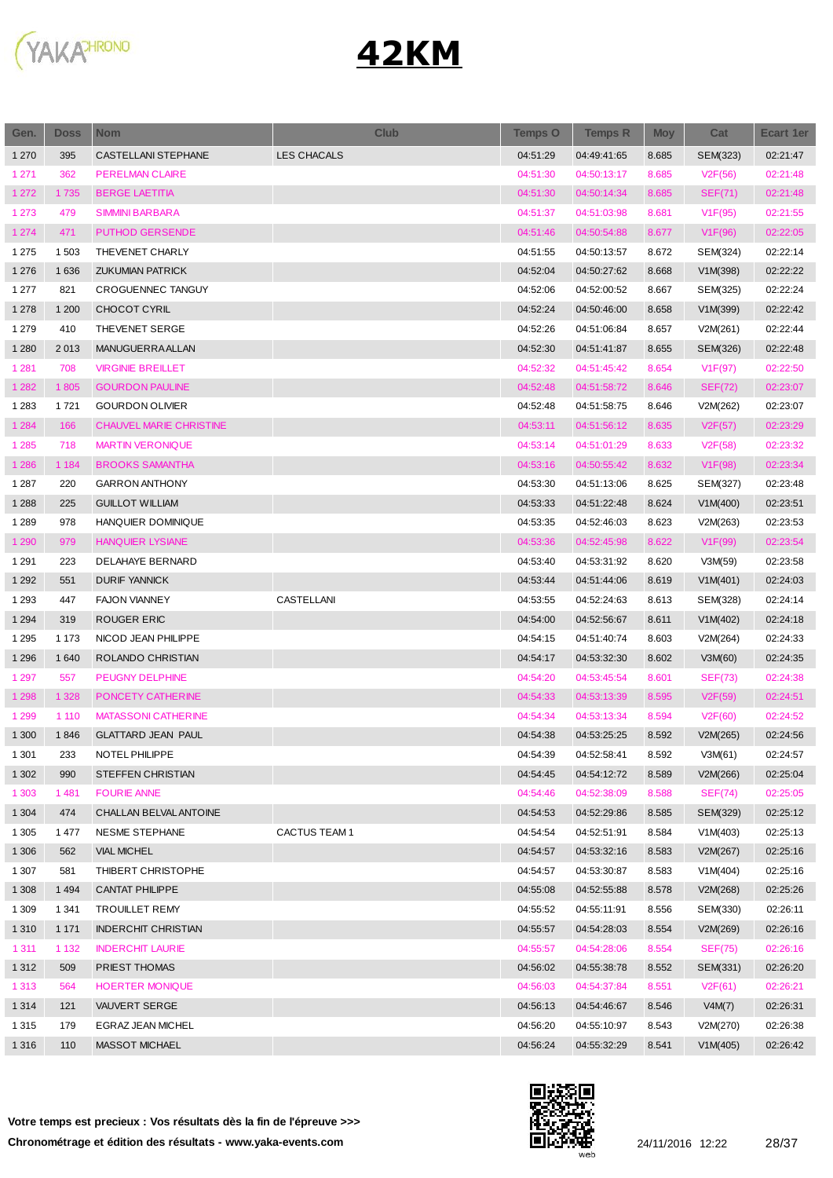

| Gen.    | <b>Doss</b> | <b>Nom</b>                     | <b>Club</b>         | <b>Temps O</b> | <b>Temps R</b> | <b>Moy</b> | Cat                  | <b>Ecart 1er</b> |
|---------|-------------|--------------------------------|---------------------|----------------|----------------|------------|----------------------|------------------|
| 1 2 7 0 | 395         | <b>CASTELLANI STEPHANE</b>     | <b>LES CHACALS</b>  | 04:51:29       | 04:49:41:65    | 8.685      | SEM(323)             | 02:21:47         |
| 1 2 7 1 | 362         | PERELMAN CLAIRE                |                     | 04:51:30       | 04:50:13:17    | 8.685      | V2F(56)              | 02:21:48         |
| 1 2 7 2 | 1735        | <b>BERGE LAETITIA</b>          |                     | 04:51:30       | 04:50:14:34    | 8.685      | SEF(71)              | 02:21:48         |
| 1 2 7 3 | 479         | <b>SIMMINI BARBARA</b>         |                     | 04:51:37       | 04:51:03:98    | 8.681      | V1F(95)              | 02:21:55         |
| 1 2 7 4 | 471         | <b>PUTHOD GERSENDE</b>         |                     | 04:51:46       | 04:50:54:88    | 8.677      | V1F(96)              | 02:22:05         |
| 1 2 7 5 | 1 503       | THEVENET CHARLY                |                     | 04:51:55       | 04:50:13:57    | 8.672      | SEM(324)             | 02:22:14         |
| 1 2 7 6 | 1636        | <b>ZUKUMIAN PATRICK</b>        |                     | 04:52:04       | 04:50:27:62    | 8.668      | V1M(398)             | 02:22:22         |
| 1 2 7 7 | 821         | <b>CROGUENNEC TANGUY</b>       |                     | 04:52:06       | 04:52:00:52    | 8.667      | SEM(325)             | 02:22:24         |
| 1 2 7 8 | 1 200       | CHOCOT CYRIL                   |                     | 04:52:24       | 04:50:46:00    | 8.658      | V1M(399)             | 02:22:42         |
| 1 2 7 9 | 410         | THEVENET SERGE                 |                     | 04:52:26       | 04:51:06:84    | 8.657      | V2M(261)             | 02:22:44         |
| 1 2 8 0 | 2013        | MANUGUERRAALLAN                |                     | 04:52:30       | 04:51:41:87    | 8.655      | SEM(326)             | 02:22:48         |
| 1 2 8 1 | 708         | <b>VIRGINIE BREILLET</b>       |                     | 04:52:32       | 04:51:45:42    | 8.654      | V <sub>1</sub> F(97) | 02:22:50         |
| 1 2 8 2 | 1805        | <b>GOURDON PAULINE</b>         |                     | 04:52:48       | 04:51:58:72    | 8.646      | <b>SEF(72)</b>       | 02:23:07         |
| 1 2 8 3 | 1 7 2 1     | <b>GOURDON OLIVIER</b>         |                     | 04:52:48       | 04:51:58:75    | 8.646      | V2M(262)             | 02:23:07         |
| 1 2 8 4 | 166         | <b>CHAUVEL MARIE CHRISTINE</b> |                     | 04:53:11       | 04:51:56:12    | 8.635      | V2F(57)              | 02:23:29         |
| 1 2 8 5 | 718         | <b>MARTIN VERONIQUE</b>        |                     | 04:53:14       | 04:51:01:29    | 8.633      | V2F(58)              | 02:23:32         |
| 1 2 8 6 | 1 1 8 4     | <b>BROOKS SAMANTHA</b>         |                     | 04:53:16       | 04:50:55:42    | 8.632      | V1F(98)              | 02:23:34         |
| 1 2 8 7 | 220         | <b>GARRON ANTHONY</b>          |                     | 04:53:30       | 04:51:13:06    | 8.625      | SEM(327)             | 02:23:48         |
| 1 2 8 8 | 225         | <b>GUILLOT WILLIAM</b>         |                     | 04:53:33       | 04:51:22:48    | 8.624      | V1M(400)             | 02:23:51         |
| 1 2 8 9 | 978         | HANQUIER DOMINIQUE             |                     | 04:53:35       | 04:52:46:03    | 8.623      | V2M(263)             | 02:23:53         |
| 1 2 9 0 | 979         | <b>HANQUIER LYSIANE</b>        |                     | 04:53:36       | 04:52:45:98    | 8.622      | V1F(99)              | 02:23:54         |
| 1 2 9 1 | 223         | DELAHAYE BERNARD               |                     | 04:53:40       | 04:53:31:92    | 8.620      | V3M(59)              | 02:23:58         |
| 1 2 9 2 | 551         | <b>DURIF YANNICK</b>           |                     | 04:53:44       | 04:51:44:06    | 8.619      | V1M(401)             | 02:24:03         |
| 1 2 9 3 | 447         | <b>FAJON VIANNEY</b>           | CASTELLANI          | 04:53:55       | 04:52:24:63    | 8.613      | SEM(328)             | 02:24:14         |
| 1 2 9 4 | 319         | ROUGER ERIC                    |                     | 04:54:00       | 04:52:56:67    | 8.611      | V1M(402)             | 02:24:18         |
| 1 2 9 5 | 1 1 7 3     | NICOD JEAN PHILIPPE            |                     | 04:54:15       | 04:51:40:74    | 8.603      | V2M(264)             | 02:24:33         |
| 1 2 9 6 | 1 640       | ROLANDO CHRISTIAN              |                     | 04:54:17       | 04:53:32:30    | 8.602      | V3M(60)              | 02:24:35         |
| 1 2 9 7 | 557         | <b>PEUGNY DELPHINE</b>         |                     | 04:54:20       | 04:53:45:54    | 8.601      | <b>SEF(73)</b>       | 02:24:38         |
| 1 2 9 8 | 1 3 2 8     | PONCETY CATHERINE              |                     | 04:54:33       | 04:53:13:39    | 8.595      | V2F(59)              | 02:24:51         |
| 1 2 9 9 | 1 1 1 0     | <b>MATASSONI CATHERINE</b>     |                     | 04:54:34       | 04:53:13:34    | 8.594      | V2F(60)              | 02:24:52         |
| 1 300   | 1846        | <b>GLATTARD JEAN PAUL</b>      |                     | 04:54:38       | 04:53:25:25    | 8.592      | V2M(265)             | 02:24:56         |
| 1 3 0 1 | 233         | NOTEL PHILIPPE                 |                     | 04:54:39       | 04:52:58:41    | 8.592      | V3M(61)              | 02:24:57         |
| 1 3 0 2 | 990         | <b>STEFFEN CHRISTIAN</b>       |                     | 04:54:45       | 04:54:12:72    | 8.589      | V2M(266)             | 02:25:04         |
| 1 3 0 3 | 1481        | <b>FOURIE ANNE</b>             |                     | 04:54:46       | 04:52:38:09    | 8.588      | SEF(74)              | 02:25:05         |
| 1 3 0 4 | 474         | CHALLAN BELVAL ANTOINE         |                     | 04:54:53       | 04:52:29:86    | 8.585      | SEM(329)             | 02:25:12         |
| 1 3 0 5 | 1477        | NESME STEPHANE                 | <b>CACTUS TEAM1</b> | 04:54:54       | 04:52:51:91    | 8.584      | V1M(403)             | 02:25:13         |
| 1 3 0 6 | 562         | <b>VIAL MICHEL</b>             |                     | 04:54:57       | 04:53:32:16    | 8.583      | V2M(267)             | 02:25:16         |
| 1 3 0 7 | 581         | THIBERT CHRISTOPHE             |                     | 04:54:57       | 04:53:30:87    | 8.583      | V1M(404)             | 02:25:16         |
| 1 3 0 8 | 1 4 9 4     | CANTAT PHILIPPE                |                     | 04:55:08       | 04:52:55:88    | 8.578      | V2M(268)             | 02:25:26         |
| 1 3 0 9 | 1 3 4 1     | <b>TROUILLET REMY</b>          |                     | 04:55:52       | 04:55:11:91    | 8.556      | SEM(330)             | 02:26:11         |
| 1 3 1 0 | 1 1 7 1     | <b>INDERCHIT CHRISTIAN</b>     |                     | 04:55:57       | 04:54:28:03    | 8.554      | V2M(269)             | 02:26:16         |
| 1 3 1 1 | 1 1 3 2     | <b>INDERCHIT LAURIE</b>        |                     | 04:55:57       | 04:54:28:06    | 8.554      | <b>SEF(75)</b>       | 02:26:16         |
| 1 3 1 2 | 509         | PRIEST THOMAS                  |                     | 04:56:02       | 04:55:38:78    | 8.552      | SEM(331)             | 02:26:20         |
| 1 3 1 3 | 564         | <b>HOERTER MONIQUE</b>         |                     | 04:56:03       | 04:54:37:84    | 8.551      | V2F(61)              | 02:26:21         |
| 1 3 1 4 | 121         | VAUVERT SERGE                  |                     | 04:56:13       | 04:54:46:67    | 8.546      | V4M(7)               | 02:26:31         |
| 1 3 1 5 | 179         | EGRAZ JEAN MICHEL              |                     | 04:56:20       | 04:55:10:97    | 8.543      | V2M(270)             | 02:26:38         |
| 1 3 1 6 | 110         | MASSOT MICHAEL                 |                     | 04:56:24       | 04:55:32:29    | 8.541      | V1M(405)             | 02:26:42         |

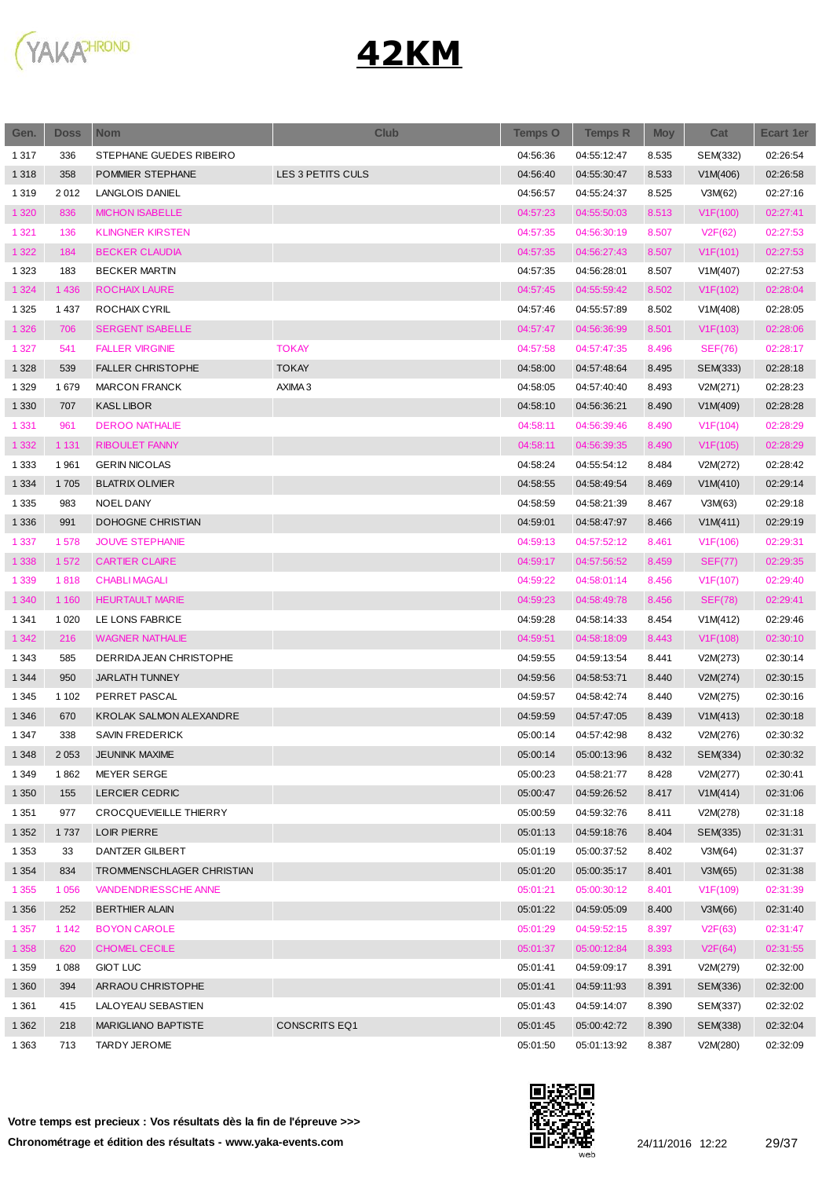

| Gen.    | <b>Doss</b> | <b>Nom</b>                     | <b>Club</b>          | <b>Temps O</b> | <b>Temps R</b> | <b>Moy</b> | Cat                   | <b>Ecart 1er</b> |
|---------|-------------|--------------------------------|----------------------|----------------|----------------|------------|-----------------------|------------------|
| 1 3 1 7 | 336         | STEPHANE GUEDES RIBEIRO        |                      | 04:56:36       | 04:55:12:47    | 8.535      | SEM(332)              | 02:26:54         |
| 1 3 1 8 | 358         | POMMIER STEPHANE               | LES 3 PETITS CULS    | 04:56:40       | 04:55:30:47    | 8.533      | V1M(406)              | 02:26:58         |
| 1 3 1 9 | 2012        | <b>LANGLOIS DANIEL</b>         |                      | 04:56:57       | 04:55:24:37    | 8.525      | V3M(62)               | 02:27:16         |
| 1 3 2 0 | 836         | <b>MICHON ISABELLE</b>         |                      | 04:57:23       | 04:55:50:03    | 8.513      | V1F(100)              | 02:27:41         |
| 1 3 2 1 | 136         | <b>KLINGNER KIRSTEN</b>        |                      | 04:57:35       | 04:56:30:19    | 8.507      | V2F(62)               | 02:27:53         |
| 1 3 2 2 | 184         | <b>BECKER CLAUDIA</b>          |                      | 04:57:35       | 04:56:27:43    | 8.507      | V1F(101)              | 02:27:53         |
| 1 3 2 3 | 183         | <b>BECKER MARTIN</b>           |                      | 04:57:35       | 04:56:28:01    | 8.507      | V1M(407)              | 02:27:53         |
| 1 3 2 4 | 1 4 3 6     | ROCHAIX LAURE                  |                      | 04:57:45       | 04:55:59:42    | 8.502      | V1F(102)              | 02:28:04         |
| 1 3 2 5 | 1 4 3 7     | ROCHAIX CYRIL                  |                      | 04:57:46       | 04:55:57:89    | 8.502      | V1M(408)              | 02:28:05         |
| 1 3 2 6 | 706         | <b>SERGENT ISABELLE</b>        |                      | 04:57:47       | 04:56:36:99    | 8.501      | V1F(103)              | 02:28:06         |
| 1 3 2 7 | 541         | <b>FALLER VIRGINIE</b>         | <b>TOKAY</b>         | 04:57:58       | 04:57:47:35    | 8.496      | <b>SEF(76)</b>        | 02:28:17         |
| 1 3 2 8 | 539         | <b>FALLER CHRISTOPHE</b>       | <b>TOKAY</b>         | 04:58:00       | 04:57:48:64    | 8.495      | SEM(333)              | 02:28:18         |
| 1 3 2 9 | 1679        | <b>MARCON FRANCK</b>           | AXIMA 3              | 04:58:05       | 04:57:40:40    | 8.493      | V2M(271)              | 02:28:23         |
| 1 3 3 0 | 707         | <b>KASL LIBOR</b>              |                      | 04:58:10       | 04:56:36:21    | 8.490      | V1M(409)              | 02:28:28         |
| 1 3 3 1 | 961         | <b>DEROO NATHALIE</b>          |                      | 04:58:11       | 04:56:39:46    | 8.490      | V1F(104)              | 02:28:29         |
| 1 3 3 2 | 1 1 3 1     | <b>RIBOULET FANNY</b>          |                      | 04:58:11       | 04:56:39:35    | 8.490      | V1F(105)              | 02:28:29         |
| 1 3 3 3 | 1961        | <b>GERIN NICOLAS</b>           |                      | 04:58:24       | 04:55:54:12    | 8.484      | V2M(272)              | 02:28:42         |
| 1 3 3 4 | 1705        | <b>BLATRIX OLIVIER</b>         |                      | 04:58:55       | 04:58:49:54    | 8.469      | V1M(410)              | 02:29:14         |
| 1 3 3 5 | 983         | NOEL DANY                      |                      | 04:58:59       | 04:58:21:39    | 8.467      | V3M(63)               | 02:29:18         |
| 1 3 3 6 | 991         | <b>DOHOGNE CHRISTIAN</b>       |                      | 04:59:01       | 04:58:47:97    | 8.466      | V1M(411)              | 02:29:19         |
| 1 3 3 7 | 1578        | <b>JOUVE STEPHANIE</b>         |                      | 04:59:13       | 04:57:52:12    | 8.461      | V1F(106)              | 02:29:31         |
| 1 3 3 8 | 1572        | <b>CARTIER CLAIRE</b>          |                      | 04:59:17       | 04:57:56:52    | 8.459      | <b>SEF(77)</b>        | 02:29:35         |
| 1 3 3 9 | 1818        | <b>CHABLI MAGALI</b>           |                      | 04:59:22       | 04:58:01:14    | 8.456      | V1F(107)              | 02:29:40         |
| 1 3 4 0 | 1 1 6 0     | <b>HEURTAULT MARIE</b>         |                      | 04:59:23       | 04:58:49:78    | 8.456      | <b>SEF(78)</b>        | 02:29:41         |
| 1 3 4 1 | 1 0 2 0     | LE LONS FABRICE                |                      | 04:59:28       | 04:58:14:33    | 8.454      | V1M(412)              | 02:29:46         |
| 1 3 4 2 | 216         | <b>WAGNER NATHALIE</b>         |                      | 04:59:51       | 04:58:18:09    | 8.443      | V1F(108)              | 02:30:10         |
| 1 3 4 3 | 585         | DERRIDA JEAN CHRISTOPHE        |                      | 04:59:55       | 04:59:13:54    | 8.441      | V2M(273)              | 02:30:14         |
| 1 3 4 4 | 950         | <b>JARLATH TUNNEY</b>          |                      | 04:59:56       | 04:58:53:71    | 8.440      | V2M(274)              | 02:30:15         |
| 1 3 4 5 | 1 1 0 2     | PERRET PASCAL                  |                      | 04:59:57       | 04:58:42:74    | 8.440      | V2M(275)              | 02:30:16         |
| 1 3 4 6 | 670         | <b>KROLAK SALMON ALEXANDRE</b> |                      | 04:59:59       | 04:57:47:05    | 8.439      | V1M(413)              | 02:30:18         |
| 1 3 4 7 | 338         | <b>SAVIN FREDERICK</b>         |                      | 05:00:14       | 04:57:42:98    | 8.432      | V2M(276)              | 02:30:32         |
| 1 3 4 8 | 2 0 5 3     | <b>JEUNINK MAXIME</b>          |                      | 05:00:14       | 05:00:13:96    | 8.432      | SEM(334)              | 02:30:32         |
| 1 3 4 9 | 1862        | MEYER SERGE                    |                      | 05:00:23       | 04:58:21:77    | 8.428      | V2M(277)              | 02:30:41         |
| 1 3 5 0 | 155         | LERCIER CEDRIC                 |                      | 05:00:47       | 04:59:26:52    | 8.417      | V1M(414)              | 02:31:06         |
| 1 3 5 1 | 977         | <b>CROCQUEVIEILLE THIERRY</b>  |                      | 05:00:59       | 04:59:32:76    | 8.411      | V2M(278)              | 02:31:18         |
| 1 3 5 2 | 1737        | LOIR PIERRE                    |                      | 05:01:13       | 04:59:18:76    | 8.404      | SEM(335)              | 02:31:31         |
| 1 3 5 3 | 33          | DANTZER GILBERT                |                      | 05:01:19       | 05:00:37:52    | 8.402      | V3M(64)               | 02:31:37         |
| 1 3 5 4 | 834         | TROMMENSCHLAGER CHRISTIAN      |                      | 05:01:20       | 05:00:35:17    | 8.401      | V3M(65)               | 02:31:38         |
| 1 3 5 5 | 1 0 5 6     | <b>VANDENDRIESSCHE ANNE</b>    |                      | 05:01:21       | 05:00:30:12    | 8.401      | V <sub>1</sub> F(109) | 02:31:39         |
| 1 3 5 6 | 252         | <b>BERTHIER ALAIN</b>          |                      | 05:01:22       | 04:59:05:09    | 8.400      | V3M(66)               | 02:31:40         |
| 1 3 5 7 | 1 1 4 2     | <b>BOYON CAROLE</b>            |                      | 05:01:29       | 04:59:52:15    | 8.397      | V2F(63)               | 02:31:47         |
| 1 3 5 8 | 620         | <b>CHOMEL CECILE</b>           |                      | 05:01:37       | 05:00:12:84    | 8.393      | V2F(64)               | 02:31:55         |
| 1 3 5 9 | 1 0 8 8     | <b>GIOT LUC</b>                |                      | 05:01:41       | 04:59:09:17    | 8.391      | V2M(279)              | 02:32:00         |
| 1 3 6 0 | 394         | ARRAOU CHRISTOPHE              |                      | 05:01:41       | 04:59:11:93    | 8.391      | SEM(336)              | 02:32:00         |
| 1 3 6 1 | 415         | LALOYEAU SEBASTIEN             |                      | 05:01:43       | 04:59:14:07    | 8.390      | SEM(337)              | 02:32:02         |
| 1 3 6 2 | 218         | MARIGLIANO BAPTISTE            | <b>CONSCRITS EQ1</b> | 05:01:45       | 05:00:42:72    | 8.390      | SEM(338)              | 02:32:04         |
| 1 3 6 3 | 713         | TARDY JEROME                   |                      | 05:01:50       | 05:01:13:92    | 8.387      | V2M(280)              | 02:32:09         |
|         |             |                                |                      |                |                |            |                       |                  |

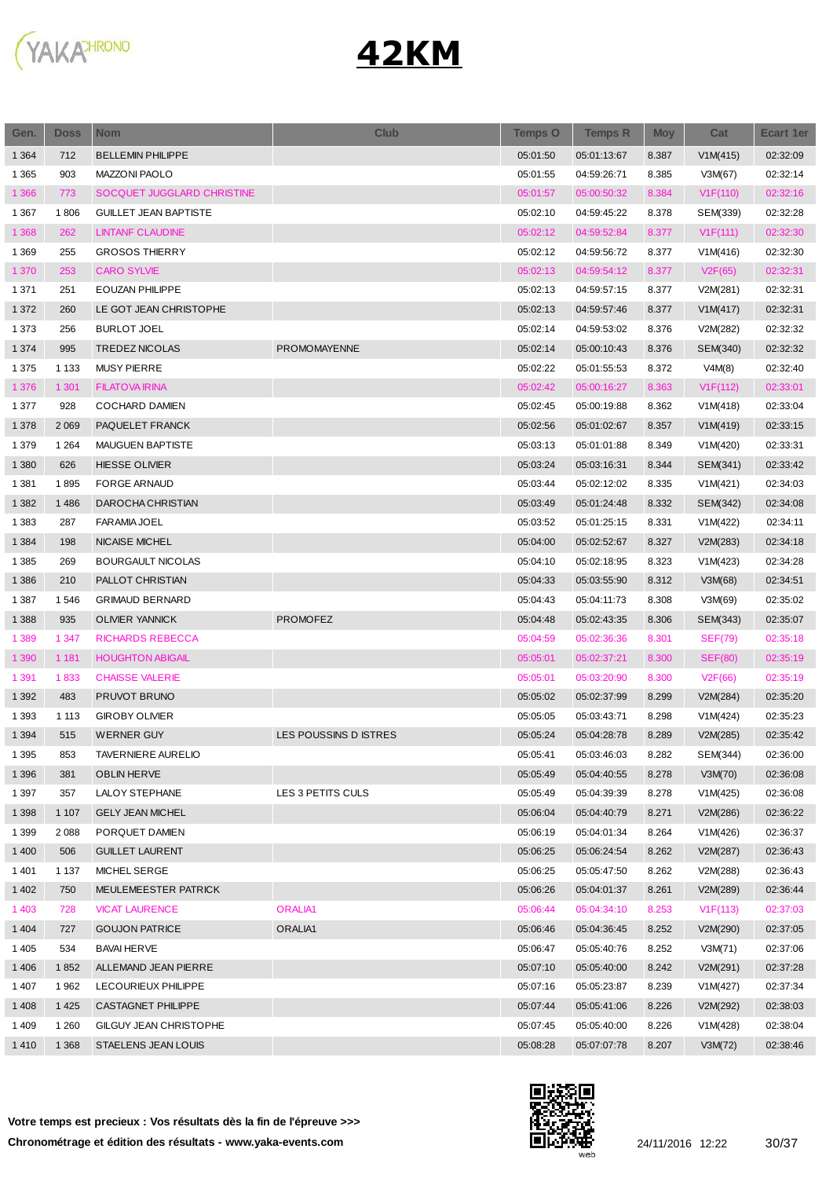

| Gen.    | <b>Doss</b> | <b>Nom</b>                   | <b>Club</b>           | <b>Temps O</b> | <b>Temps R</b> | <b>Moy</b> | Cat                  | <b>Ecart 1er</b> |
|---------|-------------|------------------------------|-----------------------|----------------|----------------|------------|----------------------|------------------|
| 1 3 6 4 | 712         | <b>BELLEMIN PHILIPPE</b>     |                       | 05:01:50       | 05:01:13:67    | 8.387      | V1M(415)             | 02:32:09         |
| 1 3 6 5 | 903         | <b>MAZZONI PAOLO</b>         |                       | 05:01:55       | 04:59:26:71    | 8.385      | V3M(67)              | 02:32:14         |
| 1 3 6 6 | 773         | SOCQUET JUGGLARD CHRISTINE   |                       | 05:01:57       | 05:00:50:32    | 8.384      | V1F(110)             | 02:32:16         |
| 1 3 6 7 | 1806        | <b>GUILLET JEAN BAPTISTE</b> |                       | 05:02:10       | 04:59:45:22    | 8.378      | SEM(339)             | 02:32:28         |
| 1 3 6 8 | 262         | <b>LINTANF CLAUDINE</b>      |                       | 05:02:12       | 04:59:52:84    | 8.377      | V1F(111)             | 02:32:30         |
| 1 3 6 9 | 255         | <b>GROSOS THIERRY</b>        |                       | 05:02:12       | 04:59:56:72    | 8.377      | V1M(416)             | 02:32:30         |
| 1 370   | 253         | <b>CARO SYLVIE</b>           |                       | 05:02:13       | 04:59:54:12    | 8.377      | V2F(65)              | 02:32:31         |
| 1 3 7 1 | 251         | <b>EOUZAN PHILIPPE</b>       |                       | 05:02:13       | 04:59:57:15    | 8.377      | V2M(281)             | 02:32:31         |
| 1 3 7 2 | 260         | LE GOT JEAN CHRISTOPHE       |                       | 05:02:13       | 04:59:57:46    | 8.377      | V1M(417)             | 02:32:31         |
| 1 3 7 3 | 256         | <b>BURLOT JOEL</b>           |                       | 05:02:14       | 04:59:53:02    | 8.376      | V2M(282)             | 02:32:32         |
| 1 3 7 4 | 995         | <b>TREDEZ NICOLAS</b>        | <b>PROMOMAYENNE</b>   | 05:02:14       | 05:00:10:43    | 8.376      | SEM(340)             | 02:32:32         |
| 1 3 7 5 | 1 1 3 3     | <b>MUSY PIERRE</b>           |                       | 05:02:22       | 05:01:55:53    | 8.372      | V4M(8)               | 02:32:40         |
| 1 3 7 6 | 1 3 0 1     | <b>FILATOVA IRINA</b>        |                       | 05:02:42       | 05:00:16:27    | 8.363      | V1F(112)             | 02:33:01         |
| 1 3 7 7 | 928         | <b>COCHARD DAMIEN</b>        |                       | 05:02:45       | 05:00:19:88    | 8.362      | V1M(418)             | 02:33:04         |
| 1 3 7 8 | 2 0 6 9     | PAQUELET FRANCK              |                       | 05:02:56       | 05:01:02:67    | 8.357      | V1M(419)             | 02:33:15         |
| 1 3 7 9 | 1 2 6 4     | <b>MAUGUEN BAPTISTE</b>      |                       | 05:03:13       | 05:01:01:88    | 8.349      | V1M(420)             | 02:33:31         |
| 1 3 8 0 | 626         | <b>HIESSE OLIVIER</b>        |                       | 05:03:24       | 05:03:16:31    | 8.344      | SEM(341)             | 02:33:42         |
| 1 3 8 1 | 1895        | <b>FORGE ARNAUD</b>          |                       | 05:03:44       | 05:02:12:02    | 8.335      | V1M(421)             | 02:34:03         |
| 1 3 8 2 | 1486        | DAROCHA CHRISTIAN            |                       | 05:03:49       | 05:01:24:48    | 8.332      | SEM(342)             | 02:34:08         |
| 1 3 8 3 | 287         | <b>FARAMIA JOEL</b>          |                       | 05:03:52       | 05:01:25:15    | 8.331      | V1M(422)             | 02:34:11         |
| 1 3 8 4 | 198         | <b>NICAISE MICHEL</b>        |                       | 05:04:00       | 05:02:52:67    | 8.327      | V2M(283)             | 02:34:18         |
| 1 3 8 5 | 269         | <b>BOURGAULT NICOLAS</b>     |                       | 05:04:10       | 05:02:18:95    | 8.323      | V1M(423)             | 02:34:28         |
| 1 3 8 6 | 210         | PALLOT CHRISTIAN             |                       | 05:04:33       | 05:03:55:90    | 8.312      | V3M(68)              | 02:34:51         |
| 1 3 8 7 | 1546        | <b>GRIMAUD BERNARD</b>       |                       | 05:04:43       | 05:04:11:73    | 8.308      | V3M(69)              | 02:35:02         |
| 1 3 8 8 | 935         | <b>OLIVIER YANNICK</b>       | <b>PROMOFEZ</b>       | 05:04:48       | 05:02:43:35    | 8.306      | SEM(343)             | 02:35:07         |
| 1 3 8 9 | 1 3 4 7     | <b>RICHARDS REBECCA</b>      |                       | 05:04:59       | 05:02:36:36    | 8.301      | <b>SEF(79)</b>       | 02:35:18         |
| 1 3 9 0 | 1 1 8 1     | <b>HOUGHTON ABIGAIL</b>      |                       | 05:05:01       | 05:02:37:21    | 8.300      | <b>SEF(80)</b>       | 02:35:19         |
| 1 3 9 1 | 1833        | <b>CHAISSE VALERIE</b>       |                       | 05:05:01       | 05:03:20:90    | 8.300      | V <sub>2</sub> F(66) | 02:35:19         |
| 1 3 9 2 | 483         | PRUVOT BRUNO                 |                       | 05:05:02       | 05:02:37:99    | 8.299      | V2M(284)             | 02:35:20         |
| 1 3 9 3 | 1 1 1 3     | <b>GIROBY OLIVIER</b>        |                       | 05:05:05       | 05:03:43:71    | 8.298      | V1M(424)             | 02:35:23         |
| 1 3 9 4 | 515         | <b>WERNER GUY</b>            | LES POUSSINS D ISTRES | 05:05:24       | 05:04:28:78    | 8.289      | V2M(285)             | 02:35:42         |
| 1 3 9 5 | 853         | TAVERNIERE AURELIO           |                       | 05:05:41       | 05:03:46:03    | 8.282      | SEM(344)             | 02:36:00         |
| 1 3 9 6 | 381         | <b>OBLIN HERVE</b>           |                       | 05:05:49       | 05:04:40:55    | 8.278      | V3M(70)              | 02:36:08         |
| 1 3 9 7 | 357         | LALOY STEPHANE               | LES 3 PETITS CULS     | 05:05:49       | 05:04:39:39    | 8.278      | V1M(425)             | 02:36:08         |
| 1 3 9 8 | 1 1 0 7     | <b>GELY JEAN MICHEL</b>      |                       | 05:06:04       | 05:04:40:79    | 8.271      | V2M(286)             | 02:36:22         |
| 1 3 9 9 | 2088        | PORQUET DAMIEN               |                       | 05:06:19       | 05:04:01:34    | 8.264      | V1M(426)             | 02:36:37         |
| 1 4 0 0 | 506         | <b>GUILLET LAURENT</b>       |                       | 05:06:25       | 05:06:24:54    | 8.262      | V2M(287)             | 02:36:43         |
| 1401    | 1 1 3 7     | MICHEL SERGE                 |                       | 05:06:25       | 05:05:47:50    | 8.262      | V2M(288)             | 02:36:43         |
| 1 4 0 2 | 750         | MEULEMEESTER PATRICK         |                       | 05:06:26       | 05:04:01:37    | 8.261      | V2M(289)             | 02:36:44         |
| 1 4 0 3 | 728         | <b>VICAT LAURENCE</b>        | <b>ORALIA1</b>        | 05:06:44       | 05:04:34:10    | 8.253      | V1F(113)             | 02:37:03         |
| 1 4 0 4 | 727         | <b>GOUJON PATRICE</b>        | ORALIA1               | 05:06:46       | 05:04:36:45    | 8.252      | V2M(290)             | 02:37:05         |
| 1 4 0 5 | 534         | <b>BAVAI HERVE</b>           |                       | 05:06:47       | 05:05:40:76    | 8.252      | V3M(71)              | 02:37:06         |
| 1 4 0 6 | 1852        | ALLEMAND JEAN PIERRE         |                       | 05:07:10       | 05:05:40:00    | 8.242      | V2M(291)             | 02:37:28         |
| 1 4 0 7 | 1962        | LECOURIEUX PHILIPPE          |                       | 05:07:16       | 05:05:23:87    | 8.239      | V1M(427)             | 02:37:34         |
| 1408    | 1425        | <b>CASTAGNET PHILIPPE</b>    |                       | 05:07:44       | 05:05:41:06    | 8.226      | V2M(292)             | 02:38:03         |
| 1409    | 1 2 6 0     | GILGUY JEAN CHRISTOPHE       |                       | 05:07:45       | 05:05:40:00    | 8.226      | V1M(428)             | 02:38:04         |
| 1410    | 1 3 6 8     | STAELENS JEAN LOUIS          |                       | 05:08:28       | 05:07:07:78    | 8.207      | V3M(72)              | 02:38:46         |
|         |             |                              |                       |                |                |            |                      |                  |

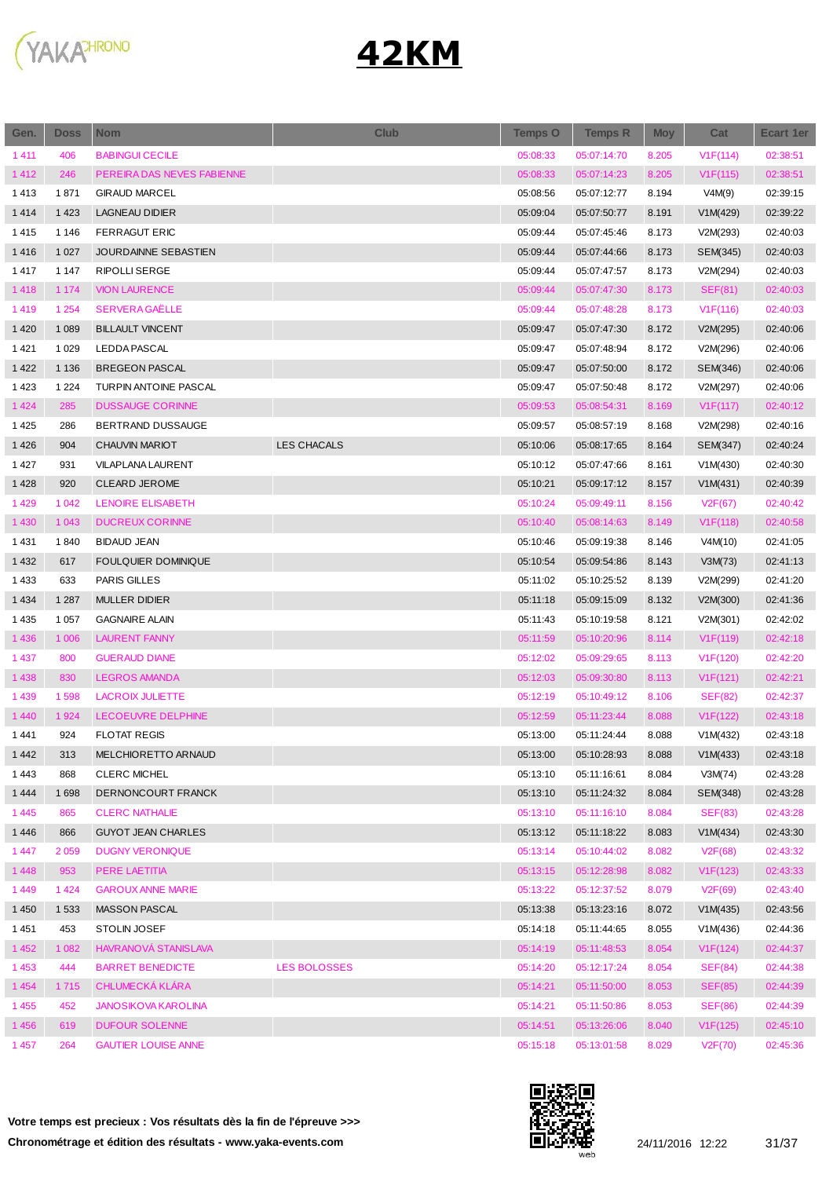

| Gen.    | <b>Doss</b> | <b>Nom</b>                 | <b>Club</b>         | Temps O  | <b>Temps R</b> | <b>Moy</b> | Cat                   | <b>Ecart 1er</b> |
|---------|-------------|----------------------------|---------------------|----------|----------------|------------|-----------------------|------------------|
| 1411    | 406         | <b>BABINGUI CECILE</b>     |                     | 05:08:33 | 05:07:14:70    | 8.205      | V1F(114)              | 02:38:51         |
| 1412    | 246         | PEREIRA DAS NEVES FABIENNE |                     | 05:08:33 | 05:07:14:23    | 8.205      | V1F(115)              | 02:38:51         |
| 1413    | 1871        | <b>GIRAUD MARCEL</b>       |                     | 05:08:56 | 05:07:12:77    | 8.194      | V4M(9)                | 02:39:15         |
| 1414    | 1 4 2 3     | <b>LAGNEAU DIDIER</b>      |                     | 05:09:04 | 05:07:50:77    | 8.191      | V1M(429)              | 02:39:22         |
| 1415    | 1 1 4 6     | <b>FERRAGUT ERIC</b>       |                     | 05:09:44 | 05:07:45:46    | 8.173      | V2M(293)              | 02:40:03         |
| 1416    | 1 0 2 7     | JOURDAINNE SEBASTIEN       |                     | 05:09:44 | 05:07:44:66    | 8.173      | SEM(345)              | 02:40:03         |
| 1417    | 1 1 4 7     | <b>RIPOLLI SERGE</b>       |                     | 05:09:44 | 05:07:47:57    | 8.173      | V2M(294)              | 02:40:03         |
| 1418    | 1 1 7 4     | <b>VION LAURENCE</b>       |                     | 05:09:44 | 05:07:47:30    | 8.173      | SEF(81)               | 02:40:03         |
| 1419    | 1 2 5 4     | <b>SERVERA GAËLLE</b>      |                     | 05:09:44 | 05:07:48:28    | 8.173      | V1F(116)              | 02:40:03         |
| 1 4 2 0 | 1 0 8 9     | <b>BILLAULT VINCENT</b>    |                     | 05:09:47 | 05:07:47:30    | 8.172      | V2M(295)              | 02:40:06         |
| 1421    | 1 0 2 9     | <b>LEDDA PASCAL</b>        |                     | 05:09:47 | 05:07:48:94    | 8.172      | V2M(296)              | 02:40:06         |
| 1 4 2 2 | 1 1 3 6     | <b>BREGEON PASCAL</b>      |                     | 05:09:47 | 05:07:50:00    | 8.172      | SEM(346)              | 02:40:06         |
| 1423    | 1 2 2 4     | TURPIN ANTOINE PASCAL      |                     | 05:09:47 | 05:07:50:48    | 8.172      | V2M(297)              | 02:40:06         |
| 1 4 2 4 | 285         | <b>DUSSAUGE CORINNE</b>    |                     | 05:09:53 | 05:08:54:31    | 8.169      | V1F(117)              | 02:40:12         |
| 1425    | 286         | BERTRAND DUSSAUGE          |                     | 05:09:57 | 05:08:57:19    | 8.168      | V2M(298)              | 02:40:16         |
| 1426    | 904         | <b>CHAUVIN MARIOT</b>      | <b>LES CHACALS</b>  | 05:10:06 | 05:08:17:65    | 8.164      | SEM(347)              | 02:40:24         |
| 1427    | 931         | <b>VILAPLANA LAURENT</b>   |                     | 05:10:12 | 05:07:47:66    | 8.161      | V1M(430)              | 02:40:30         |
| 1428    | 920         | <b>CLEARD JEROME</b>       |                     | 05:10:21 | 05:09:17:12    | 8.157      | V1M(431)              | 02:40:39         |
| 1 4 2 9 | 1 0 4 2     | LENOIRE ELISABETH          |                     | 05:10:24 | 05:09:49:11    | 8.156      | V2F(67)               | 02:40:42         |
| 1 4 3 0 | 1 0 4 3     | <b>DUCREUX CORINNE</b>     |                     | 05:10:40 | 05:08:14:63    | 8.149      | V1F(118)              | 02:40:58         |
| 1431    | 1840        | <b>BIDAUD JEAN</b>         |                     | 05:10:46 | 05:09:19:38    | 8.146      | V4M(10)               | 02:41:05         |
| 1 4 3 2 | 617         | <b>FOULQUIER DOMINIQUE</b> |                     | 05:10:54 | 05:09:54:86    | 8.143      | V3M(73)               | 02:41:13         |
| 1 4 3 3 | 633         | PARIS GILLES               |                     | 05:11:02 | 05:10:25:52    | 8.139      | V2M(299)              | 02:41:20         |
| 1 4 3 4 | 1 2 8 7     | <b>MULLER DIDIER</b>       |                     | 05:11:18 | 05:09:15:09    | 8.132      | V2M(300)              | 02:41:36         |
| 1 4 3 5 | 1 0 5 7     | <b>GAGNAIRE ALAIN</b>      |                     | 05:11:43 | 05:10:19:58    | 8.121      | V2M(301)              | 02:42:02         |
| 1 4 3 6 | 1 0 0 6     | <b>LAURENT FANNY</b>       |                     | 05:11:59 | 05:10:20:96    | 8.114      | V <sub>1</sub> F(119) | 02:42:18         |
| 1 4 3 7 | 800         | <b>GUERAUD DIANE</b>       |                     | 05:12:02 | 05:09:29:65    | 8.113      | V1F(120)              | 02:42:20         |
| 1 4 3 8 | 830         | <b>LEGROS AMANDA</b>       |                     | 05:12:03 | 05:09:30:80    | 8.113      | V1F(121)              | 02:42:21         |
| 1 4 3 9 | 1598        | <b>LACROIX JULIETTE</b>    |                     | 05:12:19 | 05:10:49:12    | 8.106      | <b>SEF(82)</b>        | 02:42:37         |
| 1 4 4 0 | 1924        | LECOEUVRE DELPHINE         |                     | 05:12:59 | 05:11:23:44    | 8.088      | V1F(122)              | 02:43:18         |
| 1441    | 924         | <b>FLOTAT REGIS</b>        |                     | 05:13:00 | 05:11:24:44    | 8.088      | V1M(432)              | 02:43:18         |
| 1442    | 313         | MELCHIORETTO ARNAUD        |                     | 05:13:00 | 05:10:28:93    | 8.088      | V1M(433)              | 02:43:18         |
| 1443    | 868         | <b>CLERC MICHEL</b>        |                     | 05:13:10 | 05:11:16:61    | 8.084      | V3M(74)               | 02:43:28         |
| 1 4 4 4 | 1698        | DERNONCOURT FRANCK         |                     | 05:13:10 | 05:11:24:32    | 8.084      | SEM(348)              | 02:43:28         |
| 1445    | 865         | <b>CLERC NATHALIE</b>      |                     | 05:13:10 | 05:11:16:10    | 8.084      | <b>SEF(83)</b>        | 02:43:28         |
| 1446    | 866         | <b>GUYOT JEAN CHARLES</b>  |                     | 05:13:12 | 05:11:18:22    | 8.083      | V1M(434)              | 02:43:30         |
| 1447    | 2059        | <b>DUGNY VERONIQUE</b>     |                     | 05:13:14 | 05:10:44:02    | 8.082      | V2F(68)               | 02:43:32         |
| 1448    | 953         | PERE LAETITIA              |                     | 05:13:15 | 05:12:28:98    | 8.082      | V1F(123)              | 02:43:33         |
| 1449    | 1424        | <b>GAROUX ANNE MARIE</b>   |                     | 05:13:22 | 05:12:37:52    | 8.079      | V2F(69)               | 02:43:40         |
| 1 4 5 0 | 1 5 3 3     | MASSON PASCAL              |                     | 05:13:38 | 05:13:23:16    | 8.072      | V1M(435)              | 02:43:56         |
| 1451    | 453         | STOLIN JOSEF               |                     | 05:14:18 | 05:11:44:65    | 8.055      | V1M(436)              | 02:44:36         |
| 1 4 5 2 | 1 0 8 2     | HAVRANOVÁ STANISLAVA       |                     | 05:14:19 | 05:11:48:53    | 8.054      | V1F(124)              | 02:44:37         |
| 1453    | 444         | <b>BARRET BENEDICTE</b>    | <b>LES BOLOSSES</b> | 05:14:20 | 05:12:17:24    | 8.054      | SEF(84)               | 02:44:38         |
| 1 4 5 4 | 1715        | <b>CHLUMECKA KLARA</b>     |                     | 05:14:21 | 05:11:50:00    | 8.053      | <b>SEF(85)</b>        | 02:44:39         |
| 1 4 5 5 | 452         | <b>JANOSIKOVA KAROLINA</b> |                     | 05:14:21 | 05:11:50:86    | 8.053      | <b>SEF(86)</b>        | 02:44:39         |
| 1456    | 619         | <b>DUFOUR SOLENNE</b>      |                     | 05:14:51 | 05:13:26:06    | 8.040      | V1F(125)              | 02:45:10         |
| 1457    | 264         | <b>GAUTIER LOUISE ANNE</b> |                     | 05:15:18 | 05:13:01:58    | 8.029      | V2F(70)               | 02:45:36         |

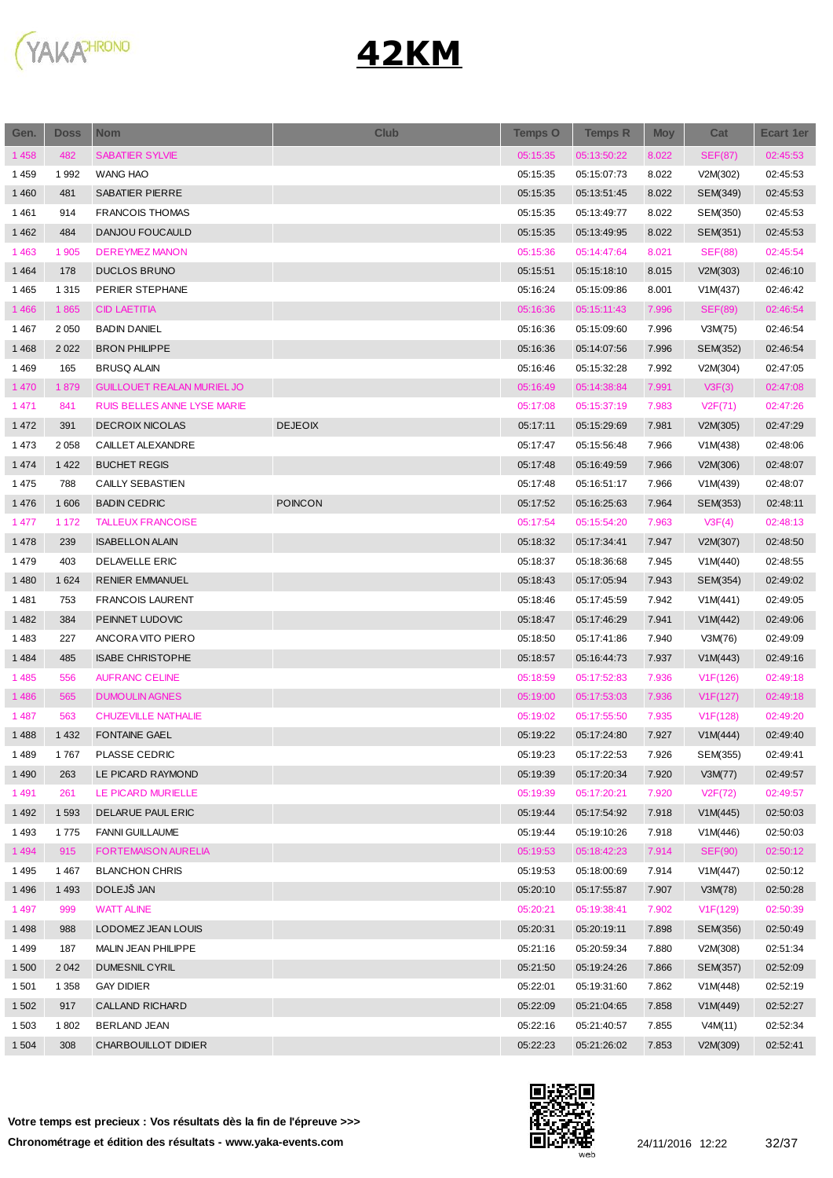

| Gen.    | <b>Doss</b> | <b>Nom</b>                        | <b>Club</b>    | <b>Temps O</b> | <b>Temps R</b> | <b>Moy</b> | Cat            | Ecart 1er |
|---------|-------------|-----------------------------------|----------------|----------------|----------------|------------|----------------|-----------|
| 1458    | 482         | <b>SABATIER SYLVIE</b>            |                | 05:15:35       | 05:13:50:22    | 8.022      | <b>SEF(87)</b> | 02:45:53  |
| 1459    | 1992        | WANG HAO                          |                | 05:15:35       | 05:15:07:73    | 8.022      | V2M(302)       | 02:45:53  |
| 1 4 6 0 | 481         | <b>SABATIER PIERRE</b>            |                | 05:15:35       | 05:13:51:45    | 8.022      | SEM(349)       | 02:45:53  |
| 1461    | 914         | <b>FRANCOIS THOMAS</b>            |                | 05:15:35       | 05:13:49:77    | 8.022      | SEM(350)       | 02:45:53  |
| 1 4 6 2 | 484         | DANJOU FOUCAULD                   |                | 05:15:35       | 05:13:49:95    | 8.022      | SEM(351)       | 02:45:53  |
| 1463    | 1 905       | <b>DEREYMEZ MANON</b>             |                | 05:15:36       | 05:14:47:64    | 8.021      | <b>SEF(88)</b> | 02:45:54  |
| 1464    | 178         | <b>DUCLOS BRUNO</b>               |                | 05:15:51       | 05:15:18:10    | 8.015      | V2M(303)       | 02:46:10  |
| 1465    | 1 3 1 5     | PERIER STEPHANE                   |                | 05:16:24       | 05:15:09:86    | 8.001      | V1M(437)       | 02:46:42  |
| 1466    | 1865        | <b>CID LAETITIA</b>               |                | 05:16:36       | 05:15:11:43    | 7.996      | <b>SEF(89)</b> | 02:46:54  |
| 1467    | 2 0 5 0     | <b>BADIN DANIEL</b>               |                | 05:16:36       | 05:15:09:60    | 7.996      | V3M(75)        | 02:46:54  |
| 1468    | 2 0 2 2     | <b>BRON PHILIPPE</b>              |                | 05:16:36       | 05:14:07:56    | 7.996      | SEM(352)       | 02:46:54  |
| 1469    | 165         | <b>BRUSQ ALAIN</b>                |                | 05:16:46       | 05:15:32:28    | 7.992      | V2M(304)       | 02:47:05  |
| 1 4 7 0 | 1879        | <b>GUILLOUET REALAN MURIEL JO</b> |                | 05:16:49       | 05:14:38:84    | 7.991      | V3F(3)         | 02:47:08  |
| 1 4 7 1 | 841         | RUIS BELLES ANNE LYSE MARIE       |                | 05:17:08       | 05:15:37:19    | 7.983      | V2F(71)        | 02:47:26  |
| 1 4 7 2 | 391         | <b>DECROIX NICOLAS</b>            | <b>DEJEOIX</b> | 05:17:11       | 05:15:29:69    | 7.981      | V2M(305)       | 02:47:29  |
| 1473    | 2058        | CAILLET ALEXANDRE                 |                | 05:17:47       | 05:15:56:48    | 7.966      | V1M(438)       | 02:48:06  |
| 1 4 7 4 | 1 4 2 2     | <b>BUCHET REGIS</b>               |                | 05:17:48       | 05:16:49:59    | 7.966      | V2M(306)       | 02:48:07  |
| 1475    | 788         | CAILLY SEBASTIEN                  |                | 05:17:48       | 05:16:51:17    | 7.966      | V1M(439)       | 02:48:07  |
| 1 4 7 6 | 1 60 6      | <b>BADIN CEDRIC</b>               | <b>POINCON</b> | 05:17:52       | 05:16:25:63    | 7.964      | SEM(353)       | 02:48:11  |
| 1 477   | 1 172       | <b>TALLEUX FRANCOISE</b>          |                | 05:17:54       | 05:15:54:20    | 7.963      | V3F(4)         | 02:48:13  |
| 1478    | 239         | <b>ISABELLON ALAIN</b>            |                | 05:18:32       | 05:17:34:41    | 7.947      | V2M(307)       | 02:48:50  |
| 1479    | 403         | DELAVELLE ERIC                    |                | 05:18:37       | 05:18:36:68    | 7.945      | V1M(440)       | 02:48:55  |
| 1 4 8 0 | 1 6 2 4     | <b>RENIER EMMANUEL</b>            |                | 05:18:43       | 05:17:05:94    | 7.943      | SEM(354)       | 02:49:02  |
| 1481    | 753         | <b>FRANCOIS LAURENT</b>           |                | 05:18:46       | 05:17:45:59    | 7.942      | V1M(441)       | 02:49:05  |
| 1482    | 384         | PEINNET LUDOVIC                   |                | 05:18:47       | 05:17:46:29    | 7.941      | V1M(442)       | 02:49:06  |
| 1483    | 227         | ANCORA VITO PIERO                 |                | 05:18:50       | 05:17:41:86    | 7.940      | V3M(76)        | 02:49:09  |
| 1 4 8 4 | 485         | <b>ISABE CHRISTOPHE</b>           |                | 05:18:57       | 05:16:44:73    | 7.937      | V1M(443)       | 02:49:16  |
| 1485    | 556         | <b>AUFRANC CELINE</b>             |                | 05:18:59       | 05:17:52:83    | 7.936      | V1F(126)       | 02:49:18  |
| 1486    | 565         | <b>DUMOULIN AGNES</b>             |                | 05:19:00       | 05:17:53:03    | 7.936      | V1F(127)       | 02:49:18  |
| 1 4 8 7 | 563         | <b>CHUZEVILLE NATHALIE</b>        |                | 05:19:02       | 05:17:55:50    | 7.935      | V1F(128)       | 02:49:20  |
| 1488    | 1 4 3 2     | <b>FONTAINE GAEL</b>              |                | 05:19:22       | 05:17:24:80    | 7.927      | V1M(444)       | 02:49:40  |
| 1489    | 1767        | PLASSE CEDRIC                     |                | 05:19:23       | 05:17:22:53    | 7.926      | SEM(355)       | 02:49:41  |
| 1 4 9 0 | 263         | LE PICARD RAYMOND                 |                | 05:19:39       | 05:17:20:34    | 7.920      | V3M(77)        | 02:49:57  |
| 1491    | 261         | LE PICARD MURIELLE                |                | 05:19:39       | 05:17:20:21    | 7.920      | V2F(72)        | 02:49:57  |
| 1 4 9 2 | 1 5 9 3     | DELARUE PAUL ERIC                 |                | 05:19:44       | 05:17:54:92    | 7.918      | V1M(445)       | 02:50:03  |
| 1493    | 1775        | <b>FANNI GUILLAUME</b>            |                | 05:19:44       | 05:19:10:26    | 7.918      | V1M(446)       | 02:50:03  |
| 1 4 9 4 | 915         | <b>FORTEMAISON AURELIA</b>        |                | 05:19:53       | 05:18:42:23    | 7.914      | <b>SEF(90)</b> | 02:50:12  |
| 1495    | 1467        | <b>BLANCHON CHRIS</b>             |                | 05:19:53       | 05:18:00:69    | 7.914      | V1M(447)       | 02:50:12  |
| 1496    | 1 4 9 3     | DOLEJŠ JAN                        |                | 05:20:10       | 05:17:55:87    | 7.907      | V3M(78)        | 02:50:28  |
| 1 4 9 7 | 999         | <b>WATT ALINE</b>                 |                | 05:20:21       | 05:19:38:41    | 7.902      | V1F(129)       | 02:50:39  |
| 1498    | 988         | LODOMEZ JEAN LOUIS                |                | 05:20:31       | 05:20:19:11    | 7.898      | SEM(356)       | 02:50:49  |
| 1499    | 187         | MALIN JEAN PHILIPPE               |                | 05:21:16       | 05:20:59:34    | 7.880      | V2M(308)       | 02:51:34  |
| 1500    | 2 0 4 2     | DUMESNIL CYRIL                    |                | 05:21:50       | 05:19:24:26    | 7.866      | SEM(357)       | 02:52:09  |
| 1 5 0 1 | 1 3 5 8     | <b>GAY DIDIER</b>                 |                | 05:22:01       | 05:19:31:60    | 7.862      | V1M(448)       | 02:52:19  |
| 1 502   | 917         | CALLAND RICHARD                   |                | 05:22:09       |                | 7.858      |                | 02:52:27  |
|         |             | <b>BERLAND JEAN</b>               |                |                | 05:21:04:65    |            | V1M(449)       | 02:52:34  |
| 1 503   | 1802        |                                   |                | 05:22:16       | 05:21:40:57    | 7.855      | V4M(11)        |           |
| 1 5 0 4 | 308         | CHARBOUILLOT DIDIER               |                | 05:22:23       | 05:21:26:02    | 7.853      | V2M(309)       | 02:52:41  |

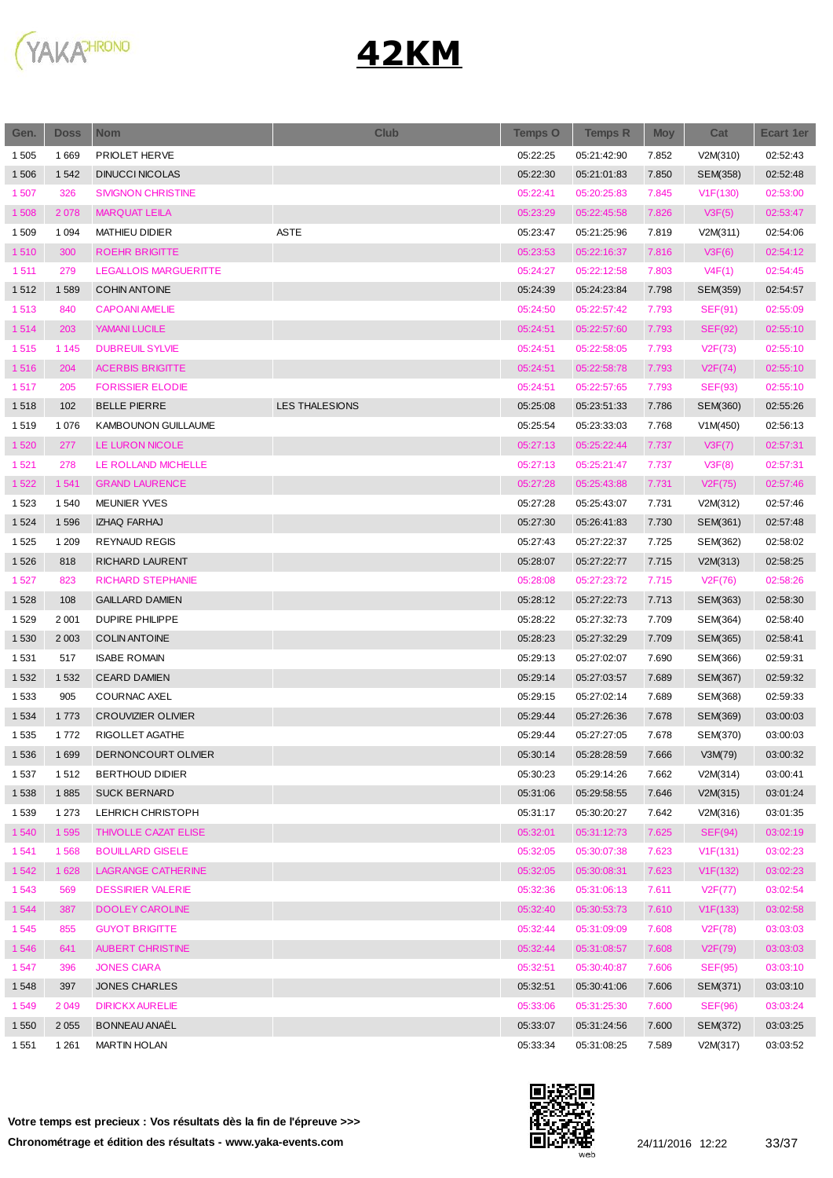

| Gen.    | <b>Doss</b> | <b>Nom</b>                   | <b>Club</b>    | <b>Temps O</b> | <b>Temps R</b> | <b>Moy</b> | Cat            | Ecart 1er |
|---------|-------------|------------------------------|----------------|----------------|----------------|------------|----------------|-----------|
| 1 5 0 5 | 1669        | PRIOLET HERVE                |                | 05:22:25       | 05:21:42:90    | 7.852      | V2M(310)       | 02:52:43  |
| 1 50 6  | 1 5 4 2     | <b>DINUCCI NICOLAS</b>       |                | 05:22:30       | 05:21:01:83    | 7.850      | SEM(358)       | 02:52:48  |
| 1507    | 326         | <b>SIVIGNON CHRISTINE</b>    |                | 05:22:41       | 05:20:25:83    | 7.845      | V1F(130)       | 02:53:00  |
| 1508    | 2 0 78      | <b>MARQUAT LEILA</b>         |                | 05:23:29       | 05:22:45:58    | 7.826      | V3F(5)         | 02:53:47  |
| 1509    | 1 0 9 4     | <b>MATHIEU DIDIER</b>        | <b>ASTE</b>    | 05:23:47       | 05:21:25:96    | 7.819      | V2M(311)       | 02:54:06  |
| 1510    | 300         | <b>ROEHR BRIGITTE</b>        |                | 05:23:53       | 05:22:16:37    | 7.816      | V3F(6)         | 02:54:12  |
| 1511    | 279         | <b>LEGALLOIS MARGUERITTE</b> |                | 05:24:27       | 05:22:12:58    | 7.803      | V4F(1)         | 02:54:45  |
| 1512    | 1589        | <b>COHIN ANTOINE</b>         |                | 05:24:39       | 05:24:23:84    | 7.798      | SEM(359)       | 02:54:57  |
| 1513    | 840         | <b>CAPOANI AMELIE</b>        |                | 05:24:50       | 05:22:57:42    | 7.793      | <b>SEF(91)</b> | 02:55:09  |
| 1514    | 203         | YAMANI LUCILE                |                | 05:24:51       | 05:22:57:60    | 7.793      | <b>SEF(92)</b> | 02:55:10  |
| 1515    | 1 1 4 5     | <b>DUBREUIL SYLVIE</b>       |                | 05:24:51       | 05:22:58:05    | 7.793      | V2F(73)        | 02:55:10  |
| 1516    | 204         | <b>ACERBIS BRIGITTE</b>      |                | 05:24:51       | 05:22:58:78    | 7.793      | V2F(74)        | 02:55:10  |
| 1517    | 205         | <b>FORISSIER ELODIE</b>      |                | 05:24:51       | 05:22:57:65    | 7.793      | <b>SEF(93)</b> | 02:55:10  |
| 1518    | 102         | <b>BELLE PIERRE</b>          | LES THALESIONS | 05:25:08       | 05:23:51:33    | 7.786      | SEM(360)       | 02:55:26  |
| 1519    | 1076        | <b>KAMBOUNON GUILLAUME</b>   |                | 05:25:54       | 05:23:33:03    | 7.768      | V1M(450)       | 02:56:13  |
| 1520    | 277         | LE LURON NICOLE              |                | 05:27:13       | 05:25:22:44    | 7.737      | V3F(7)         | 02:57:31  |
| 1521    | 278         | LE ROLLAND MICHELLE          |                | 05:27:13       | 05:25:21:47    | 7.737      | V3F(8)         | 02:57:31  |
| 1522    | 1541        | <b>GRAND LAURENCE</b>        |                | 05:27:28       | 05:25:43:88    | 7.731      | V2F(75)        | 02:57:46  |
| 1523    | 1 540       | <b>MEUNIER YVES</b>          |                | 05:27:28       | 05:25:43:07    | 7.731      | V2M(312)       | 02:57:46  |
| 1 5 2 4 | 1596        | <b>IZHAQ FARHAJ</b>          |                | 05:27:30       | 05:26:41:83    | 7.730      | SEM(361)       | 02:57:48  |
| 1 5 2 5 | 1 2 0 9     | <b>REYNAUD REGIS</b>         |                | 05:27:43       | 05:27:22:37    | 7.725      | SEM(362)       | 02:58:02  |
| 1526    | 818         | RICHARD LAURENT              |                | 05:28:07       | 05:27:22:77    | 7.715      | V2M(313)       | 02:58:25  |
| 1527    | 823         | <b>RICHARD STEPHANIE</b>     |                | 05:28:08       | 05:27:23:72    | 7.715      | V2F(76)        | 02:58:26  |
| 1528    | 108         | <b>GAILLARD DAMIEN</b>       |                | 05:28:12       | 05:27:22:73    | 7.713      | SEM(363)       | 02:58:30  |
| 1529    | 2 0 0 1     | <b>DUPIRE PHILIPPE</b>       |                | 05:28:22       | 05:27:32:73    | 7.709      | SEM(364)       | 02:58:40  |
| 1 5 3 0 | 2 0 0 3     | <b>COLIN ANTOINE</b>         |                | 05:28:23       | 05:27:32:29    | 7.709      | SEM(365)       | 02:58:41  |
| 1531    | 517         | <b>ISABE ROMAIN</b>          |                | 05:29:13       | 05:27:02:07    | 7.690      | SEM(366)       | 02:59:31  |
| 1 5 3 2 | 1 5 3 2     | <b>CEARD DAMIEN</b>          |                | 05:29:14       | 05:27:03:57    | 7.689      | SEM(367)       | 02:59:32  |
| 1 5 3 3 | 905         | <b>COURNAC AXEL</b>          |                | 05:29:15       | 05:27:02:14    | 7.689      | SEM(368)       | 02:59:33  |
| 1 5 3 4 | 1773        | <b>CROUVIZIER OLIVIER</b>    |                | 05:29:44       | 05:27:26:36    | 7.678      | SEM(369)       | 03:00:03  |
| 1535    | 1772        | RIGOLLET AGATHE              |                | 05:29:44       | 05:27:27:05    | 7.678      | SEM(370)       | 03:00:03  |
| 1536    | 1699        | DERNONCOURT OLIVIER          |                | 05:30:14       | 05:28:28:59    | 7.666      | V3M(79)        | 03:00:32  |
| 1537    | 1512        | <b>BERTHOUD DIDIER</b>       |                | 05:30:23       | 05:29:14:26    | 7.662      | V2M(314)       | 03:00:41  |
| 1538    | 1885        | <b>SUCK BERNARD</b>          |                | 05:31:06       | 05:29:58:55    | 7.646      | V2M(315)       | 03:01:24  |
| 1539    | 1 2 7 3     | LEHRICH CHRISTOPH            |                | 05:31:17       | 05:30:20:27    | 7.642      | V2M(316)       | 03:01:35  |
| 1540    | 1 5 9 5     | THIVOLLE CAZAT ELISE         |                | 05:32:01       | 05:31:12:73    | 7.625      | SEF(94)        | 03:02:19  |
| 1541    | 1568        | <b>BOUILLARD GISELE</b>      |                | 05:32:05       | 05:30:07:38    | 7.623      | V1F(131)       | 03:02:23  |
| 1542    | 1 6 28      | LAGRANGE CATHERINE           |                | 05:32:05       | 05:30:08:31    | 7.623      | V1F(132)       | 03:02:23  |
| 1543    | 569         | <b>DESSIRIER VALERIE</b>     |                | 05:32:36       | 05:31:06:13    | 7.611      | V2F(77)        | 03:02:54  |
| 1544    | 387         | <b>DOOLEY CAROLINE</b>       |                | 05:32:40       | 05:30:53:73    | 7.610      | V1F(133)       | 03:02:58  |
| 1545    | 855         | <b>GUYOT BRIGITTE</b>        |                | 05:32:44       | 05:31:09:09    | 7.608      | V2F(78)        | 03:03:03  |
| 1546    | 641         | <b>AUBERT CHRISTINE</b>      |                | 05:32:44       | 05:31:08:57    | 7.608      | V2F(79)        | 03:03:03  |
| 1547    | 396         | <b>JONES CIARA</b>           |                | 05:32:51       | 05:30:40:87    | 7.606      | <b>SEF(95)</b> | 03:03:10  |
| 1 5 4 8 | 397         | <b>JONES CHARLES</b>         |                | 05:32:51       | 05:30:41:06    | 7.606      | SEM(371)       | 03:03:10  |
| 1549    | 2 0 4 9     | <b>DIRICKX AURELIE</b>       |                | 05:33:06       | 05:31:25:30    | 7.600      | <b>SEF(96)</b> | 03:03:24  |
| 1 5 5 0 | 2 0 5 5     | <b>BONNEAU ANAËL</b>         |                | 05:33:07       | 05:31:24:56    | 7.600      | SEM(372)       | 03:03:25  |
| 1 5 5 1 | 1 2 6 1     | <b>MARTIN HOLAN</b>          |                | 05:33:34       | 05:31:08:25    | 7.589      | V2M(317)       | 03:03:52  |

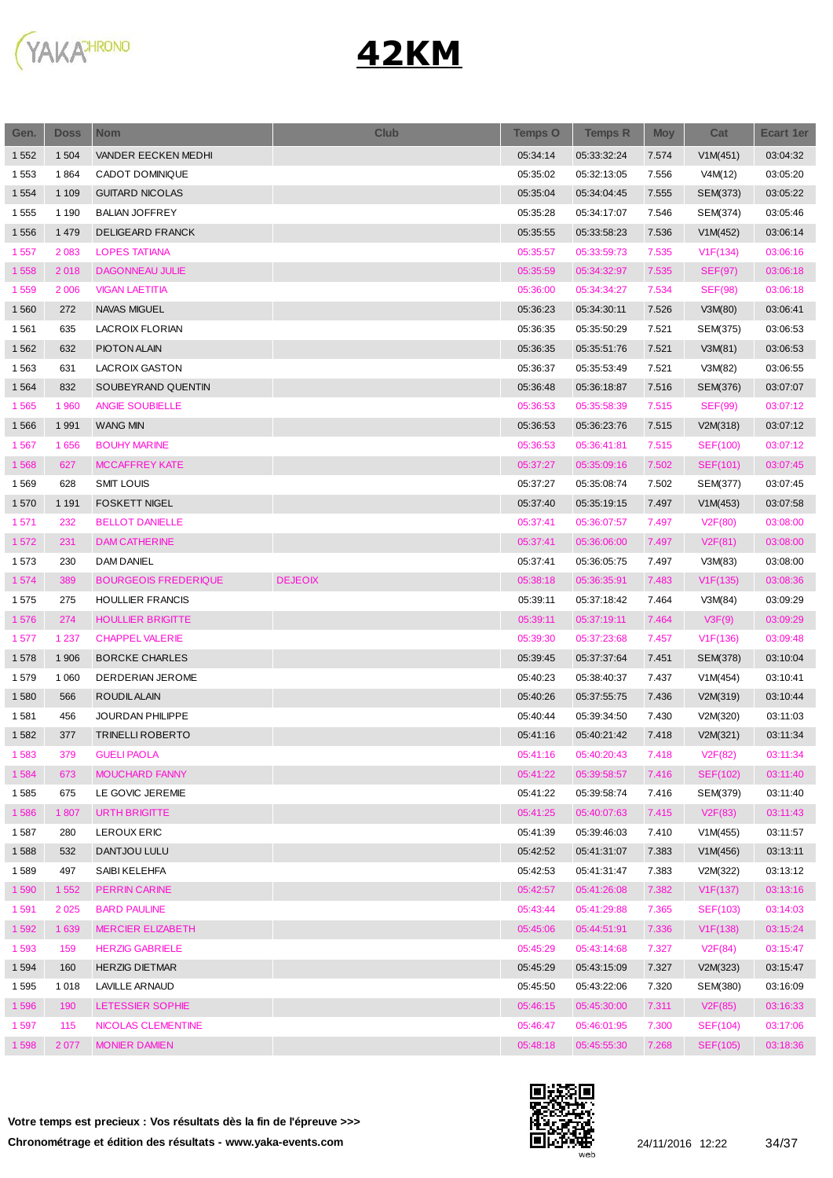

| Gen.    | <b>Doss</b> | <b>Nom</b>                  | <b>Club</b>    | <b>Temps O</b> | <b>Temps R</b> | <b>Moy</b> | Cat             | Ecart 1er |
|---------|-------------|-----------------------------|----------------|----------------|----------------|------------|-----------------|-----------|
| 1 5 5 2 | 1 504       | VANDER EECKEN MEDHI         |                | 05:34:14       | 05:33:32:24    | 7.574      | V1M(451)        | 03:04:32  |
| 1553    | 1864        | CADOT DOMINIQUE             |                | 05:35:02       | 05:32:13:05    | 7.556      | V4M(12)         | 03:05:20  |
| 1 5 5 4 | 1 1 0 9     | <b>GUITARD NICOLAS</b>      |                | 05:35:04       | 05:34:04:45    | 7.555      | SEM(373)        | 03:05:22  |
| 1555    | 1 1 9 0     | <b>BALIAN JOFFREY</b>       |                | 05:35:28       | 05:34:17:07    | 7.546      | SEM(374)        | 03:05:46  |
| 1556    | 1 4 7 9     | DELIGEARD FRANCK            |                | 05:35:55       | 05:33:58:23    | 7.536      | V1M(452)        | 03:06:14  |
| 1 5 5 7 | 2 0 8 3     | <b>LOPES TATIANA</b>        |                | 05:35:57       | 05:33:59:73    | 7.535      | V1F(134)        | 03:06:16  |
| 1558    | 2018        | <b>DAGONNEAU JULIE</b>      |                | 05:35:59       | 05:34:32:97    | 7.535      | <b>SEF(97)</b>  | 03:06:18  |
| 1559    | 2 0 0 6     | <b>VIGAN LAETITIA</b>       |                | 05:36:00       | 05:34:34:27    | 7.534      | <b>SEF(98)</b>  | 03:06:18  |
| 1560    | 272         | <b>NAVAS MIGUEL</b>         |                | 05:36:23       | 05:34:30:11    | 7.526      | V3M(80)         | 03:06:41  |
| 1561    | 635         | LACROIX FLORIAN             |                | 05:36:35       | 05:35:50:29    | 7.521      | SEM(375)        | 03:06:53  |
| 1562    | 632         | PIOTON ALAIN                |                | 05:36:35       | 05:35:51:76    | 7.521      | V3M(81)         | 03:06:53  |
| 1563    | 631         | LACROIX GASTON              |                | 05:36:37       | 05:35:53:49    | 7.521      | V3M(82)         | 03:06:55  |
| 1 5 6 4 | 832         | SOUBEYRAND QUENTIN          |                | 05:36:48       | 05:36:18:87    | 7.516      | SEM(376)        | 03:07:07  |
| 1565    | 1 960       | ANGIE SOUBIELLE             |                | 05:36:53       | 05:35:58:39    | 7.515      | <b>SEF(99)</b>  | 03:07:12  |
| 1566    | 1991        | <b>WANG MIN</b>             |                | 05:36:53       | 05:36:23:76    | 7.515      | V2M(318)        | 03:07:12  |
| 1567    | 1656        | <b>BOUHY MARINE</b>         |                | 05:36:53       | 05:36:41:81    | 7.515      | <b>SEF(100)</b> | 03:07:12  |
| 1568    | 627         | <b>MCCAFFREY KATE</b>       |                | 05:37:27       | 05:35:09:16    | 7.502      | SEF(101)        | 03:07:45  |
| 1569    | 628         | <b>SMIT LOUIS</b>           |                | 05:37:27       | 05:35:08:74    | 7.502      | SEM(377)        | 03:07:45  |
| 1570    | 1 1 9 1     | <b>FOSKETT NIGEL</b>        |                | 05:37:40       | 05:35:19:15    | 7.497      | V1M(453)        | 03:07:58  |
| 1571    | 232         | <b>BELLOT DANIELLE</b>      |                | 05:37:41       | 05:36:07:57    | 7.497      | V2F(80)         | 03:08:00  |
| 1572    | 231         | <b>DAM CATHERINE</b>        |                | 05:37:41       | 05:36:06:00    | 7.497      | V2F(81)         | 03:08:00  |
| 1573    | 230         | <b>DAM DANIEL</b>           |                | 05:37:41       | 05:36:05:75    | 7.497      | V3M(83)         | 03:08:00  |
| 1574    | 389         | <b>BOURGEOIS FREDERIQUE</b> | <b>DEJEOIX</b> | 05:38:18       | 05:36:35:91    | 7.483      | V1F(135)        | 03:08:36  |
| 1575    | 275         | <b>HOULLIER FRANCIS</b>     |                | 05:39:11       | 05:37:18:42    | 7.464      | V3M(84)         | 03:09:29  |
| 1576    | 274         | <b>HOULLIER BRIGITTE</b>    |                | 05:39:11       | 05:37:19:11    | 7.464      | V3F(9)          | 03:09:29  |
| 1577    | 1 2 3 7     | <b>CHAPPEL VALERIE</b>      |                | 05:39:30       | 05:37:23:68    | 7.457      | V1F(136)        | 03:09:48  |
| 1578    | 1 906       | <b>BORCKE CHARLES</b>       |                | 05:39:45       | 05:37:37:64    | 7.451      | SEM(378)        | 03:10:04  |
| 1579    | 1 0 6 0     | DERDERIAN JEROME            |                | 05:40:23       | 05:38:40:37    | 7.437      | V1M(454)        | 03:10:41  |
| 1580    | 566         | ROUDIL ALAIN                |                | 05:40:26       | 05:37:55:75    | 7.436      | V2M(319)        | 03:10:44  |
| 1581    | 456         | <b>JOURDAN PHILIPPE</b>     |                | 05:40:44       | 05:39:34:50    | 7.430      | V2M(320)        | 03:11:03  |
| 1582    | 377         | <b>TRINELLI ROBERTO</b>     |                | 05:41:16       | 05:40:21:42    | 7.418      | V2M(321)        | 03:11:34  |
| 1583    | 379         | <b>GUELI PAOLA</b>          |                | 05:41:16       | 05:40:20:43    | 7.418      | V2F(82)         | 03:11:34  |
| 1584    | 673         | MOUCHARD FANNY              |                | 05:41:22       | 05:39:58:57    | 7.416      | <b>SEF(102)</b> | 03:11:40  |
| 1585    | 675         | LE GOVIC JEREMIE            |                | 05:41:22       | 05:39:58:74    | 7.416      | SEM(379)        | 03:11:40  |
| 1586    | 1807        | URTH BRIGITTE               |                | 05:41:25       | 05:40:07:63    | 7.415      | V2F(83)         | 03:11:43  |
| 1587    | 280         | LEROUX ERIC                 |                | 05:41:39       | 05:39:46:03    | 7.410      | V1M(455)        | 03:11:57  |
| 1588    | 532         | DANTJOU LULU                |                | 05:42:52       | 05:41:31:07    | 7.383      | V1M(456)        | 03:13:11  |
| 1589    | 497         | SAIBI KELEHFA               |                | 05:42:53       | 05:41:31:47    | 7.383      | V2M(322)        | 03:13:12  |
| 1590    | 1 5 5 2     | <b>PERRIN CARINE</b>        |                | 05:42:57       | 05:41:26:08    | 7.382      | V1F(137)        | 03:13:16  |
| 1591    | 2 0 2 5     | <b>BARD PAULINE</b>         |                | 05:43:44       | 05:41:29:88    | 7.365      | SEF(103)        | 03:14:03  |
| 1592    | 1 639       | <b>MERCIER ELIZABETH</b>    |                | 05:45:06       | 05:44:51:91    | 7.336      | V1F(138)        | 03:15:24  |
| 1593    | 159         | <b>HERZIG GABRIELE</b>      |                | 05:45:29       | 05:43:14:68    | 7.327      | V2F(84)         | 03:15:47  |
| 1 5 9 4 | 160         | <b>HERZIG DIETMAR</b>       |                | 05:45:29       | 05:43:15:09    | 7.327      | V2M(323)        | 03:15:47  |
| 1595    | 1018        | <b>LAVILLE ARNAUD</b>       |                | 05:45:50       | 05:43:22:06    | 7.320      | SEM(380)        | 03:16:09  |
| 1596    | 190         | LETESSIER SOPHIE            |                | 05:46:15       | 05:45:30:00    | 7.311      | V2F(85)         | 03:16:33  |
| 1597    | 115         | NICOLAS CLEMENTINE          |                | 05:46:47       | 05:46:01:95    | 7.300      | SEF(104)        | 03:17:06  |
| 1598    | 2 0 7 7     | <b>MONIER DAMIEN</b>        |                | 05:48:18       | 05:45:55:30    | 7.268      | SEF(105)        | 03:18:36  |

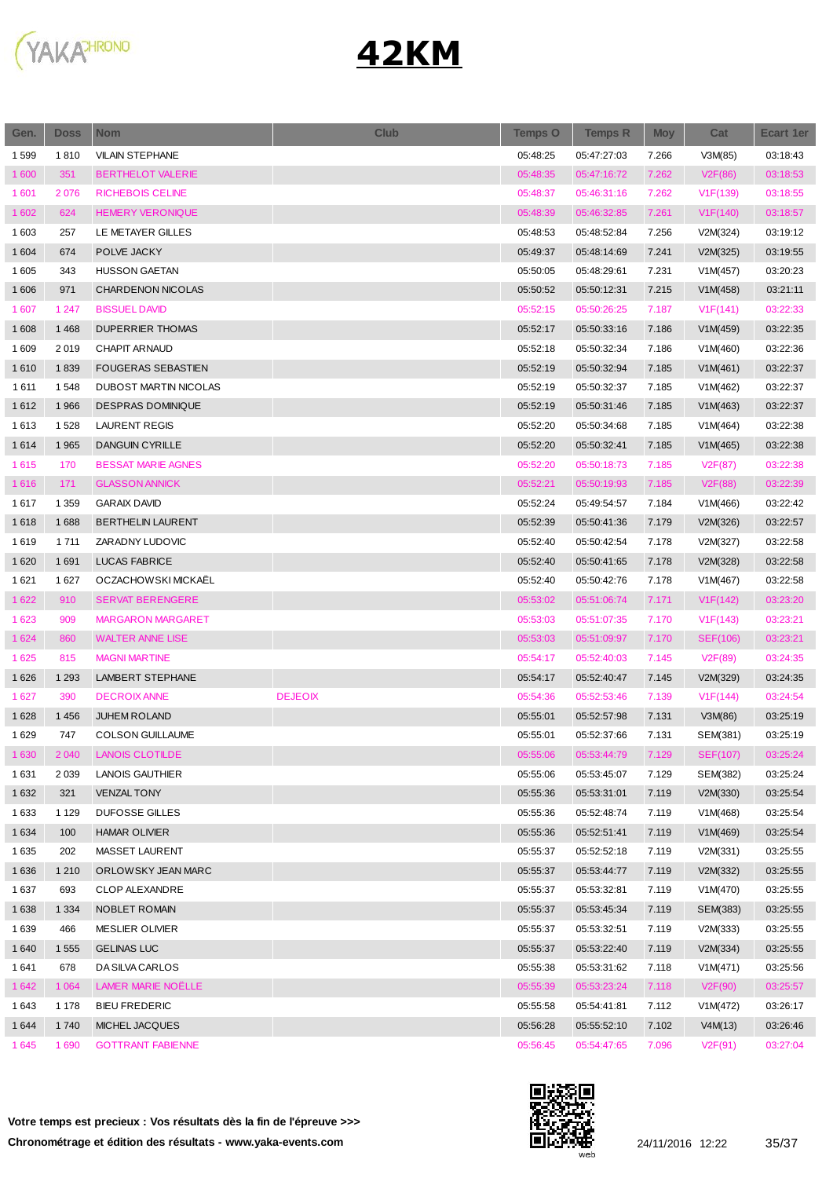

| 1599<br>1810<br><b>VILAIN STEPHANE</b><br>05:48:25<br>05:47:27:03<br>7.266<br>V3M(85)<br>1 600<br>351<br><b>BERTHELOT VALERIE</b><br>05:48:35<br>7.262<br>05:47:16:72<br>V2F(86)<br>1 601<br>2076<br><b>RICHEBOIS CELINE</b><br>05:48:37<br>05:46:31:16<br>V1F(139)<br>7.262<br>1 602<br>624<br><b>HEMERY VERONIQUE</b><br>05:48:39<br>05:46:32:85<br>7.261<br>V1F(140)<br>1 603<br>257<br>LE METAYER GILLES<br>05:48:53<br>05:48:52:84<br>7.256<br>V2M(324)<br>POLVE JACKY<br>1 604<br>674<br>05:49:37<br>05:48:14:69<br>7.241<br>V2M(325)<br>1 605<br>343<br><b>HUSSON GAETAN</b><br>05:50:05<br>05:48:29:61<br>7.231<br>V1M(457)<br>1 60 6<br>971<br>CHARDENON NICOLAS<br>05:50:52<br>05:50:12:31<br>7.215<br>V1M(458)<br>1 607<br>1 2 4 7<br><b>BISSUEL DAVID</b><br>05:52:15<br>05:50:26:25<br>7.187<br>V1F(141)<br>1 608<br>1 4 6 8<br><b>DUPERRIER THOMAS</b><br>05:52:17<br>05:50:33:16<br>V1M(459)<br>7.186<br><b>CHAPIT ARNAUD</b><br>1 609<br>2019<br>05:52:18<br>05:50:32:34<br>7.186<br>V1M(460)<br>1610<br>1839<br><b>FOUGERAS SEBASTIEN</b><br>05:52:19<br>05:50:32:94<br>V1M(461)<br>7.185<br>1611<br>1548<br>DUBOST MARTIN NICOLAS<br>05:52:19<br>05:50:32:37<br>7.185<br>V1M(462)<br>1612<br>1966<br><b>DESPRAS DOMINIQUE</b><br>05:52:19<br>05:50:31:46<br>7.185<br>V1M(463)<br>1613<br>1528<br><b>LAURENT REGIS</b><br>05:52:20<br>05:50:34:68<br>7.185<br>V1M(464)<br>1614<br>1 9 6 5<br><b>DANGUIN CYRILLE</b><br>05:52:20<br>V1M(465)<br>05:50:32:41<br>7.185<br>1615<br>170<br><b>BESSAT MARIE AGNES</b><br>05:52:20<br>05:50:18:73<br>7.185<br>V2F(87)<br>1616<br>171<br><b>GLASSON ANNICK</b><br>05:52:21<br>05:50:19:93<br>7.185<br>V2F(88)<br>05:52:24<br>1617<br>1 3 5 9<br><b>GARAIX DAVID</b><br>05:49:54:57<br>7.184<br>V1M(466)<br>1618<br>1688<br><b>BERTHELIN LAURENT</b><br>05:52:39<br>05:50:41:36<br>7.179<br>V2M(326)<br>1619<br>ZARADNY LUDOVIC<br>1 7 1 1<br>05:52:40<br>05:50:42:54<br>7.178<br>V2M(327)<br>1620<br>1691<br><b>LUCAS FABRICE</b><br>05:52:40<br>05:50:41:65<br>7.178<br>V2M(328)<br>OCZACHOWSKI MICKAËL<br>1 6 2 1<br>1627<br>05:52:40<br>05:50:42:76<br>V1M(467)<br>7.178<br>1 6 2 2<br>910<br><b>SERVAT BERENGERE</b><br>05:53:02<br>7.171<br>V1F(142)<br>05:51:06:74<br>1 6 2 3<br>909<br><b>MARGARON MARGARET</b><br>05:53:03<br>05:51:07:35<br>7.170<br>V1F(143)<br>1 6 2 4<br>860<br><b>WALTER ANNE LISE</b><br>05:53:03<br>05:51:09:97<br>SEF(106)<br>7.170<br>1 6 2 5<br>815<br><b>MAGNI MARTINE</b><br>05:54:17<br>05:52:40:03<br>V <sub>2</sub> F(89)<br>7.145<br>1626<br>1 2 9 3<br>LAMBERT STEPHANE<br>05:54:17<br>05:52:40:47<br>7.145<br>V2M(329) | <b>Ecart 1er</b> |
|---------------------------------------------------------------------------------------------------------------------------------------------------------------------------------------------------------------------------------------------------------------------------------------------------------------------------------------------------------------------------------------------------------------------------------------------------------------------------------------------------------------------------------------------------------------------------------------------------------------------------------------------------------------------------------------------------------------------------------------------------------------------------------------------------------------------------------------------------------------------------------------------------------------------------------------------------------------------------------------------------------------------------------------------------------------------------------------------------------------------------------------------------------------------------------------------------------------------------------------------------------------------------------------------------------------------------------------------------------------------------------------------------------------------------------------------------------------------------------------------------------------------------------------------------------------------------------------------------------------------------------------------------------------------------------------------------------------------------------------------------------------------------------------------------------------------------------------------------------------------------------------------------------------------------------------------------------------------------------------------------------------------------------------------------------------------------------------------------------------------------------------------------------------------------------------------------------------------------------------------------------------------------------------------------------------------------------------------------------------------------------------------------------------------------------------------------------------------------------------------------------------------------------------------------------------------------------------------------------------------------|------------------|
|                                                                                                                                                                                                                                                                                                                                                                                                                                                                                                                                                                                                                                                                                                                                                                                                                                                                                                                                                                                                                                                                                                                                                                                                                                                                                                                                                                                                                                                                                                                                                                                                                                                                                                                                                                                                                                                                                                                                                                                                                                                                                                                                                                                                                                                                                                                                                                                                                                                                                                                                                                                                                           | 03:18:43         |
|                                                                                                                                                                                                                                                                                                                                                                                                                                                                                                                                                                                                                                                                                                                                                                                                                                                                                                                                                                                                                                                                                                                                                                                                                                                                                                                                                                                                                                                                                                                                                                                                                                                                                                                                                                                                                                                                                                                                                                                                                                                                                                                                                                                                                                                                                                                                                                                                                                                                                                                                                                                                                           | 03:18:53         |
|                                                                                                                                                                                                                                                                                                                                                                                                                                                                                                                                                                                                                                                                                                                                                                                                                                                                                                                                                                                                                                                                                                                                                                                                                                                                                                                                                                                                                                                                                                                                                                                                                                                                                                                                                                                                                                                                                                                                                                                                                                                                                                                                                                                                                                                                                                                                                                                                                                                                                                                                                                                                                           | 03:18:55         |
|                                                                                                                                                                                                                                                                                                                                                                                                                                                                                                                                                                                                                                                                                                                                                                                                                                                                                                                                                                                                                                                                                                                                                                                                                                                                                                                                                                                                                                                                                                                                                                                                                                                                                                                                                                                                                                                                                                                                                                                                                                                                                                                                                                                                                                                                                                                                                                                                                                                                                                                                                                                                                           | 03:18:57         |
|                                                                                                                                                                                                                                                                                                                                                                                                                                                                                                                                                                                                                                                                                                                                                                                                                                                                                                                                                                                                                                                                                                                                                                                                                                                                                                                                                                                                                                                                                                                                                                                                                                                                                                                                                                                                                                                                                                                                                                                                                                                                                                                                                                                                                                                                                                                                                                                                                                                                                                                                                                                                                           | 03:19:12         |
|                                                                                                                                                                                                                                                                                                                                                                                                                                                                                                                                                                                                                                                                                                                                                                                                                                                                                                                                                                                                                                                                                                                                                                                                                                                                                                                                                                                                                                                                                                                                                                                                                                                                                                                                                                                                                                                                                                                                                                                                                                                                                                                                                                                                                                                                                                                                                                                                                                                                                                                                                                                                                           | 03:19:55         |
|                                                                                                                                                                                                                                                                                                                                                                                                                                                                                                                                                                                                                                                                                                                                                                                                                                                                                                                                                                                                                                                                                                                                                                                                                                                                                                                                                                                                                                                                                                                                                                                                                                                                                                                                                                                                                                                                                                                                                                                                                                                                                                                                                                                                                                                                                                                                                                                                                                                                                                                                                                                                                           | 03:20:23         |
|                                                                                                                                                                                                                                                                                                                                                                                                                                                                                                                                                                                                                                                                                                                                                                                                                                                                                                                                                                                                                                                                                                                                                                                                                                                                                                                                                                                                                                                                                                                                                                                                                                                                                                                                                                                                                                                                                                                                                                                                                                                                                                                                                                                                                                                                                                                                                                                                                                                                                                                                                                                                                           | 03:21:11         |
|                                                                                                                                                                                                                                                                                                                                                                                                                                                                                                                                                                                                                                                                                                                                                                                                                                                                                                                                                                                                                                                                                                                                                                                                                                                                                                                                                                                                                                                                                                                                                                                                                                                                                                                                                                                                                                                                                                                                                                                                                                                                                                                                                                                                                                                                                                                                                                                                                                                                                                                                                                                                                           | 03:22:33         |
|                                                                                                                                                                                                                                                                                                                                                                                                                                                                                                                                                                                                                                                                                                                                                                                                                                                                                                                                                                                                                                                                                                                                                                                                                                                                                                                                                                                                                                                                                                                                                                                                                                                                                                                                                                                                                                                                                                                                                                                                                                                                                                                                                                                                                                                                                                                                                                                                                                                                                                                                                                                                                           | 03:22:35         |
|                                                                                                                                                                                                                                                                                                                                                                                                                                                                                                                                                                                                                                                                                                                                                                                                                                                                                                                                                                                                                                                                                                                                                                                                                                                                                                                                                                                                                                                                                                                                                                                                                                                                                                                                                                                                                                                                                                                                                                                                                                                                                                                                                                                                                                                                                                                                                                                                                                                                                                                                                                                                                           | 03:22:36         |
|                                                                                                                                                                                                                                                                                                                                                                                                                                                                                                                                                                                                                                                                                                                                                                                                                                                                                                                                                                                                                                                                                                                                                                                                                                                                                                                                                                                                                                                                                                                                                                                                                                                                                                                                                                                                                                                                                                                                                                                                                                                                                                                                                                                                                                                                                                                                                                                                                                                                                                                                                                                                                           | 03:22:37         |
|                                                                                                                                                                                                                                                                                                                                                                                                                                                                                                                                                                                                                                                                                                                                                                                                                                                                                                                                                                                                                                                                                                                                                                                                                                                                                                                                                                                                                                                                                                                                                                                                                                                                                                                                                                                                                                                                                                                                                                                                                                                                                                                                                                                                                                                                                                                                                                                                                                                                                                                                                                                                                           | 03:22:37         |
|                                                                                                                                                                                                                                                                                                                                                                                                                                                                                                                                                                                                                                                                                                                                                                                                                                                                                                                                                                                                                                                                                                                                                                                                                                                                                                                                                                                                                                                                                                                                                                                                                                                                                                                                                                                                                                                                                                                                                                                                                                                                                                                                                                                                                                                                                                                                                                                                                                                                                                                                                                                                                           | 03:22:37         |
|                                                                                                                                                                                                                                                                                                                                                                                                                                                                                                                                                                                                                                                                                                                                                                                                                                                                                                                                                                                                                                                                                                                                                                                                                                                                                                                                                                                                                                                                                                                                                                                                                                                                                                                                                                                                                                                                                                                                                                                                                                                                                                                                                                                                                                                                                                                                                                                                                                                                                                                                                                                                                           | 03:22:38         |
|                                                                                                                                                                                                                                                                                                                                                                                                                                                                                                                                                                                                                                                                                                                                                                                                                                                                                                                                                                                                                                                                                                                                                                                                                                                                                                                                                                                                                                                                                                                                                                                                                                                                                                                                                                                                                                                                                                                                                                                                                                                                                                                                                                                                                                                                                                                                                                                                                                                                                                                                                                                                                           | 03:22:38         |
|                                                                                                                                                                                                                                                                                                                                                                                                                                                                                                                                                                                                                                                                                                                                                                                                                                                                                                                                                                                                                                                                                                                                                                                                                                                                                                                                                                                                                                                                                                                                                                                                                                                                                                                                                                                                                                                                                                                                                                                                                                                                                                                                                                                                                                                                                                                                                                                                                                                                                                                                                                                                                           | 03:22:38         |
|                                                                                                                                                                                                                                                                                                                                                                                                                                                                                                                                                                                                                                                                                                                                                                                                                                                                                                                                                                                                                                                                                                                                                                                                                                                                                                                                                                                                                                                                                                                                                                                                                                                                                                                                                                                                                                                                                                                                                                                                                                                                                                                                                                                                                                                                                                                                                                                                                                                                                                                                                                                                                           | 03:22:39         |
|                                                                                                                                                                                                                                                                                                                                                                                                                                                                                                                                                                                                                                                                                                                                                                                                                                                                                                                                                                                                                                                                                                                                                                                                                                                                                                                                                                                                                                                                                                                                                                                                                                                                                                                                                                                                                                                                                                                                                                                                                                                                                                                                                                                                                                                                                                                                                                                                                                                                                                                                                                                                                           | 03:22:42         |
|                                                                                                                                                                                                                                                                                                                                                                                                                                                                                                                                                                                                                                                                                                                                                                                                                                                                                                                                                                                                                                                                                                                                                                                                                                                                                                                                                                                                                                                                                                                                                                                                                                                                                                                                                                                                                                                                                                                                                                                                                                                                                                                                                                                                                                                                                                                                                                                                                                                                                                                                                                                                                           | 03:22:57         |
|                                                                                                                                                                                                                                                                                                                                                                                                                                                                                                                                                                                                                                                                                                                                                                                                                                                                                                                                                                                                                                                                                                                                                                                                                                                                                                                                                                                                                                                                                                                                                                                                                                                                                                                                                                                                                                                                                                                                                                                                                                                                                                                                                                                                                                                                                                                                                                                                                                                                                                                                                                                                                           | 03:22:58         |
|                                                                                                                                                                                                                                                                                                                                                                                                                                                                                                                                                                                                                                                                                                                                                                                                                                                                                                                                                                                                                                                                                                                                                                                                                                                                                                                                                                                                                                                                                                                                                                                                                                                                                                                                                                                                                                                                                                                                                                                                                                                                                                                                                                                                                                                                                                                                                                                                                                                                                                                                                                                                                           | 03:22:58         |
|                                                                                                                                                                                                                                                                                                                                                                                                                                                                                                                                                                                                                                                                                                                                                                                                                                                                                                                                                                                                                                                                                                                                                                                                                                                                                                                                                                                                                                                                                                                                                                                                                                                                                                                                                                                                                                                                                                                                                                                                                                                                                                                                                                                                                                                                                                                                                                                                                                                                                                                                                                                                                           | 03:22:58         |
|                                                                                                                                                                                                                                                                                                                                                                                                                                                                                                                                                                                                                                                                                                                                                                                                                                                                                                                                                                                                                                                                                                                                                                                                                                                                                                                                                                                                                                                                                                                                                                                                                                                                                                                                                                                                                                                                                                                                                                                                                                                                                                                                                                                                                                                                                                                                                                                                                                                                                                                                                                                                                           | 03:23:20         |
|                                                                                                                                                                                                                                                                                                                                                                                                                                                                                                                                                                                                                                                                                                                                                                                                                                                                                                                                                                                                                                                                                                                                                                                                                                                                                                                                                                                                                                                                                                                                                                                                                                                                                                                                                                                                                                                                                                                                                                                                                                                                                                                                                                                                                                                                                                                                                                                                                                                                                                                                                                                                                           | 03:23:21         |
|                                                                                                                                                                                                                                                                                                                                                                                                                                                                                                                                                                                                                                                                                                                                                                                                                                                                                                                                                                                                                                                                                                                                                                                                                                                                                                                                                                                                                                                                                                                                                                                                                                                                                                                                                                                                                                                                                                                                                                                                                                                                                                                                                                                                                                                                                                                                                                                                                                                                                                                                                                                                                           | 03:23:21         |
|                                                                                                                                                                                                                                                                                                                                                                                                                                                                                                                                                                                                                                                                                                                                                                                                                                                                                                                                                                                                                                                                                                                                                                                                                                                                                                                                                                                                                                                                                                                                                                                                                                                                                                                                                                                                                                                                                                                                                                                                                                                                                                                                                                                                                                                                                                                                                                                                                                                                                                                                                                                                                           | 03:24:35         |
|                                                                                                                                                                                                                                                                                                                                                                                                                                                                                                                                                                                                                                                                                                                                                                                                                                                                                                                                                                                                                                                                                                                                                                                                                                                                                                                                                                                                                                                                                                                                                                                                                                                                                                                                                                                                                                                                                                                                                                                                                                                                                                                                                                                                                                                                                                                                                                                                                                                                                                                                                                                                                           | 03:24:35         |
| 390<br>1 6 2 7<br><b>DECROIX ANNE</b><br><b>DEJEOIX</b><br>05:54:36<br>05:52:53:46<br>7.139<br>V1F(144)                                                                                                                                                                                                                                                                                                                                                                                                                                                                                                                                                                                                                                                                                                                                                                                                                                                                                                                                                                                                                                                                                                                                                                                                                                                                                                                                                                                                                                                                                                                                                                                                                                                                                                                                                                                                                                                                                                                                                                                                                                                                                                                                                                                                                                                                                                                                                                                                                                                                                                                   | 03:24:54         |
| 1 4 5 6<br>JUHEM ROLAND<br>05:55:01<br>1628<br>05:52:57:98<br>7.131<br>V3M(86)                                                                                                                                                                                                                                                                                                                                                                                                                                                                                                                                                                                                                                                                                                                                                                                                                                                                                                                                                                                                                                                                                                                                                                                                                                                                                                                                                                                                                                                                                                                                                                                                                                                                                                                                                                                                                                                                                                                                                                                                                                                                                                                                                                                                                                                                                                                                                                                                                                                                                                                                            | 03:25:19         |
| 1629<br>747<br><b>COLSON GUILLAUME</b><br>05:55:01<br>05:52:37:66<br>7.131<br>SEM(381)                                                                                                                                                                                                                                                                                                                                                                                                                                                                                                                                                                                                                                                                                                                                                                                                                                                                                                                                                                                                                                                                                                                                                                                                                                                                                                                                                                                                                                                                                                                                                                                                                                                                                                                                                                                                                                                                                                                                                                                                                                                                                                                                                                                                                                                                                                                                                                                                                                                                                                                                    | 03:25:19         |
| 1 6 3 0<br>2 0 4 0<br><b>LANOIS CLOTILDE</b><br>05:55:06<br>05:53:44:79<br>7.129<br><b>SEF(107)</b>                                                                                                                                                                                                                                                                                                                                                                                                                                                                                                                                                                                                                                                                                                                                                                                                                                                                                                                                                                                                                                                                                                                                                                                                                                                                                                                                                                                                                                                                                                                                                                                                                                                                                                                                                                                                                                                                                                                                                                                                                                                                                                                                                                                                                                                                                                                                                                                                                                                                                                                       | 03:25:24         |
| 1631<br>2 0 3 9<br>LANOIS GAUTHIER<br>05:55:06<br>7.129<br>SEM(382)<br>05:53:45:07                                                                                                                                                                                                                                                                                                                                                                                                                                                                                                                                                                                                                                                                                                                                                                                                                                                                                                                                                                                                                                                                                                                                                                                                                                                                                                                                                                                                                                                                                                                                                                                                                                                                                                                                                                                                                                                                                                                                                                                                                                                                                                                                                                                                                                                                                                                                                                                                                                                                                                                                        | 03:25:24         |
| 321<br>1 6 3 2<br><b>VENZAL TONY</b><br>05:55:36<br>7.119<br>05:53:31:01<br>V2M(330)                                                                                                                                                                                                                                                                                                                                                                                                                                                                                                                                                                                                                                                                                                                                                                                                                                                                                                                                                                                                                                                                                                                                                                                                                                                                                                                                                                                                                                                                                                                                                                                                                                                                                                                                                                                                                                                                                                                                                                                                                                                                                                                                                                                                                                                                                                                                                                                                                                                                                                                                      | 03:25:54         |
| 1633<br>DUFOSSE GILLES<br>05:55:36<br>05:52:48:74<br>7.119<br>V1M(468)<br>1 1 2 9                                                                                                                                                                                                                                                                                                                                                                                                                                                                                                                                                                                                                                                                                                                                                                                                                                                                                                                                                                                                                                                                                                                                                                                                                                                                                                                                                                                                                                                                                                                                                                                                                                                                                                                                                                                                                                                                                                                                                                                                                                                                                                                                                                                                                                                                                                                                                                                                                                                                                                                                         | 03:25:54         |
| 1 6 3 4<br>100<br><b>HAMAR OLIVIER</b><br>05:55:36<br>05:52:51:41<br>7.119<br>V1M(469)                                                                                                                                                                                                                                                                                                                                                                                                                                                                                                                                                                                                                                                                                                                                                                                                                                                                                                                                                                                                                                                                                                                                                                                                                                                                                                                                                                                                                                                                                                                                                                                                                                                                                                                                                                                                                                                                                                                                                                                                                                                                                                                                                                                                                                                                                                                                                                                                                                                                                                                                    | 03:25:54         |
| 1635<br>202<br>MASSET LAURENT<br>05:55:37<br>05:52:52:18<br>7.119<br>V2M(331)                                                                                                                                                                                                                                                                                                                                                                                                                                                                                                                                                                                                                                                                                                                                                                                                                                                                                                                                                                                                                                                                                                                                                                                                                                                                                                                                                                                                                                                                                                                                                                                                                                                                                                                                                                                                                                                                                                                                                                                                                                                                                                                                                                                                                                                                                                                                                                                                                                                                                                                                             | 03:25:55         |
| ORLOWSKY JEAN MARC<br>05:53:44:77<br>V2M(332)<br>1636<br>1 2 1 0<br>05:55:37<br>7.119                                                                                                                                                                                                                                                                                                                                                                                                                                                                                                                                                                                                                                                                                                                                                                                                                                                                                                                                                                                                                                                                                                                                                                                                                                                                                                                                                                                                                                                                                                                                                                                                                                                                                                                                                                                                                                                                                                                                                                                                                                                                                                                                                                                                                                                                                                                                                                                                                                                                                                                                     | 03:25:55         |
| 1637<br>693<br>05:55:37<br>7.119<br>V1M(470)<br><b>CLOP ALEXANDRE</b><br>05:53:32:81                                                                                                                                                                                                                                                                                                                                                                                                                                                                                                                                                                                                                                                                                                                                                                                                                                                                                                                                                                                                                                                                                                                                                                                                                                                                                                                                                                                                                                                                                                                                                                                                                                                                                                                                                                                                                                                                                                                                                                                                                                                                                                                                                                                                                                                                                                                                                                                                                                                                                                                                      | 03:25:55         |
| 1638<br>1 3 3 4<br>NOBLET ROMAIN<br>05:55:37<br>05:53:45:34<br>7.119<br>SEM(383)                                                                                                                                                                                                                                                                                                                                                                                                                                                                                                                                                                                                                                                                                                                                                                                                                                                                                                                                                                                                                                                                                                                                                                                                                                                                                                                                                                                                                                                                                                                                                                                                                                                                                                                                                                                                                                                                                                                                                                                                                                                                                                                                                                                                                                                                                                                                                                                                                                                                                                                                          | 03:25:55         |
| 05:55:37<br>1639<br>466<br><b>MESLIER OLIVIER</b><br>05:53:32:51<br>7.119<br>V2M(333)                                                                                                                                                                                                                                                                                                                                                                                                                                                                                                                                                                                                                                                                                                                                                                                                                                                                                                                                                                                                                                                                                                                                                                                                                                                                                                                                                                                                                                                                                                                                                                                                                                                                                                                                                                                                                                                                                                                                                                                                                                                                                                                                                                                                                                                                                                                                                                                                                                                                                                                                     | 03:25:55         |
| 1 640<br><b>GELINAS LUC</b><br>05:55:37<br>05:53:22:40<br>7.119<br>V2M(334)<br>1 555                                                                                                                                                                                                                                                                                                                                                                                                                                                                                                                                                                                                                                                                                                                                                                                                                                                                                                                                                                                                                                                                                                                                                                                                                                                                                                                                                                                                                                                                                                                                                                                                                                                                                                                                                                                                                                                                                                                                                                                                                                                                                                                                                                                                                                                                                                                                                                                                                                                                                                                                      | 03:25:55         |
| DA SILVA CARLOS<br>1641<br>678<br>05:55:38<br>05:53:31:62<br>7.118<br>V1M(471)                                                                                                                                                                                                                                                                                                                                                                                                                                                                                                                                                                                                                                                                                                                                                                                                                                                                                                                                                                                                                                                                                                                                                                                                                                                                                                                                                                                                                                                                                                                                                                                                                                                                                                                                                                                                                                                                                                                                                                                                                                                                                                                                                                                                                                                                                                                                                                                                                                                                                                                                            | 03:25:56         |
| LAMER MARIE NOELLE<br>1 642<br>1 0 6 4<br>05:55:39<br>05:53:23:24<br>7.118<br>V2F(90)                                                                                                                                                                                                                                                                                                                                                                                                                                                                                                                                                                                                                                                                                                                                                                                                                                                                                                                                                                                                                                                                                                                                                                                                                                                                                                                                                                                                                                                                                                                                                                                                                                                                                                                                                                                                                                                                                                                                                                                                                                                                                                                                                                                                                                                                                                                                                                                                                                                                                                                                     | 03:25:57         |
| <b>BIEU FREDERIC</b><br>05:55:58<br>7.112<br>V1M(472)<br>1 643<br>1 1 7 8<br>05:54:41:81                                                                                                                                                                                                                                                                                                                                                                                                                                                                                                                                                                                                                                                                                                                                                                                                                                                                                                                                                                                                                                                                                                                                                                                                                                                                                                                                                                                                                                                                                                                                                                                                                                                                                                                                                                                                                                                                                                                                                                                                                                                                                                                                                                                                                                                                                                                                                                                                                                                                                                                                  | 03:26:17         |
| 1740<br>MICHEL JACQUES<br>05:56:28<br>V4M(13)<br>1644<br>05:55:52:10<br>7.102                                                                                                                                                                                                                                                                                                                                                                                                                                                                                                                                                                                                                                                                                                                                                                                                                                                                                                                                                                                                                                                                                                                                                                                                                                                                                                                                                                                                                                                                                                                                                                                                                                                                                                                                                                                                                                                                                                                                                                                                                                                                                                                                                                                                                                                                                                                                                                                                                                                                                                                                             | 03:26:46         |
| 1645<br>1690<br><b>GOTTRANT FABIENNE</b><br>05:56:45<br>7.096<br>05:54:47:65<br>V2F(91)                                                                                                                                                                                                                                                                                                                                                                                                                                                                                                                                                                                                                                                                                                                                                                                                                                                                                                                                                                                                                                                                                                                                                                                                                                                                                                                                                                                                                                                                                                                                                                                                                                                                                                                                                                                                                                                                                                                                                                                                                                                                                                                                                                                                                                                                                                                                                                                                                                                                                                                                   | 03:27:04         |

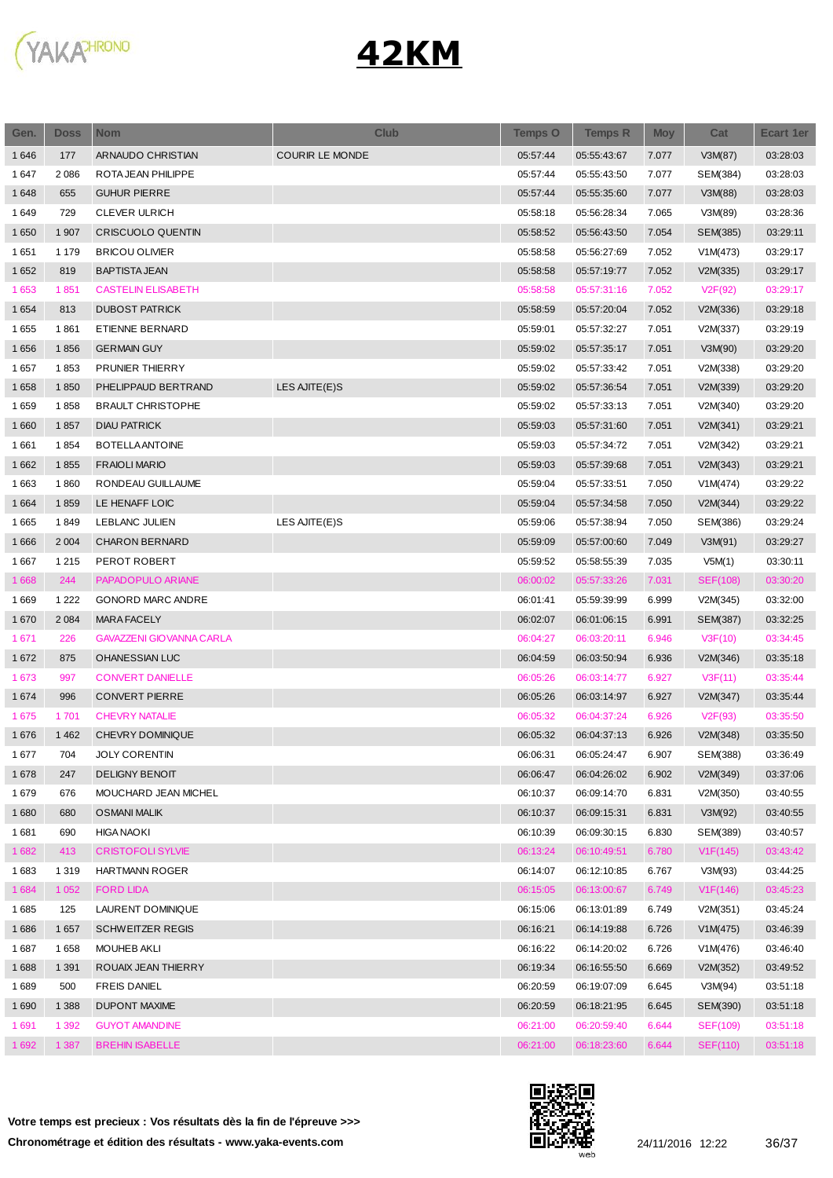

| Gen.    | <b>Doss</b> | <b>Nom</b>                      | <b>Club</b>            | <b>Temps O</b> | <b>Temps R</b> | <b>Moy</b> | Cat             | <b>Ecart 1er</b> |
|---------|-------------|---------------------------------|------------------------|----------------|----------------|------------|-----------------|------------------|
| 1646    | 177         | ARNAUDO CHRISTIAN               | <b>COURIR LE MONDE</b> | 05:57:44       | 05:55:43:67    | 7.077      | V3M(87)         | 03:28:03         |
| 1647    | 2086        | ROTA JEAN PHILIPPE              |                        | 05:57:44       | 05:55:43:50    | 7.077      | SEM(384)        | 03:28:03         |
| 1648    | 655         | <b>GUHUR PIERRE</b>             |                        | 05:57:44       | 05:55:35:60    | 7.077      | V3M(88)         | 03:28:03         |
| 1649    | 729         | <b>CLEVER ULRICH</b>            |                        | 05:58:18       | 05:56:28:34    | 7.065      | V3M(89)         | 03:28:36         |
| 1650    | 1 907       | <b>CRISCUOLO QUENTIN</b>        |                        | 05:58:52       | 05:56:43:50    | 7.054      | SEM(385)        | 03:29:11         |
| 1651    | 1 1 7 9     | <b>BRICOU OLIVIER</b>           |                        | 05:58:58       | 05:56:27:69    | 7.052      | V1M(473)        | 03:29:17         |
| 1652    | 819         | <b>BAPTISTA JEAN</b>            |                        | 05:58:58       | 05:57:19:77    | 7.052      | V2M(335)        | 03:29:17         |
| 1653    | 1851        | <b>CASTELIN ELISABETH</b>       |                        | 05:58:58       | 05:57:31:16    | 7.052      | V2F(92)         | 03:29:17         |
| 1654    | 813         | <b>DUBOST PATRICK</b>           |                        | 05:58:59       | 05:57:20:04    | 7.052      | V2M(336)        | 03:29:18         |
| 1655    | 1861        | ETIENNE BERNARD                 |                        | 05:59:01       | 05:57:32:27    | 7.051      | V2M(337)        | 03:29:19         |
| 1656    | 1856        | <b>GERMAIN GUY</b>              |                        | 05:59:02       | 05:57:35:17    | 7.051      | V3M(90)         | 03:29:20         |
| 1657    | 1853        | PRUNIER THIERRY                 |                        | 05:59:02       | 05:57:33:42    | 7.051      | V2M(338)        | 03:29:20         |
| 1658    | 1850        | PHELIPPAUD BERTRAND             | LES AJITE(E)S          | 05:59:02       | 05:57:36:54    | 7.051      | V2M(339)        | 03:29:20         |
| 1659    | 1858        | <b>BRAULT CHRISTOPHE</b>        |                        | 05:59:02       | 05:57:33:13    | 7.051      | V2M(340)        | 03:29:20         |
| 1660    | 1857        | <b>DIAU PATRICK</b>             |                        | 05:59:03       | 05:57:31:60    | 7.051      | V2M(341)        | 03:29:21         |
| 1661    | 1854        | <b>BOTELLA ANTOINE</b>          |                        | 05:59:03       | 05:57:34:72    | 7.051      | V2M(342)        | 03:29:21         |
| 1662    | 1855        | <b>FRAIOLI MARIO</b>            |                        | 05:59:03       | 05:57:39:68    | 7.051      | V2M(343)        | 03:29:21         |
| 1663    | 1860        | RONDEAU GUILLAUME               |                        | 05:59:04       | 05:57:33:51    | 7.050      | V1M(474)        | 03:29:22         |
| 1 6 6 4 | 1859        | LE HENAFF LOIC                  |                        | 05:59:04       | 05:57:34:58    | 7.050      | V2M(344)        | 03:29:22         |
| 1665    | 1849        | <b>LEBLANC JULIEN</b>           | LES AJITE(E)S          | 05:59:06       | 05:57:38:94    | 7.050      | SEM(386)        | 03:29:24         |
| 1666    | 2 0 0 4     | <b>CHARON BERNARD</b>           |                        | 05:59:09       | 05:57:00:60    | 7.049      | V3M(91)         | 03:29:27         |
| 1667    | 1 2 1 5     | PEROT ROBERT                    |                        | 05:59:52       | 05:58:55:39    | 7.035      | V5M(1)          | 03:30:11         |
| 1 6 6 8 | 244         | PAPADOPULO ARIANE               |                        | 06:00:02       | 05:57:33:26    | 7.031      | SEF(108)        | 03:30:20         |
| 1669    | 1 2 2 2     | GONORD MARC ANDRE               |                        | 06:01:41       | 05:59:39:99    | 6.999      | V2M(345)        | 03:32:00         |
| 1670    | 2 0 8 4     | <b>MARA FACELY</b>              |                        | 06:02:07       | 06:01:06:15    | 6.991      | SEM(387)        | 03:32:25         |
| 1671    | 226         | <b>GAVAZZENI GIOVANNA CARLA</b> |                        | 06:04:27       | 06:03:20:11    | 6.946      | V3F(10)         | 03:34:45         |
| 1672    | 875         | OHANESSIAN LUC                  |                        | 06:04:59       | 06:03:50:94    | 6.936      | V2M(346)        | 03:35:18         |
| 1673    | 997         | <b>CONVERT DANIELLE</b>         |                        | 06:05:26       | 06:03:14:77    | 6.927      | V3F(11)         | 03:35:44         |
| 1674    | 996         | <b>CONVERT PIERRE</b>           |                        | 06:05:26       | 06:03:14:97    | 6.927      | V2M(347)        | 03:35:44         |
| 1675    | 1701        | <b>CHEVRY NATALIE</b>           |                        | 06:05:32       | 06:04:37:24    | 6.926      | V2F(93)         | 03:35:50         |
| 1676    | 1 4 6 2     | CHEVRY DOMINIQUE                |                        | 06:05:32       | 06:04:37:13    | 6.926      | V2M(348)        | 03:35:50         |
| 1677    | 704         | <b>JOLY CORENTIN</b>            |                        | 06:06:31       | 06:05:24:47    | 6.907      | SEM(388)        | 03:36:49         |
| 1678    | 247         | <b>DELIGNY BENOIT</b>           |                        | 06:06:47       | 06:04:26:02    | 6.902      | V2M(349)        | 03:37:06         |
| 1679    | 676         | MOUCHARD JEAN MICHEL            |                        | 06:10:37       | 06:09:14:70    | 6.831      | V2M(350)        | 03:40:55         |
| 1680    | 680         | <b>OSMANI MALIK</b>             |                        | 06:10:37       | 06:09:15:31    | 6.831      | V3M(92)         | 03:40:55         |
| 1681    | 690         | <b>HIGA NAOKI</b>               |                        | 06:10:39       | 06:09:30:15    | 6.830      | SEM(389)        | 03:40:57         |
| 1682    | 413         | <b>CRISTOFOLI SYLVIE</b>        |                        | 06:13:24       | 06:10:49:51    | 6.780      | V1F(145)        | 03:43:42         |
| 1683    | 1 3 1 9     | <b>HARTMANN ROGER</b>           |                        | 06:14:07       | 06:12:10:85    | 6.767      | V3M(93)         | 03:44:25         |
| 1684    | 1 0 5 2     | <b>FORD LIDA</b>                |                        | 06:15:05       | 06:13:00:67    | 6.749      | V1F(146)        | 03:45:23         |
| 1685    | 125         | LAURENT DOMINIQUE               |                        | 06:15:06       | 06:13:01:89    | 6.749      | V2M(351)        | 03:45:24         |
| 1686    | 1657        | <b>SCHWEITZER REGIS</b>         |                        | 06:16:21       | 06:14:19:88    | 6.726      | V1M(475)        | 03:46:39         |
| 1687    | 1658        | <b>MOUHEB AKLI</b>              |                        | 06:16:22       | 06:14:20:02    | 6.726      | V1M(476)        | 03:46:40         |
| 1688    | 1 3 9 1     | ROUAIX JEAN THIERRY             |                        | 06:19:34       | 06:16:55:50    | 6.669      | V2M(352)        | 03:49:52         |
| 1689    | 500         | <b>FREIS DANIEL</b>             |                        | 06:20:59       | 06:19:07:09    | 6.645      | V3M(94)         | 03:51:18         |
| 1690    | 1 3 8 8     | <b>DUPONT MAXIME</b>            |                        | 06:20:59       | 06:18:21:95    | 6.645      | SEM(390)        | 03:51:18         |
| 1691    | 1 3 9 2     | <b>GUYOT AMANDINE</b>           |                        | 06:21:00       | 06:20:59:40    | 6.644      | SEF(109)        | 03:51:18         |
| 1692    | 1 3 8 7     | <b>BREHIN ISABELLE</b>          |                        | 06:21:00       | 06:18:23:60    | 6.644      | <b>SEF(110)</b> | 03:51:18         |
|         |             |                                 |                        |                |                |            |                 |                  |